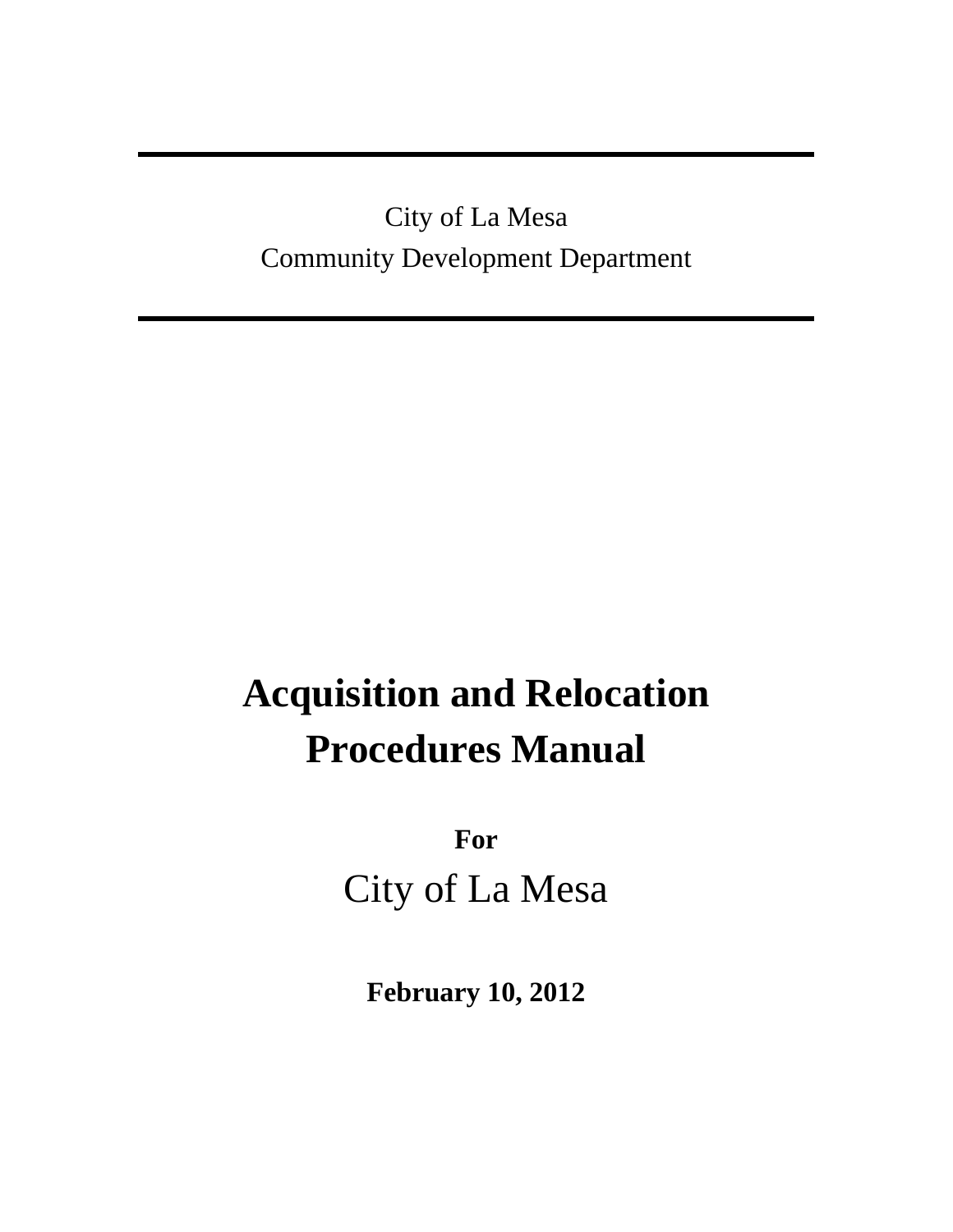## City of La Mesa Community Development Department

# **Acquisition and Relocation Procedures Manual**

**For**  City of La Mesa

**February 10, 2012**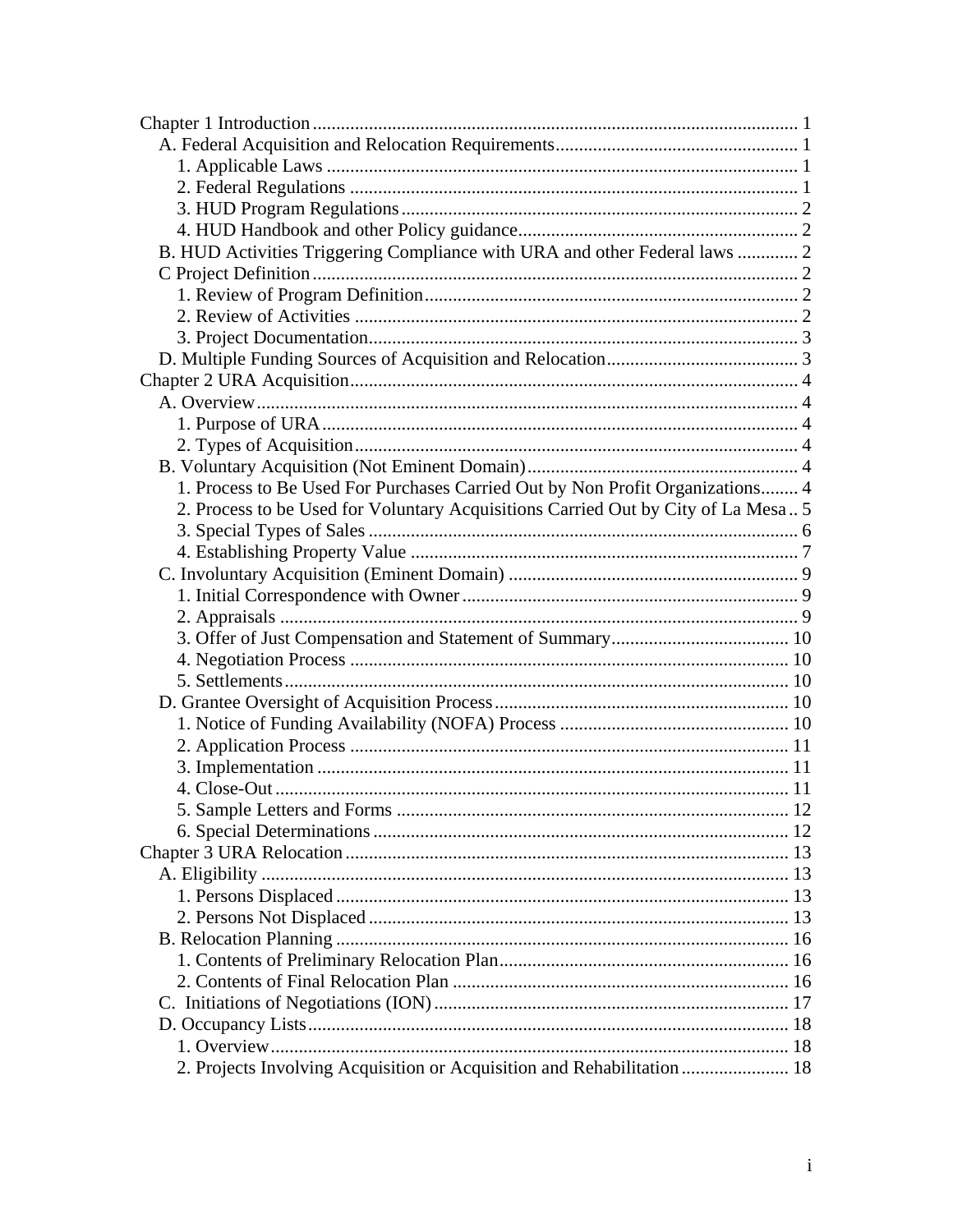| B. HUD Activities Triggering Compliance with URA and other Federal laws  2        |  |
|-----------------------------------------------------------------------------------|--|
|                                                                                   |  |
|                                                                                   |  |
|                                                                                   |  |
|                                                                                   |  |
|                                                                                   |  |
|                                                                                   |  |
|                                                                                   |  |
|                                                                                   |  |
|                                                                                   |  |
|                                                                                   |  |
| 1. Process to Be Used For Purchases Carried Out by Non Profit Organizations 4     |  |
| 2. Process to be Used for Voluntary Acquisitions Carried Out by City of La Mesa 5 |  |
|                                                                                   |  |
|                                                                                   |  |
|                                                                                   |  |
|                                                                                   |  |
|                                                                                   |  |
|                                                                                   |  |
|                                                                                   |  |
|                                                                                   |  |
|                                                                                   |  |
|                                                                                   |  |
|                                                                                   |  |
|                                                                                   |  |
|                                                                                   |  |
|                                                                                   |  |
|                                                                                   |  |
|                                                                                   |  |
|                                                                                   |  |
|                                                                                   |  |
|                                                                                   |  |
|                                                                                   |  |
|                                                                                   |  |
|                                                                                   |  |
|                                                                                   |  |
|                                                                                   |  |
|                                                                                   |  |
| 2. Projects Involving Acquisition or Acquisition and Rehabilitation  18           |  |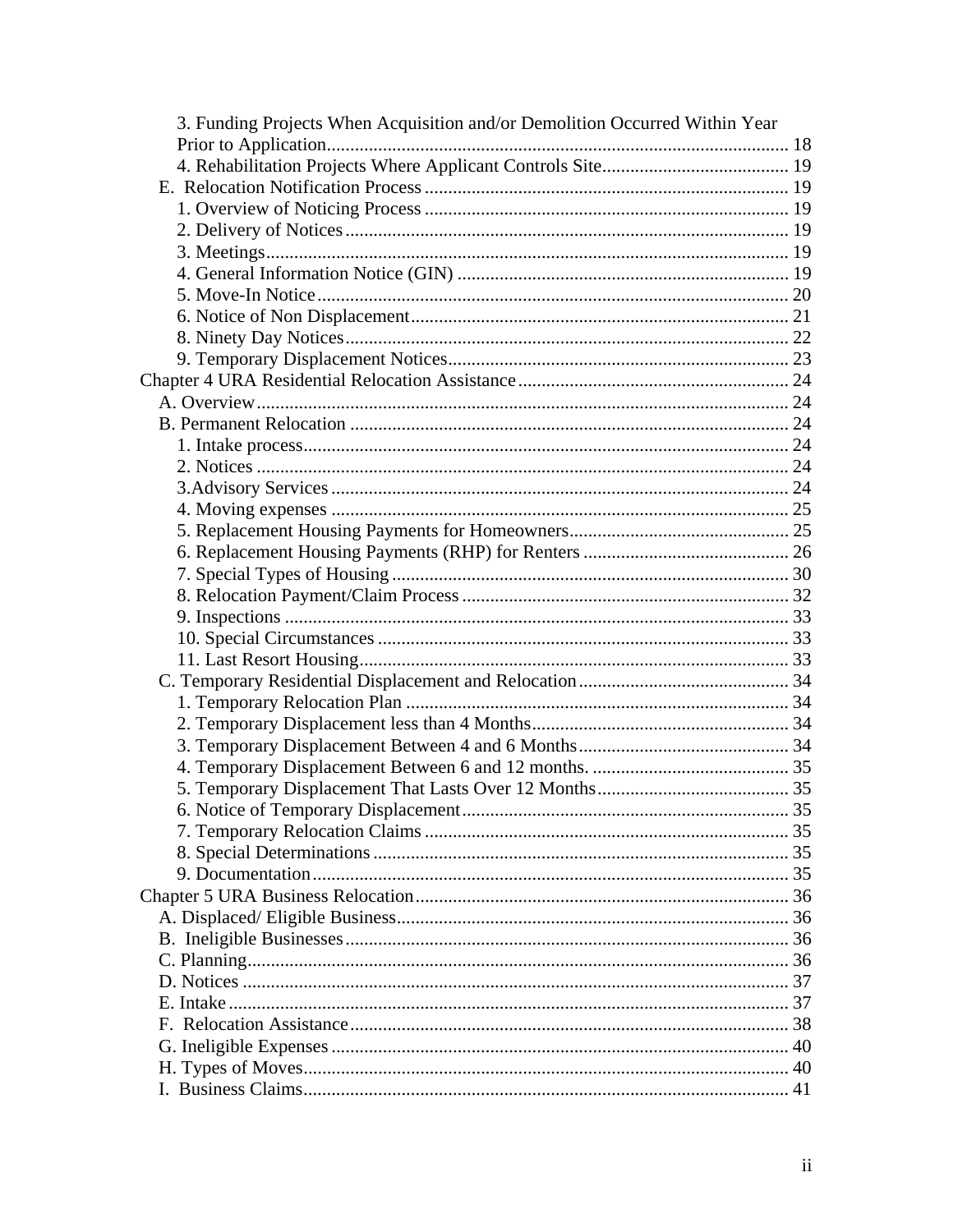| 3. Funding Projects When Acquisition and/or Demolition Occurred Within Year |  |
|-----------------------------------------------------------------------------|--|
|                                                                             |  |
|                                                                             |  |
|                                                                             |  |
|                                                                             |  |
|                                                                             |  |
|                                                                             |  |
|                                                                             |  |
|                                                                             |  |
|                                                                             |  |
|                                                                             |  |
|                                                                             |  |
|                                                                             |  |
|                                                                             |  |
|                                                                             |  |
|                                                                             |  |
|                                                                             |  |
|                                                                             |  |
|                                                                             |  |
|                                                                             |  |
|                                                                             |  |
|                                                                             |  |
|                                                                             |  |
|                                                                             |  |
|                                                                             |  |
|                                                                             |  |
|                                                                             |  |
|                                                                             |  |
|                                                                             |  |
|                                                                             |  |
|                                                                             |  |
|                                                                             |  |
|                                                                             |  |
|                                                                             |  |
|                                                                             |  |
|                                                                             |  |
|                                                                             |  |
|                                                                             |  |
|                                                                             |  |
|                                                                             |  |
|                                                                             |  |
|                                                                             |  |
|                                                                             |  |
|                                                                             |  |
|                                                                             |  |
|                                                                             |  |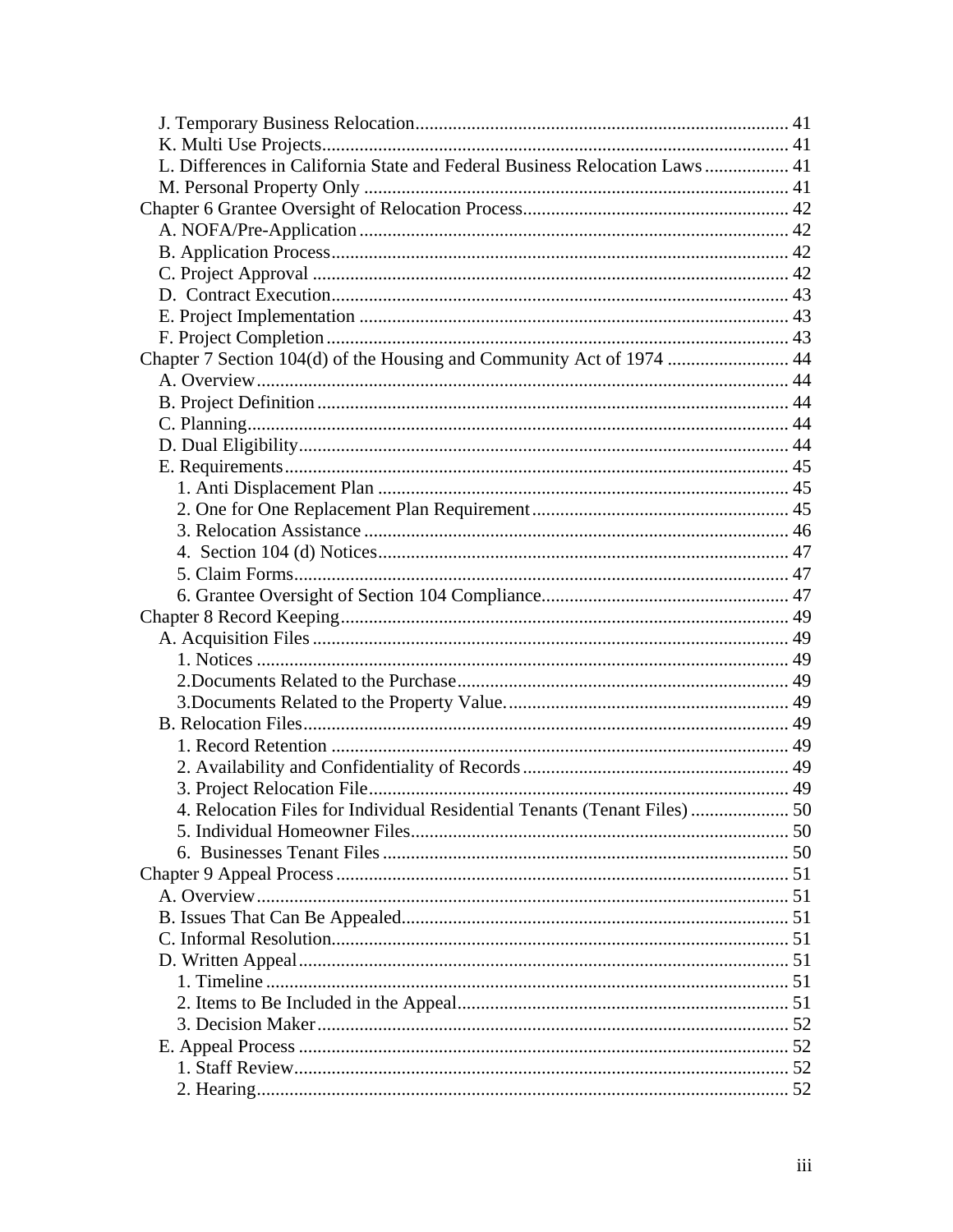| L. Differences in California State and Federal Business Relocation Laws 41 |  |
|----------------------------------------------------------------------------|--|
|                                                                            |  |
|                                                                            |  |
|                                                                            |  |
|                                                                            |  |
|                                                                            |  |
|                                                                            |  |
|                                                                            |  |
|                                                                            |  |
| Chapter 7 Section 104(d) of the Housing and Community Act of 1974  44      |  |
|                                                                            |  |
|                                                                            |  |
|                                                                            |  |
|                                                                            |  |
|                                                                            |  |
|                                                                            |  |
|                                                                            |  |
|                                                                            |  |
|                                                                            |  |
|                                                                            |  |
|                                                                            |  |
|                                                                            |  |
|                                                                            |  |
|                                                                            |  |
|                                                                            |  |
|                                                                            |  |
|                                                                            |  |
|                                                                            |  |
|                                                                            |  |
|                                                                            |  |
| 4. Relocation Files for Individual Residential Tenants (Tenant Files)  50  |  |
|                                                                            |  |
|                                                                            |  |
|                                                                            |  |
|                                                                            |  |
|                                                                            |  |
|                                                                            |  |
|                                                                            |  |
|                                                                            |  |
|                                                                            |  |
|                                                                            |  |
|                                                                            |  |
|                                                                            |  |
|                                                                            |  |
|                                                                            |  |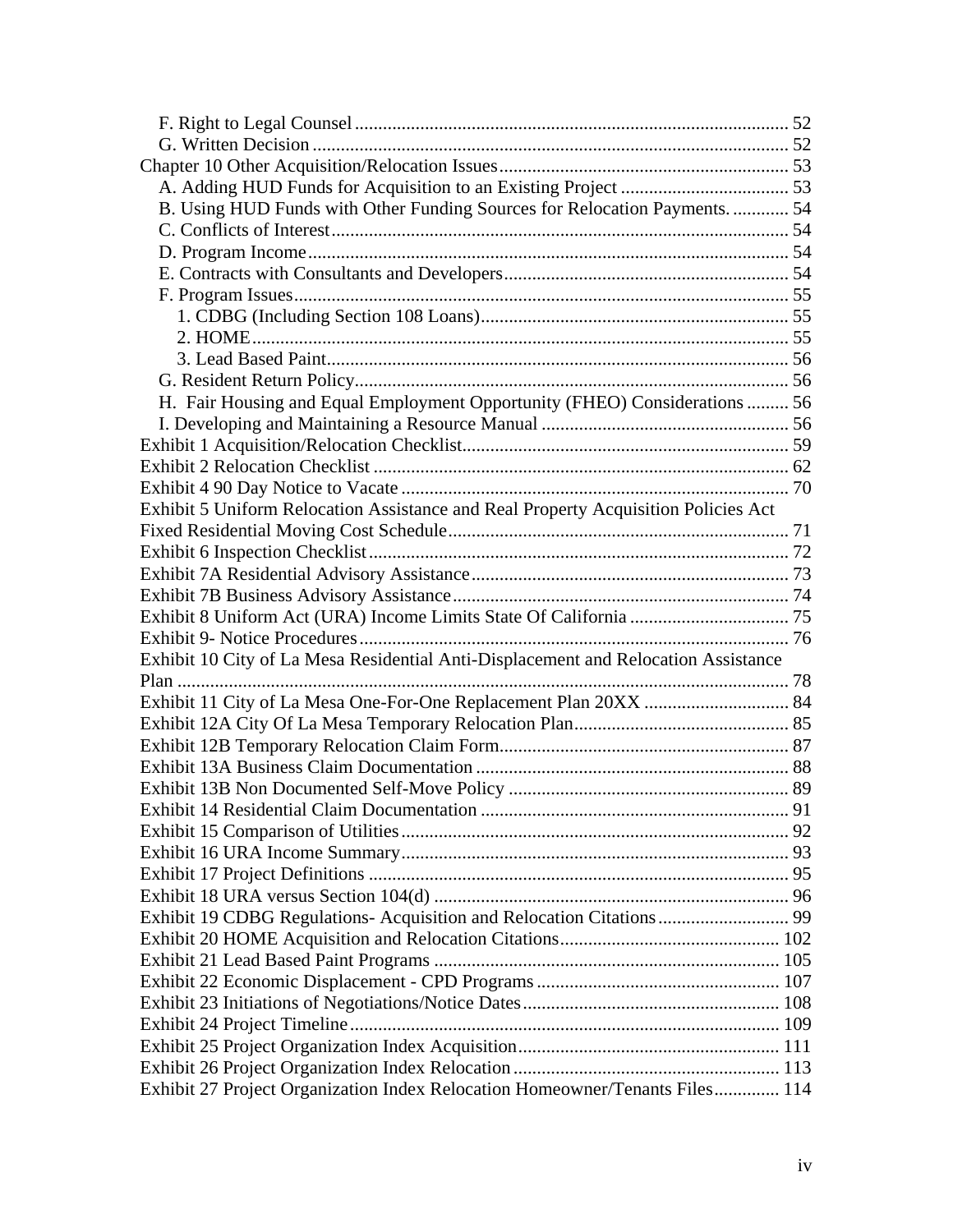| B. Using HUD Funds with Other Funding Sources for Relocation Payments.  54         |  |
|------------------------------------------------------------------------------------|--|
|                                                                                    |  |
|                                                                                    |  |
|                                                                                    |  |
|                                                                                    |  |
|                                                                                    |  |
|                                                                                    |  |
|                                                                                    |  |
|                                                                                    |  |
| H. Fair Housing and Equal Employment Opportunity (FHEO) Considerations  56         |  |
|                                                                                    |  |
|                                                                                    |  |
|                                                                                    |  |
|                                                                                    |  |
| Exhibit 5 Uniform Relocation Assistance and Real Property Acquisition Policies Act |  |
|                                                                                    |  |
|                                                                                    |  |
|                                                                                    |  |
|                                                                                    |  |
|                                                                                    |  |
|                                                                                    |  |
| Exhibit 10 City of La Mesa Residential Anti-Displacement and Relocation Assistance |  |
|                                                                                    |  |
|                                                                                    |  |
|                                                                                    |  |
|                                                                                    |  |
|                                                                                    |  |
|                                                                                    |  |
|                                                                                    |  |
|                                                                                    |  |
|                                                                                    |  |
|                                                                                    |  |
|                                                                                    |  |
| Exhibit 19 CDBG Regulations- Acquisition and Relocation Citations 99               |  |
|                                                                                    |  |
|                                                                                    |  |
|                                                                                    |  |
|                                                                                    |  |
|                                                                                    |  |
|                                                                                    |  |
|                                                                                    |  |
| Exhibit 27 Project Organization Index Relocation Homeowner/Tenants Files 114       |  |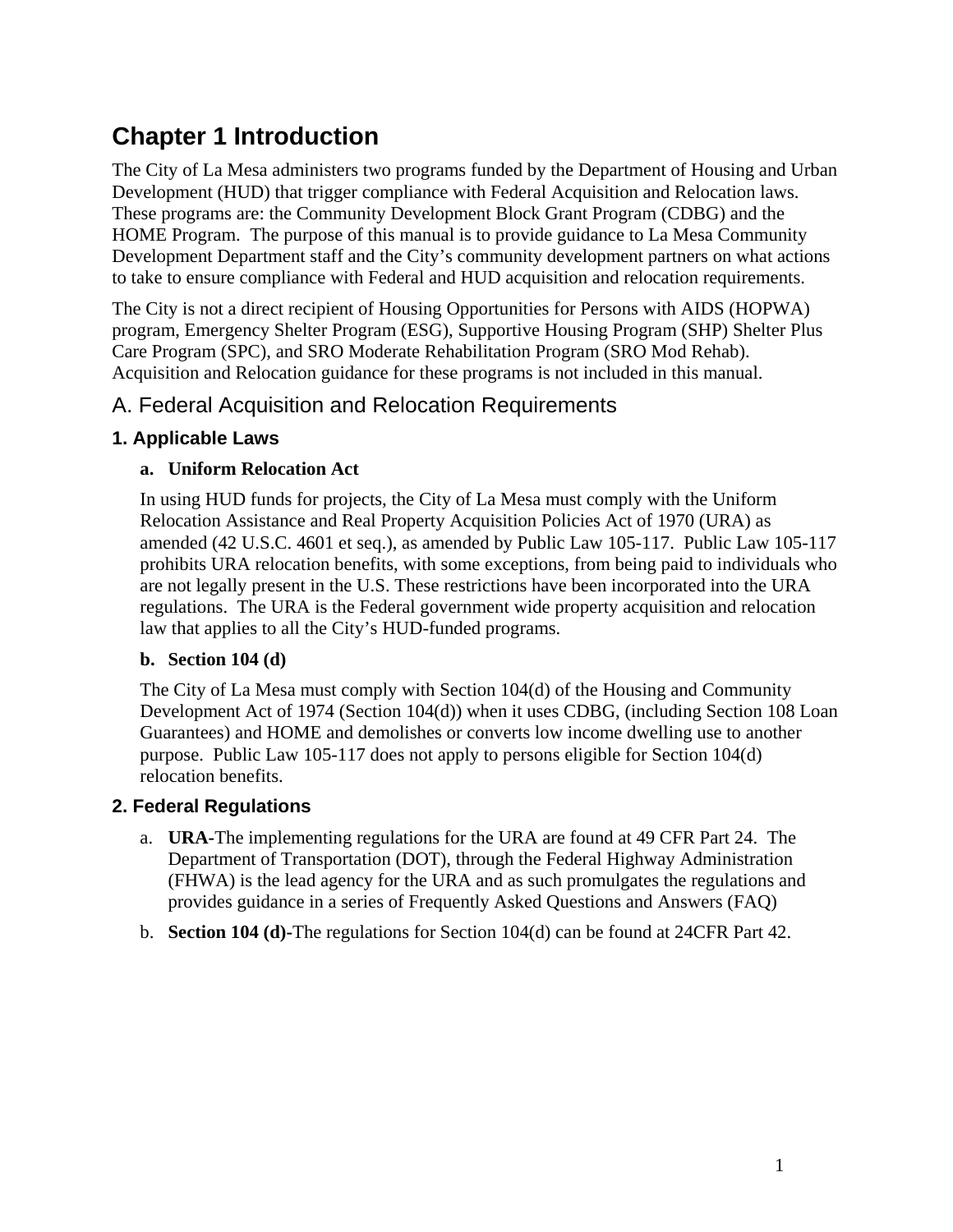## **Chapter 1 Introduction**

The City of La Mesa administers two programs funded by the Department of Housing and Urban Development (HUD) that trigger compliance with Federal Acquisition and Relocation laws. These programs are: the Community Development Block Grant Program (CDBG) and the HOME Program. The purpose of this manual is to provide guidance to La Mesa Community Development Department staff and the City's community development partners on what actions to take to ensure compliance with Federal and HUD acquisition and relocation requirements.

The City is not a direct recipient of Housing Opportunities for Persons with AIDS (HOPWA) program, Emergency Shelter Program (ESG), Supportive Housing Program (SHP) Shelter Plus Care Program (SPC), and SRO Moderate Rehabilitation Program (SRO Mod Rehab). Acquisition and Relocation guidance for these programs is not included in this manual.

## A. Federal Acquisition and Relocation Requirements

#### **1. Applicable Laws**

#### **a. Uniform Relocation Act**

In using HUD funds for projects, the City of La Mesa must comply with the Uniform Relocation Assistance and Real Property Acquisition Policies Act of 1970 (URA) as amended (42 U.S.C. 4601 et seq.), as amended by Public Law 105-117. Public Law 105-117 prohibits URA relocation benefits, with some exceptions, from being paid to individuals who are not legally present in the U.S. These restrictions have been incorporated into the URA regulations. The URA is the Federal government wide property acquisition and relocation law that applies to all the City's HUD-funded programs.

#### **b. Section 104 (d)**

The City of La Mesa must comply with Section 104(d) of the Housing and Community Development Act of 1974 (Section 104(d)) when it uses CDBG, (including Section 108 Loan Guarantees) and HOME and demolishes or converts low income dwelling use to another purpose. Public Law 105-117 does not apply to persons eligible for Section 104(d) relocation benefits.

#### **2. Federal Regulations**

- a. **URA-**The implementing regulations for the URA are found at 49 CFR Part 24. The Department of Transportation (DOT), through the Federal Highway Administration (FHWA) is the lead agency for the URA and as such promulgates the regulations and provides guidance in a series of Frequently Asked Questions and Answers (FAQ)
- b. **Section 104 (d)-**The regulations for Section 104(d) can be found at 24CFR Part 42.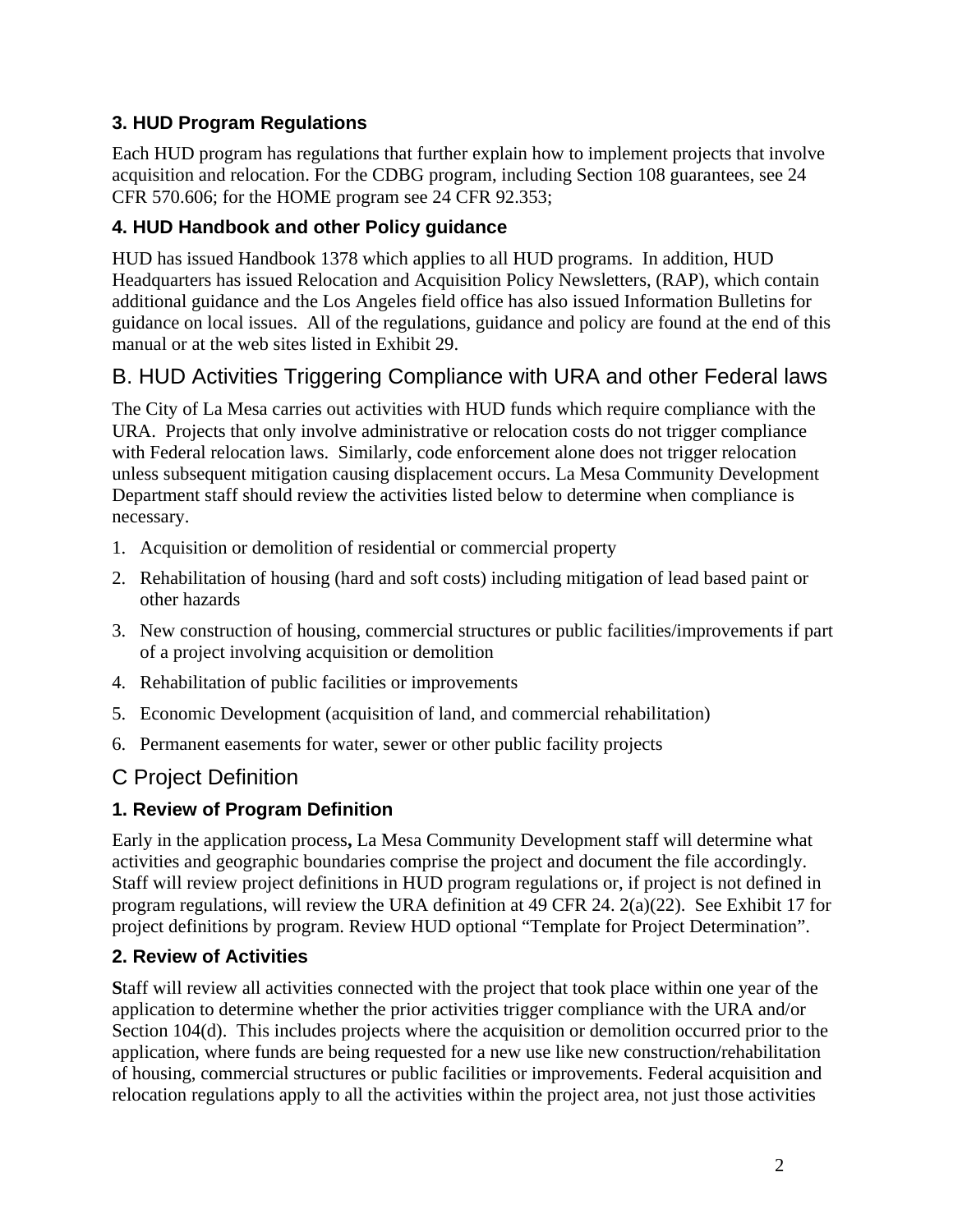## **3. HUD Program Regulations**

Each HUD program has regulations that further explain how to implement projects that involve acquisition and relocation. For the CDBG program, including Section 108 guarantees, see 24 CFR 570.606; for the HOME program see 24 CFR 92.353;

## **4. HUD Handbook and other Policy guidance**

HUD has issued Handbook 1378 which applies to all HUD programs. In addition, HUD Headquarters has issued Relocation and Acquisition Policy Newsletters, (RAP), which contain additional guidance and the Los Angeles field office has also issued Information Bulletins for guidance on local issues. All of the regulations, guidance and policy are found at the end of this manual or at the web sites listed in Exhibit 29.

## B. HUD Activities Triggering Compliance with URA and other Federal laws

The City of La Mesa carries out activities with HUD funds which require compliance with the URA. Projects that only involve administrative or relocation costs do not trigger compliance with Federal relocation laws. Similarly, code enforcement alone does not trigger relocation unless subsequent mitigation causing displacement occurs. La Mesa Community Development Department staff should review the activities listed below to determine when compliance is necessary.

- 1. Acquisition or demolition of residential or commercial property
- 2. Rehabilitation of housing (hard and soft costs) including mitigation of lead based paint or other hazards
- 3. New construction of housing, commercial structures or public facilities/improvements if part of a project involving acquisition or demolition
- 4. Rehabilitation of public facilities or improvements
- 5. Economic Development (acquisition of land, and commercial rehabilitation)
- 6. Permanent easements for water, sewer or other public facility projects

## C Project Definition

#### **1. Review of Program Definition**

Early in the application process**,** La Mesa Community Development staff will determine what activities and geographic boundaries comprise the project and document the file accordingly. Staff will review project definitions in HUD program regulations or, if project is not defined in program regulations, will review the URA definition at 49 CFR 24. 2(a)(22). See Exhibit 17 for project definitions by program. Review HUD optional "Template for Project Determination".

#### **2. Review of Activities**

**S**taff will review all activities connected with the project that took place within one year of the application to determine whether the prior activities trigger compliance with the URA and/or Section 104(d). This includes projects where the acquisition or demolition occurred prior to the application, where funds are being requested for a new use like new construction/rehabilitation of housing, commercial structures or public facilities or improvements. Federal acquisition and relocation regulations apply to all the activities within the project area, not just those activities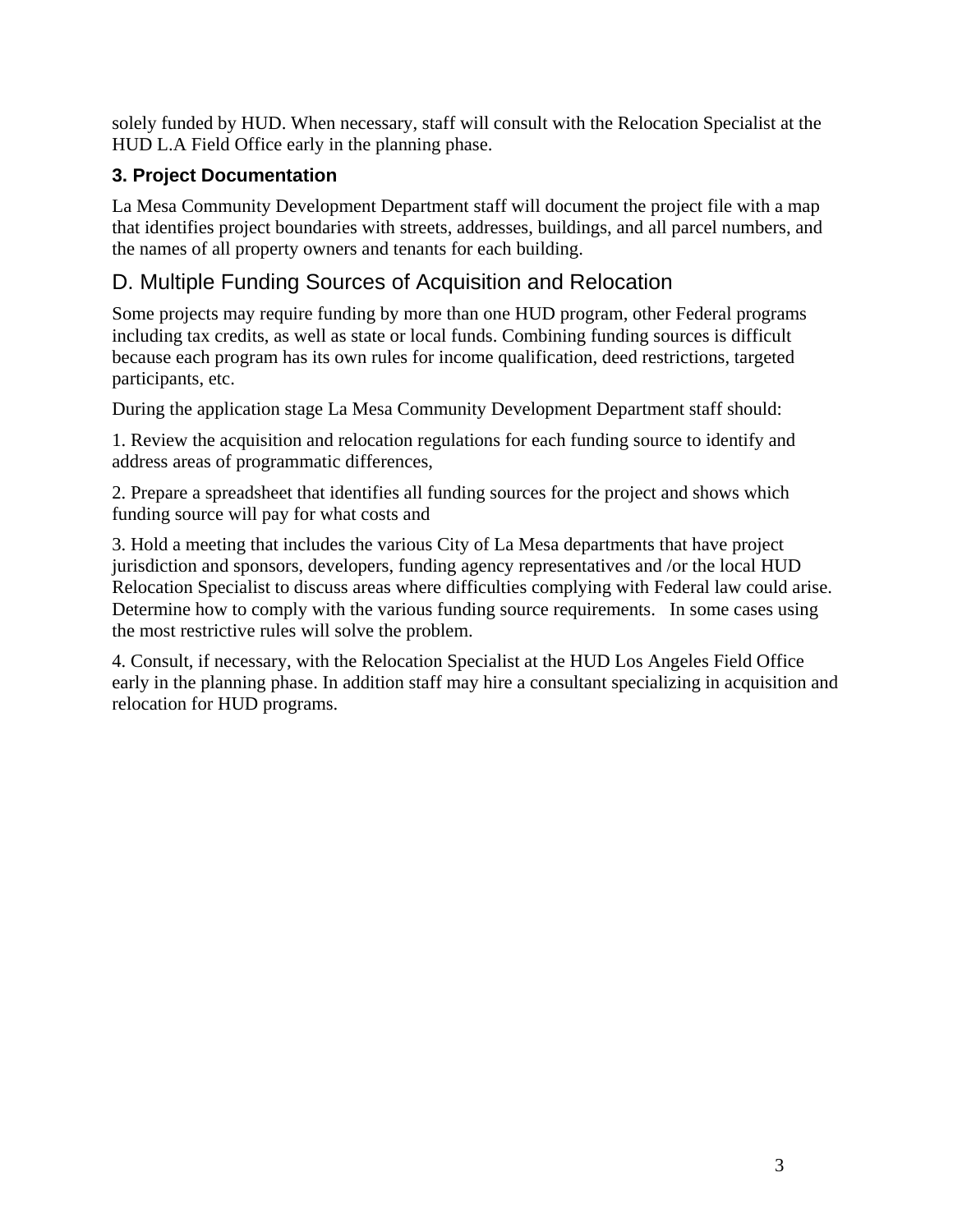solely funded by HUD. When necessary, staff will consult with the Relocation Specialist at the HUD L.A Field Office early in the planning phase.

## **3. Project Documentation**

La Mesa Community Development Department staff will document the project file with a map that identifies project boundaries with streets, addresses, buildings, and all parcel numbers, and the names of all property owners and tenants for each building.

## D. Multiple Funding Sources of Acquisition and Relocation

Some projects may require funding by more than one HUD program, other Federal programs including tax credits, as well as state or local funds. Combining funding sources is difficult because each program has its own rules for income qualification, deed restrictions, targeted participants, etc.

During the application stage La Mesa Community Development Department staff should:

1. Review the acquisition and relocation regulations for each funding source to identify and address areas of programmatic differences,

2. Prepare a spreadsheet that identifies all funding sources for the project and shows which funding source will pay for what costs and

3. Hold a meeting that includes the various City of La Mesa departments that have project jurisdiction and sponsors, developers, funding agency representatives and /or the local HUD Relocation Specialist to discuss areas where difficulties complying with Federal law could arise. Determine how to comply with the various funding source requirements. In some cases using the most restrictive rules will solve the problem.

4. Consult, if necessary, with the Relocation Specialist at the HUD Los Angeles Field Office early in the planning phase. In addition staff may hire a consultant specializing in acquisition and relocation for HUD programs.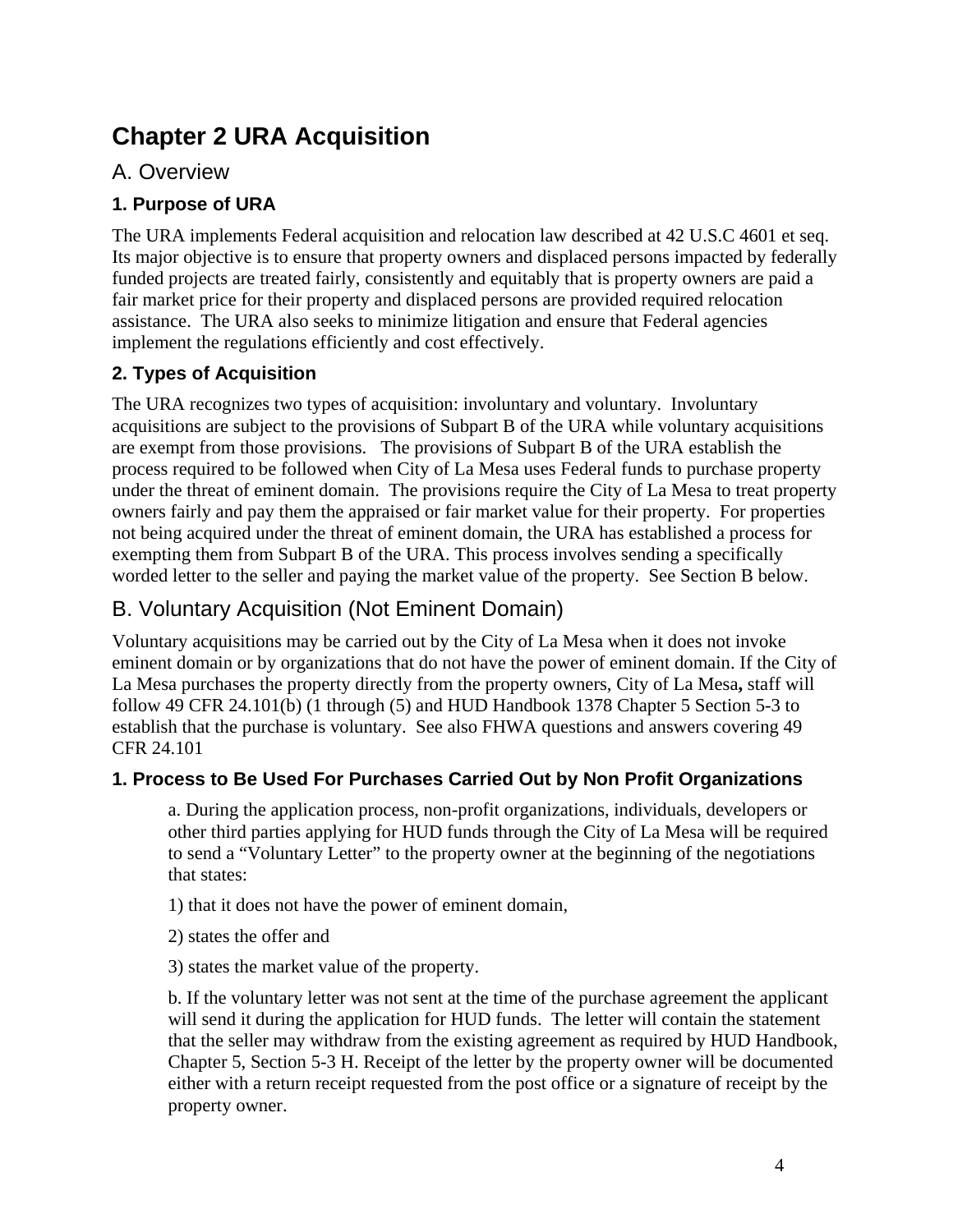## **Chapter 2 URA Acquisition**

## A. Overview

## **1. Purpose of URA**

The URA implements Federal acquisition and relocation law described at 42 U.S.C 4601 et seq. Its major objective is to ensure that property owners and displaced persons impacted by federally funded projects are treated fairly, consistently and equitably that is property owners are paid a fair market price for their property and displaced persons are provided required relocation assistance. The URA also seeks to minimize litigation and ensure that Federal agencies implement the regulations efficiently and cost effectively.

## **2. Types of Acquisition**

The URA recognizes two types of acquisition: involuntary and voluntary. Involuntary acquisitions are subject to the provisions of Subpart B of the URA while voluntary acquisitions are exempt from those provisions. The provisions of Subpart B of the URA establish the process required to be followed when City of La Mesa uses Federal funds to purchase property under the threat of eminent domain. The provisions require the City of La Mesa to treat property owners fairly and pay them the appraised or fair market value for their property. For properties not being acquired under the threat of eminent domain, the URA has established a process for exempting them from Subpart B of the URA. This process involves sending a specifically worded letter to the seller and paying the market value of the property. See Section B below.

## B. Voluntary Acquisition (Not Eminent Domain)

Voluntary acquisitions may be carried out by the City of La Mesa when it does not invoke eminent domain or by organizations that do not have the power of eminent domain. If the City of La Mesa purchases the property directly from the property owners, City of La Mesa**,** staff will follow 49 CFR 24.101(b) (1 through (5) and HUD Handbook 1378 Chapter 5 Section 5-3 to establish that the purchase is voluntary. See also FHWA questions and answers covering 49 CFR 24.101

#### **1. Process to Be Used For Purchases Carried Out by Non Profit Organizations**

a. During the application process, non-profit organizations, individuals, developers or other third parties applying for HUD funds through the City of La Mesa will be required to send a "Voluntary Letter" to the property owner at the beginning of the negotiations that states:

1) that it does not have the power of eminent domain,

- 2) states the offer and
- 3) states the market value of the property.

b. If the voluntary letter was not sent at the time of the purchase agreement the applicant will send it during the application for HUD funds. The letter will contain the statement that the seller may withdraw from the existing agreement as required by HUD Handbook, Chapter 5, Section 5-3 H. Receipt of the letter by the property owner will be documented either with a return receipt requested from the post office or a signature of receipt by the property owner.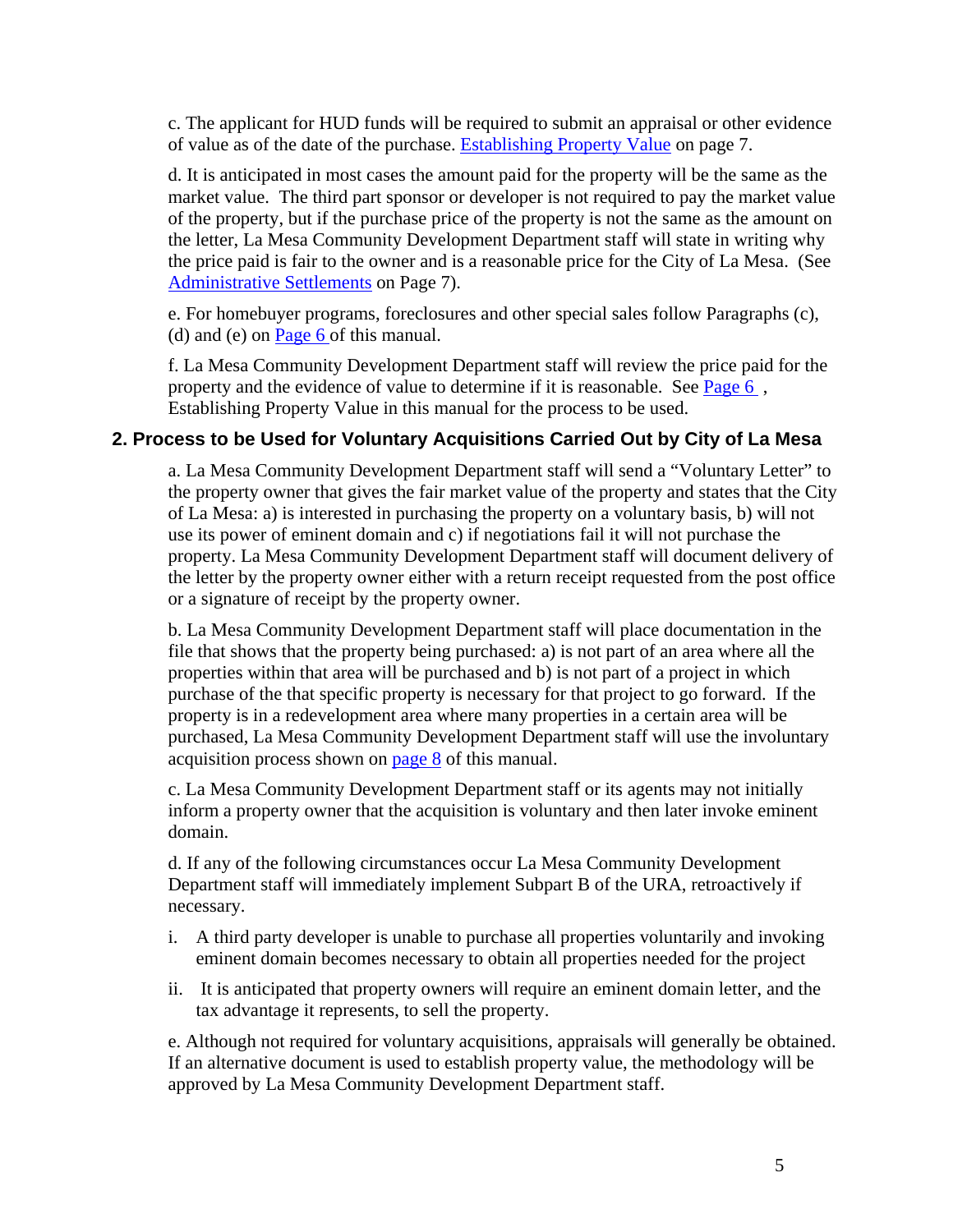c. The applicant for HUD funds will be required to submit an appraisal or other evidence of value as of the date of the purchase. Establishing Property Value on page 7.

d. It is anticipated in most cases the amount paid for the property will be the same as the market value. The third part sponsor or developer is not required to pay the market value of the property, but if the purchase price of the property is not the same as the amount on the letter, La Mesa Community Development Department staff will state in writing why the price paid is fair to the owner and is a reasonable price for the City of La Mesa. (See Administrative Settlements on Page 7).

e. For homebuyer programs, foreclosures and other special sales follow Paragraphs (c), (d) and (e) on Page 6 of this manual.

f. La Mesa Community Development Department staff will review the price paid for the property and the evidence of value to determine if it is reasonable. See Page 6, Establishing Property Value in this manual for the process to be used.

#### **2. Process to be Used for Voluntary Acquisitions Carried Out by City of La Mesa**

a. La Mesa Community Development Department staff will send a "Voluntary Letter" to the property owner that gives the fair market value of the property and states that the City of La Mesa: a) is interested in purchasing the property on a voluntary basis, b) will not use its power of eminent domain and c) if negotiations fail it will not purchase the property. La Mesa Community Development Department staff will document delivery of the letter by the property owner either with a return receipt requested from the post office or a signature of receipt by the property owner.

b. La Mesa Community Development Department staff will place documentation in the file that shows that the property being purchased: a) is not part of an area where all the properties within that area will be purchased and b) is not part of a project in which purchase of the that specific property is necessary for that project to go forward. If the property is in a redevelopment area where many properties in a certain area will be purchased, La Mesa Community Development Department staff will use the involuntary acquisition process shown on page 8 of this manual.

c. La Mesa Community Development Department staff or its agents may not initially inform a property owner that the acquisition is voluntary and then later invoke eminent domain.

d. If any of the following circumstances occur La Mesa Community Development Department staff will immediately implement Subpart B of the URA, retroactively if necessary.

- i. A third party developer is unable to purchase all properties voluntarily and invoking eminent domain becomes necessary to obtain all properties needed for the project
- ii. It is anticipated that property owners will require an eminent domain letter, and the tax advantage it represents, to sell the property.

e. Although not required for voluntary acquisitions, appraisals will generally be obtained. If an alternative document is used to establish property value, the methodology will be approved by La Mesa Community Development Department staff.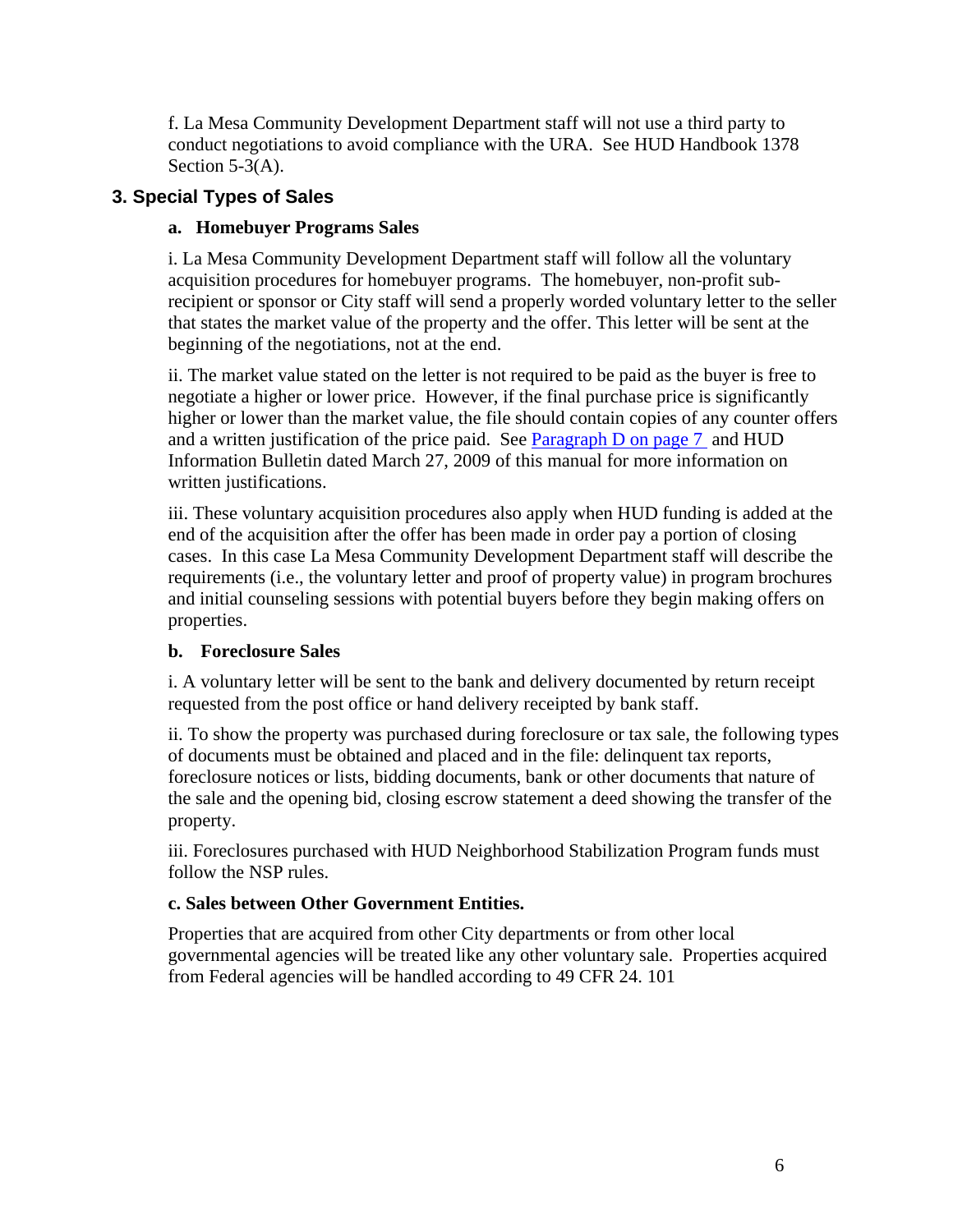f. La Mesa Community Development Department staff will not use a third party to conduct negotiations to avoid compliance with the URA. See HUD Handbook 1378 Section 5-3(A).

#### **3. Special Types of Sales**

#### **a. Homebuyer Programs Sales**

i. La Mesa Community Development Department staff will follow all the voluntary acquisition procedures for homebuyer programs. The homebuyer, non-profit subrecipient or sponsor or City staff will send a properly worded voluntary letter to the seller that states the market value of the property and the offer. This letter will be sent at the beginning of the negotiations, not at the end.

ii. The market value stated on the letter is not required to be paid as the buyer is free to negotiate a higher or lower price. However, if the final purchase price is significantly higher or lower than the market value, the file should contain copies of any counter offers and a written justification of the price paid. See Paragraph D on page 7 and HUD Information Bulletin dated March 27, 2009 of this manual for more information on written justifications.

iii. These voluntary acquisition procedures also apply when HUD funding is added at the end of the acquisition after the offer has been made in order pay a portion of closing cases. In this case La Mesa Community Development Department staff will describe the requirements (i.e., the voluntary letter and proof of property value) in program brochures and initial counseling sessions with potential buyers before they begin making offers on properties.

#### **b. Foreclosure Sales**

i. A voluntary letter will be sent to the bank and delivery documented by return receipt requested from the post office or hand delivery receipted by bank staff.

ii. To show the property was purchased during foreclosure or tax sale, the following types of documents must be obtained and placed and in the file: delinquent tax reports, foreclosure notices or lists, bidding documents, bank or other documents that nature of the sale and the opening bid, closing escrow statement a deed showing the transfer of the property.

iii. Foreclosures purchased with HUD Neighborhood Stabilization Program funds must follow the NSP rules.

#### **c. Sales between Other Government Entities.**

Properties that are acquired from other City departments or from other local governmental agencies will be treated like any other voluntary sale. Properties acquired from Federal agencies will be handled according to 49 CFR 24. 101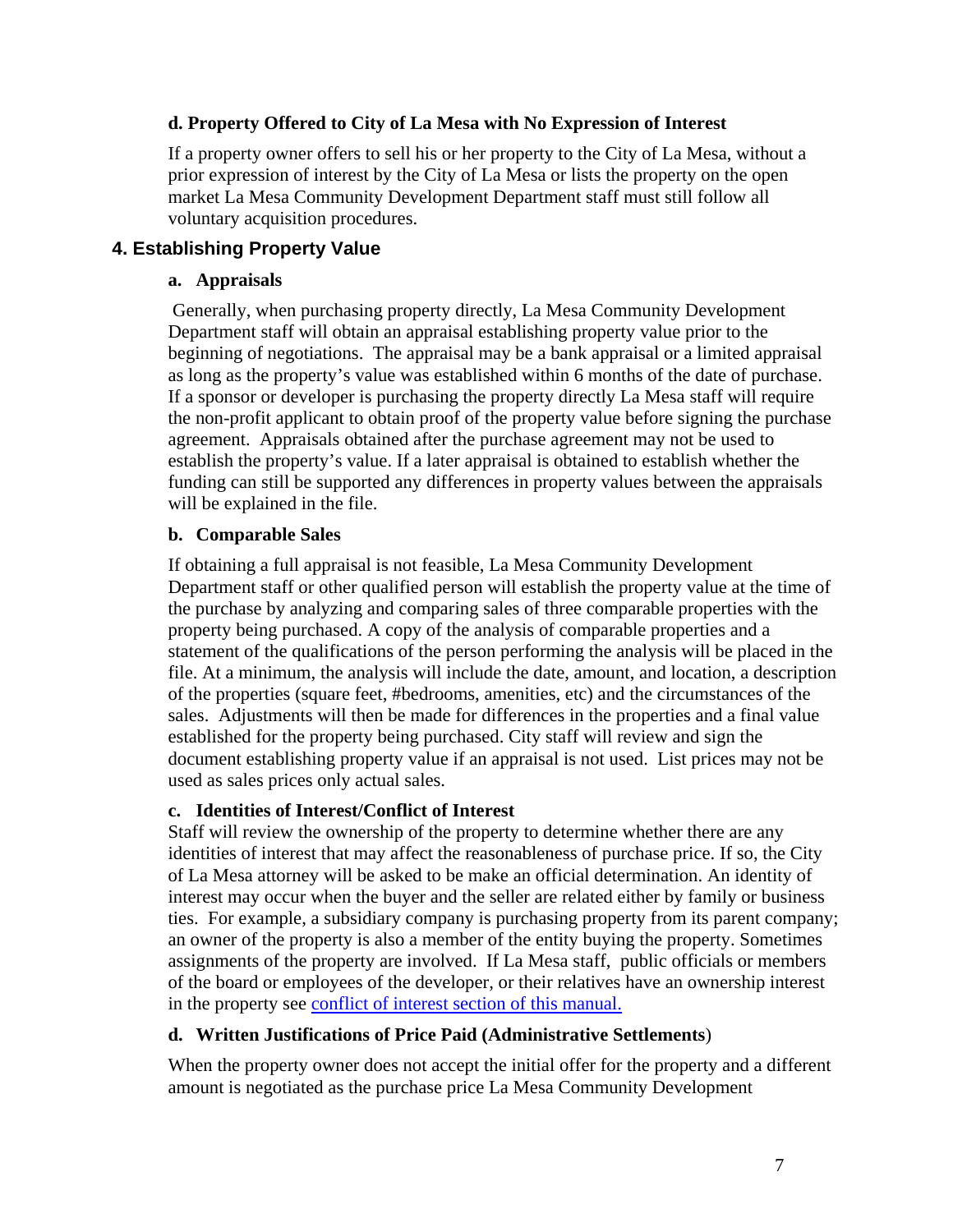#### **d. Property Offered to City of La Mesa with No Expression of Interest**

If a property owner offers to sell his or her property to the City of La Mesa, without a prior expression of interest by the City of La Mesa or lists the property on the open market La Mesa Community Development Department staff must still follow all voluntary acquisition procedures.

#### **4. Establishing Property Value**

#### **a. Appraisals**

 Generally, when purchasing property directly, La Mesa Community Development Department staff will obtain an appraisal establishing property value prior to the beginning of negotiations. The appraisal may be a bank appraisal or a limited appraisal as long as the property's value was established within 6 months of the date of purchase. If a sponsor or developer is purchasing the property directly La Mesa staff will require the non-profit applicant to obtain proof of the property value before signing the purchase agreement. Appraisals obtained after the purchase agreement may not be used to establish the property's value. If a later appraisal is obtained to establish whether the funding can still be supported any differences in property values between the appraisals will be explained in the file.

#### **b. Comparable Sales**

If obtaining a full appraisal is not feasible, La Mesa Community Development Department staff or other qualified person will establish the property value at the time of the purchase by analyzing and comparing sales of three comparable properties with the property being purchased. A copy of the analysis of comparable properties and a statement of the qualifications of the person performing the analysis will be placed in the file. At a minimum, the analysis will include the date, amount, and location, a description of the properties (square feet, #bedrooms, amenities, etc) and the circumstances of the sales. Adjustments will then be made for differences in the properties and a final value established for the property being purchased. City staff will review and sign the document establishing property value if an appraisal is not used. List prices may not be used as sales prices only actual sales.

#### **c. Identities of Interest/Conflict of Interest**

Staff will review the ownership of the property to determine whether there are any identities of interest that may affect the reasonableness of purchase price. If so, the City of La Mesa attorney will be asked to be make an official determination. An identity of interest may occur when the buyer and the seller are related either by family or business ties. For example, a subsidiary company is purchasing property from its parent company; an owner of the property is also a member of the entity buying the property. Sometimes assignments of the property are involved. If La Mesa staff, public officials or members of the board or employees of the developer, or their relatives have an ownership interest in the property see conflict of interest section of this manual.

#### **d. Written Justifications of Price Paid (Administrative Settlements**)

When the property owner does not accept the initial offer for the property and a different amount is negotiated as the purchase price La Mesa Community Development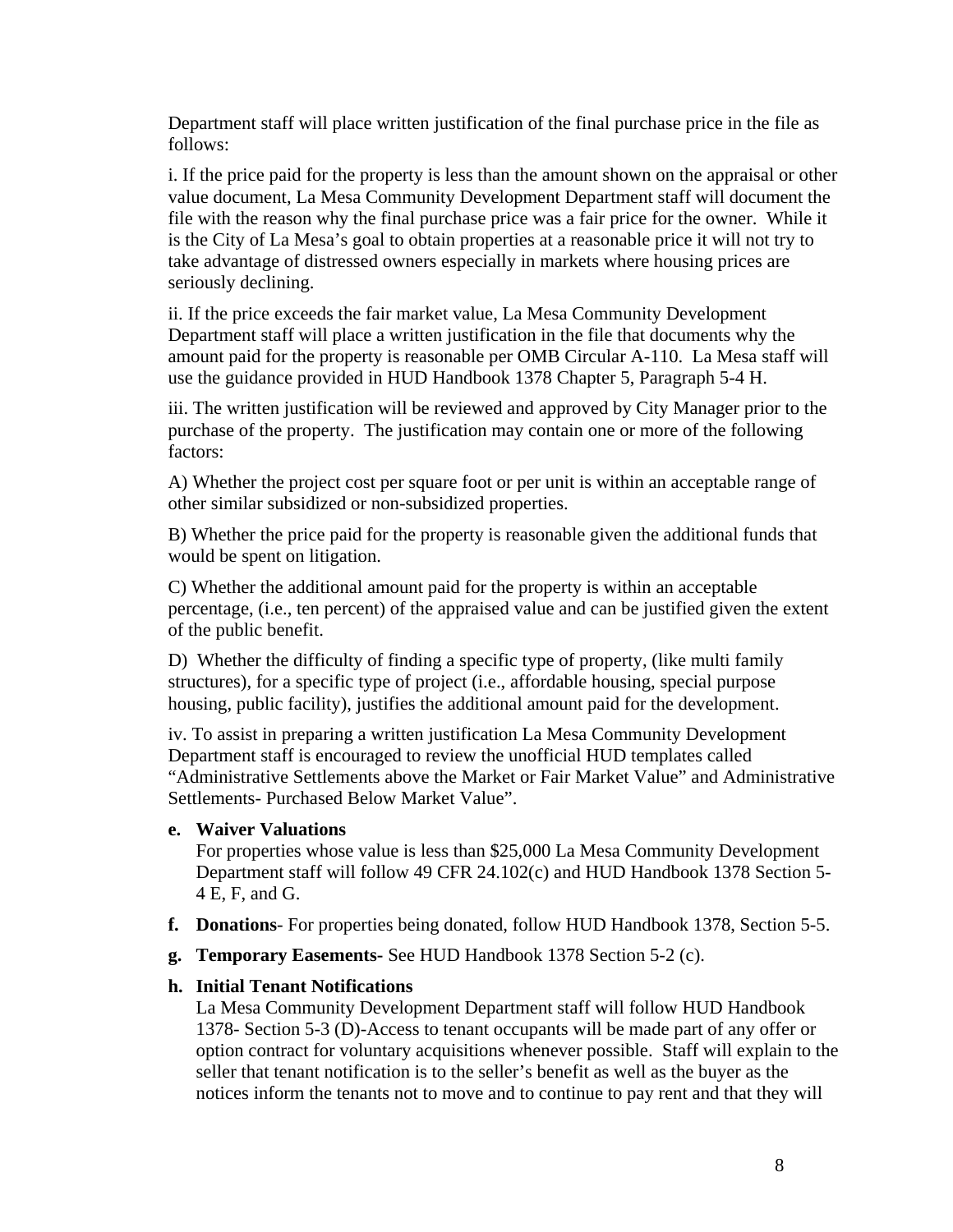Department staff will place written justification of the final purchase price in the file as follows:

i. If the price paid for the property is less than the amount shown on the appraisal or other value document, La Mesa Community Development Department staff will document the file with the reason why the final purchase price was a fair price for the owner. While it is the City of La Mesa's goal to obtain properties at a reasonable price it will not try to take advantage of distressed owners especially in markets where housing prices are seriously declining.

ii. If the price exceeds the fair market value, La Mesa Community Development Department staff will place a written justification in the file that documents why the amount paid for the property is reasonable per OMB Circular A-110. La Mesa staff will use the guidance provided in HUD Handbook 1378 Chapter 5, Paragraph 5-4 H.

iii. The written justification will be reviewed and approved by City Manager prior to the purchase of the property. The justification may contain one or more of the following factors:

A) Whether the project cost per square foot or per unit is within an acceptable range of other similar subsidized or non-subsidized properties.

B) Whether the price paid for the property is reasonable given the additional funds that would be spent on litigation.

C) Whether the additional amount paid for the property is within an acceptable percentage, (i.e., ten percent) of the appraised value and can be justified given the extent of the public benefit.

D) Whether the difficulty of finding a specific type of property, (like multi family structures), for a specific type of project (i.e., affordable housing, special purpose housing, public facility), justifies the additional amount paid for the development.

iv. To assist in preparing a written justification La Mesa Community Development Department staff is encouraged to review the unofficial HUD templates called "Administrative Settlements above the Market or Fair Market Value" and Administrative Settlements- Purchased Below Market Value".

#### **e. Waiver Valuations**

For properties whose value is less than \$25,000 La Mesa Community Development Department staff will follow 49 CFR 24.102(c) and HUD Handbook 1378 Section 5- 4 E, F, and G.

- **f. Donations** For properties being donated, follow HUD Handbook 1378, Section 5-5.
- **g. Temporary Easements-** See HUD Handbook 1378 Section 5-2 (c).

#### **h. Initial Tenant Notifications**

La Mesa Community Development Department staff will follow HUD Handbook 1378- Section 5-3 (D)-Access to tenant occupants will be made part of any offer or option contract for voluntary acquisitions whenever possible. Staff will explain to the seller that tenant notification is to the seller's benefit as well as the buyer as the notices inform the tenants not to move and to continue to pay rent and that they will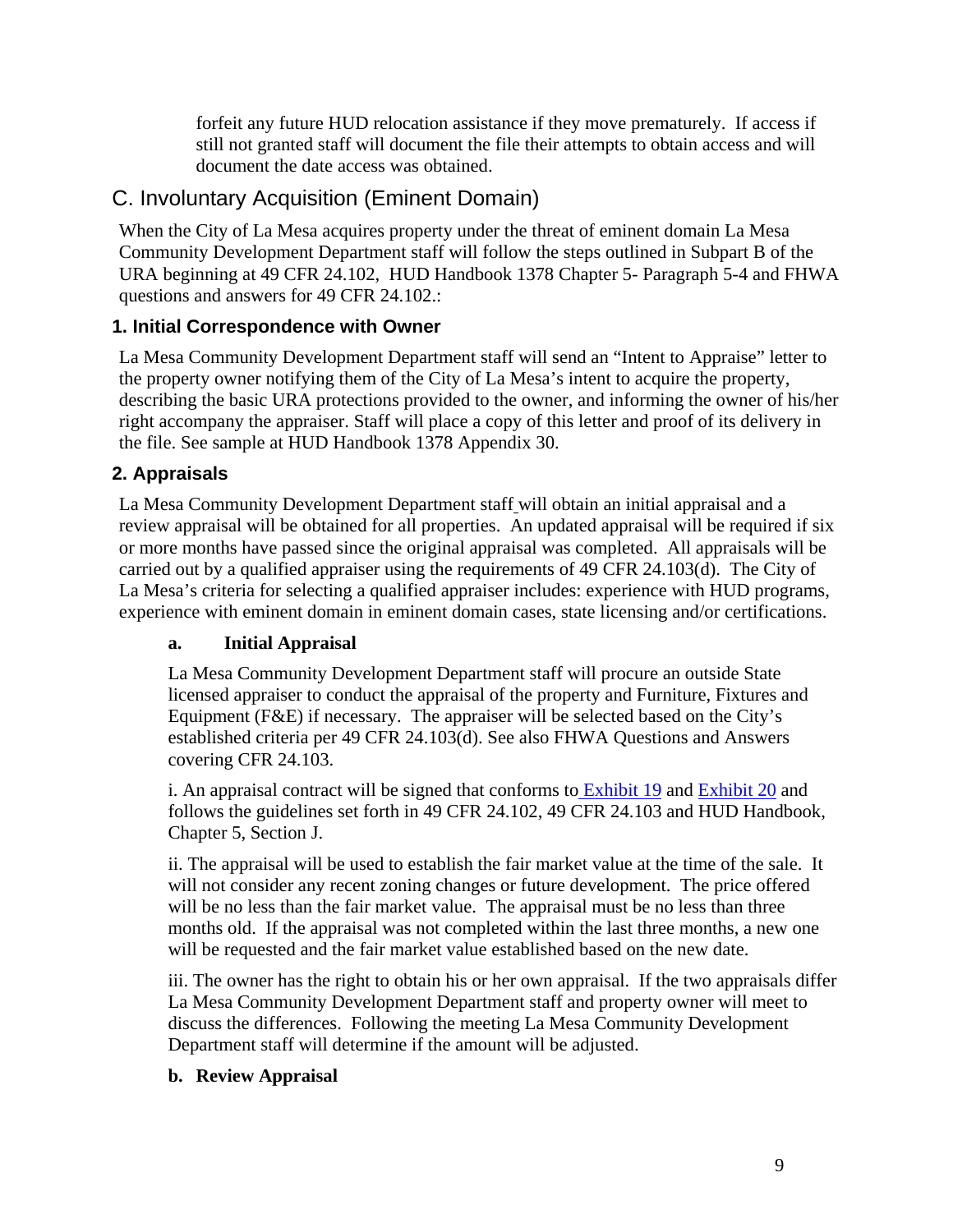forfeit any future HUD relocation assistance if they move prematurely. If access if still not granted staff will document the file their attempts to obtain access and will document the date access was obtained.

## C. Involuntary Acquisition (Eminent Domain)

When the City of La Mesa acquires property under the threat of eminent domain La Mesa Community Development Department staff will follow the steps outlined in Subpart B of the URA beginning at 49 CFR 24.102, HUD Handbook 1378 Chapter 5- Paragraph 5-4 and FHWA questions and answers for 49 CFR 24.102.:

## **1. Initial Correspondence with Owner**

La Mesa Community Development Department staff will send an "Intent to Appraise" letter to the property owner notifying them of the City of La Mesa's intent to acquire the property, describing the basic URA protections provided to the owner, and informing the owner of his/her right accompany the appraiser. Staff will place a copy of this letter and proof of its delivery in the file. See sample at HUD Handbook 1378 Appendix 30.

## **2. Appraisals**

La Mesa Community Development Department staff will obtain an initial appraisal and a review appraisal will be obtained for all properties. An updated appraisal will be required if six or more months have passed since the original appraisal was completed. All appraisals will be carried out by a qualified appraiser using the requirements of 49 CFR 24.103(d). The City of La Mesa's criteria for selecting a qualified appraiser includes: experience with HUD programs, experience with eminent domain in eminent domain cases, state licensing and/or certifications.

## **a. Initial Appraisal**

La Mesa Community Development Department staff will procure an outside State licensed appraiser to conduct the appraisal of the property and Furniture, Fixtures and Equipment (F&E) if necessary. The appraiser will be selected based on the City's established criteria per 49 CFR 24.103(d). See also FHWA Questions and Answers covering CFR 24.103.

i. An appraisal contract will be signed that conforms to Exhibit 19 and Exhibit 20 and follows the guidelines set forth in 49 CFR 24.102, 49 CFR 24.103 and HUD Handbook, Chapter 5, Section J.

ii. The appraisal will be used to establish the fair market value at the time of the sale. It will not consider any recent zoning changes or future development. The price offered will be no less than the fair market value. The appraisal must be no less than three months old. If the appraisal was not completed within the last three months, a new one will be requested and the fair market value established based on the new date.

iii. The owner has the right to obtain his or her own appraisal. If the two appraisals differ La Mesa Community Development Department staff and property owner will meet to discuss the differences. Following the meeting La Mesa Community Development Department staff will determine if the amount will be adjusted.

#### **b. Review Appraisal**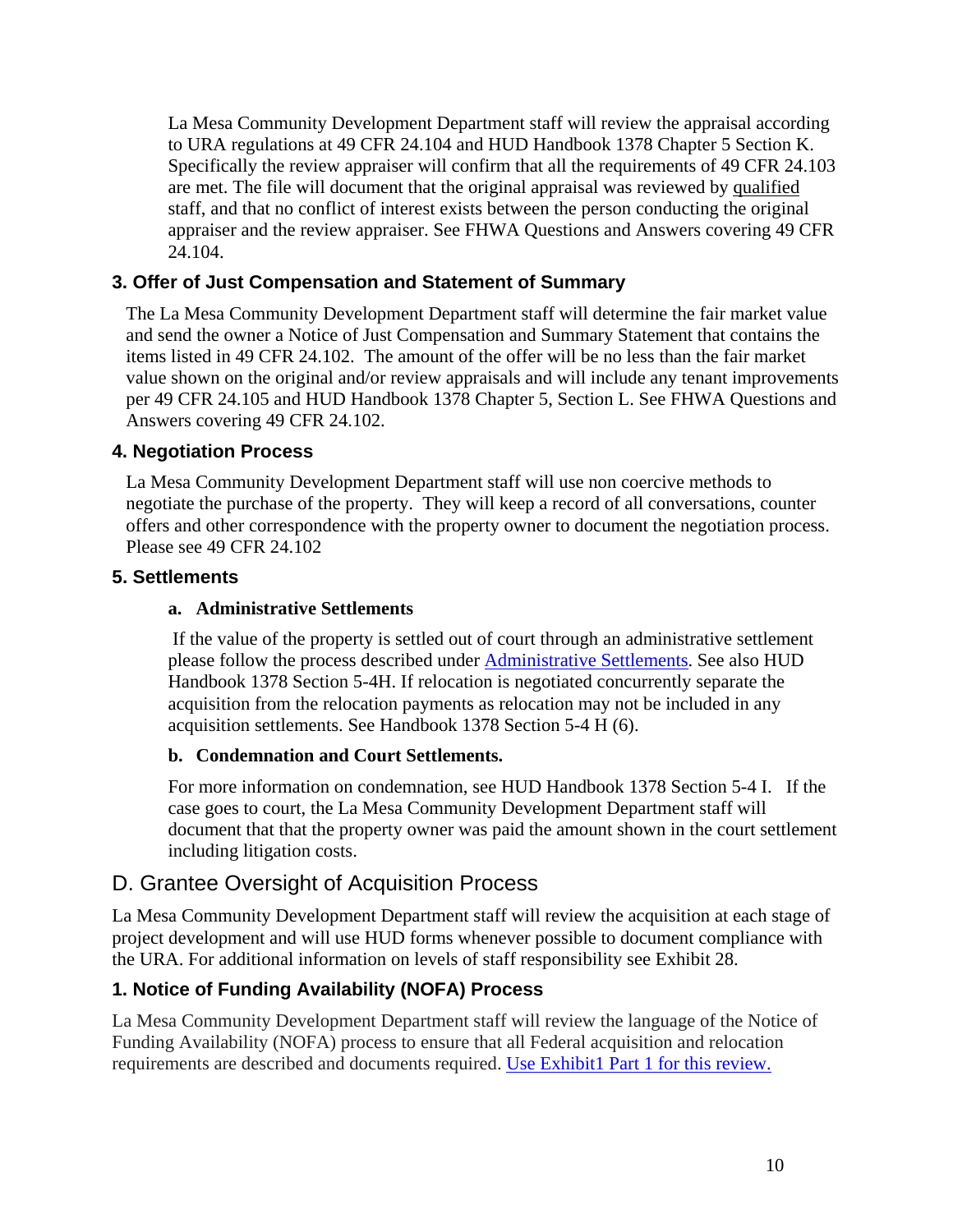La Mesa Community Development Department staff will review the appraisal according to URA regulations at 49 CFR 24.104 and HUD Handbook 1378 Chapter 5 Section K. Specifically the review appraiser will confirm that all the requirements of 49 CFR 24.103 are met. The file will document that the original appraisal was reviewed by qualified staff, and that no conflict of interest exists between the person conducting the original appraiser and the review appraiser. See FHWA Questions and Answers covering 49 CFR 24.104.

#### **3. Offer of Just Compensation and Statement of Summary**

The La Mesa Community Development Department staff will determine the fair market value and send the owner a Notice of Just Compensation and Summary Statement that contains the items listed in 49 CFR 24.102. The amount of the offer will be no less than the fair market value shown on the original and/or review appraisals and will include any tenant improvements per 49 CFR 24.105 and HUD Handbook 1378 Chapter 5, Section L. See FHWA Questions and Answers covering 49 CFR 24.102.

#### **4. Negotiation Process**

La Mesa Community Development Department staff will use non coercive methods to negotiate the purchase of the property. They will keep a record of all conversations, counter offers and other correspondence with the property owner to document the negotiation process. Please see 49 CFR 24.102

#### **5. Settlements**

#### **a. Administrative Settlements**

 If the value of the property is settled out of court through an administrative settlement please follow the process described under Administrative Settlements. See also HUD Handbook 1378 Section 5-4H. If relocation is negotiated concurrently separate the acquisition from the relocation payments as relocation may not be included in any acquisition settlements. See Handbook 1378 Section 5-4 H (6).

#### **b. Condemnation and Court Settlements.**

For more information on condemnation, see HUD Handbook 1378 Section 5-4 I. If the case goes to court, the La Mesa Community Development Department staff will document that that the property owner was paid the amount shown in the court settlement including litigation costs.

## D. Grantee Oversight of Acquisition Process

La Mesa Community Development Department staff will review the acquisition at each stage of project development and will use HUD forms whenever possible to document compliance with the URA. For additional information on levels of staff responsibility see Exhibit 28.

#### **1. Notice of Funding Availability (NOFA) Process**

La Mesa Community Development Department staff will review the language of the Notice of Funding Availability (NOFA) process to ensure that all Federal acquisition and relocation requirements are described and documents required. Use Exhibit1 Part 1 for this review.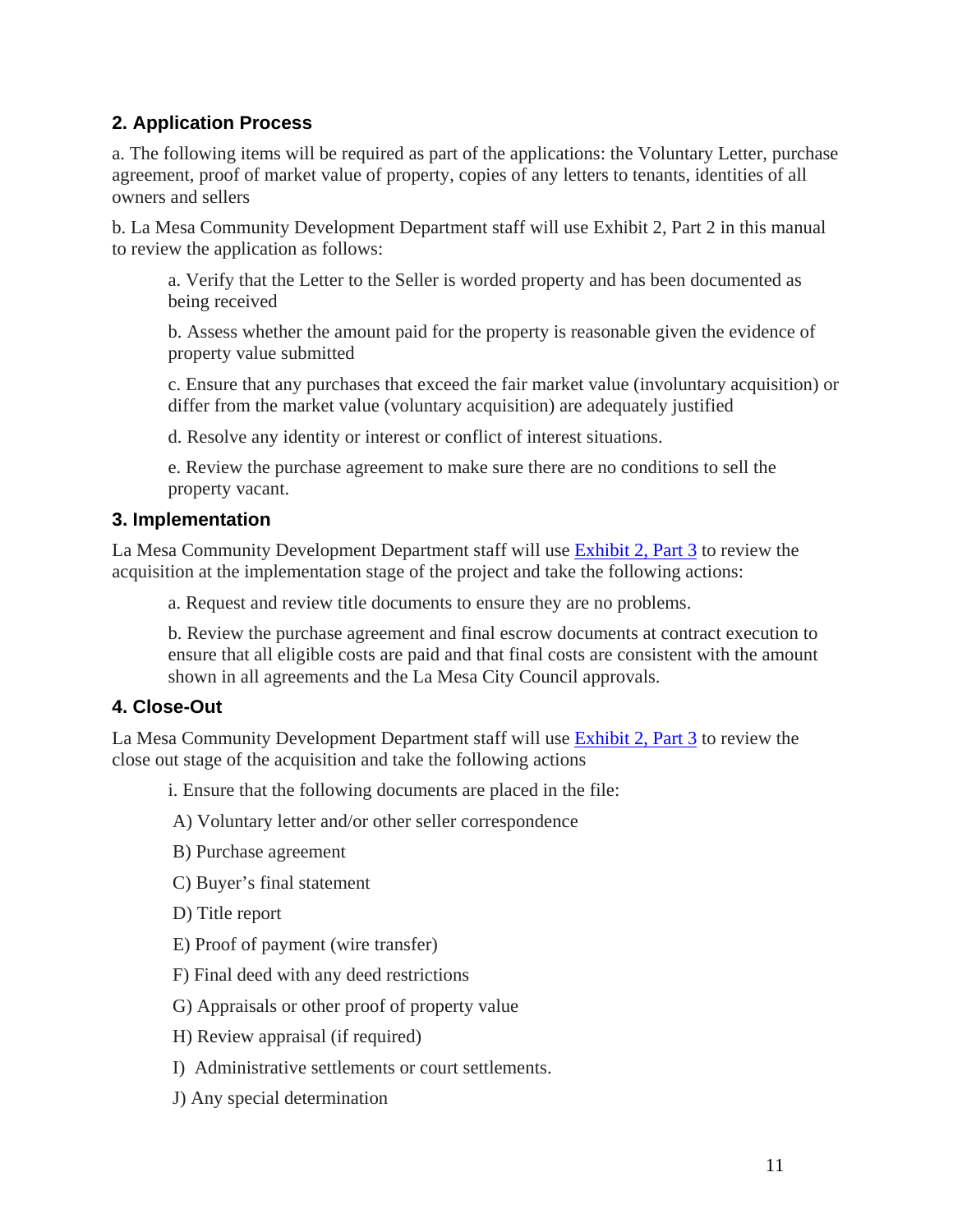#### **2. Application Process**

a. The following items will be required as part of the applications: the Voluntary Letter, purchase agreement, proof of market value of property, copies of any letters to tenants, identities of all owners and sellers

b. La Mesa Community Development Department staff will use Exhibit 2, Part 2 in this manual to review the application as follows:

a. Verify that the Letter to the Seller is worded property and has been documented as being received

b. Assess whether the amount paid for the property is reasonable given the evidence of property value submitted

c. Ensure that any purchases that exceed the fair market value (involuntary acquisition) or differ from the market value (voluntary acquisition) are adequately justified

d. Resolve any identity or interest or conflict of interest situations.

e. Review the purchase agreement to make sure there are no conditions to sell the property vacant.

#### **3. Implementation**

La Mesa Community Development Department staff will use Exhibit 2, Part 3 to review the acquisition at the implementation stage of the project and take the following actions:

a. Request and review title documents to ensure they are no problems.

b. Review the purchase agreement and final escrow documents at contract execution to ensure that all eligible costs are paid and that final costs are consistent with the amount shown in all agreements and the La Mesa City Council approvals.

#### **4. Close-Out**

La Mesa Community Development Department staff will use Exhibit 2, Part 3 to review the close out stage of the acquisition and take the following actions

i. Ensure that the following documents are placed in the file:

A) Voluntary letter and/or other seller correspondence

- B) Purchase agreement
- C) Buyer's final statement

D) Title report

- E) Proof of payment (wire transfer)
- F) Final deed with any deed restrictions
- G) Appraisals or other proof of property value
- H) Review appraisal (if required)
- I) Administrative settlements or court settlements.
- J) Any special determination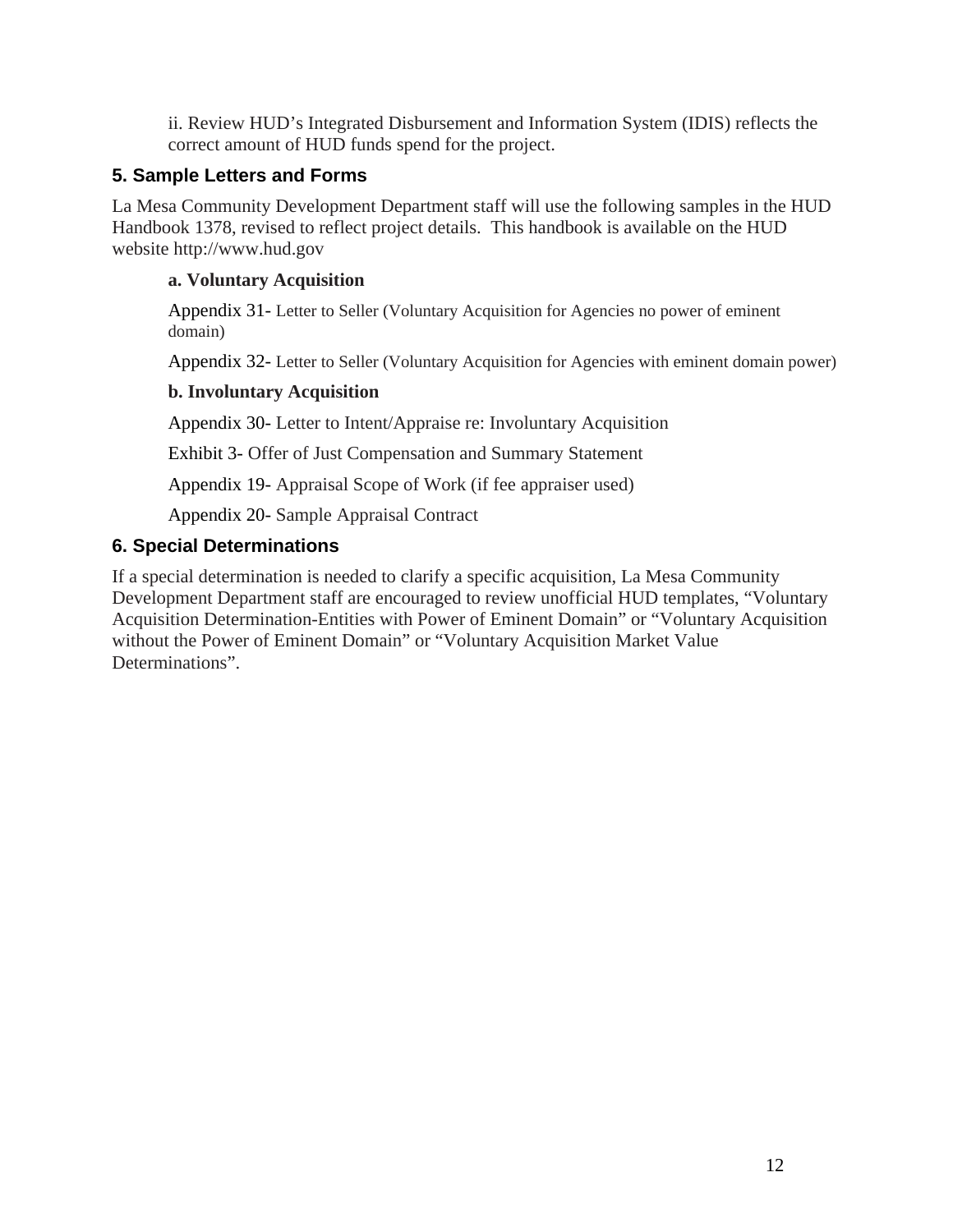ii. Review HUD's Integrated Disbursement and Information System (IDIS) reflects the correct amount of HUD funds spend for the project.

#### **5. Sample Letters and Forms**

La Mesa Community Development Department staff will use the following samples in the HUD Handbook 1378, revised to reflect project details. This handbook is available on the HUD website http://www.hud.gov

#### **a. Voluntary Acquisition**

Appendix 31- Letter to Seller (Voluntary Acquisition for Agencies no power of eminent domain)

Appendix 32- Letter to Seller (Voluntary Acquisition for Agencies with eminent domain power)

#### **b. Involuntary Acquisition**

Appendix 30- Letter to Intent/Appraise re: Involuntary Acquisition

Exhibit 3- Offer of Just Compensation and Summary Statement

Appendix 19- Appraisal Scope of Work (if fee appraiser used)

Appendix 20- Sample Appraisal Contract

#### **6. Special Determinations**

If a special determination is needed to clarify a specific acquisition, La Mesa Community Development Department staff are encouraged to review unofficial HUD templates, "Voluntary Acquisition Determination-Entities with Power of Eminent Domain" or "Voluntary Acquisition without the Power of Eminent Domain" or "Voluntary Acquisition Market Value Determinations".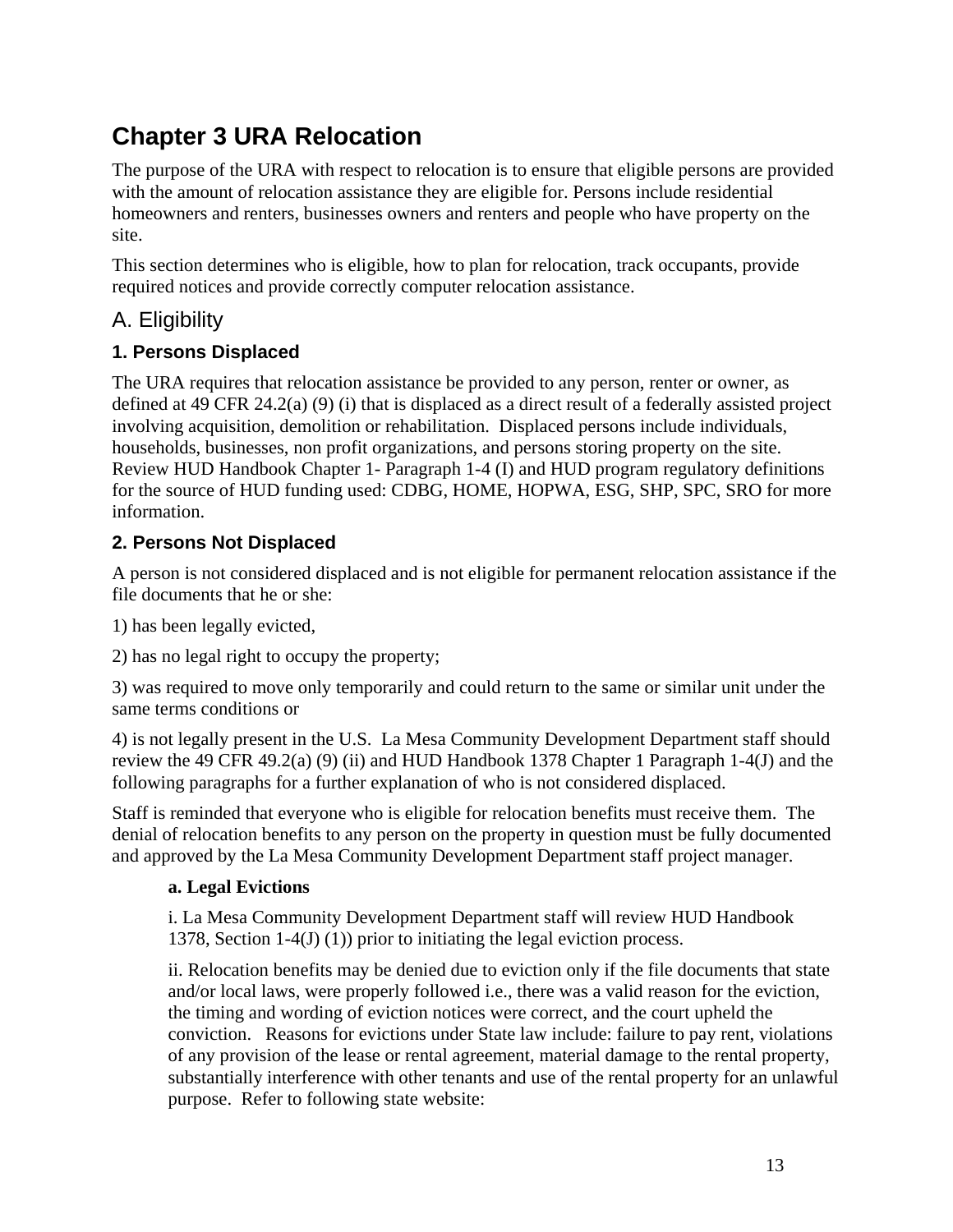## **Chapter 3 URA Relocation**

The purpose of the URA with respect to relocation is to ensure that eligible persons are provided with the amount of relocation assistance they are eligible for. Persons include residential homeowners and renters, businesses owners and renters and people who have property on the site.

This section determines who is eligible, how to plan for relocation, track occupants, provide required notices and provide correctly computer relocation assistance.

## A. Eligibility

## **1. Persons Displaced**

The URA requires that relocation assistance be provided to any person, renter or owner, as defined at 49 CFR 24.2(a) (9) (i) that is displaced as a direct result of a federally assisted project involving acquisition, demolition or rehabilitation. Displaced persons include individuals, households, businesses, non profit organizations, and persons storing property on the site. Review HUD Handbook Chapter 1- Paragraph 1-4 (I) and HUD program regulatory definitions for the source of HUD funding used: CDBG, HOME, HOPWA, ESG, SHP, SPC, SRO for more information.

## **2. Persons Not Displaced**

A person is not considered displaced and is not eligible for permanent relocation assistance if the file documents that he or she:

1) has been legally evicted,

2) has no legal right to occupy the property;

3) was required to move only temporarily and could return to the same or similar unit under the same terms conditions or

4) is not legally present in the U.S. La Mesa Community Development Department staff should review the 49 CFR 49.2(a) (9) (ii) and HUD Handbook 1378 Chapter 1 Paragraph 1-4(J) and the following paragraphs for a further explanation of who is not considered displaced.

Staff is reminded that everyone who is eligible for relocation benefits must receive them. The denial of relocation benefits to any person on the property in question must be fully documented and approved by the La Mesa Community Development Department staff project manager.

#### **a. Legal Evictions**

i. La Mesa Community Development Department staff will review HUD Handbook 1378, Section 1-4(J) (1)) prior to initiating the legal eviction process.

ii. Relocation benefits may be denied due to eviction only if the file documents that state and/or local laws, were properly followed i.e., there was a valid reason for the eviction, the timing and wording of eviction notices were correct, and the court upheld the conviction. Reasons for evictions under State law include: failure to pay rent, violations of any provision of the lease or rental agreement, material damage to the rental property, substantially interference with other tenants and use of the rental property for an unlawful purpose. Refer to following state website: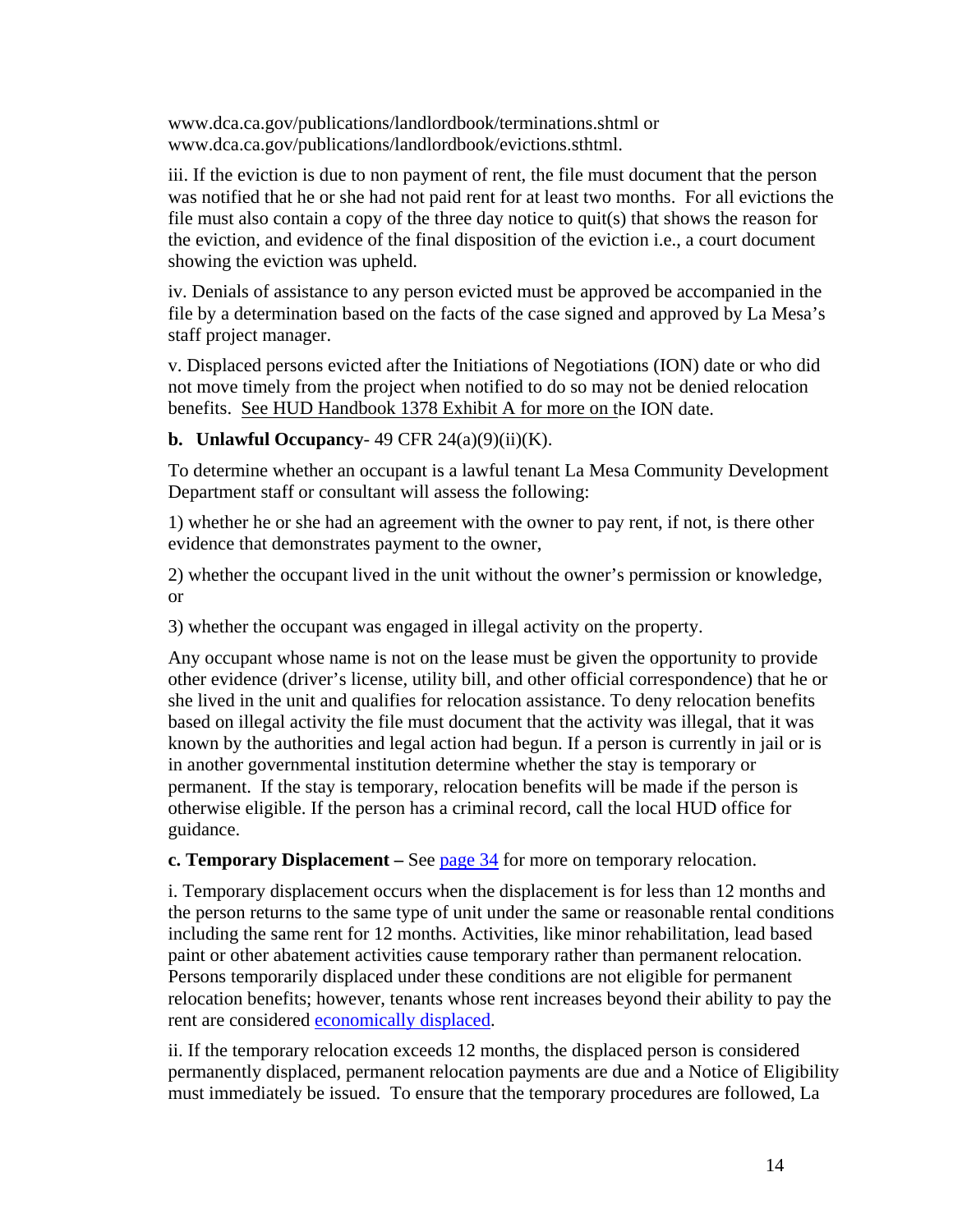www.dca.ca.gov/publications/landlordbook/terminations.shtml or www.dca.ca.gov/publications/landlordbook/evictions.sthtml.

iii. If the eviction is due to non payment of rent, the file must document that the person was notified that he or she had not paid rent for at least two months. For all evictions the file must also contain a copy of the three day notice to quit(s) that shows the reason for the eviction, and evidence of the final disposition of the eviction i.e., a court document showing the eviction was upheld.

iv. Denials of assistance to any person evicted must be approved be accompanied in the file by a determination based on the facts of the case signed and approved by La Mesa's staff project manager.

v. Displaced persons evicted after the Initiations of Negotiations (ION) date or who did not move timely from the project when notified to do so may not be denied relocation benefits. See HUD Handbook 1378 Exhibit A for more on the ION date.

#### **b.** Unlawful Occupancy- 49 CFR  $24(a)(9)(ii)(K)$ .

To determine whether an occupant is a lawful tenant La Mesa Community Development Department staff or consultant will assess the following:

1) whether he or she had an agreement with the owner to pay rent, if not, is there other evidence that demonstrates payment to the owner,

2) whether the occupant lived in the unit without the owner's permission or knowledge, or

3) whether the occupant was engaged in illegal activity on the property.

Any occupant whose name is not on the lease must be given the opportunity to provide other evidence (driver's license, utility bill, and other official correspondence) that he or she lived in the unit and qualifies for relocation assistance. To deny relocation benefits based on illegal activity the file must document that the activity was illegal, that it was known by the authorities and legal action had begun. If a person is currently in jail or is in another governmental institution determine whether the stay is temporary or permanent. If the stay is temporary, relocation benefits will be made if the person is otherwise eligible. If the person has a criminal record, call the local HUD office for guidance.

**c. Temporary Displacement** – See page 34 for more on temporary relocation.

i. Temporary displacement occurs when the displacement is for less than 12 months and the person returns to the same type of unit under the same or reasonable rental conditions including the same rent for 12 months. Activities, like minor rehabilitation, lead based paint or other abatement activities cause temporary rather than permanent relocation. Persons temporarily displaced under these conditions are not eligible for permanent relocation benefits; however, tenants whose rent increases beyond their ability to pay the rent are considered economically displaced.

ii. If the temporary relocation exceeds 12 months, the displaced person is considered permanently displaced, permanent relocation payments are due and a Notice of Eligibility must immediately be issued. To ensure that the temporary procedures are followed, La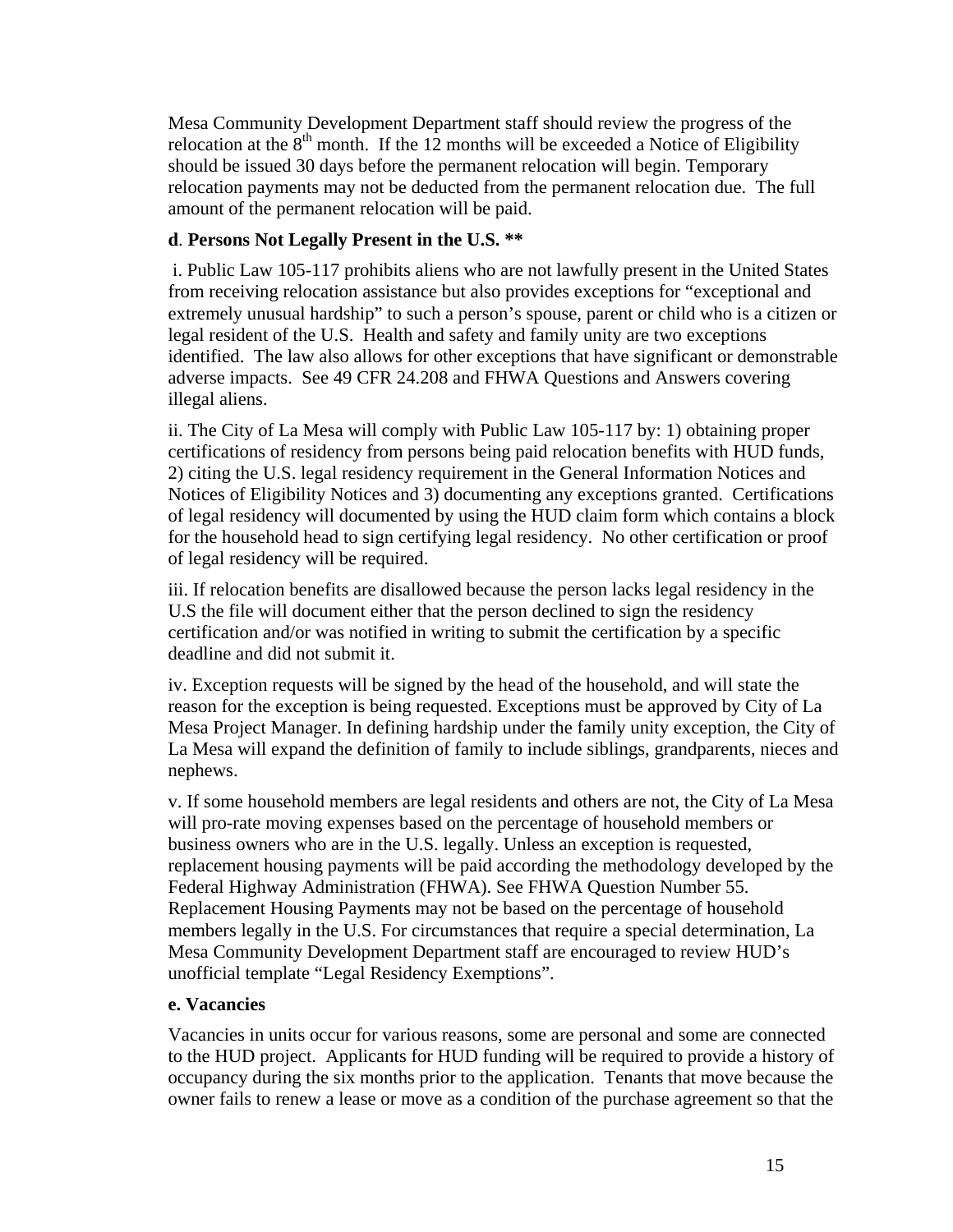Mesa Community Development Department staff should review the progress of the relocation at the  $8<sup>th</sup>$  month. If the 12 months will be exceeded a Notice of Eligibility should be issued 30 days before the permanent relocation will begin. Temporary relocation payments may not be deducted from the permanent relocation due. The full amount of the permanent relocation will be paid.

#### **d**. **Persons Not Legally Present in the U.S. \*\***

 i. Public Law 105-117 prohibits aliens who are not lawfully present in the United States from receiving relocation assistance but also provides exceptions for "exceptional and extremely unusual hardship" to such a person's spouse, parent or child who is a citizen or legal resident of the U.S. Health and safety and family unity are two exceptions identified. The law also allows for other exceptions that have significant or demonstrable adverse impacts. See 49 CFR 24.208 and FHWA Questions and Answers covering illegal aliens.

ii. The City of La Mesa will comply with Public Law 105-117 by: 1) obtaining proper certifications of residency from persons being paid relocation benefits with HUD funds, 2) citing the U.S. legal residency requirement in the General Information Notices and Notices of Eligibility Notices and 3) documenting any exceptions granted. Certifications of legal residency will documented by using the HUD claim form which contains a block for the household head to sign certifying legal residency. No other certification or proof of legal residency will be required.

iii. If relocation benefits are disallowed because the person lacks legal residency in the U.S the file will document either that the person declined to sign the residency certification and/or was notified in writing to submit the certification by a specific deadline and did not submit it.

iv. Exception requests will be signed by the head of the household, and will state the reason for the exception is being requested. Exceptions must be approved by City of La Mesa Project Manager. In defining hardship under the family unity exception, the City of La Mesa will expand the definition of family to include siblings, grandparents, nieces and nephews.

v. If some household members are legal residents and others are not, the City of La Mesa will pro-rate moving expenses based on the percentage of household members or business owners who are in the U.S. legally. Unless an exception is requested, replacement housing payments will be paid according the methodology developed by the Federal Highway Administration (FHWA). See FHWA Question Number 55. Replacement Housing Payments may not be based on the percentage of household members legally in the U.S. For circumstances that require a special determination, La Mesa Community Development Department staff are encouraged to review HUD's unofficial template "Legal Residency Exemptions".

#### **e. Vacancies**

Vacancies in units occur for various reasons, some are personal and some are connected to the HUD project. Applicants for HUD funding will be required to provide a history of occupancy during the six months prior to the application. Tenants that move because the owner fails to renew a lease or move as a condition of the purchase agreement so that the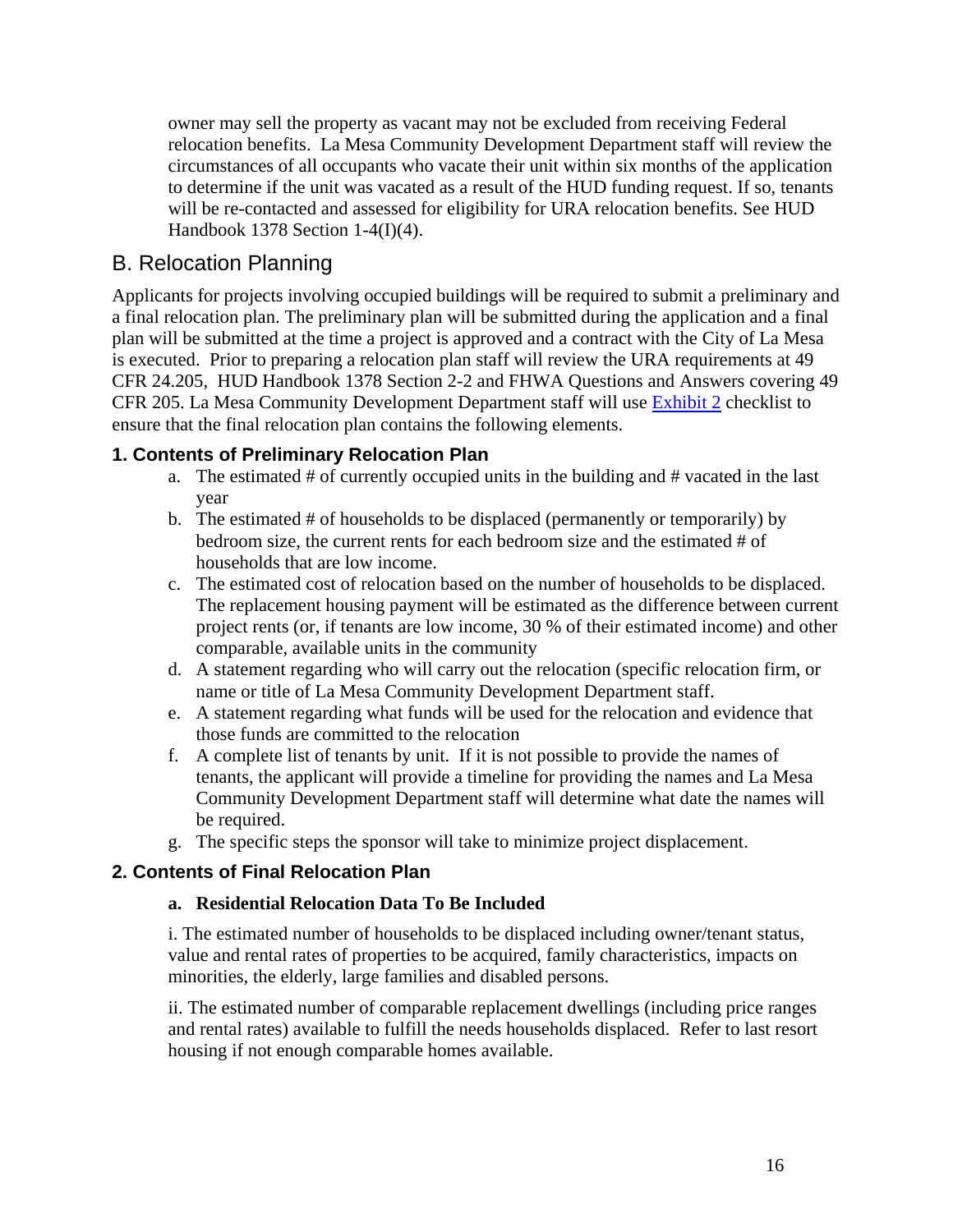owner may sell the property as vacant may not be excluded from receiving Federal relocation benefits. La Mesa Community Development Department staff will review the circumstances of all occupants who vacate their unit within six months of the application to determine if the unit was vacated as a result of the HUD funding request. If so, tenants will be re-contacted and assessed for eligibility for URA relocation benefits. See HUD Handbook 1378 Section 1-4(I)(4).

## B. Relocation Planning

Applicants for projects involving occupied buildings will be required to submit a preliminary and a final relocation plan. The preliminary plan will be submitted during the application and a final plan will be submitted at the time a project is approved and a contract with the City of La Mesa is executed. Prior to preparing a relocation plan staff will review the URA requirements at 49 CFR 24.205, HUD Handbook 1378 Section 2-2 and FHWA Questions and Answers covering 49 CFR 205. La Mesa Community Development Department staff will use Exhibit 2 checklist to ensure that the final relocation plan contains the following elements.

#### **1. Contents of Preliminary Relocation Plan**

- a. The estimated # of currently occupied units in the building and # vacated in the last year
- b. The estimated # of households to be displaced (permanently or temporarily) by bedroom size, the current rents for each bedroom size and the estimated # of households that are low income.
- c. The estimated cost of relocation based on the number of households to be displaced. The replacement housing payment will be estimated as the difference between current project rents (or, if tenants are low income, 30 % of their estimated income) and other comparable, available units in the community
- d. A statement regarding who will carry out the relocation (specific relocation firm, or name or title of La Mesa Community Development Department staff.
- e. A statement regarding what funds will be used for the relocation and evidence that those funds are committed to the relocation
- f. A complete list of tenants by unit. If it is not possible to provide the names of tenants, the applicant will provide a timeline for providing the names and La Mesa Community Development Department staff will determine what date the names will be required.
- g. The specific steps the sponsor will take to minimize project displacement.

#### **2. Contents of Final Relocation Plan**

#### **a. Residential Relocation Data To Be Included**

i. The estimated number of households to be displaced including owner/tenant status, value and rental rates of properties to be acquired, family characteristics, impacts on minorities, the elderly, large families and disabled persons.

ii. The estimated number of comparable replacement dwellings (including price ranges and rental rates) available to fulfill the needs households displaced. Refer to last resort housing if not enough comparable homes available.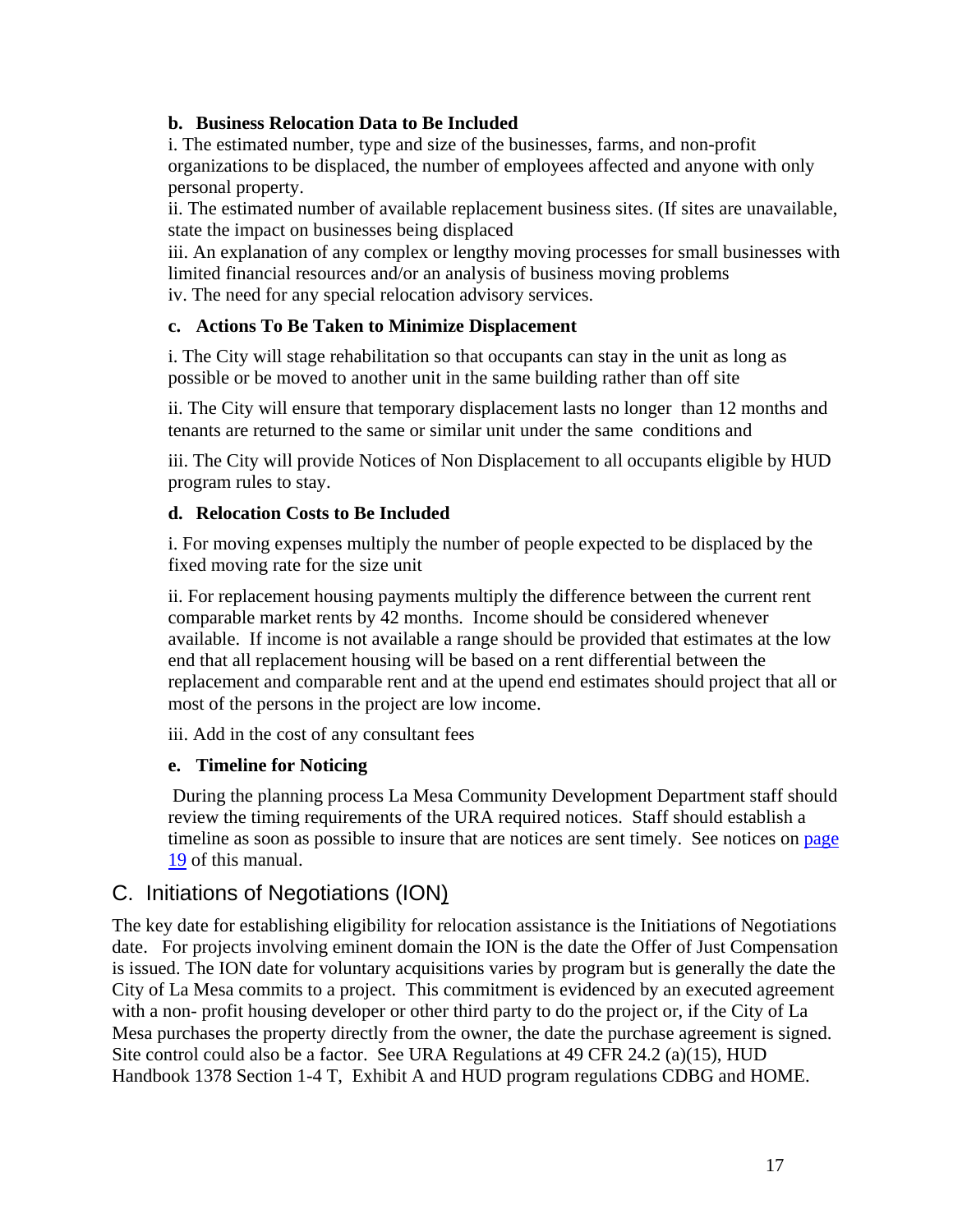#### **b. Business Relocation Data to Be Included**

i. The estimated number, type and size of the businesses, farms, and non-profit organizations to be displaced, the number of employees affected and anyone with only personal property.

ii. The estimated number of available replacement business sites. (If sites are unavailable, state the impact on businesses being displaced

iii. An explanation of any complex or lengthy moving processes for small businesses with limited financial resources and/or an analysis of business moving problems iv. The need for any special relocation advisory services.

#### **c. Actions To Be Taken to Minimize Displacement**

i. The City will stage rehabilitation so that occupants can stay in the unit as long as possible or be moved to another unit in the same building rather than off site

ii. The City will ensure that temporary displacement lasts no longer than 12 months and tenants are returned to the same or similar unit under the same conditions and

iii. The City will provide Notices of Non Displacement to all occupants eligible by HUD program rules to stay.

#### **d. Relocation Costs to Be Included**

i. For moving expenses multiply the number of people expected to be displaced by the fixed moving rate for the size unit

ii. For replacement housing payments multiply the difference between the current rent comparable market rents by 42 months. Income should be considered whenever available. If income is not available a range should be provided that estimates at the low end that all replacement housing will be based on a rent differential between the replacement and comparable rent and at the upend end estimates should project that all or most of the persons in the project are low income.

iii. Add in the cost of any consultant fees

#### **e. Timeline for Noticing**

 During the planning process La Mesa Community Development Department staff should review the timing requirements of the URA required notices. Staff should establish a timeline as soon as possible to insure that are notices are sent timely. See notices on page 19 of this manual.

## C. Initiations of Negotiations (ION)

The key date for establishing eligibility for relocation assistance is the Initiations of Negotiations date. For projects involving eminent domain the ION is the date the Offer of Just Compensation is issued. The ION date for voluntary acquisitions varies by program but is generally the date the City of La Mesa commits to a project. This commitment is evidenced by an executed agreement with a non- profit housing developer or other third party to do the project or, if the City of La Mesa purchases the property directly from the owner, the date the purchase agreement is signed. Site control could also be a factor. See URA Regulations at 49 CFR 24.2 (a)(15), HUD Handbook 1378 Section 1-4 T, Exhibit A and HUD program regulations CDBG and HOME.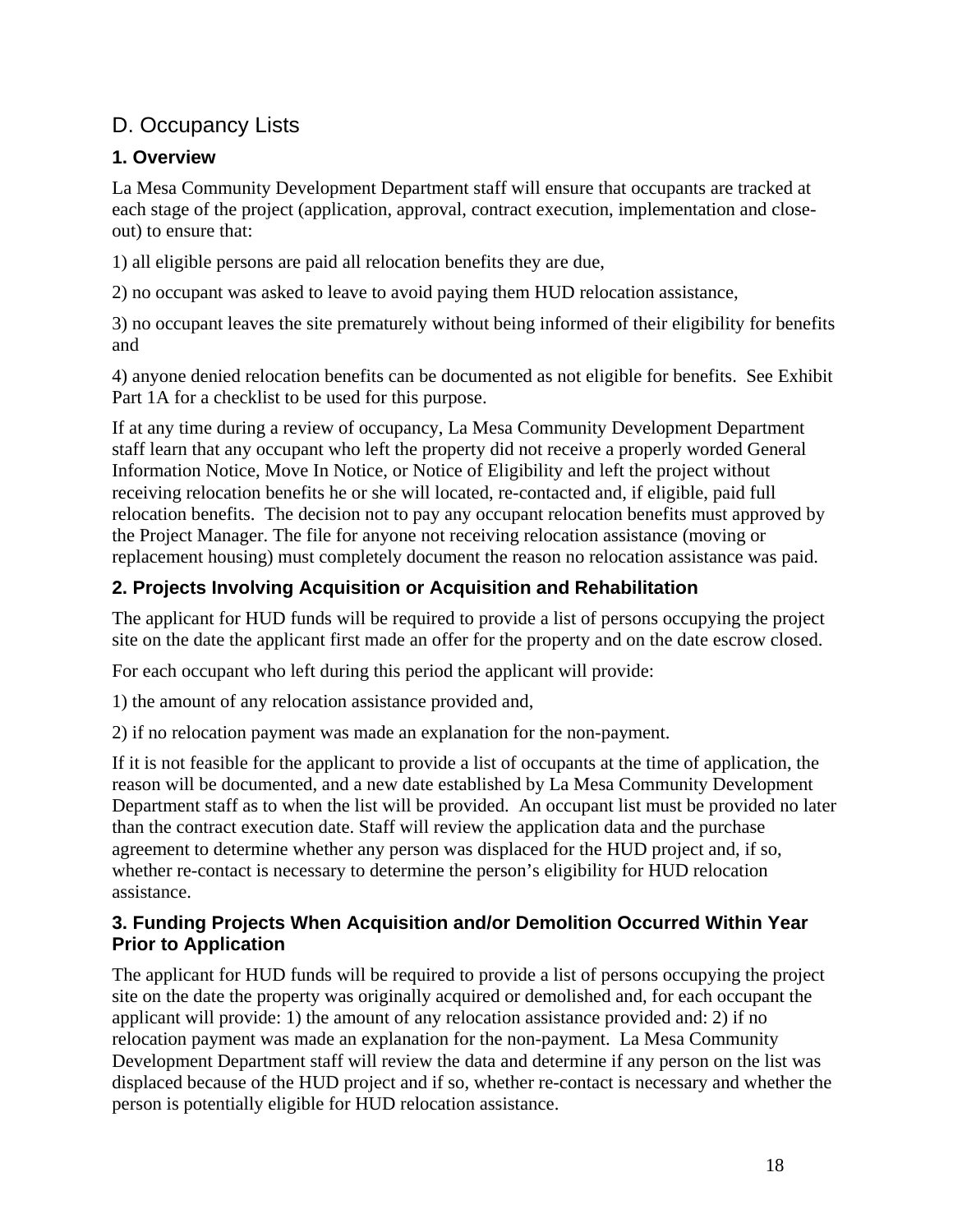## D. Occupancy Lists

## **1. Overview**

La Mesa Community Development Department staff will ensure that occupants are tracked at each stage of the project (application, approval, contract execution, implementation and closeout) to ensure that:

1) all eligible persons are paid all relocation benefits they are due,

2) no occupant was asked to leave to avoid paying them HUD relocation assistance,

3) no occupant leaves the site prematurely without being informed of their eligibility for benefits and

4) anyone denied relocation benefits can be documented as not eligible for benefits. See Exhibit Part 1A for a checklist to be used for this purpose.

If at any time during a review of occupancy, La Mesa Community Development Department staff learn that any occupant who left the property did not receive a properly worded General Information Notice, Move In Notice, or Notice of Eligibility and left the project without receiving relocation benefits he or she will located, re-contacted and, if eligible, paid full relocation benefits. The decision not to pay any occupant relocation benefits must approved by the Project Manager. The file for anyone not receiving relocation assistance (moving or replacement housing) must completely document the reason no relocation assistance was paid.

## **2. Projects Involving Acquisition or Acquisition and Rehabilitation**

The applicant for HUD funds will be required to provide a list of persons occupying the project site on the date the applicant first made an offer for the property and on the date escrow closed.

For each occupant who left during this period the applicant will provide:

1) the amount of any relocation assistance provided and,

2) if no relocation payment was made an explanation for the non-payment.

If it is not feasible for the applicant to provide a list of occupants at the time of application, the reason will be documented, and a new date established by La Mesa Community Development Department staff as to when the list will be provided. An occupant list must be provided no later than the contract execution date. Staff will review the application data and the purchase agreement to determine whether any person was displaced for the HUD project and, if so, whether re-contact is necessary to determine the person's eligibility for HUD relocation assistance.

## **3. Funding Projects When Acquisition and/or Demolition Occurred Within Year Prior to Application**

The applicant for HUD funds will be required to provide a list of persons occupying the project site on the date the property was originally acquired or demolished and, for each occupant the applicant will provide: 1) the amount of any relocation assistance provided and: 2) if no relocation payment was made an explanation for the non-payment. La Mesa Community Development Department staff will review the data and determine if any person on the list was displaced because of the HUD project and if so, whether re-contact is necessary and whether the person is potentially eligible for HUD relocation assistance.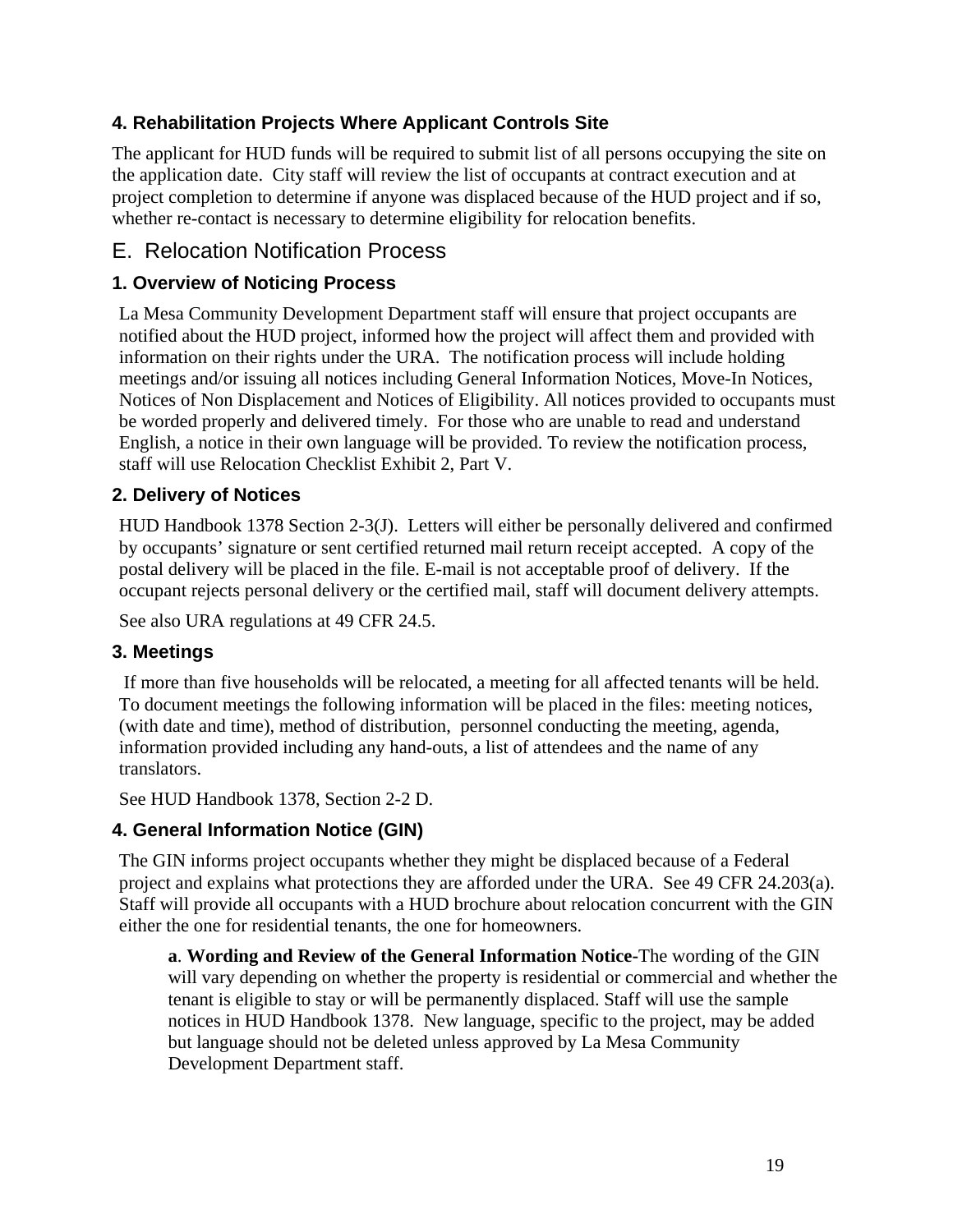## **4. Rehabilitation Projects Where Applicant Controls Site**

The applicant for HUD funds will be required to submit list of all persons occupying the site on the application date. City staff will review the list of occupants at contract execution and at project completion to determine if anyone was displaced because of the HUD project and if so, whether re-contact is necessary to determine eligibility for relocation benefits.

## E. Relocation Notification Process

## **1. Overview of Noticing Process**

La Mesa Community Development Department staff will ensure that project occupants are notified about the HUD project, informed how the project will affect them and provided with information on their rights under the URA. The notification process will include holding meetings and/or issuing all notices including General Information Notices, Move-In Notices, Notices of Non Displacement and Notices of Eligibility. All notices provided to occupants must be worded properly and delivered timely. For those who are unable to read and understand English, a notice in their own language will be provided. To review the notification process, staff will use Relocation Checklist Exhibit 2, Part V.

## **2. Delivery of Notices**

HUD Handbook 1378 Section 2-3(J). Letters will either be personally delivered and confirmed by occupants' signature or sent certified returned mail return receipt accepted. A copy of the postal delivery will be placed in the file. E-mail is not acceptable proof of delivery. If the occupant rejects personal delivery or the certified mail, staff will document delivery attempts.

See also URA regulations at 49 CFR 24.5.

#### **3. Meetings**

 If more than five households will be relocated, a meeting for all affected tenants will be held. To document meetings the following information will be placed in the files: meeting notices, (with date and time), method of distribution, personnel conducting the meeting, agenda, information provided including any hand-outs, a list of attendees and the name of any translators.

See HUD Handbook 1378, Section 2-2 D.

#### **4. General Information Notice (GIN)**

The GIN informs project occupants whether they might be displaced because of a Federal project and explains what protections they are afforded under the URA. See 49 CFR 24.203(a). Staff will provide all occupants with a HUD brochure about relocation concurrent with the GIN either the one for residential tenants, the one for homeowners.

**a**. **Wording and Review of the General Information Notice-**The wording of the GIN will vary depending on whether the property is residential or commercial and whether the tenant is eligible to stay or will be permanently displaced. Staff will use the sample notices in HUD Handbook 1378. New language, specific to the project, may be added but language should not be deleted unless approved by La Mesa Community Development Department staff.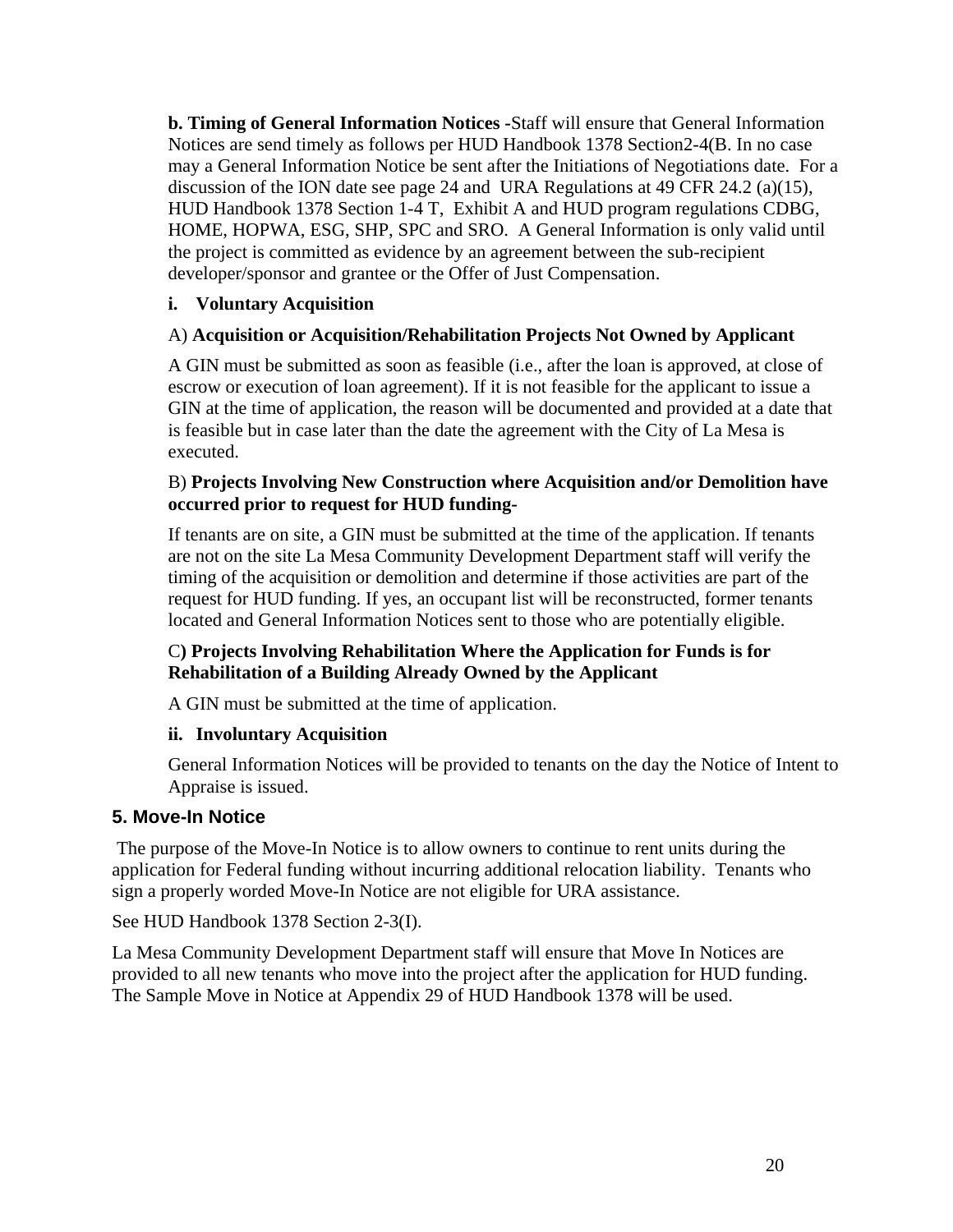**b. Timing of General Information Notices -**Staff will ensure that General Information Notices are send timely as follows per HUD Handbook 1378 Section2-4(B. In no case may a General Information Notice be sent after the Initiations of Negotiations date. For a discussion of the ION date see page 24 and URA Regulations at 49 CFR 24.2 (a)(15), HUD Handbook 1378 Section 1-4 T, Exhibit A and HUD program regulations CDBG, HOME, HOPWA, ESG, SHP, SPC and SRO. A General Information is only valid until the project is committed as evidence by an agreement between the sub-recipient developer/sponsor and grantee or the Offer of Just Compensation.

#### **i. Voluntary Acquisition**

#### A) **Acquisition or Acquisition/Rehabilitation Projects Not Owned by Applicant**

A GIN must be submitted as soon as feasible (i.e., after the loan is approved, at close of escrow or execution of loan agreement). If it is not feasible for the applicant to issue a GIN at the time of application, the reason will be documented and provided at a date that is feasible but in case later than the date the agreement with the City of La Mesa is executed.

#### B) **Projects Involving New Construction where Acquisition and/or Demolition have occurred prior to request for HUD funding-**

If tenants are on site, a GIN must be submitted at the time of the application. If tenants are not on the site La Mesa Community Development Department staff will verify the timing of the acquisition or demolition and determine if those activities are part of the request for HUD funding. If yes, an occupant list will be reconstructed, former tenants located and General Information Notices sent to those who are potentially eligible.

#### C**) Projects Involving Rehabilitation Where the Application for Funds is for Rehabilitation of a Building Already Owned by the Applicant**

A GIN must be submitted at the time of application.

#### **ii. Involuntary Acquisition**

General Information Notices will be provided to tenants on the day the Notice of Intent to Appraise is issued.

#### **5. Move-In Notice**

 The purpose of the Move-In Notice is to allow owners to continue to rent units during the application for Federal funding without incurring additional relocation liability. Tenants who sign a properly worded Move-In Notice are not eligible for URA assistance.

See HUD Handbook 1378 Section 2-3(I).

La Mesa Community Development Department staff will ensure that Move In Notices are provided to all new tenants who move into the project after the application for HUD funding. The Sample Move in Notice at Appendix 29 of HUD Handbook 1378 will be used.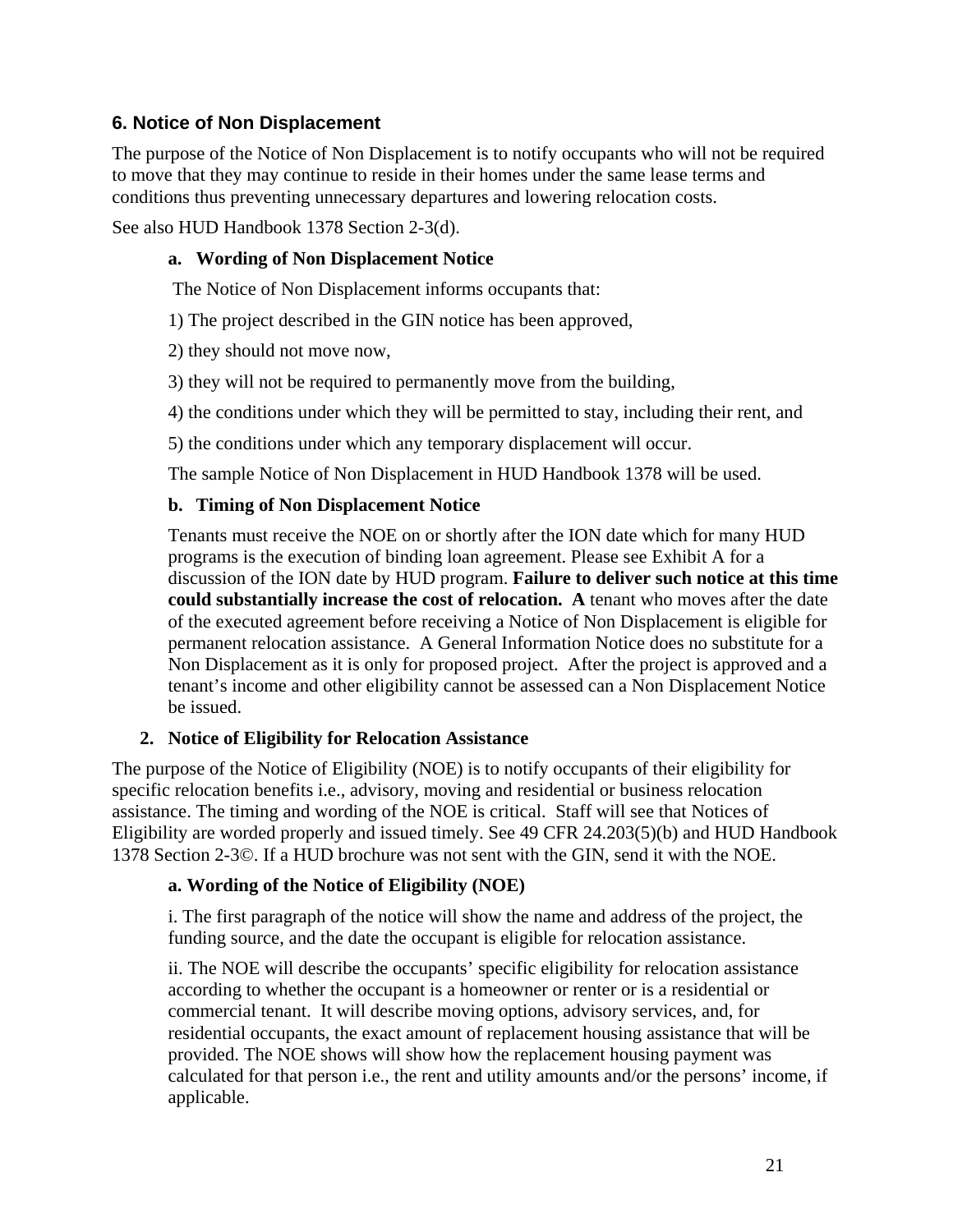#### **6. Notice of Non Displacement**

The purpose of the Notice of Non Displacement is to notify occupants who will not be required to move that they may continue to reside in their homes under the same lease terms and conditions thus preventing unnecessary departures and lowering relocation costs.

See also HUD Handbook 1378 Section 2-3(d).

#### **a. Wording of Non Displacement Notice**

The Notice of Non Displacement informs occupants that:

1) The project described in the GIN notice has been approved,

2) they should not move now,

3) they will not be required to permanently move from the building,

4) the conditions under which they will be permitted to stay, including their rent, and

5) the conditions under which any temporary displacement will occur.

The sample Notice of Non Displacement in HUD Handbook 1378 will be used.

#### **b. Timing of Non Displacement Notice**

Tenants must receive the NOE on or shortly after the ION date which for many HUD programs is the execution of binding loan agreement. Please see Exhibit A for a discussion of the ION date by HUD program. **Failure to deliver such notice at this time could substantially increase the cost of relocation. A** tenant who moves after the date of the executed agreement before receiving a Notice of Non Displacement is eligible for permanent relocation assistance. A General Information Notice does no substitute for a Non Displacement as it is only for proposed project. After the project is approved and a tenant's income and other eligibility cannot be assessed can a Non Displacement Notice be issued.

#### **2. Notice of Eligibility for Relocation Assistance**

The purpose of the Notice of Eligibility (NOE) is to notify occupants of their eligibility for specific relocation benefits i.e., advisory, moving and residential or business relocation assistance. The timing and wording of the NOE is critical. Staff will see that Notices of Eligibility are worded properly and issued timely. See 49 CFR 24.203(5)(b) and HUD Handbook 1378 Section 2-3©. If a HUD brochure was not sent with the GIN, send it with the NOE.

#### **a. Wording of the Notice of Eligibility (NOE)**

i. The first paragraph of the notice will show the name and address of the project, the funding source, and the date the occupant is eligible for relocation assistance.

ii. The NOE will describe the occupants' specific eligibility for relocation assistance according to whether the occupant is a homeowner or renter or is a residential or commercial tenant. It will describe moving options, advisory services, and, for residential occupants, the exact amount of replacement housing assistance that will be provided. The NOE shows will show how the replacement housing payment was calculated for that person i.e., the rent and utility amounts and/or the persons' income, if applicable.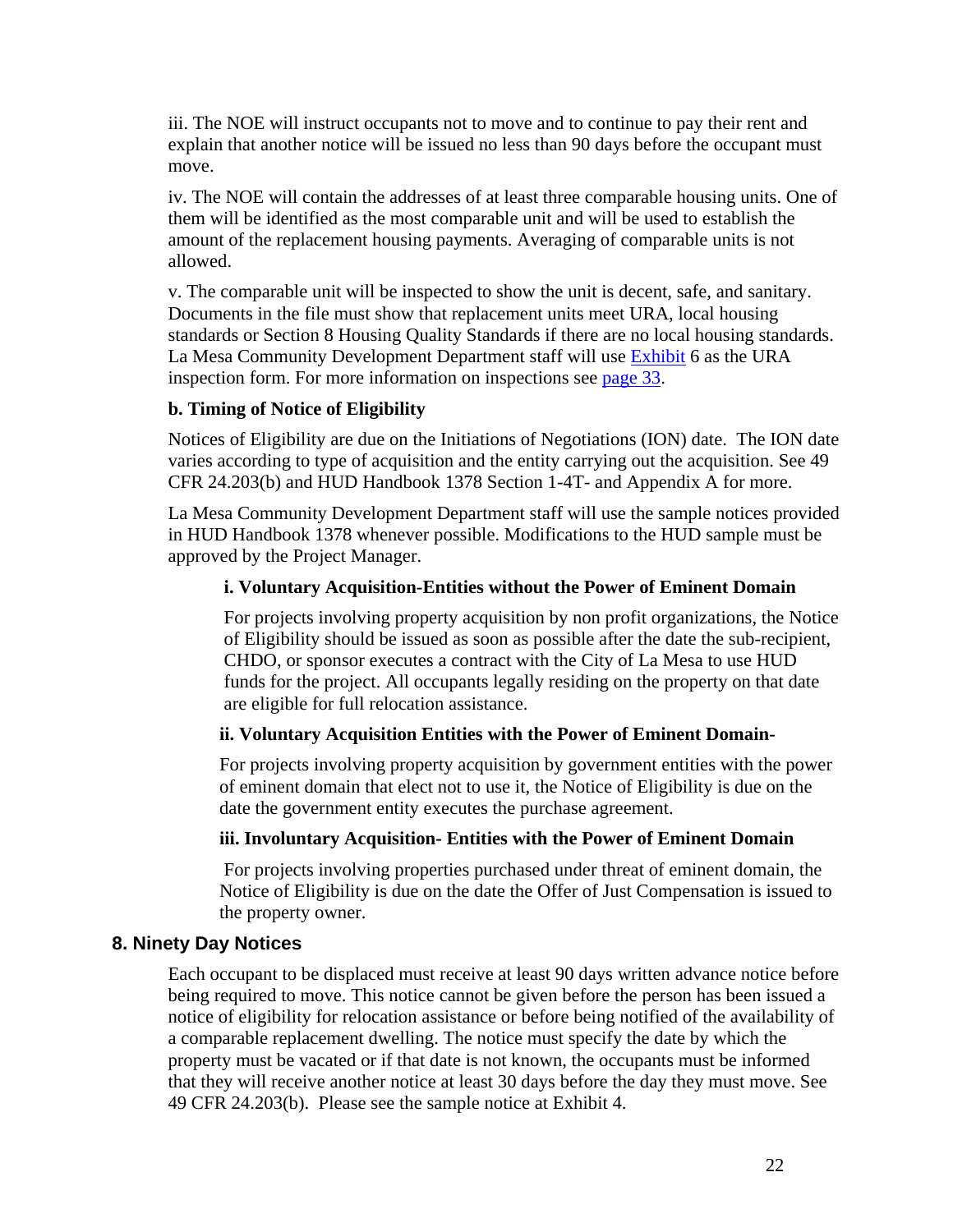iii. The NOE will instruct occupants not to move and to continue to pay their rent and explain that another notice will be issued no less than 90 days before the occupant must move.

iv. The NOE will contain the addresses of at least three comparable housing units. One of them will be identified as the most comparable unit and will be used to establish the amount of the replacement housing payments. Averaging of comparable units is not allowed.

v. The comparable unit will be inspected to show the unit is decent, safe, and sanitary. Documents in the file must show that replacement units meet URA, local housing standards or Section 8 Housing Quality Standards if there are no local housing standards. La Mesa Community Development Department staff will use Exhibit 6 as the URA inspection form. For more information on inspections see page 33.

#### **b. Timing of Notice of Eligibility**

Notices of Eligibility are due on the Initiations of Negotiations (ION) date. The ION date varies according to type of acquisition and the entity carrying out the acquisition. See 49 CFR 24.203(b) and HUD Handbook 1378 Section 1-4T- and Appendix A for more.

La Mesa Community Development Department staff will use the sample notices provided in HUD Handbook 1378 whenever possible. Modifications to the HUD sample must be approved by the Project Manager.

#### **i. Voluntary Acquisition-Entities without the Power of Eminent Domain**

For projects involving property acquisition by non profit organizations, the Notice of Eligibility should be issued as soon as possible after the date the sub-recipient, CHDO, or sponsor executes a contract with the City of La Mesa to use HUD funds for the project. All occupants legally residing on the property on that date are eligible for full relocation assistance.

#### **ii. Voluntary Acquisition Entities with the Power of Eminent Domain-**

For projects involving property acquisition by government entities with the power of eminent domain that elect not to use it, the Notice of Eligibility is due on the date the government entity executes the purchase agreement.

#### **iii. Involuntary Acquisition- Entities with the Power of Eminent Domain**

 For projects involving properties purchased under threat of eminent domain, the Notice of Eligibility is due on the date the Offer of Just Compensation is issued to the property owner.

#### **8. Ninety Day Notices**

Each occupant to be displaced must receive at least 90 days written advance notice before being required to move. This notice cannot be given before the person has been issued a notice of eligibility for relocation assistance or before being notified of the availability of a comparable replacement dwelling. The notice must specify the date by which the property must be vacated or if that date is not known, the occupants must be informed that they will receive another notice at least 30 days before the day they must move. See 49 CFR 24.203(b). Please see the sample notice at Exhibit 4.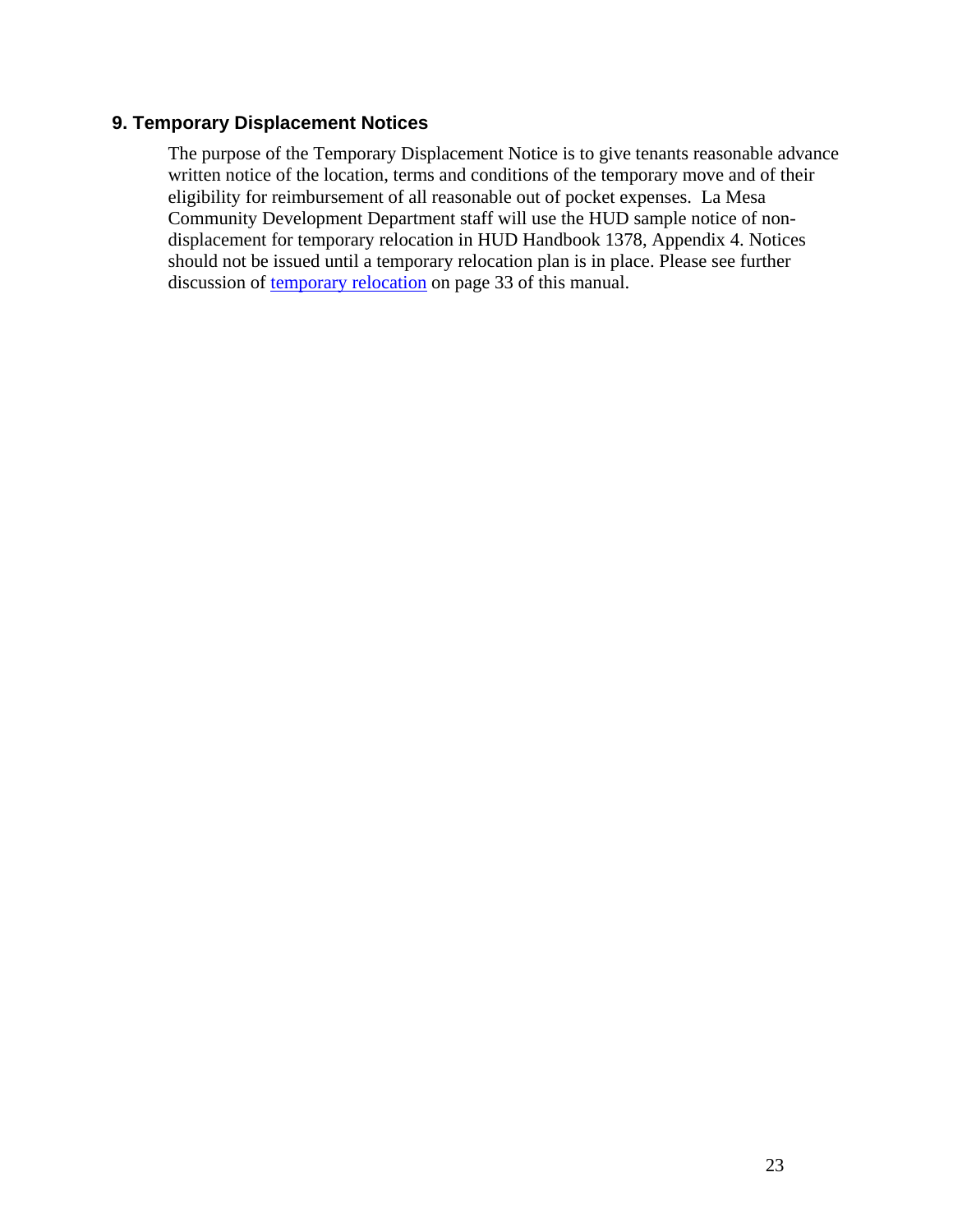#### **9. Temporary Displacement Notices**

The purpose of the Temporary Displacement Notice is to give tenants reasonable advance written notice of the location, terms and conditions of the temporary move and of their eligibility for reimbursement of all reasonable out of pocket expenses. La Mesa Community Development Department staff will use the HUD sample notice of nondisplacement for temporary relocation in HUD Handbook 1378, Appendix 4. Notices should not be issued until a temporary relocation plan is in place. Please see further discussion of temporary relocation on page 33 of this manual.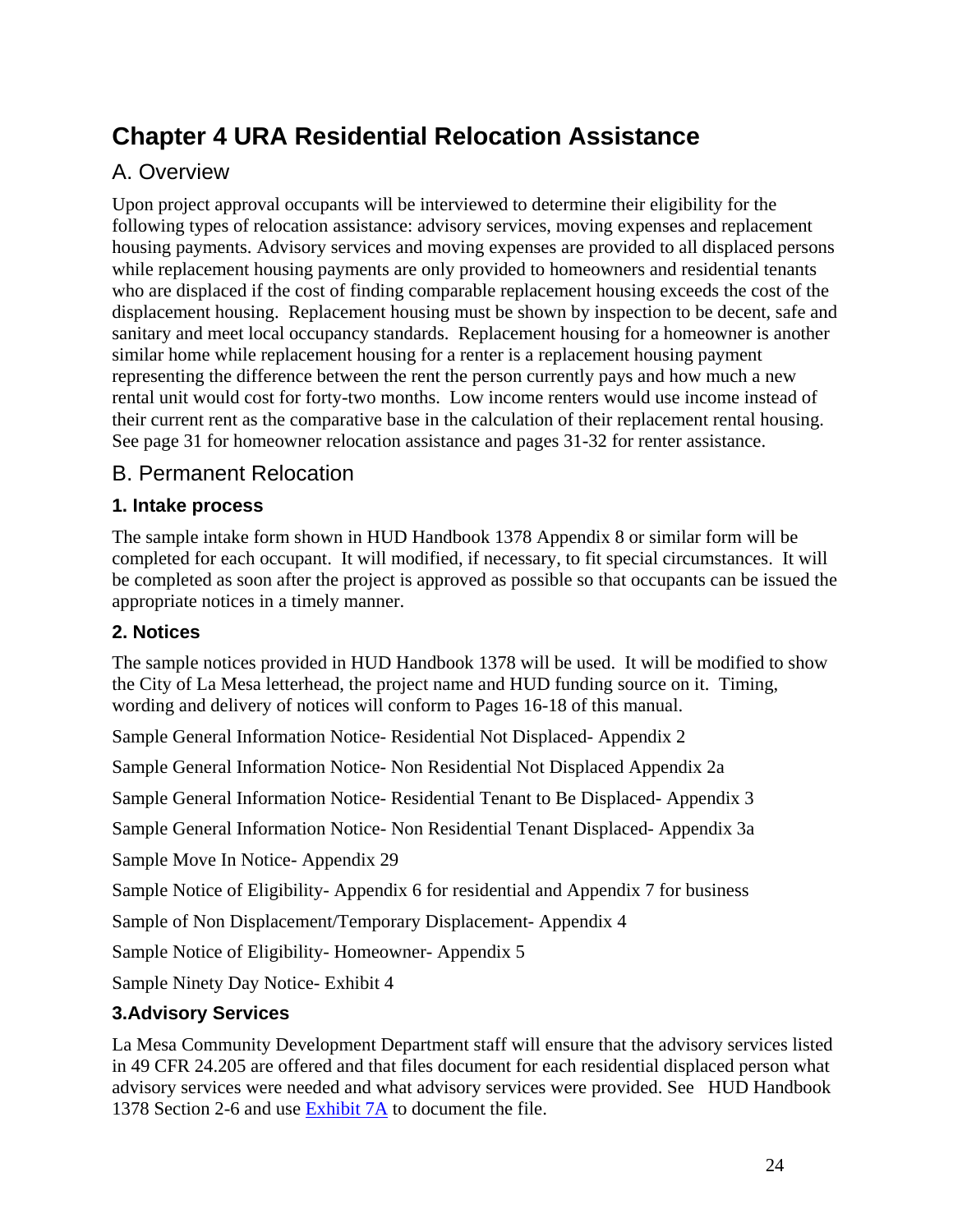## **Chapter 4 URA Residential Relocation Assistance**

## A. Overview

Upon project approval occupants will be interviewed to determine their eligibility for the following types of relocation assistance: advisory services, moving expenses and replacement housing payments. Advisory services and moving expenses are provided to all displaced persons while replacement housing payments are only provided to homeowners and residential tenants who are displaced if the cost of finding comparable replacement housing exceeds the cost of the displacement housing. Replacement housing must be shown by inspection to be decent, safe and sanitary and meet local occupancy standards. Replacement housing for a homeowner is another similar home while replacement housing for a renter is a replacement housing payment representing the difference between the rent the person currently pays and how much a new rental unit would cost for forty-two months. Low income renters would use income instead of their current rent as the comparative base in the calculation of their replacement rental housing. See page 31 for homeowner relocation assistance and pages 31-32 for renter assistance.

## B. Permanent Relocation

#### **1. Intake process**

The sample intake form shown in HUD Handbook 1378 Appendix 8 or similar form will be completed for each occupant. It will modified, if necessary, to fit special circumstances. It will be completed as soon after the project is approved as possible so that occupants can be issued the appropriate notices in a timely manner.

#### **2. Notices**

The sample notices provided in HUD Handbook 1378 will be used. It will be modified to show the City of La Mesa letterhead, the project name and HUD funding source on it. Timing, wording and delivery of notices will conform to Pages 16-18 of this manual.

Sample General Information Notice- Residential Not Displaced- Appendix 2

Sample General Information Notice- Non Residential Not Displaced Appendix 2a

Sample General Information Notice- Residential Tenant to Be Displaced- Appendix 3

Sample General Information Notice- Non Residential Tenant Displaced- Appendix 3a

Sample Move In Notice- Appendix 29

Sample Notice of Eligibility- Appendix 6 for residential and Appendix 7 for business

Sample of Non Displacement/Temporary Displacement- Appendix 4

Sample Notice of Eligibility- Homeowner- Appendix 5

Sample Ninety Day Notice- Exhibit 4

#### **3.Advisory Services**

La Mesa Community Development Department staff will ensure that the advisory services listed in 49 CFR 24.205 are offered and that files document for each residential displaced person what advisory services were needed and what advisory services were provided. See HUD Handbook 1378 Section 2-6 and use Exhibit 7A to document the file.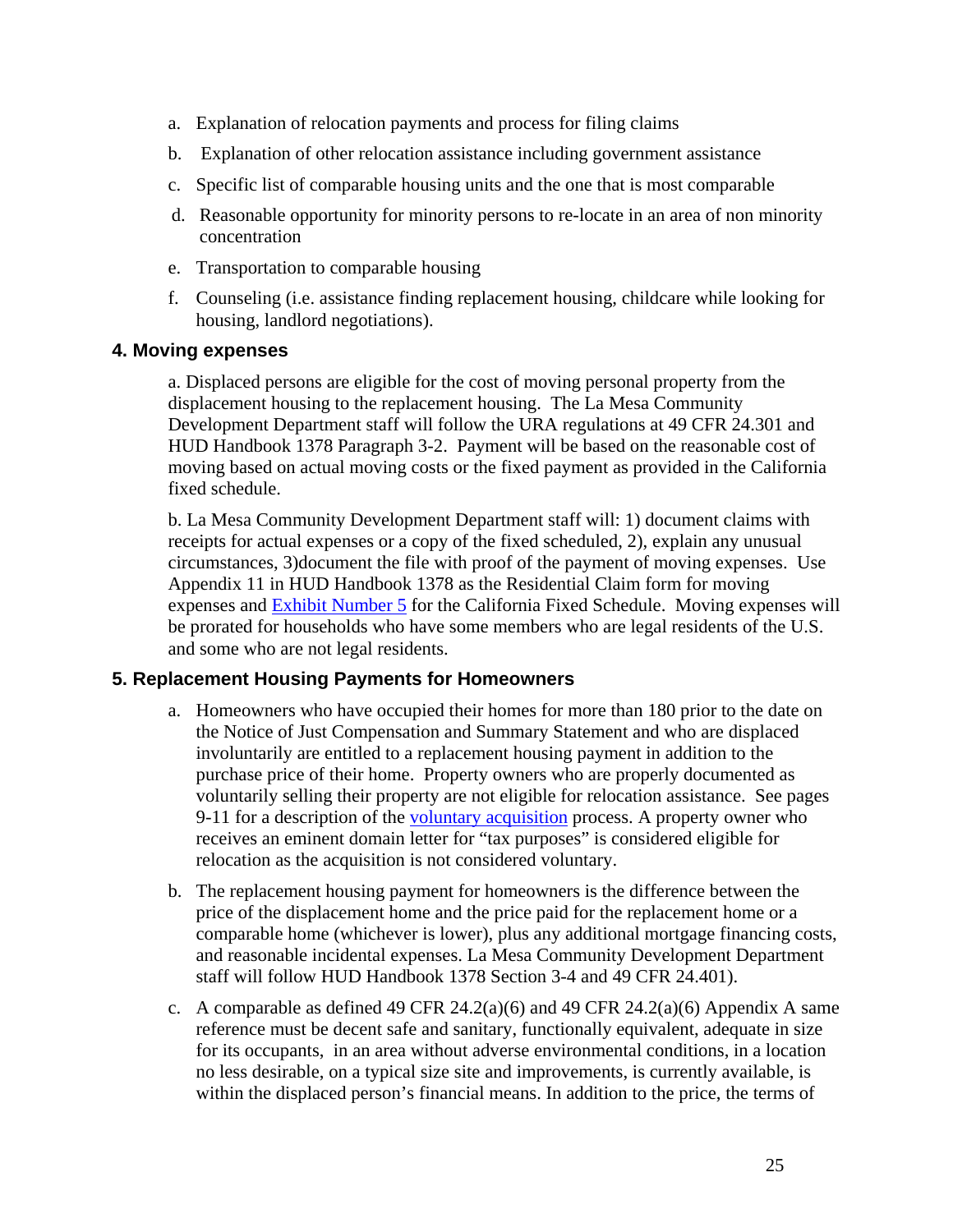- a. Explanation of relocation payments and process for filing claims
- b. Explanation of other relocation assistance including government assistance
- c. Specific list of comparable housing units and the one that is most comparable
- d. Reasonable opportunity for minority persons to re-locate in an area of non minority concentration
- e. Transportation to comparable housing
- f. Counseling (i.e. assistance finding replacement housing, childcare while looking for housing, landlord negotiations).

#### **4. Moving expenses**

a. Displaced persons are eligible for the cost of moving personal property from the displacement housing to the replacement housing. The La Mesa Community Development Department staff will follow the URA regulations at 49 CFR 24.301 and HUD Handbook 1378 Paragraph 3-2. Payment will be based on the reasonable cost of moving based on actual moving costs or the fixed payment as provided in the California fixed schedule.

b. La Mesa Community Development Department staff will: 1) document claims with receipts for actual expenses or a copy of the fixed scheduled, 2), explain any unusual circumstances, 3)document the file with proof of the payment of moving expenses. Use Appendix 11 in HUD Handbook 1378 as the Residential Claim form for moving expenses and Exhibit Number 5 for the California Fixed Schedule. Moving expenses will be prorated for households who have some members who are legal residents of the U.S. and some who are not legal residents.

#### **5. Replacement Housing Payments for Homeowners**

- a. Homeowners who have occupied their homes for more than 180 prior to the date on the Notice of Just Compensation and Summary Statement and who are displaced involuntarily are entitled to a replacement housing payment in addition to the purchase price of their home. Property owners who are properly documented as voluntarily selling their property are not eligible for relocation assistance. See pages 9-11 for a description of the voluntary acquisition process. A property owner who receives an eminent domain letter for "tax purposes" is considered eligible for relocation as the acquisition is not considered voluntary.
- b. The replacement housing payment for homeowners is the difference between the price of the displacement home and the price paid for the replacement home or a comparable home (whichever is lower), plus any additional mortgage financing costs, and reasonable incidental expenses. La Mesa Community Development Department staff will follow HUD Handbook 1378 Section 3-4 and 49 CFR 24.401).
- c. A comparable as defined 49 CFR  $24.2(a)(6)$  and 49 CFR  $24.2(a)(6)$  Appendix A same reference must be decent safe and sanitary, functionally equivalent, adequate in size for its occupants, in an area without adverse environmental conditions, in a location no less desirable, on a typical size site and improvements, is currently available, is within the displaced person's financial means. In addition to the price, the terms of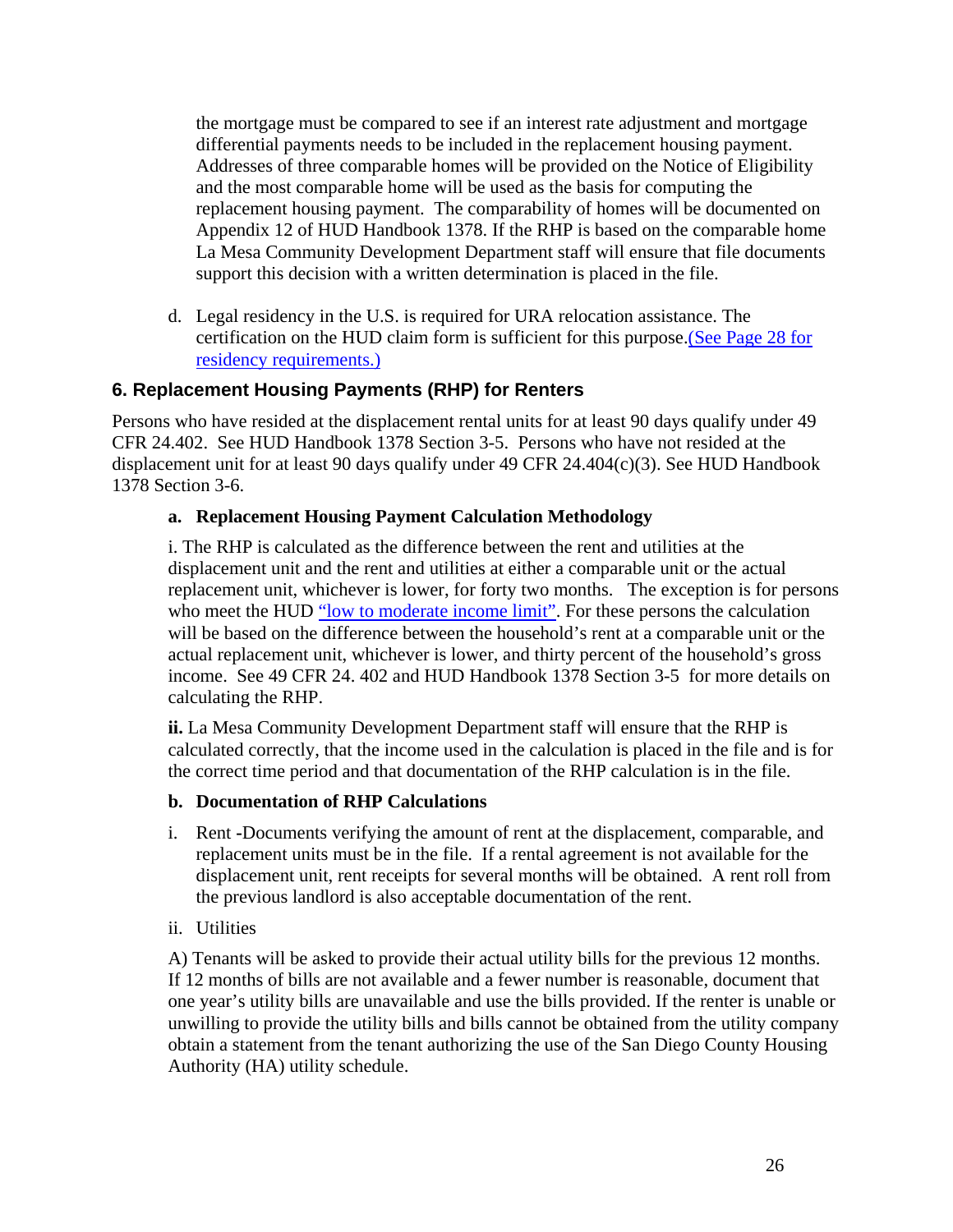the mortgage must be compared to see if an interest rate adjustment and mortgage differential payments needs to be included in the replacement housing payment. Addresses of three comparable homes will be provided on the Notice of Eligibility and the most comparable home will be used as the basis for computing the replacement housing payment. The comparability of homes will be documented on Appendix 12 of HUD Handbook 1378. If the RHP is based on the comparable home La Mesa Community Development Department staff will ensure that file documents support this decision with a written determination is placed in the file.

d. Legal residency in the U.S. is required for URA relocation assistance. The certification on the HUD claim form is sufficient for this purpose.(See Page 28 for residency requirements.)

## **6. Replacement Housing Payments (RHP) for Renters**

Persons who have resided at the displacement rental units for at least 90 days qualify under 49 CFR 24.402. See HUD Handbook 1378 Section 3-5. Persons who have not resided at the displacement unit for at least 90 days qualify under 49 CFR 24.404(c)(3). See HUD Handbook 1378 Section 3-6.

#### **a. Replacement Housing Payment Calculation Methodology**

i. The RHP is calculated as the difference between the rent and utilities at the displacement unit and the rent and utilities at either a comparable unit or the actual replacement unit, whichever is lower, for forty two months. The exception is for persons who meet the HUD "low to moderate income limit". For these persons the calculation will be based on the difference between the household's rent at a comparable unit or the actual replacement unit, whichever is lower, and thirty percent of the household's gross income. See 49 CFR 24. 402 and HUD Handbook 1378 Section 3-5 for more details on calculating the RHP.

**ii.** La Mesa Community Development Department staff will ensure that the RHP is calculated correctly, that the income used in the calculation is placed in the file and is for the correct time period and that documentation of the RHP calculation is in the file.

#### **b. Documentation of RHP Calculations**

- i. Rent **-**Documents verifying the amount of rent at the displacement, comparable, and replacement units must be in the file. If a rental agreement is not available for the displacement unit, rent receipts for several months will be obtained. A rent roll from the previous landlord is also acceptable documentation of the rent.
- ii. Utilities

A) Tenants will be asked to provide their actual utility bills for the previous 12 months. If 12 months of bills are not available and a fewer number is reasonable, document that one year's utility bills are unavailable and use the bills provided. If the renter is unable or unwilling to provide the utility bills and bills cannot be obtained from the utility company obtain a statement from the tenant authorizing the use of the San Diego County Housing Authority (HA) utility schedule.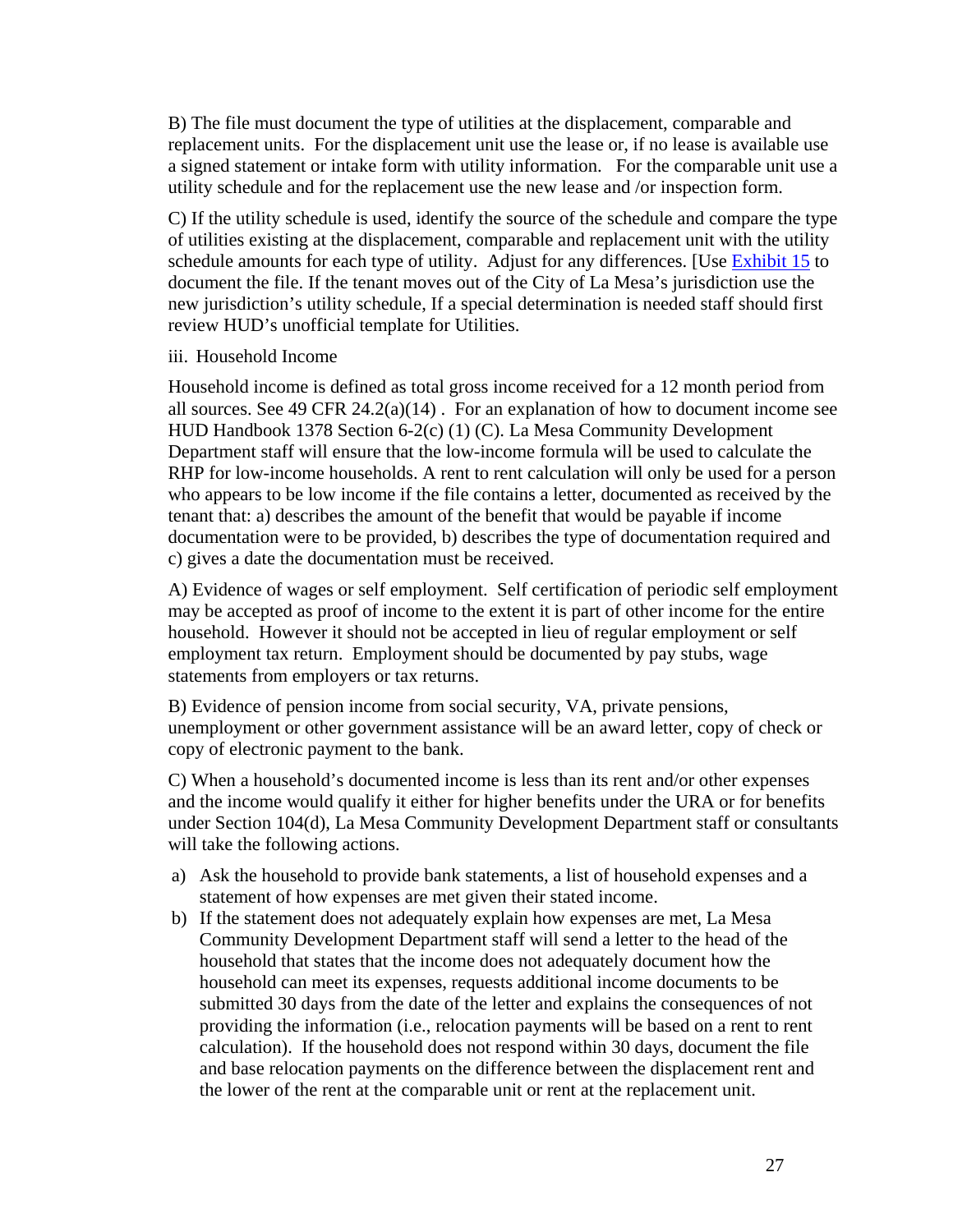B) The file must document the type of utilities at the displacement, comparable and replacement units. For the displacement unit use the lease or, if no lease is available use a signed statement or intake form with utility information. For the comparable unit use a utility schedule and for the replacement use the new lease and /or inspection form.

C) If the utility schedule is used, identify the source of the schedule and compare the type of utilities existing at the displacement, comparable and replacement unit with the utility schedule amounts for each type of utility. Adjust for any differences. [Use Exhibit 15 to document the file. If the tenant moves out of the City of La Mesa's jurisdiction use the new jurisdiction's utility schedule, If a special determination is needed staff should first review HUD's unofficial template for Utilities.

#### iii. Household Income

Household income is defined as total gross income received for a 12 month period from all sources. See 49 CFR  $24.2(a)(14)$ . For an explanation of how to document income see HUD Handbook 1378 Section 6-2(c) (1) (C). La Mesa Community Development Department staff will ensure that the low-income formula will be used to calculate the RHP for low-income households. A rent to rent calculation will only be used for a person who appears to be low income if the file contains a letter, documented as received by the tenant that: a) describes the amount of the benefit that would be payable if income documentation were to be provided, b) describes the type of documentation required and c) gives a date the documentation must be received.

A) Evidence of wages or self employment. Self certification of periodic self employment may be accepted as proof of income to the extent it is part of other income for the entire household. However it should not be accepted in lieu of regular employment or self employment tax return. Employment should be documented by pay stubs, wage statements from employers or tax returns.

B) Evidence of pension income from social security, VA, private pensions, unemployment or other government assistance will be an award letter, copy of check or copy of electronic payment to the bank.

C) When a household's documented income is less than its rent and/or other expenses and the income would qualify it either for higher benefits under the URA or for benefits under Section 104(d), La Mesa Community Development Department staff or consultants will take the following actions.

- a) Ask the household to provide bank statements, a list of household expenses and a statement of how expenses are met given their stated income.
- b) If the statement does not adequately explain how expenses are met, La Mesa Community Development Department staff will send a letter to the head of the household that states that the income does not adequately document how the household can meet its expenses, requests additional income documents to be submitted 30 days from the date of the letter and explains the consequences of not providing the information (i.e., relocation payments will be based on a rent to rent calculation). If the household does not respond within 30 days, document the file and base relocation payments on the difference between the displacement rent and the lower of the rent at the comparable unit or rent at the replacement unit.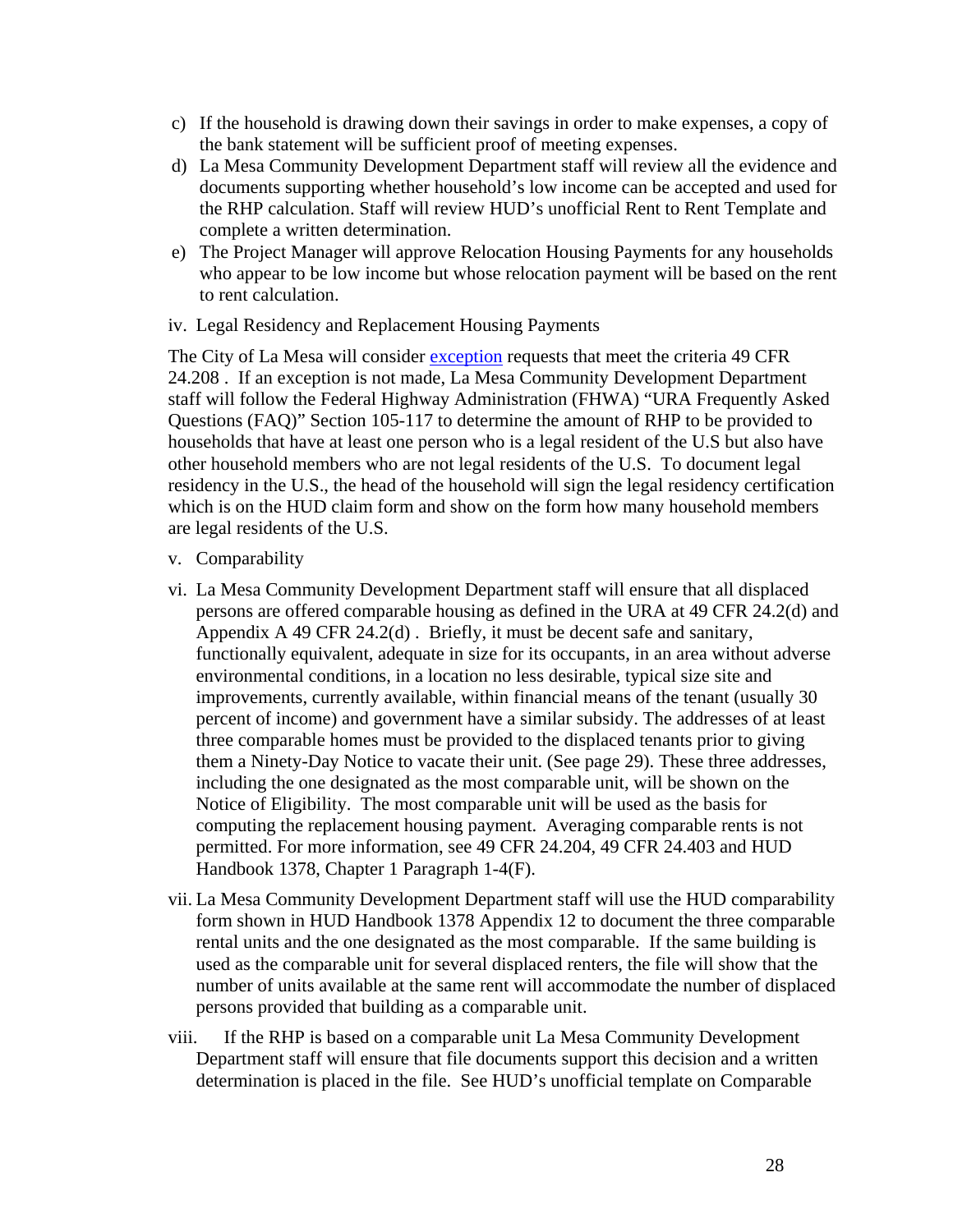- c) If the household is drawing down their savings in order to make expenses, a copy of the bank statement will be sufficient proof of meeting expenses.
- d) La Mesa Community Development Department staff will review all the evidence and documents supporting whether household's low income can be accepted and used for the RHP calculation. Staff will review HUD's unofficial Rent to Rent Template and complete a written determination.
- e) The Project Manager will approve Relocation Housing Payments for any households who appear to be low income but whose relocation payment will be based on the rent to rent calculation.
- iv. Legal Residency and Replacement Housing Payments

The City of La Mesa will consider exception requests that meet the criteria 49 CFR 24.208 . If an exception is not made, La Mesa Community Development Department staff will follow the Federal Highway Administration (FHWA) "URA Frequently Asked Questions (FAQ)" Section 105-117 to determine the amount of RHP to be provided to households that have at least one person who is a legal resident of the U.S but also have other household members who are not legal residents of the U.S. To document legal residency in the U.S., the head of the household will sign the legal residency certification which is on the HUD claim form and show on the form how many household members are legal residents of the U.S.

- v. Comparability
- vi. La Mesa Community Development Department staff will ensure that all displaced persons are offered comparable housing as defined in the URA at 49 CFR 24.2(d) and Appendix A 49 CFR 24.2(d) . Briefly, it must be decent safe and sanitary, functionally equivalent, adequate in size for its occupants, in an area without adverse environmental conditions, in a location no less desirable, typical size site and improvements, currently available, within financial means of the tenant (usually 30 percent of income) and government have a similar subsidy. The addresses of at least three comparable homes must be provided to the displaced tenants prior to giving them a Ninety-Day Notice to vacate their unit. (See page 29). These three addresses, including the one designated as the most comparable unit, will be shown on the Notice of Eligibility. The most comparable unit will be used as the basis for computing the replacement housing payment. Averaging comparable rents is not permitted. For more information, see 49 CFR 24.204, 49 CFR 24.403 and HUD Handbook 1378, Chapter 1 Paragraph 1-4(F).
- vii. La Mesa Community Development Department staff will use the HUD comparability form shown in HUD Handbook 1378 Appendix 12 to document the three comparable rental units and the one designated as the most comparable. If the same building is used as the comparable unit for several displaced renters, the file will show that the number of units available at the same rent will accommodate the number of displaced persons provided that building as a comparable unit.
- viii. If the RHP is based on a comparable unit La Mesa Community Development Department staff will ensure that file documents support this decision and a written determination is placed in the file. See HUD's unofficial template on Comparable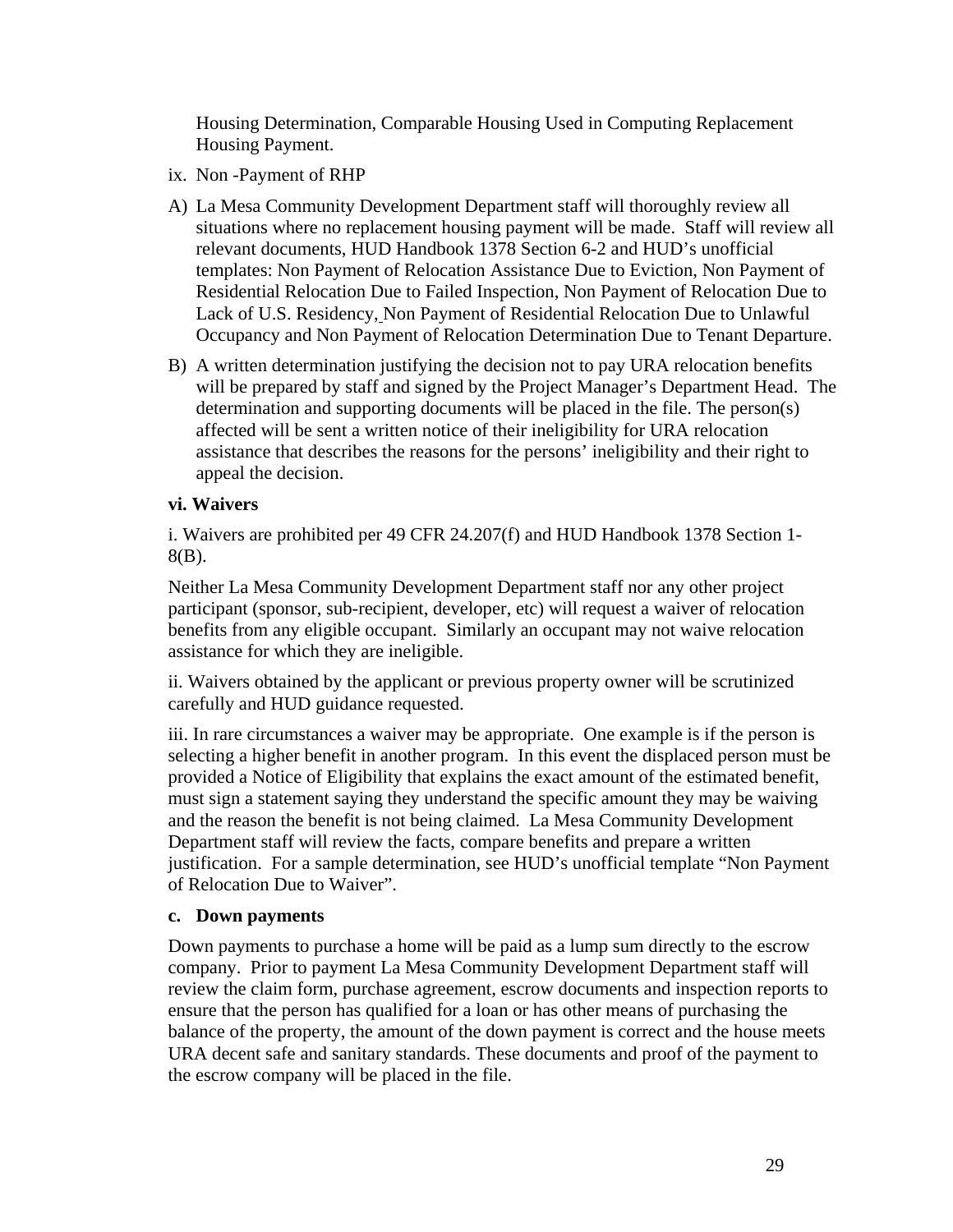Housing Determination, Comparable Housing Used in Computing Replacement Housing Payment.

- ix. Non -Payment of RHP
- A) La Mesa Community Development Department staff will thoroughly review all situations where no replacement housing payment will be made. Staff will review all relevant documents, HUD Handbook 1378 Section 6-2 and HUD's unofficial templates: Non Payment of Relocation Assistance Due to Eviction, Non Payment of Residential Relocation Due to Failed Inspection, Non Payment of Relocation Due to Lack of U.S. Residency, Non Payment of Residential Relocation Due to Unlawful Occupancy and Non Payment of Relocation Determination Due to Tenant Departure.
- B) A written determination justifying the decision not to pay URA relocation benefits will be prepared by staff and signed by the Project Manager's Department Head. The determination and supporting documents will be placed in the file. The person(s) affected will be sent a written notice of their ineligibility for URA relocation assistance that describes the reasons for the persons' ineligibility and their right to appeal the decision.

#### **vi. Waivers**

i. Waivers are prohibited per 49 CFR 24.207(f) and HUD Handbook 1378 Section 1- 8(B).

Neither La Mesa Community Development Department staff nor any other project participant (sponsor, sub-recipient, developer, etc) will request a waiver of relocation benefits from any eligible occupant. Similarly an occupant may not waive relocation assistance for which they are ineligible.

ii. Waivers obtained by the applicant or previous property owner will be scrutinized carefully and HUD guidance requested.

iii. In rare circumstances a waiver may be appropriate. One example is if the person is selecting a higher benefit in another program. In this event the displaced person must be provided a Notice of Eligibility that explains the exact amount of the estimated benefit, must sign a statement saying they understand the specific amount they may be waiving and the reason the benefit is not being claimed. La Mesa Community Development Department staff will review the facts, compare benefits and prepare a written justification. For a sample determination, see HUD's unofficial template "Non Payment of Relocation Due to Waiver".

#### **c. Down payments**

Down payments to purchase a home will be paid as a lump sum directly to the escrow company. Prior to payment La Mesa Community Development Department staff will review the claim form, purchase agreement, escrow documents and inspection reports to ensure that the person has qualified for a loan or has other means of purchasing the balance of the property, the amount of the down payment is correct and the house meets URA decent safe and sanitary standards. These documents and proof of the payment to the escrow company will be placed in the file.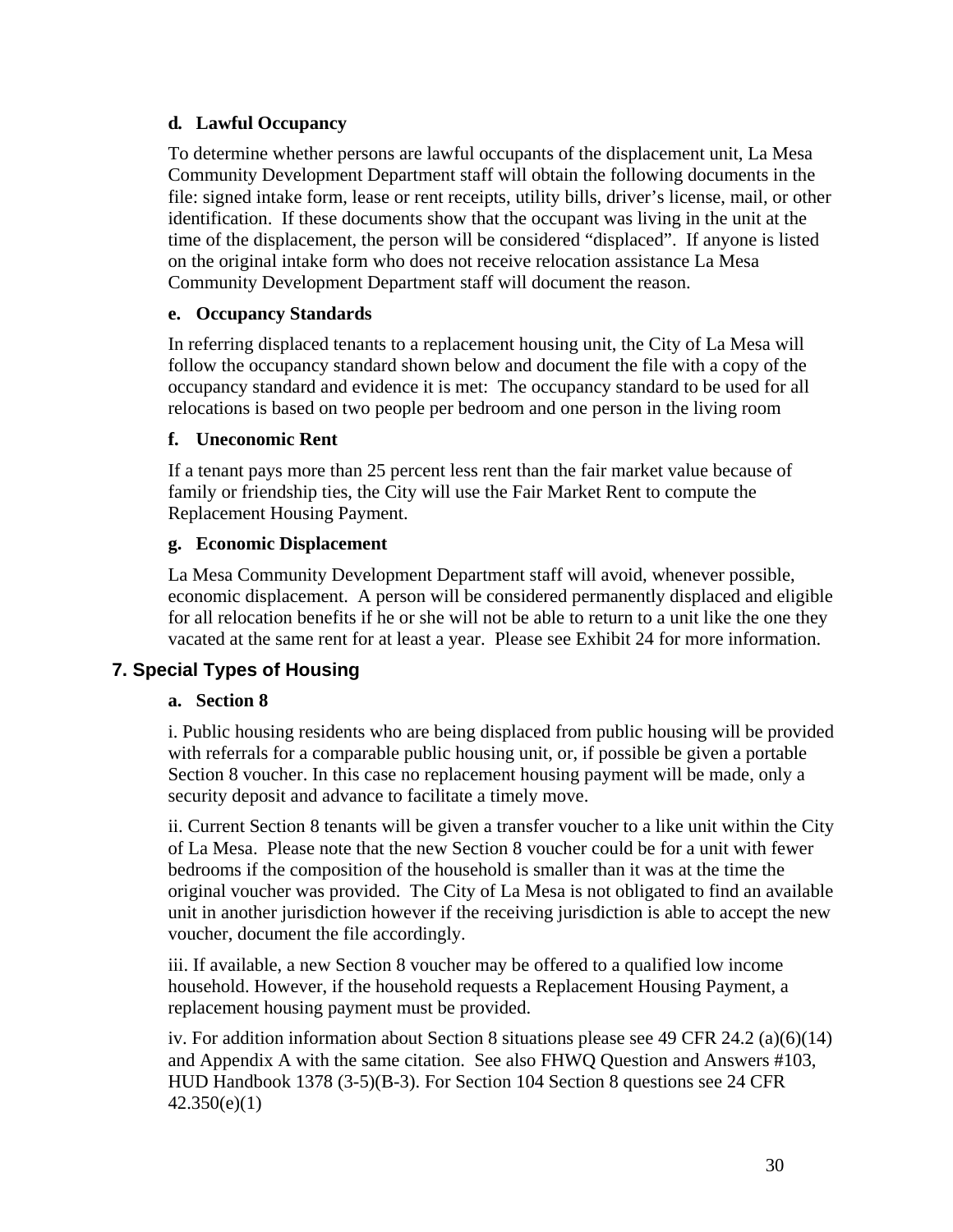#### **d***.* **Lawful Occupancy**

To determine whether persons are lawful occupants of the displacement unit, La Mesa Community Development Department staff will obtain the following documents in the file: signed intake form, lease or rent receipts, utility bills, driver's license, mail, or other identification. If these documents show that the occupant was living in the unit at the time of the displacement, the person will be considered "displaced". If anyone is listed on the original intake form who does not receive relocation assistance La Mesa Community Development Department staff will document the reason.

#### **e. Occupancy Standards**

In referring displaced tenants to a replacement housing unit, the City of La Mesa will follow the occupancy standard shown below and document the file with a copy of the occupancy standard and evidence it is met: The occupancy standard to be used for all relocations is based on two people per bedroom and one person in the living room

#### **f. Uneconomic Rent**

If a tenant pays more than 25 percent less rent than the fair market value because of family or friendship ties, the City will use the Fair Market Rent to compute the Replacement Housing Payment.

#### **g. Economic Displacement**

La Mesa Community Development Department staff will avoid, whenever possible, economic displacement. A person will be considered permanently displaced and eligible for all relocation benefits if he or she will not be able to return to a unit like the one they vacated at the same rent for at least a year. Please see Exhibit 24 for more information.

#### **7. Special Types of Housing**

#### **a. Section 8**

i. Public housing residents who are being displaced from public housing will be provided with referrals for a comparable public housing unit, or, if possible be given a portable Section 8 voucher. In this case no replacement housing payment will be made, only a security deposit and advance to facilitate a timely move.

ii. Current Section 8 tenants will be given a transfer voucher to a like unit within the City of La Mesa. Please note that the new Section 8 voucher could be for a unit with fewer bedrooms if the composition of the household is smaller than it was at the time the original voucher was provided. The City of La Mesa is not obligated to find an available unit in another jurisdiction however if the receiving jurisdiction is able to accept the new voucher, document the file accordingly.

iii. If available, a new Section 8 voucher may be offered to a qualified low income household. However, if the household requests a Replacement Housing Payment, a replacement housing payment must be provided.

iv. For addition information about Section 8 situations please see 49 CFR 24.2 (a)(6)(14) and Appendix A with the same citation. See also FHWQ Question and Answers #103, HUD Handbook 1378 (3-5)(B-3). For Section 104 Section 8 questions see 24 CFR 42.350(e)(1)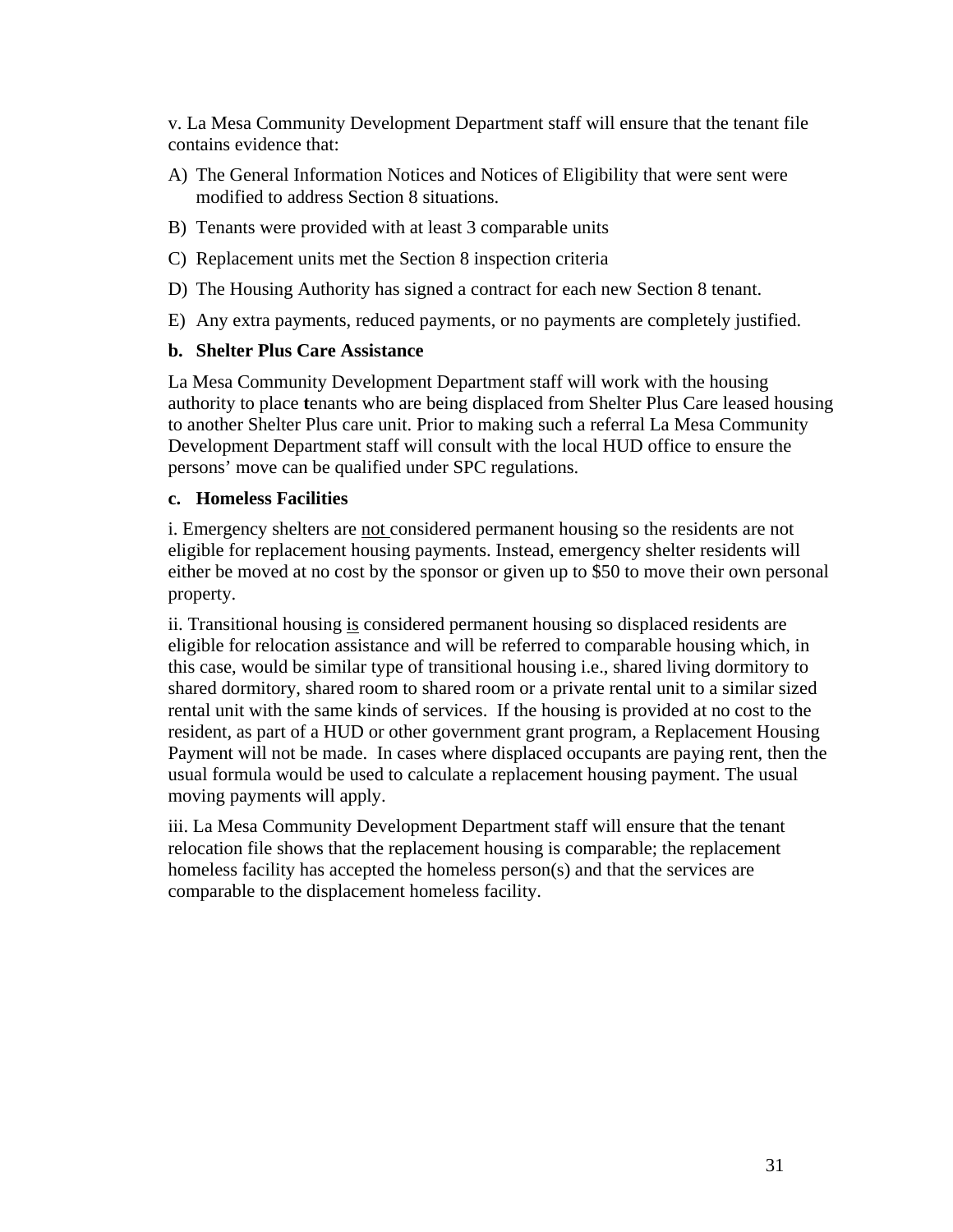v. La Mesa Community Development Department staff will ensure that the tenant file contains evidence that:

- A) The General Information Notices and Notices of Eligibility that were sent were modified to address Section 8 situations.
- B) Tenants were provided with at least 3 comparable units
- C) Replacement units met the Section 8 inspection criteria
- D) The Housing Authority has signed a contract for each new Section 8 tenant.
- E) Any extra payments, reduced payments, or no payments are completely justified.

#### **b. Shelter Plus Care Assistance**

La Mesa Community Development Department staff will work with the housing authority to place **t**enants who are being displaced from Shelter Plus Care leased housing to another Shelter Plus care unit. Prior to making such a referral La Mesa Community Development Department staff will consult with the local HUD office to ensure the persons' move can be qualified under SPC regulations.

#### **c. Homeless Facilities**

i. Emergency shelters are not considered permanent housing so the residents are not eligible for replacement housing payments. Instead, emergency shelter residents will either be moved at no cost by the sponsor or given up to \$50 to move their own personal property.

ii. Transitional housing is considered permanent housing so displaced residents are eligible for relocation assistance and will be referred to comparable housing which, in this case, would be similar type of transitional housing i.e., shared living dormitory to shared dormitory, shared room to shared room or a private rental unit to a similar sized rental unit with the same kinds of services. If the housing is provided at no cost to the resident, as part of a HUD or other government grant program, a Replacement Housing Payment will not be made. In cases where displaced occupants are paying rent, then the usual formula would be used to calculate a replacement housing payment. The usual moving payments will apply.

iii. La Mesa Community Development Department staff will ensure that the tenant relocation file shows that the replacement housing is comparable; the replacement homeless facility has accepted the homeless person(s) and that the services are comparable to the displacement homeless facility.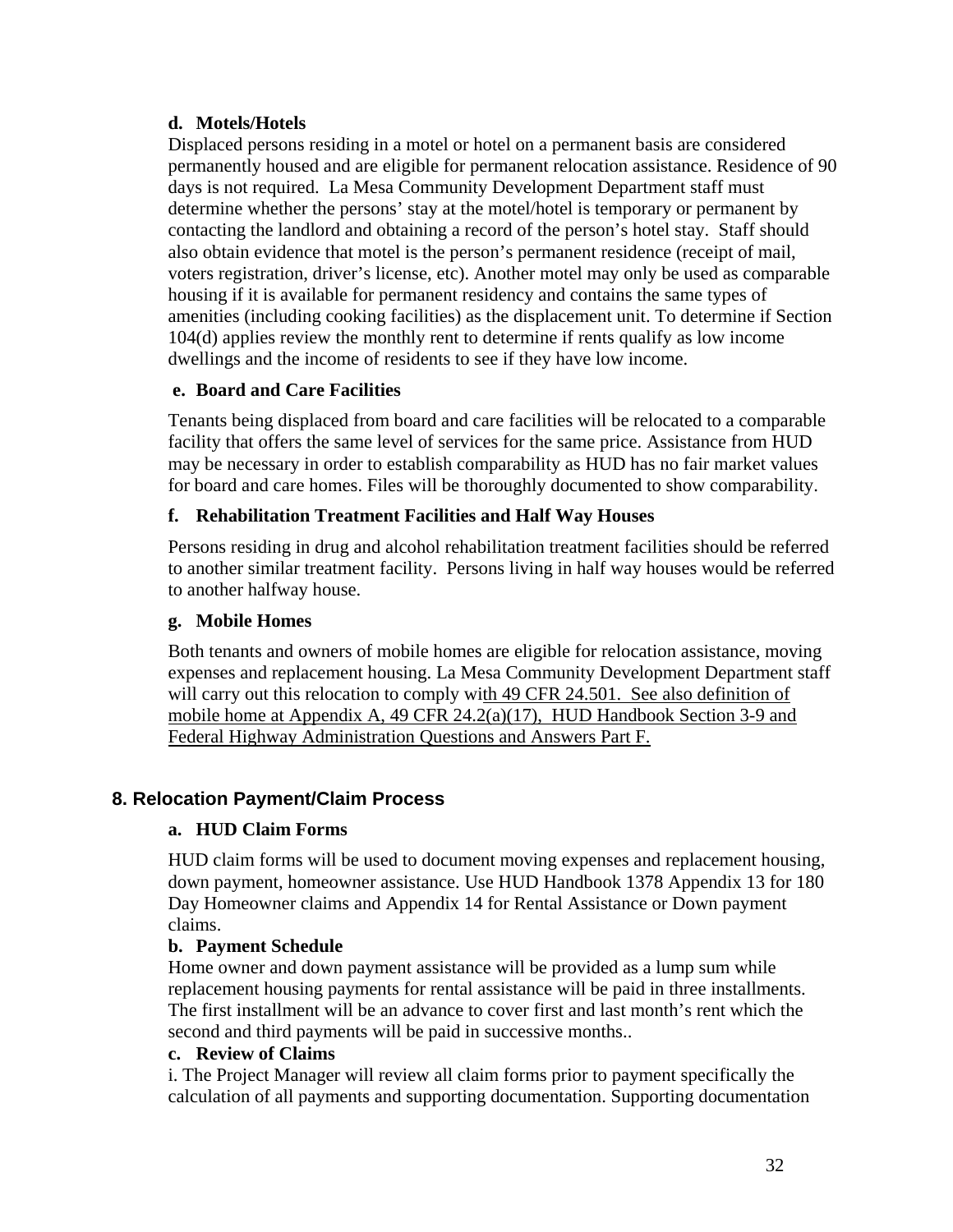#### **d. Motels/Hotels**

Displaced persons residing in a motel or hotel on a permanent basis are considered permanently housed and are eligible for permanent relocation assistance. Residence of 90 days is not required. La Mesa Community Development Department staff must determine whether the persons' stay at the motel/hotel is temporary or permanent by contacting the landlord and obtaining a record of the person's hotel stay. Staff should also obtain evidence that motel is the person's permanent residence (receipt of mail, voters registration, driver's license, etc). Another motel may only be used as comparable housing if it is available for permanent residency and contains the same types of amenities (including cooking facilities) as the displacement unit. To determine if Section 104(d) applies review the monthly rent to determine if rents qualify as low income dwellings and the income of residents to see if they have low income.

#### **e. Board and Care Facilities**

Tenants being displaced from board and care facilities will be relocated to a comparable facility that offers the same level of services for the same price. Assistance from HUD may be necessary in order to establish comparability as HUD has no fair market values for board and care homes. Files will be thoroughly documented to show comparability.

#### **f. Rehabilitation Treatment Facilities and Half Way Houses**

Persons residing in drug and alcohol rehabilitation treatment facilities should be referred to another similar treatment facility. Persons living in half way houses would be referred to another halfway house.

#### **g. Mobile Homes**

Both tenants and owners of mobile homes are eligible for relocation assistance, moving expenses and replacement housing. La Mesa Community Development Department staff will carry out this relocation to comply with 49 CFR 24.501. See also definition of mobile home at Appendix A, 49 CFR 24.2(a)(17), HUD Handbook Section 3-9 and Federal Highway Administration Questions and Answers Part F.

#### **8. Relocation Payment/Claim Process**

#### **a. HUD Claim Forms**

HUD claim forms will be used to document moving expenses and replacement housing, down payment, homeowner assistance. Use HUD Handbook 1378 Appendix 13 for 180 Day Homeowner claims and Appendix 14 for Rental Assistance or Down payment claims.

#### **b. Payment Schedule**

Home owner and down payment assistance will be provided as a lump sum while replacement housing payments for rental assistance will be paid in three installments. The first installment will be an advance to cover first and last month's rent which the second and third payments will be paid in successive months..

#### **c. Review of Claims**

i. The Project Manager will review all claim forms prior to payment specifically the calculation of all payments and supporting documentation. Supporting documentation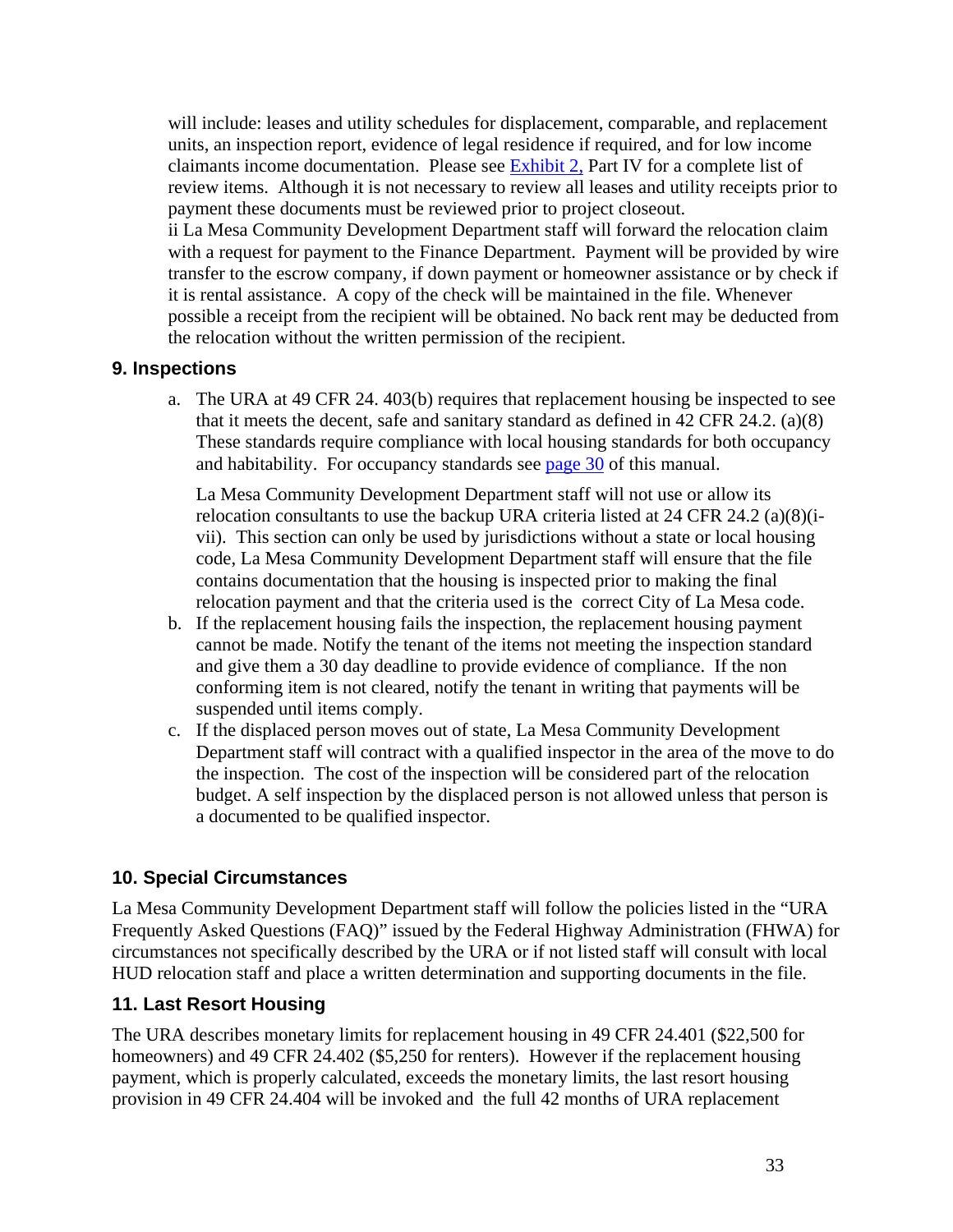will include: leases and utility schedules for displacement, comparable, and replacement units, an inspection report, evidence of legal residence if required, and for low income claimants income documentation. Please see Exhibit 2, Part IV for a complete list of review items. Although it is not necessary to review all leases and utility receipts prior to payment these documents must be reviewed prior to project closeout.

ii La Mesa Community Development Department staff will forward the relocation claim with a request for payment to the Finance Department. Payment will be provided by wire transfer to the escrow company, if down payment or homeowner assistance or by check if it is rental assistance. A copy of the check will be maintained in the file. Whenever possible a receipt from the recipient will be obtained. No back rent may be deducted from the relocation without the written permission of the recipient.

#### **9. Inspections**

a. The URA at 49 CFR 24. 403(b) requires that replacement housing be inspected to see that it meets the decent, safe and sanitary standard as defined in 42 CFR 24.2. (a)(8) These standards require compliance with local housing standards for both occupancy and habitability. For occupancy standards see page 30 of this manual.

La Mesa Community Development Department staff will not use or allow its relocation consultants to use the backup URA criteria listed at 24 CFR 24.2 (a)(8)(ivii). This section can only be used by jurisdictions without a state or local housing code, La Mesa Community Development Department staff will ensure that the file contains documentation that the housing is inspected prior to making the final relocation payment and that the criteria used is the correct City of La Mesa code.

- b. If the replacement housing fails the inspection, the replacement housing payment cannot be made. Notify the tenant of the items not meeting the inspection standard and give them a 30 day deadline to provide evidence of compliance. If the non conforming item is not cleared, notify the tenant in writing that payments will be suspended until items comply.
- c. If the displaced person moves out of state, La Mesa Community Development Department staff will contract with a qualified inspector in the area of the move to do the inspection. The cost of the inspection will be considered part of the relocation budget. A self inspection by the displaced person is not allowed unless that person is a documented to be qualified inspector.

## **10. Special Circumstances**

La Mesa Community Development Department staff will follow the policies listed in the "URA Frequently Asked Questions (FAQ)" issued by the Federal Highway Administration (FHWA) for circumstances not specifically described by the URA or if not listed staff will consult with local HUD relocation staff and place a written determination and supporting documents in the file.

## **11. Last Resort Housing**

The URA describes monetary limits for replacement housing in 49 CFR 24.401 (\$22,500 for homeowners) and 49 CFR 24.402 (\$5,250 for renters). However if the replacement housing payment, which is properly calculated, exceeds the monetary limits, the last resort housing provision in 49 CFR 24.404 will be invoked and the full 42 months of URA replacement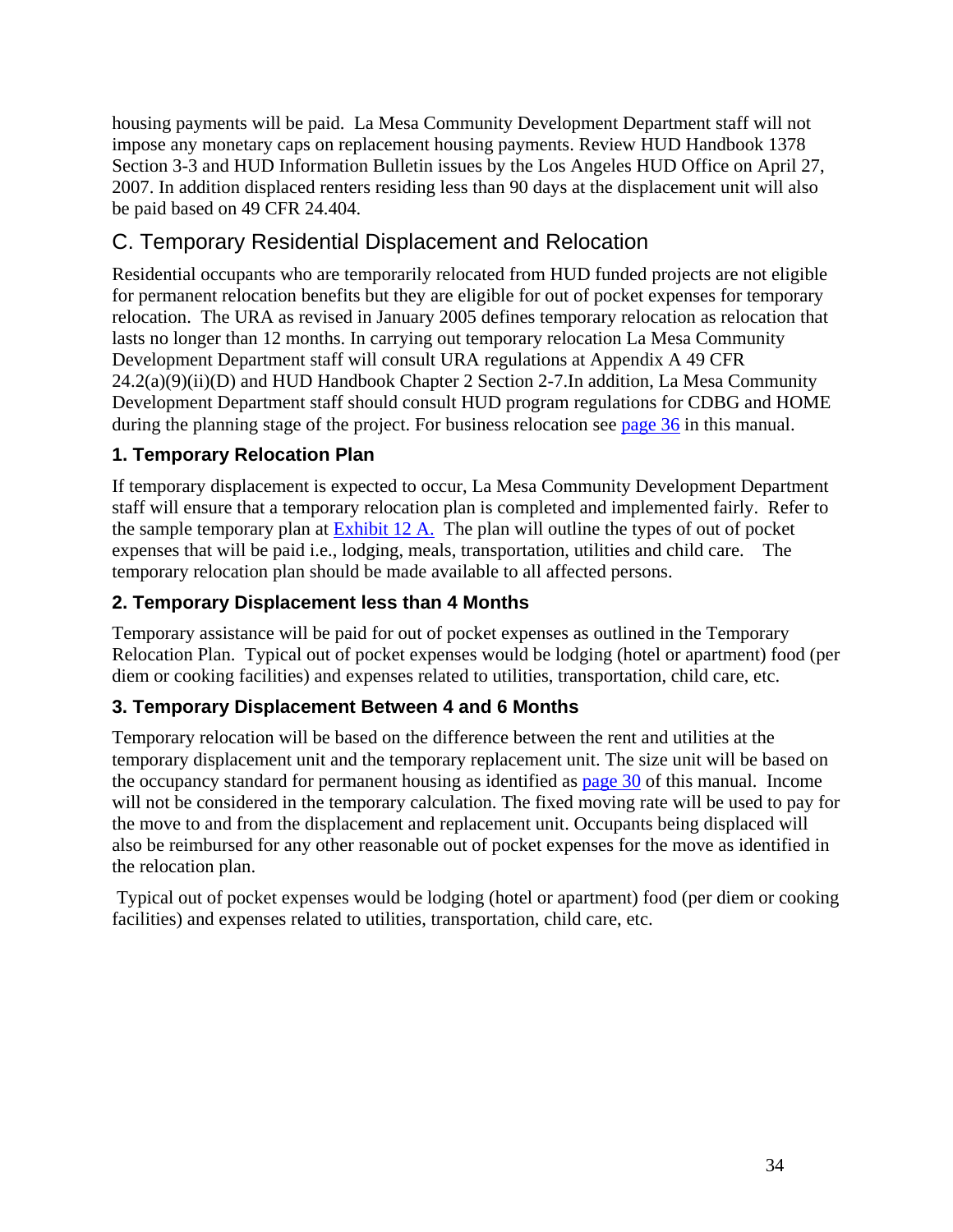housing payments will be paid. La Mesa Community Development Department staff will not impose any monetary caps on replacement housing payments. Review HUD Handbook 1378 Section 3-3 and HUD Information Bulletin issues by the Los Angeles HUD Office on April 27, 2007. In addition displaced renters residing less than 90 days at the displacement unit will also be paid based on 49 CFR 24.404.

# C. Temporary Residential Displacement and Relocation

Residential occupants who are temporarily relocated from HUD funded projects are not eligible for permanent relocation benefits but they are eligible for out of pocket expenses for temporary relocation. The URA as revised in January 2005 defines temporary relocation as relocation that lasts no longer than 12 months. In carrying out temporary relocation La Mesa Community Development Department staff will consult URA regulations at Appendix A 49 CFR 24.2(a)(9)(ii)(D) and HUD Handbook Chapter 2 Section 2-7.In addition, La Mesa Community Development Department staff should consult HUD program regulations for CDBG and HOME during the planning stage of the project. For business relocation see page 36 in this manual.

## **1. Temporary Relocation Plan**

If temporary displacement is expected to occur, La Mesa Community Development Department staff will ensure that a temporary relocation plan is completed and implemented fairly. Refer to the sample temporary plan at Exhibit 12 A. The plan will outline the types of out of pocket expenses that will be paid i.e., lodging, meals, transportation, utilities and child care. The temporary relocation plan should be made available to all affected persons.

## **2. Temporary Displacement less than 4 Months**

Temporary assistance will be paid for out of pocket expenses as outlined in the Temporary Relocation Plan. Typical out of pocket expenses would be lodging (hotel or apartment) food (per diem or cooking facilities) and expenses related to utilities, transportation, child care, etc.

## **3. Temporary Displacement Between 4 and 6 Months**

Temporary relocation will be based on the difference between the rent and utilities at the temporary displacement unit and the temporary replacement unit. The size unit will be based on the occupancy standard for permanent housing as identified as page 30 of this manual. Income will not be considered in the temporary calculation. The fixed moving rate will be used to pay for the move to and from the displacement and replacement unit. Occupants being displaced will also be reimbursed for any other reasonable out of pocket expenses for the move as identified in the relocation plan.

 Typical out of pocket expenses would be lodging (hotel or apartment) food (per diem or cooking facilities) and expenses related to utilities, transportation, child care, etc.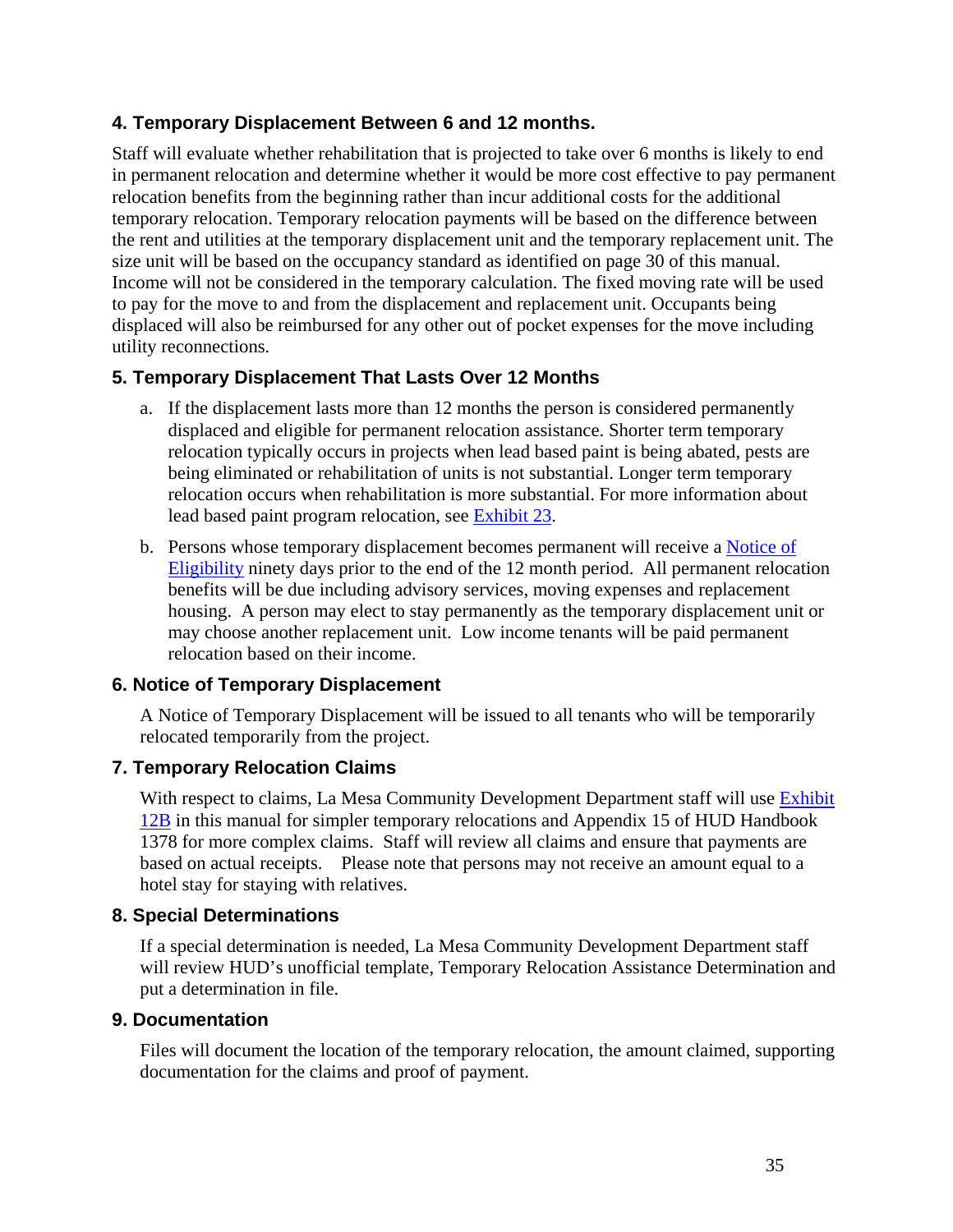### **4. Temporary Displacement Between 6 and 12 months.**

Staff will evaluate whether rehabilitation that is projected to take over 6 months is likely to end in permanent relocation and determine whether it would be more cost effective to pay permanent relocation benefits from the beginning rather than incur additional costs for the additional temporary relocation. Temporary relocation payments will be based on the difference between the rent and utilities at the temporary displacement unit and the temporary replacement unit. The size unit will be based on the occupancy standard as identified on page 30 of this manual. Income will not be considered in the temporary calculation. The fixed moving rate will be used to pay for the move to and from the displacement and replacement unit. Occupants being displaced will also be reimbursed for any other out of pocket expenses for the move including utility reconnections.

#### **5. Temporary Displacement That Lasts Over 12 Months**

- a. If the displacement lasts more than 12 months the person is considered permanently displaced and eligible for permanent relocation assistance. Shorter term temporary relocation typically occurs in projects when lead based paint is being abated, pests are being eliminated or rehabilitation of units is not substantial. Longer term temporary relocation occurs when rehabilitation is more substantial. For more information about lead based paint program relocation, see Exhibit 23.
- b. Persons whose temporary displacement becomes permanent will receive a Notice of Eligibility ninety days prior to the end of the 12 month period. All permanent relocation benefits will be due including advisory services, moving expenses and replacement housing. A person may elect to stay permanently as the temporary displacement unit or may choose another replacement unit. Low income tenants will be paid permanent relocation based on their income.

#### **6. Notice of Temporary Displacement**

A Notice of Temporary Displacement will be issued to all tenants who will be temporarily relocated temporarily from the project.

#### **7. Temporary Relocation Claims**

With respect to claims, La Mesa Community Development Department staff will use Exhibit 12B in this manual for simpler temporary relocations and Appendix 15 of HUD Handbook 1378 for more complex claims. Staff will review all claims and ensure that payments are based on actual receipts. Please note that persons may not receive an amount equal to a hotel stay for staying with relatives.

#### **8. Special Determinations**

If a special determination is needed, La Mesa Community Development Department staff will review HUD's unofficial template, Temporary Relocation Assistance Determination and put a determination in file.

#### **9. Documentation**

Files will document the location of the temporary relocation, the amount claimed, supporting documentation for the claims and proof of payment.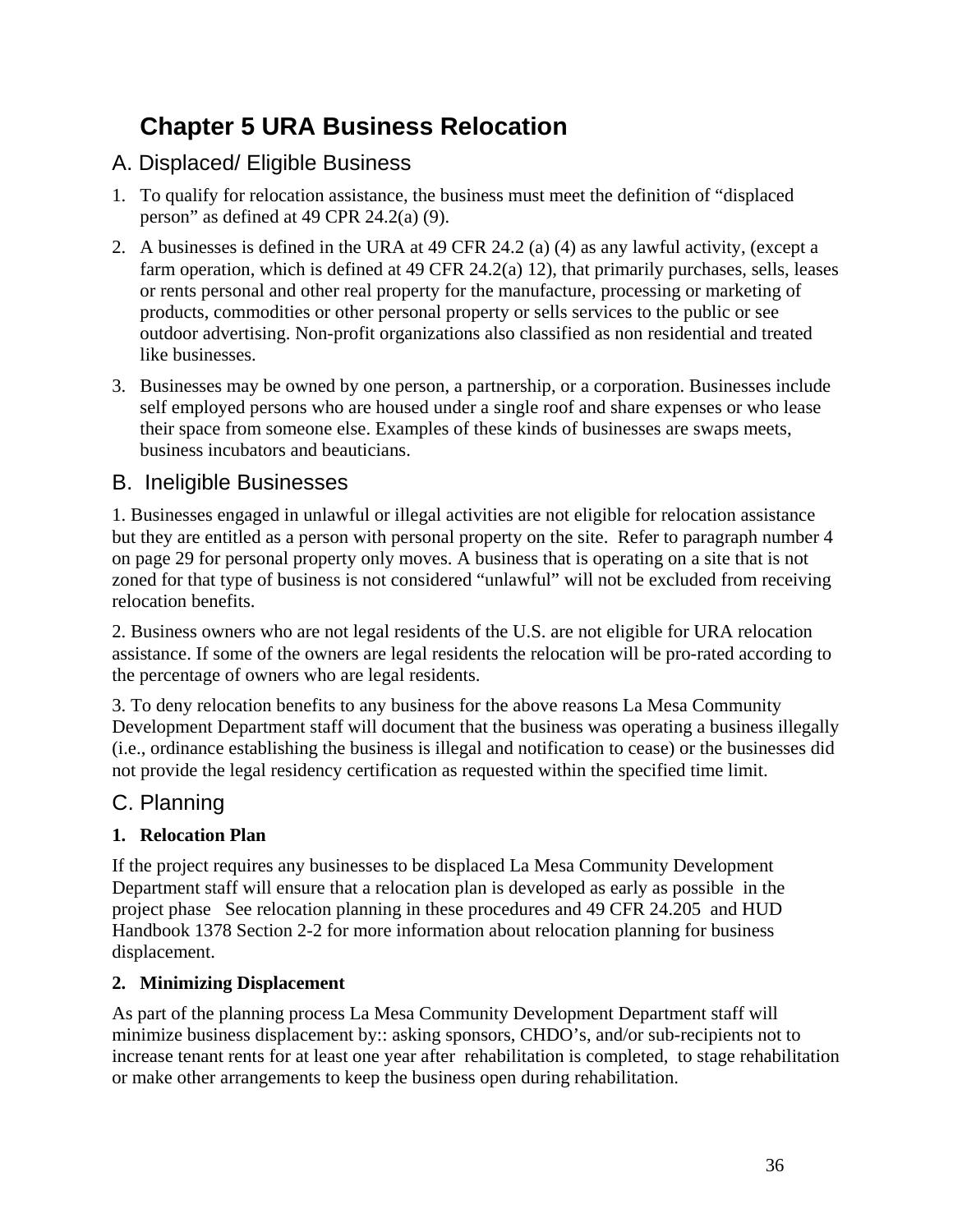# **Chapter 5 URA Business Relocation**

# A. Displaced/ Eligible Business

- 1. To qualify for relocation assistance, the business must meet the definition of "displaced person" as defined at 49 CPR 24.2(a) (9).
- 2. A businesses is defined in the URA at 49 CFR 24.2 (a) (4) as any lawful activity, (except a farm operation, which is defined at 49 CFR 24.2(a) 12), that primarily purchases, sells, leases or rents personal and other real property for the manufacture, processing or marketing of products, commodities or other personal property or sells services to the public or see outdoor advertising. Non-profit organizations also classified as non residential and treated like businesses.
- 3. Businesses may be owned by one person, a partnership, or a corporation. Businesses include self employed persons who are housed under a single roof and share expenses or who lease their space from someone else. Examples of these kinds of businesses are swaps meets, business incubators and beauticians.

# B. Ineligible Businesses

1. Businesses engaged in unlawful or illegal activities are not eligible for relocation assistance but they are entitled as a person with personal property on the site. Refer to paragraph number 4 on page 29 for personal property only moves. A business that is operating on a site that is not zoned for that type of business is not considered "unlawful" will not be excluded from receiving relocation benefits.

2. Business owners who are not legal residents of the U.S. are not eligible for URA relocation assistance. If some of the owners are legal residents the relocation will be pro-rated according to the percentage of owners who are legal residents.

3. To deny relocation benefits to any business for the above reasons La Mesa Community Development Department staff will document that the business was operating a business illegally (i.e., ordinance establishing the business is illegal and notification to cease) or the businesses did not provide the legal residency certification as requested within the specified time limit.

# C. Planning

## **1. Relocation Plan**

If the project requires any businesses to be displaced La Mesa Community Development Department staff will ensure that a relocation plan is developed as early as possible in the project phase See relocation planning in these procedures and 49 CFR 24.205 and HUD Handbook 1378 Section 2-2 for more information about relocation planning for business displacement.

## **2. Minimizing Displacement**

As part of the planning process La Mesa Community Development Department staff will minimize business displacement by:: asking sponsors, CHDO's, and/or sub-recipients not to increase tenant rents for at least one year after rehabilitation is completed, to stage rehabilitation or make other arrangements to keep the business open during rehabilitation.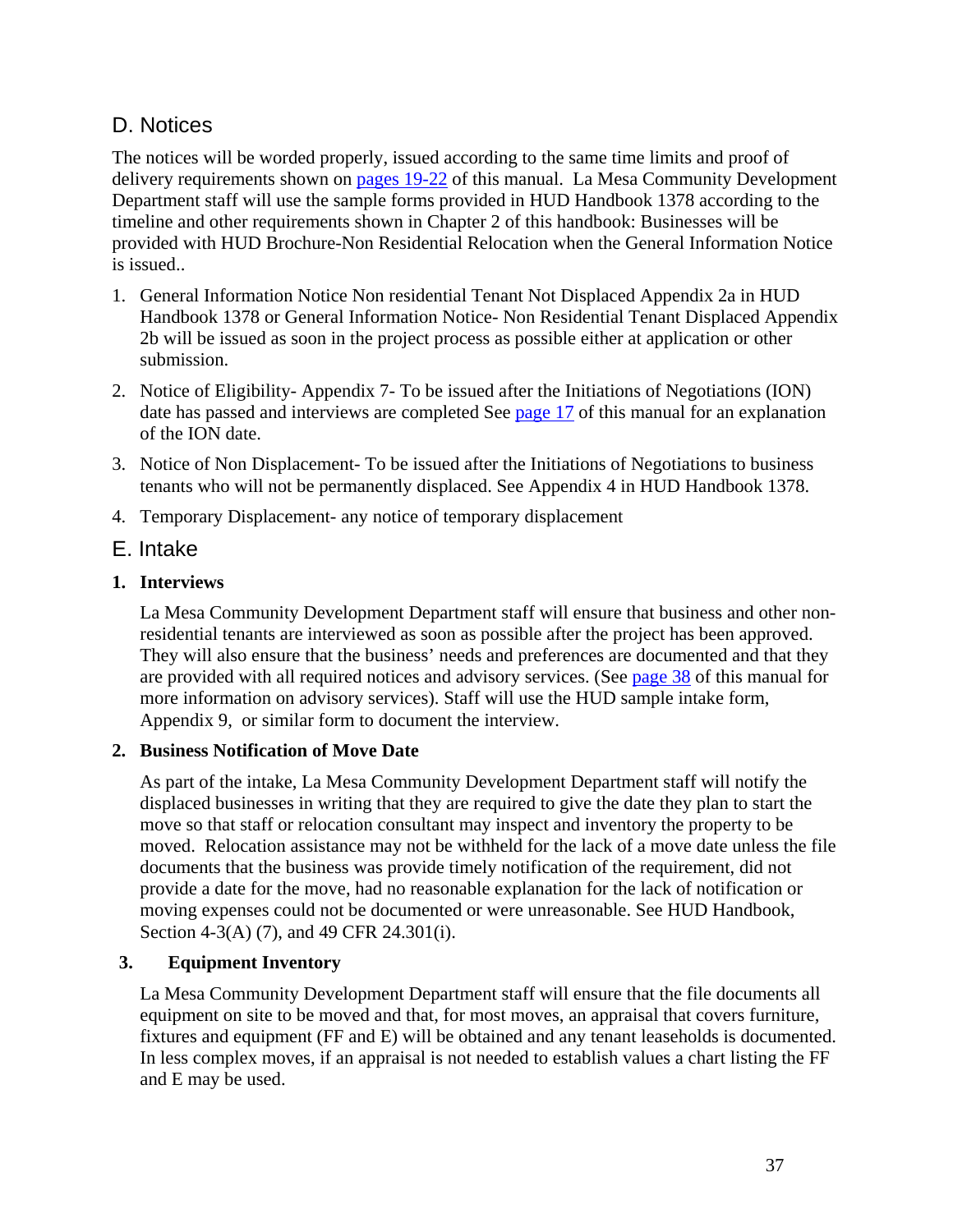# D. Notices

The notices will be worded properly, issued according to the same time limits and proof of delivery requirements shown on pages 19-22 of this manual. La Mesa Community Development Department staff will use the sample forms provided in HUD Handbook 1378 according to the timeline and other requirements shown in Chapter 2 of this handbook: Businesses will be provided with HUD Brochure-Non Residential Relocation when the General Information Notice is issued..

- 1. General Information Notice Non residential Tenant Not Displaced Appendix 2a in HUD Handbook 1378 or General Information Notice- Non Residential Tenant Displaced Appendix 2b will be issued as soon in the project process as possible either at application or other submission.
- 2. Notice of Eligibility- Appendix 7- To be issued after the Initiations of Negotiations (ION) date has passed and interviews are completed See page 17 of this manual for an explanation of the ION date.
- 3. Notice of Non Displacement- To be issued after the Initiations of Negotiations to business tenants who will not be permanently displaced. See Appendix 4 in HUD Handbook 1378.
- 4. Temporary Displacement- any notice of temporary displacement

# E. Intake

## **1. Interviews**

La Mesa Community Development Department staff will ensure that business and other nonresidential tenants are interviewed as soon as possible after the project has been approved. They will also ensure that the business' needs and preferences are documented and that they are provided with all required notices and advisory services. (See page 38 of this manual for more information on advisory services). Staff will use the HUD sample intake form, Appendix 9, or similar form to document the interview.

## **2. Business Notification of Move Date**

As part of the intake, La Mesa Community Development Department staff will notify the displaced businesses in writing that they are required to give the date they plan to start the move so that staff or relocation consultant may inspect and inventory the property to be moved. Relocation assistance may not be withheld for the lack of a move date unless the file documents that the business was provide timely notification of the requirement, did not provide a date for the move, had no reasonable explanation for the lack of notification or moving expenses could not be documented or were unreasonable. See HUD Handbook, Section 4-3(A) (7), and 49 CFR 24.301(i).

## **3. Equipment Inventory**

La Mesa Community Development Department staff will ensure that the file documents all equipment on site to be moved and that, for most moves, an appraisal that covers furniture, fixtures and equipment (FF and E) will be obtained and any tenant leaseholds is documented. In less complex moves, if an appraisal is not needed to establish values a chart listing the FF and E may be used.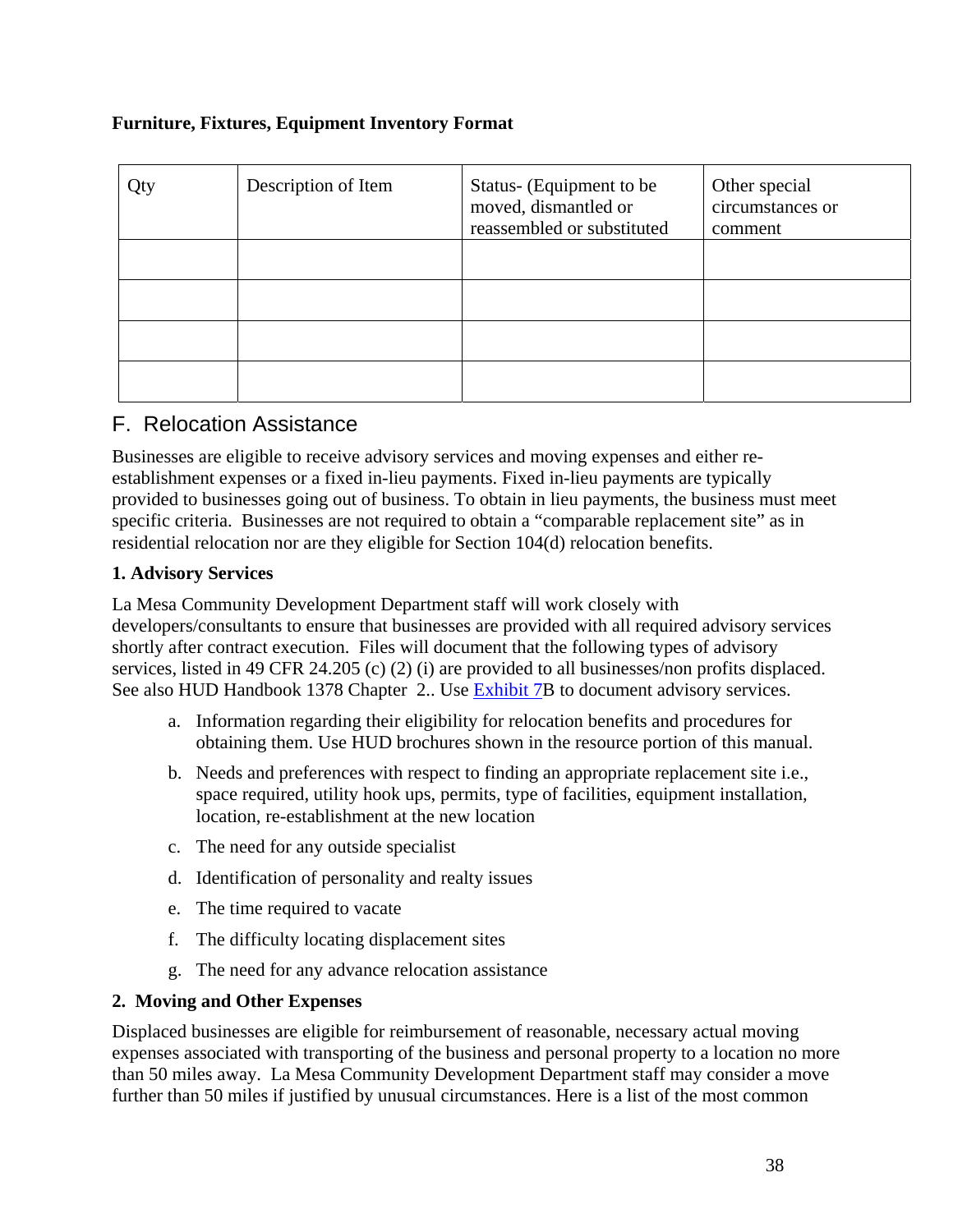### **Furniture, Fixtures, Equipment Inventory Format**

| Qty | Description of Item | Status- (Equipment to be<br>moved, dismantled or<br>reassembled or substituted | Other special<br>circumstances or<br>comment |
|-----|---------------------|--------------------------------------------------------------------------------|----------------------------------------------|
|     |                     |                                                                                |                                              |
|     |                     |                                                                                |                                              |
|     |                     |                                                                                |                                              |
|     |                     |                                                                                |                                              |

## F. Relocation Assistance

Businesses are eligible to receive advisory services and moving expenses and either reestablishment expenses or a fixed in-lieu payments. Fixed in-lieu payments are typically provided to businesses going out of business. To obtain in lieu payments, the business must meet specific criteria. Businesses are not required to obtain a "comparable replacement site" as in residential relocation nor are they eligible for Section 104(d) relocation benefits.

#### **1. Advisory Services**

La Mesa Community Development Department staff will work closely with developers/consultants to ensure that businesses are provided with all required advisory services shortly after contract execution. Files will document that the following types of advisory services, listed in 49 CFR 24.205 (c) (2) (i) are provided to all businesses/non profits displaced. See also HUD Handbook 1378 Chapter 2.. Use Exhibit 7B to document advisory services.

- a. Information regarding their eligibility for relocation benefits and procedures for obtaining them. Use HUD brochures shown in the resource portion of this manual.
- b. Needs and preferences with respect to finding an appropriate replacement site i.e., space required, utility hook ups, permits, type of facilities, equipment installation, location, re-establishment at the new location
- c. The need for any outside specialist
- d. Identification of personality and realty issues
- e. The time required to vacate
- f. The difficulty locating displacement sites
- g. The need for any advance relocation assistance

#### **2. Moving and Other Expenses**

Displaced businesses are eligible for reimbursement of reasonable, necessary actual moving expenses associated with transporting of the business and personal property to a location no more than 50 miles away. La Mesa Community Development Department staff may consider a move further than 50 miles if justified by unusual circumstances. Here is a list of the most common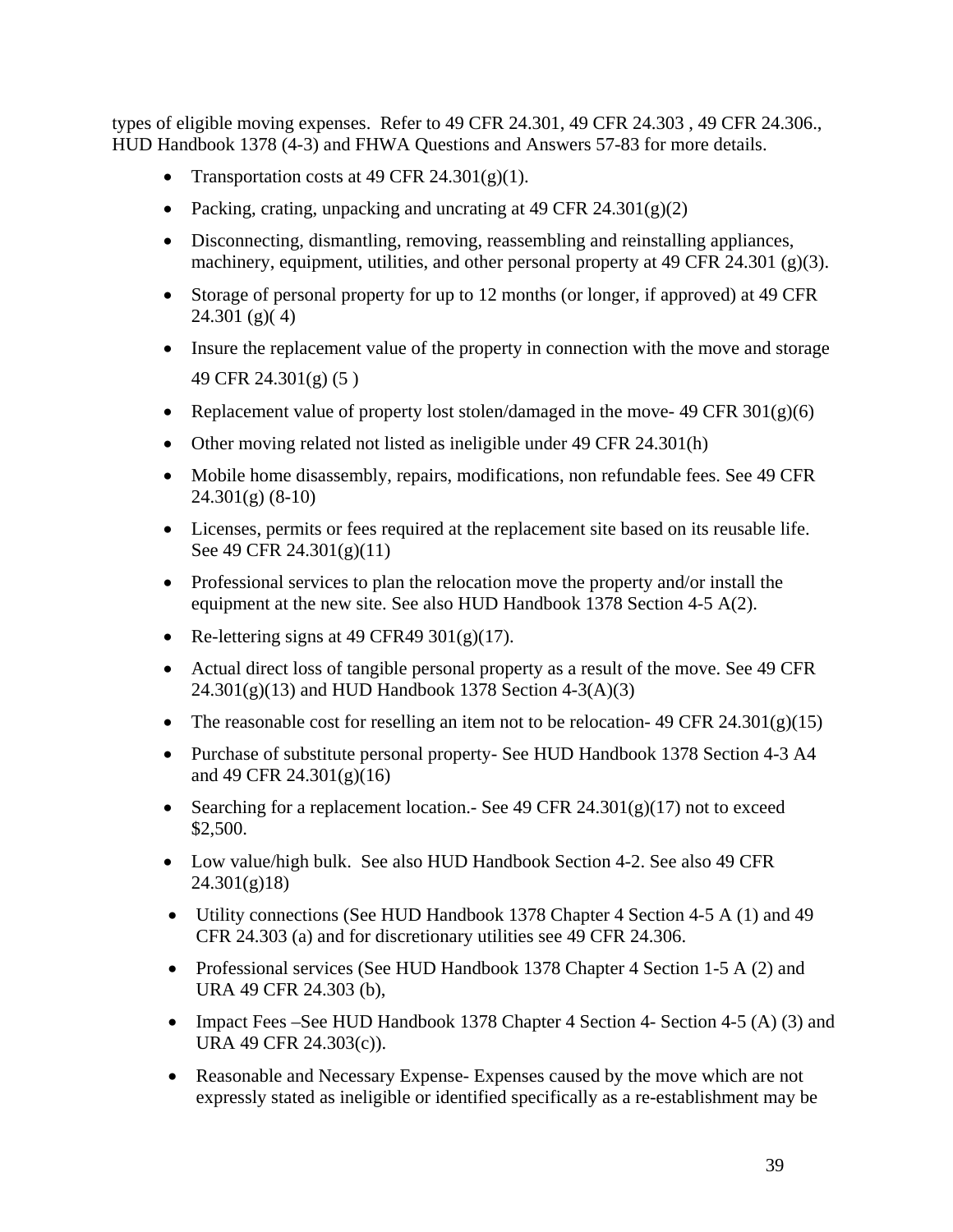types of eligible moving expenses. Refer to 49 CFR 24.301, 49 CFR 24.303 , 49 CFR 24.306., HUD Handbook 1378 (4-3) and FHWA Questions and Answers 57-83 for more details.

- Transportation costs at 49 CFR 24.301 $(g)(1)$ .
- Packing, crating, unpacking and uncrating at 49 CFR  $24.301(g)(2)$
- Disconnecting, dismantling, removing, reassembling and reinstalling appliances, machinery, equipment, utilities, and other personal property at 49 CFR 24.301 (g)(3).
- Storage of personal property for up to 12 months (or longer, if approved) at 49 CFR 24.301 (g)( 4)
- Insure the replacement value of the property in connection with the move and storage 49 CFR 24.301(g) (5 )
- Replacement value of property lost stolen/damaged in the move- 49 CFR  $301(g)(6)$
- Other moving related not listed as ineligible under 49 CFR 24.301(h)
- Mobile home disassembly, repairs, modifications, non refundable fees. See 49 CFR 24.301(g) (8-10)
- Licenses, permits or fees required at the replacement site based on its reusable life. See 49 CFR 24.301(g)(11)
- Professional services to plan the relocation move the property and/or install the equipment at the new site. See also HUD Handbook 1378 Section 4-5 A(2).
- Re-lettering signs at 49 CFR49  $301(g)(17)$ .
- Actual direct loss of tangible personal property as a result of the move. See 49 CFR  $24.301(g)(13)$  and HUD Handbook 1378 Section 4-3(A)(3)
- The reasonable cost for reselling an item not to be relocation- 49 CFR 24.301(g)(15)
- Purchase of substitute personal property- See HUD Handbook 1378 Section 4-3 A4 and 49 CFR 24.301(g)(16)
- Searching for a replacement location.- See 49 CFR 24.301(g)(17) not to exceed \$2,500.
- Low value/high bulk. See also HUD Handbook Section 4-2. See also 49 CFR 24.301(g)18)
- Utility connections (See HUD Handbook 1378 Chapter 4 Section 4-5 A (1) and 49 CFR 24.303 (a) and for discretionary utilities see 49 CFR 24.306.
- Professional services (See HUD Handbook 1378 Chapter 4 Section 1-5 A (2) and URA 49 CFR 24.303 (b),
- Impact Fees –See HUD Handbook 1378 Chapter 4 Section 4- Section 4-5 (A) (3) and URA 49 CFR 24.303(c)).
- Reasonable and Necessary Expense- Expenses caused by the move which are not expressly stated as ineligible or identified specifically as a re-establishment may be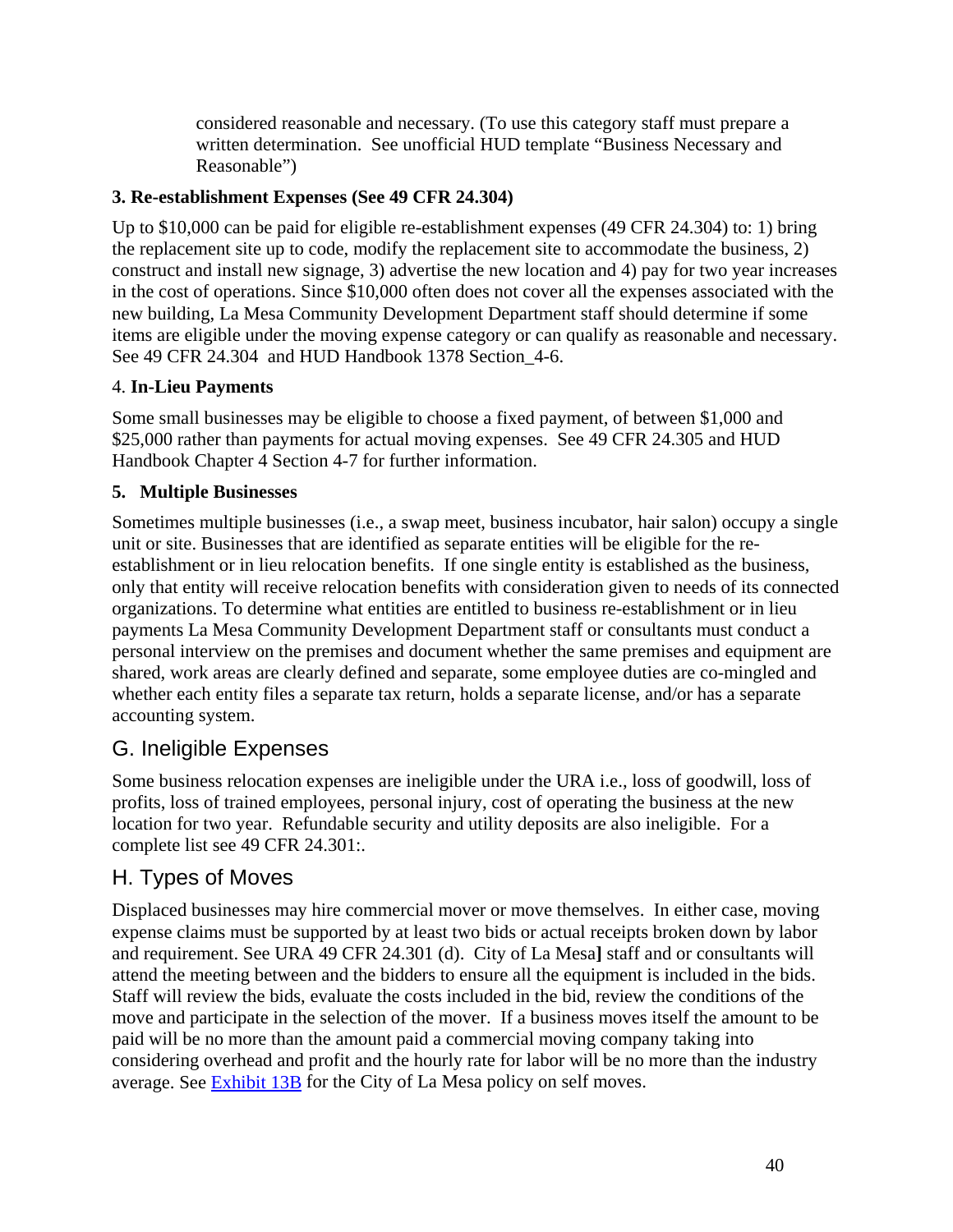considered reasonable and necessary. (To use this category staff must prepare a written determination. See unofficial HUD template "Business Necessary and Reasonable")

## **3. Re-establishment Expenses (See 49 CFR 24.304)**

Up to \$10,000 can be paid for eligible re-establishment expenses (49 CFR 24.304) to: 1) bring the replacement site up to code, modify the replacement site to accommodate the business, 2) construct and install new signage, 3) advertise the new location and 4) pay for two year increases in the cost of operations. Since \$10,000 often does not cover all the expenses associated with the new building, La Mesa Community Development Department staff should determine if some items are eligible under the moving expense category or can qualify as reasonable and necessary. See 49 CFR 24.304 and HUD Handbook 1378 Section\_4-6.

## 4. **In-Lieu Payments**

Some small businesses may be eligible to choose a fixed payment, of between \$1,000 and \$25,000 rather than payments for actual moving expenses. See 49 CFR 24.305 and HUD Handbook Chapter 4 Section 4-7 for further information.

## **5. Multiple Businesses**

Sometimes multiple businesses (i.e., a swap meet, business incubator, hair salon) occupy a single unit or site. Businesses that are identified as separate entities will be eligible for the reestablishment or in lieu relocation benefits. If one single entity is established as the business, only that entity will receive relocation benefits with consideration given to needs of its connected organizations. To determine what entities are entitled to business re-establishment or in lieu payments La Mesa Community Development Department staff or consultants must conduct a personal interview on the premises and document whether the same premises and equipment are shared, work areas are clearly defined and separate, some employee duties are co-mingled and whether each entity files a separate tax return, holds a separate license, and/or has a separate accounting system.

# G. Ineligible Expenses

Some business relocation expenses are ineligible under the URA i.e., loss of goodwill, loss of profits, loss of trained employees, personal injury, cost of operating the business at the new location for two year. Refundable security and utility deposits are also ineligible. For a complete list see 49 CFR 24.301:.

# H. Types of Moves

Displaced businesses may hire commercial mover or move themselves. In either case, moving expense claims must be supported by at least two bids or actual receipts broken down by labor and requirement. See URA 49 CFR 24.301 (d). City of La Mesa**]** staff and or consultants will attend the meeting between and the bidders to ensure all the equipment is included in the bids. Staff will review the bids, evaluate the costs included in the bid, review the conditions of the move and participate in the selection of the mover. If a business moves itself the amount to be paid will be no more than the amount paid a commercial moving company taking into considering overhead and profit and the hourly rate for labor will be no more than the industry average. See Exhibit 13B for the City of La Mesa policy on self moves.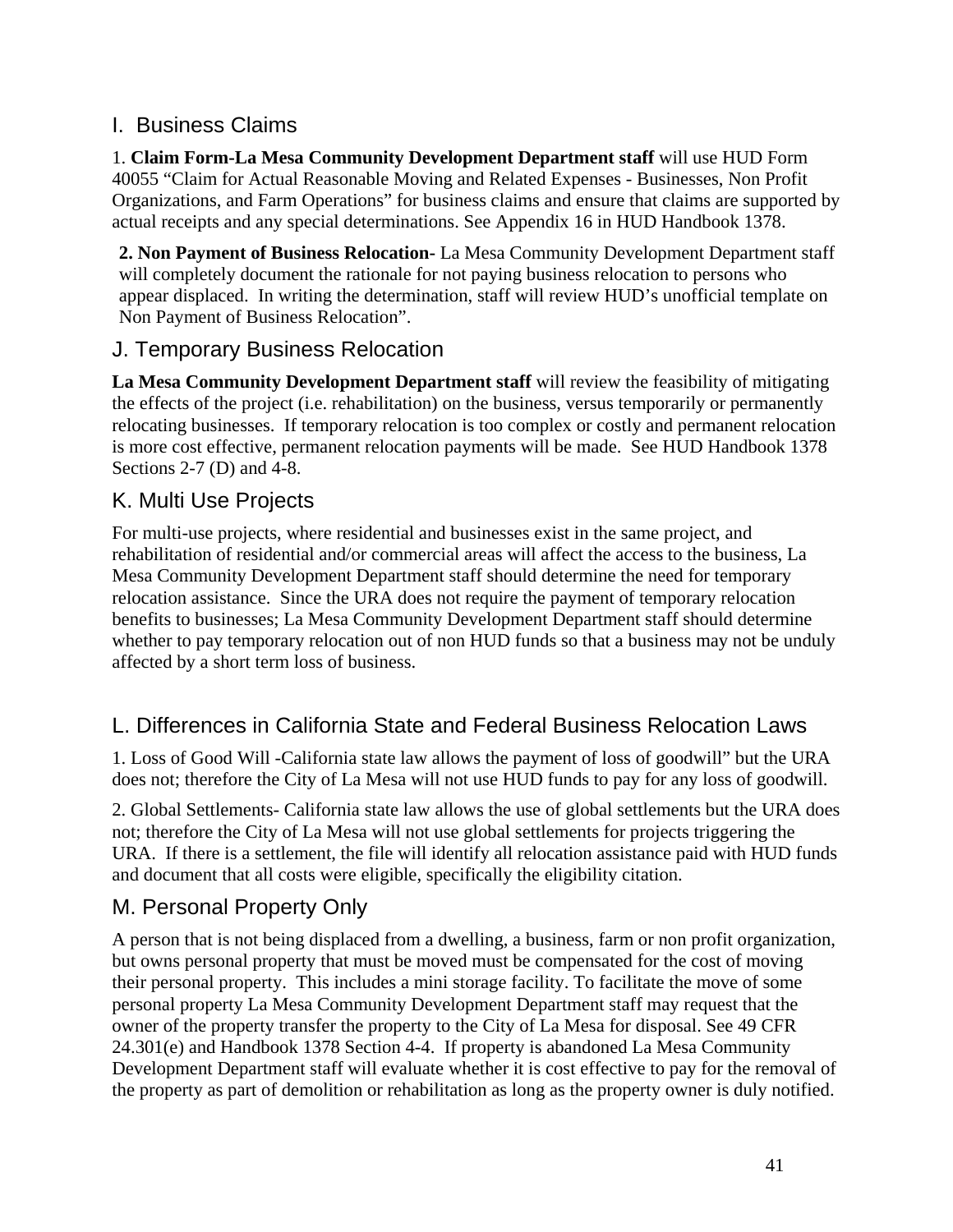# I. Business Claims

1. **Claim Form-La Mesa Community Development Department staff** will use HUD Form 40055 "Claim for Actual Reasonable Moving and Related Expenses - Businesses, Non Profit Organizations, and Farm Operations" for business claims and ensure that claims are supported by actual receipts and any special determinations. See Appendix 16 in HUD Handbook 1378.

**2. Non Payment of Business Relocation-** La Mesa Community Development Department staff will completely document the rationale for not paying business relocation to persons who appear displaced. In writing the determination, staff will review HUD's unofficial template on Non Payment of Business Relocation".

# J. Temporary Business Relocation

**La Mesa Community Development Department staff** will review the feasibility of mitigating the effects of the project (i.e. rehabilitation) on the business, versus temporarily or permanently relocating businesses. If temporary relocation is too complex or costly and permanent relocation is more cost effective, permanent relocation payments will be made. See HUD Handbook 1378 Sections 2-7 (D) and 4-8.

# K. Multi Use Projects

For multi-use projects, where residential and businesses exist in the same project, and rehabilitation of residential and/or commercial areas will affect the access to the business, La Mesa Community Development Department staff should determine the need for temporary relocation assistance. Since the URA does not require the payment of temporary relocation benefits to businesses; La Mesa Community Development Department staff should determine whether to pay temporary relocation out of non HUD funds so that a business may not be unduly affected by a short term loss of business.

# L. Differences in California State and Federal Business Relocation Laws

1. Loss of Good Will -California state law allows the payment of loss of goodwill" but the URA does not; therefore the City of La Mesa will not use HUD funds to pay for any loss of goodwill.

2. Global Settlements- California state law allows the use of global settlements but the URA does not; therefore the City of La Mesa will not use global settlements for projects triggering the URA. If there is a settlement, the file will identify all relocation assistance paid with HUD funds and document that all costs were eligible, specifically the eligibility citation.

# M. Personal Property Only

A person that is not being displaced from a dwelling, a business, farm or non profit organization, but owns personal property that must be moved must be compensated for the cost of moving their personal property. This includes a mini storage facility. To facilitate the move of some personal property La Mesa Community Development Department staff may request that the owner of the property transfer the property to the City of La Mesa for disposal. See 49 CFR 24.301(e) and Handbook 1378 Section 4-4. If property is abandoned La Mesa Community Development Department staff will evaluate whether it is cost effective to pay for the removal of the property as part of demolition or rehabilitation as long as the property owner is duly notified.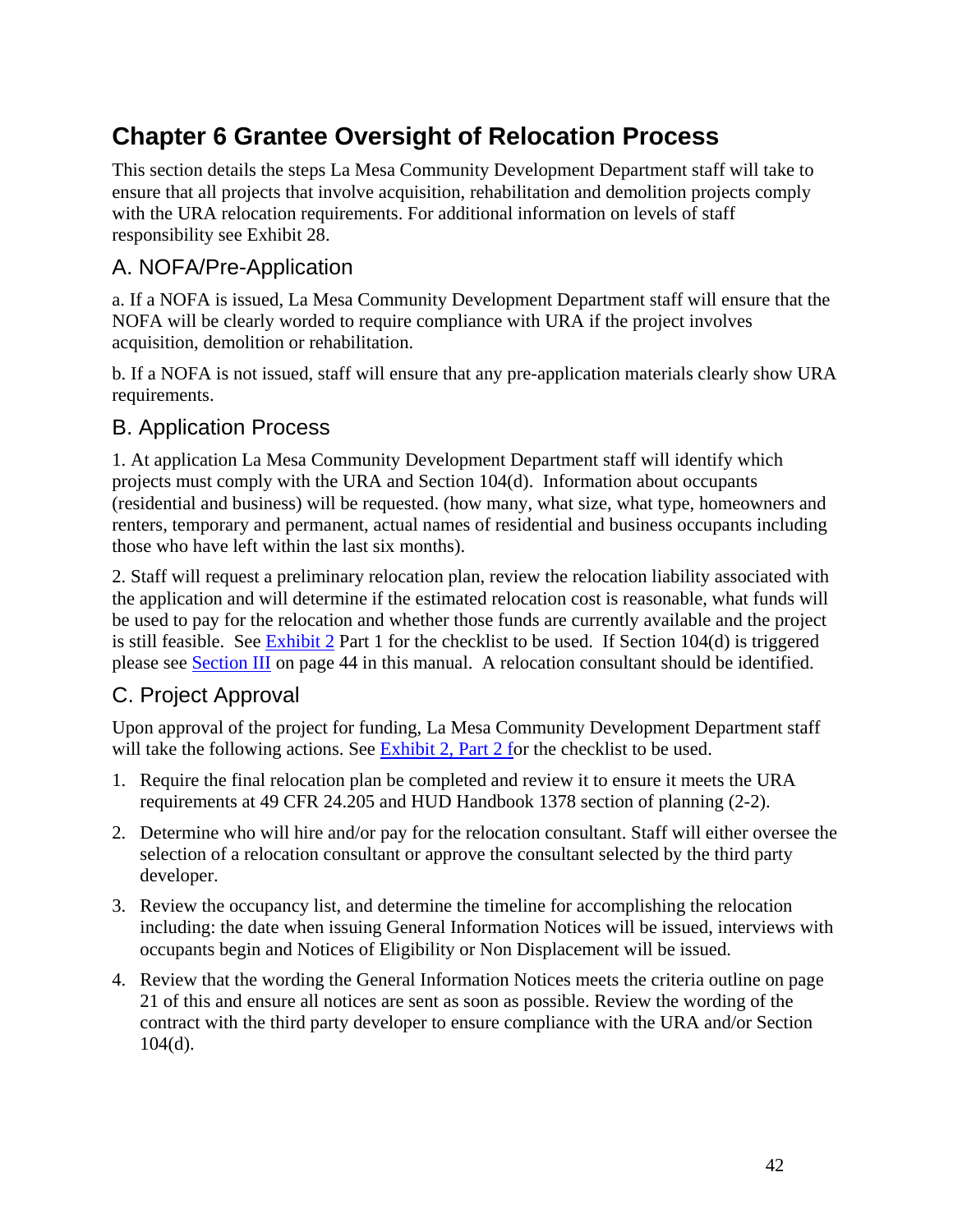# **Chapter 6 Grantee Oversight of Relocation Process**

This section details the steps La Mesa Community Development Department staff will take to ensure that all projects that involve acquisition, rehabilitation and demolition projects comply with the URA relocation requirements. For additional information on levels of staff responsibility see Exhibit 28.

## A. NOFA/Pre-Application

a. If a NOFA is issued, La Mesa Community Development Department staff will ensure that the NOFA will be clearly worded to require compliance with URA if the project involves acquisition, demolition or rehabilitation.

b. If a NOFA is not issued, staff will ensure that any pre-application materials clearly show URA requirements.

## B. Application Process

1. At application La Mesa Community Development Department staff will identify which projects must comply with the URA and Section 104(d). Information about occupants (residential and business) will be requested. (how many, what size, what type, homeowners and renters, temporary and permanent, actual names of residential and business occupants including those who have left within the last six months).

2. Staff will request a preliminary relocation plan, review the relocation liability associated with the application and will determine if the estimated relocation cost is reasonable, what funds will be used to pay for the relocation and whether those funds are currently available and the project is still feasible. See  $\frac{Exhibit 2}{2}$  Part 1 for the checklist to be used. If Section 104(d) is triggered please see Section III on page 44 in this manual. A relocation consultant should be identified.

# C. Project Approval

Upon approval of the project for funding, La Mesa Community Development Department staff will take the following actions. See Exhibit 2, Part 2 for the checklist to be used.

- 1. Require the final relocation plan be completed and review it to ensure it meets the URA requirements at 49 CFR 24.205 and HUD Handbook 1378 section of planning (2-2).
- 2. Determine who will hire and/or pay for the relocation consultant. Staff will either oversee the selection of a relocation consultant or approve the consultant selected by the third party developer.
- 3. Review the occupancy list, and determine the timeline for accomplishing the relocation including: the date when issuing General Information Notices will be issued, interviews with occupants begin and Notices of Eligibility or Non Displacement will be issued.
- 4. Review that the wording the General Information Notices meets the criteria outline on page 21 of this and ensure all notices are sent as soon as possible. Review the wording of the contract with the third party developer to ensure compliance with the URA and/or Section 104(d).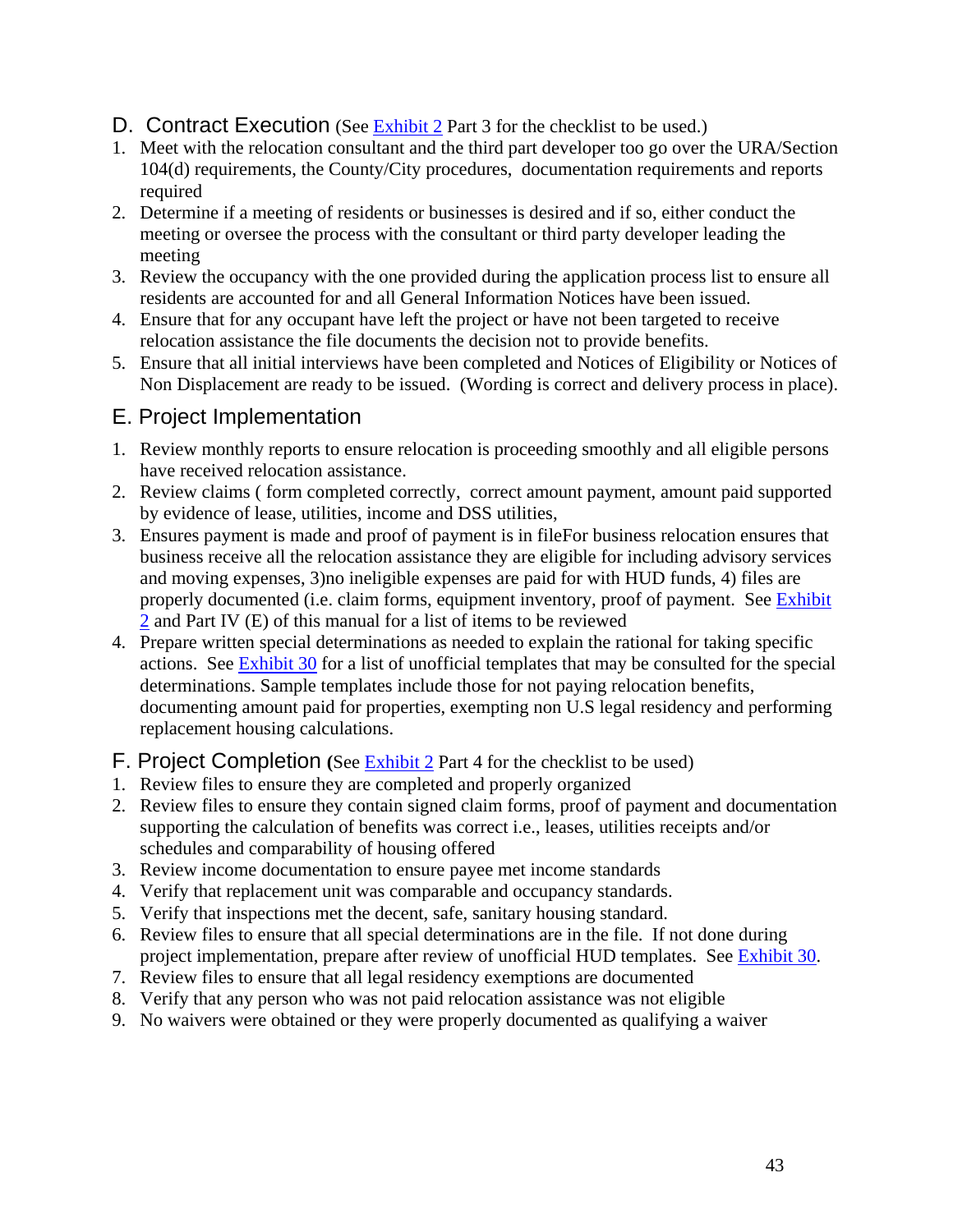## D. Contract Execution (See Exhibit 2 Part 3 for the checklist to be used.)

- 1. Meet with the relocation consultant and the third part developer too go over the URA/Section 104(d) requirements, the County/City procedures, documentation requirements and reports required
- 2. Determine if a meeting of residents or businesses is desired and if so, either conduct the meeting or oversee the process with the consultant or third party developer leading the meeting
- 3. Review the occupancy with the one provided during the application process list to ensure all residents are accounted for and all General Information Notices have been issued.
- 4. Ensure that for any occupant have left the project or have not been targeted to receive relocation assistance the file documents the decision not to provide benefits.
- 5. Ensure that all initial interviews have been completed and Notices of Eligibility or Notices of Non Displacement are ready to be issued. (Wording is correct and delivery process in place).

# E. Project Implementation

- 1. Review monthly reports to ensure relocation is proceeding smoothly and all eligible persons have received relocation assistance.
- 2. Review claims ( form completed correctly, correct amount payment, amount paid supported by evidence of lease, utilities, income and DSS utilities,
- 3. Ensures payment is made and proof of payment is in fileFor business relocation ensures that business receive all the relocation assistance they are eligible for including advisory services and moving expenses, 3)no ineligible expenses are paid for with HUD funds, 4) files are properly documented (i.e. claim forms, equipment inventory, proof of payment. See Exhibit 2 and Part IV (E) of this manual for a list of items to be reviewed
- 4. Prepare written special determinations as needed to explain the rational for taking specific actions. See Exhibit 30 for a list of unofficial templates that may be consulted for the special determinations. Sample templates include those for not paying relocation benefits, documenting amount paid for properties, exempting non U.S legal residency and performing replacement housing calculations.

## F. Project Completion **(**See Exhibit 2 Part 4 for the checklist to be used)

- 1. Review files to ensure they are completed and properly organized
- 2. Review files to ensure they contain signed claim forms, proof of payment and documentation supporting the calculation of benefits was correct i.e., leases, utilities receipts and/or schedules and comparability of housing offered
- 3. Review income documentation to ensure payee met income standards
- 4. Verify that replacement unit was comparable and occupancy standards.
- 5. Verify that inspections met the decent, safe, sanitary housing standard.
- 6. Review files to ensure that all special determinations are in the file. If not done during project implementation, prepare after review of unofficial HUD templates. See Exhibit 30.
- 7. Review files to ensure that all legal residency exemptions are documented
- 8. Verify that any person who was not paid relocation assistance was not eligible
- 9. No waivers were obtained or they were properly documented as qualifying a waiver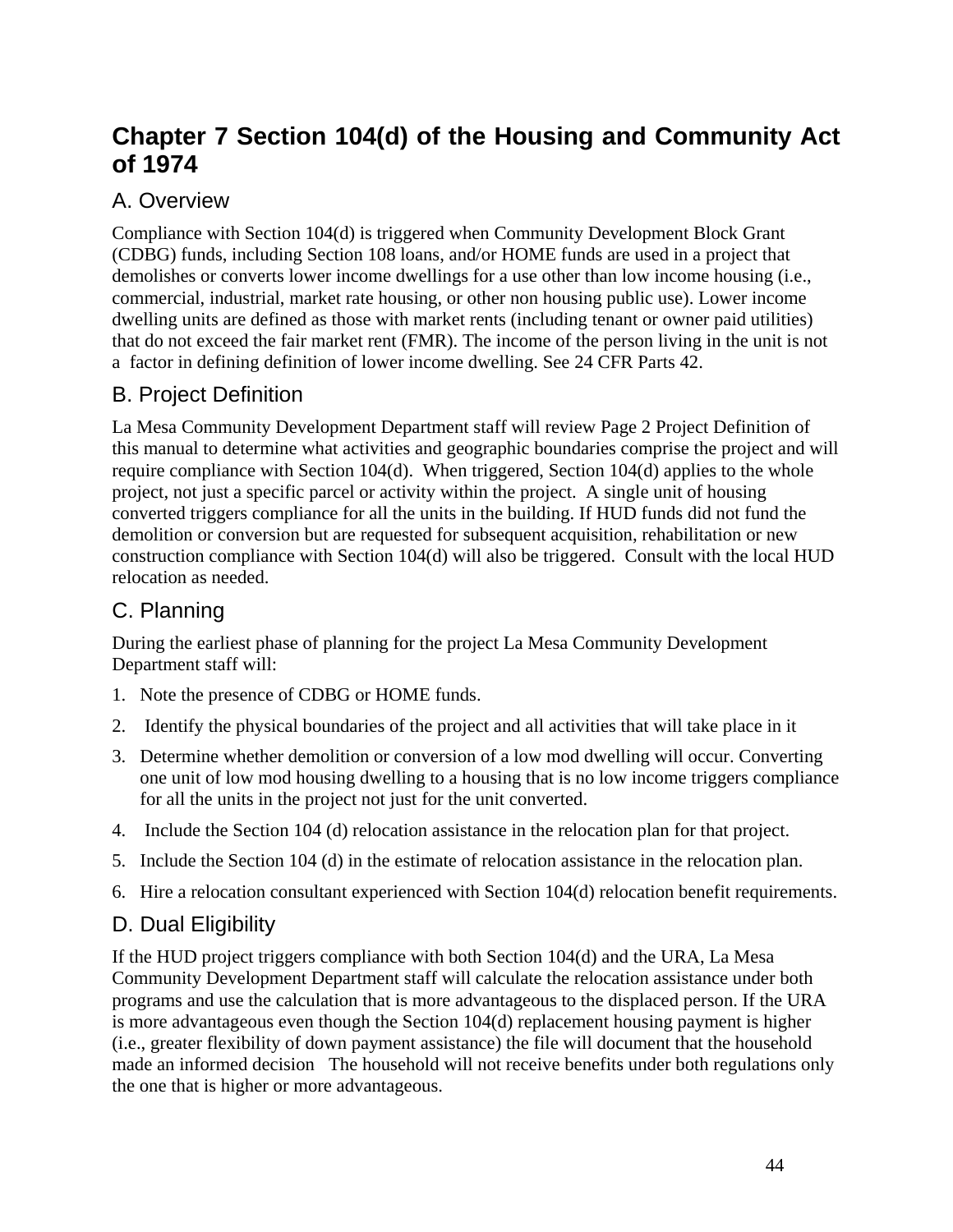# **Chapter 7 Section 104(d) of the Housing and Community Act of 1974**

# A. Overview

Compliance with Section 104(d) is triggered when Community Development Block Grant (CDBG) funds, including Section 108 loans, and/or HOME funds are used in a project that demolishes or converts lower income dwellings for a use other than low income housing (i.e., commercial, industrial, market rate housing, or other non housing public use). Lower income dwelling units are defined as those with market rents (including tenant or owner paid utilities) that do not exceed the fair market rent (FMR). The income of the person living in the unit is not a factor in defining definition of lower income dwelling. See 24 CFR Parts 42.

# B. Project Definition

La Mesa Community Development Department staff will review Page 2 Project Definition of this manual to determine what activities and geographic boundaries comprise the project and will require compliance with Section 104(d). When triggered, Section 104(d) applies to the whole project, not just a specific parcel or activity within the project. A single unit of housing converted triggers compliance for all the units in the building. If HUD funds did not fund the demolition or conversion but are requested for subsequent acquisition, rehabilitation or new construction compliance with Section 104(d) will also be triggered. Consult with the local HUD relocation as needed.

# C. Planning

During the earliest phase of planning for the project La Mesa Community Development Department staff will:

- 1. Note the presence of CDBG or HOME funds.
- 2. Identify the physical boundaries of the project and all activities that will take place in it
- 3. Determine whether demolition or conversion of a low mod dwelling will occur. Converting one unit of low mod housing dwelling to a housing that is no low income triggers compliance for all the units in the project not just for the unit converted.
- 4. Include the Section 104 (d) relocation assistance in the relocation plan for that project.
- 5. Include the Section 104 (d) in the estimate of relocation assistance in the relocation plan.
- 6. Hire a relocation consultant experienced with Section 104(d) relocation benefit requirements.

# D. Dual Eligibility

If the HUD project triggers compliance with both Section 104(d) and the URA, La Mesa Community Development Department staff will calculate the relocation assistance under both programs and use the calculation that is more advantageous to the displaced person. If the URA is more advantageous even though the Section 104(d) replacement housing payment is higher (i.e., greater flexibility of down payment assistance) the file will document that the household made an informed decision The household will not receive benefits under both regulations only the one that is higher or more advantageous.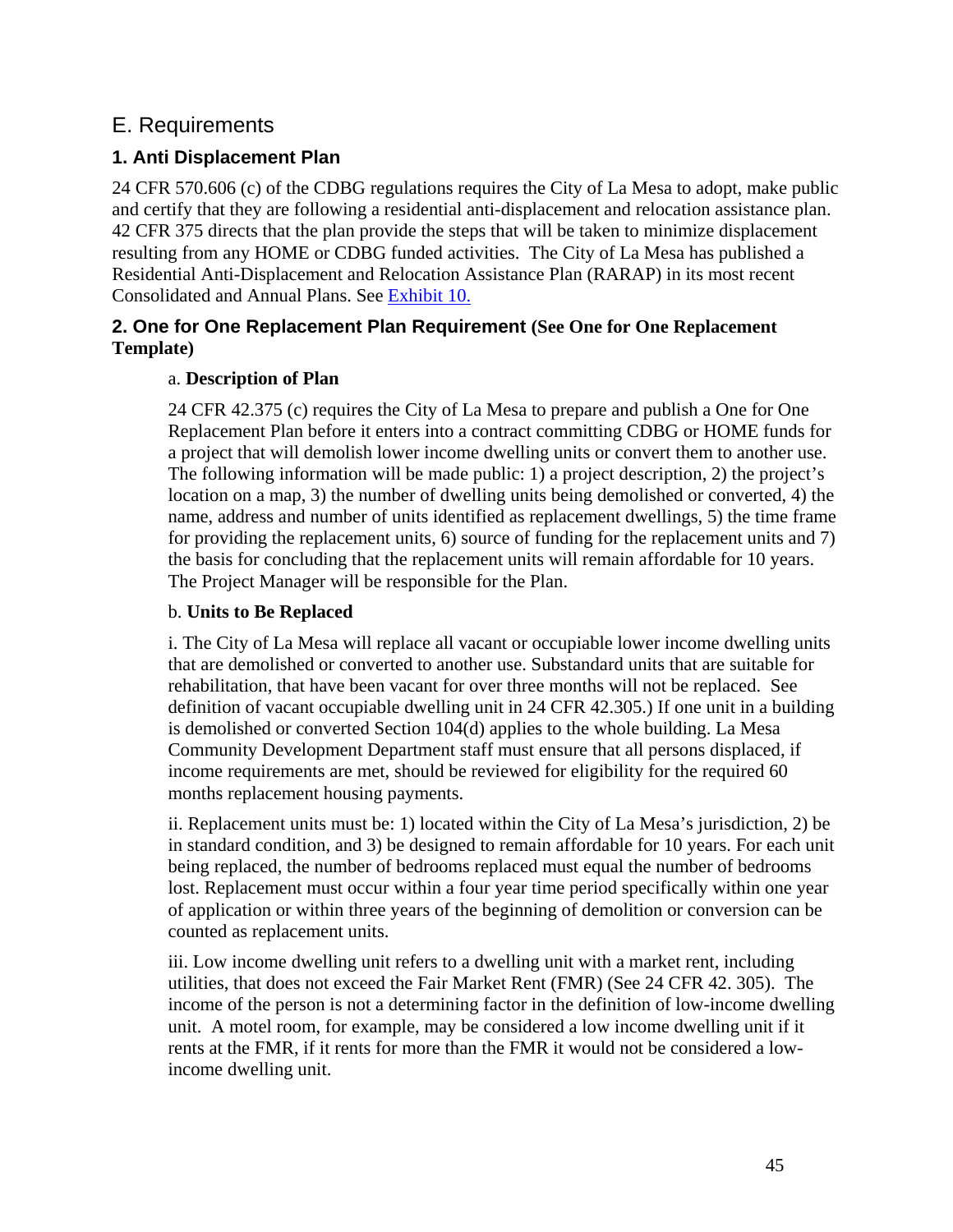# E. Requirements

## **1. Anti Displacement Plan**

24 CFR 570.606 (c) of the CDBG regulations requires the City of La Mesa to adopt, make public and certify that they are following a residential anti-displacement and relocation assistance plan. 42 CFR 375 directs that the plan provide the steps that will be taken to minimize displacement resulting from any HOME or CDBG funded activities. The City of La Mesa has published a Residential Anti-Displacement and Relocation Assistance Plan (RARAP) in its most recent Consolidated and Annual Plans. See Exhibit 10.

### **2. One for One Replacement Plan Requirement (See One for One Replacement Template)**

#### a. **Description of Plan**

24 CFR 42.375 (c) requires the City of La Mesa to prepare and publish a One for One Replacement Plan before it enters into a contract committing CDBG or HOME funds for a project that will demolish lower income dwelling units or convert them to another use. The following information will be made public: 1) a project description, 2) the project's location on a map, 3) the number of dwelling units being demolished or converted, 4) the name, address and number of units identified as replacement dwellings, 5) the time frame for providing the replacement units, 6) source of funding for the replacement units and 7) the basis for concluding that the replacement units will remain affordable for 10 years. The Project Manager will be responsible for the Plan.

#### b. **Units to Be Replaced**

i. The City of La Mesa will replace all vacant or occupiable lower income dwelling units that are demolished or converted to another use. Substandard units that are suitable for rehabilitation, that have been vacant for over three months will not be replaced. See definition of vacant occupiable dwelling unit in 24 CFR 42.305.) If one unit in a building is demolished or converted Section 104(d) applies to the whole building. La Mesa Community Development Department staff must ensure that all persons displaced, if income requirements are met, should be reviewed for eligibility for the required 60 months replacement housing payments.

ii. Replacement units must be: 1) located within the City of La Mesa's jurisdiction, 2) be in standard condition, and 3) be designed to remain affordable for 10 years. For each unit being replaced, the number of bedrooms replaced must equal the number of bedrooms lost. Replacement must occur within a four year time period specifically within one year of application or within three years of the beginning of demolition or conversion can be counted as replacement units.

iii. Low income dwelling unit refers to a dwelling unit with a market rent, including utilities, that does not exceed the Fair Market Rent (FMR) (See 24 CFR 42. 305). The income of the person is not a determining factor in the definition of low-income dwelling unit. A motel room, for example, may be considered a low income dwelling unit if it rents at the FMR, if it rents for more than the FMR it would not be considered a lowincome dwelling unit.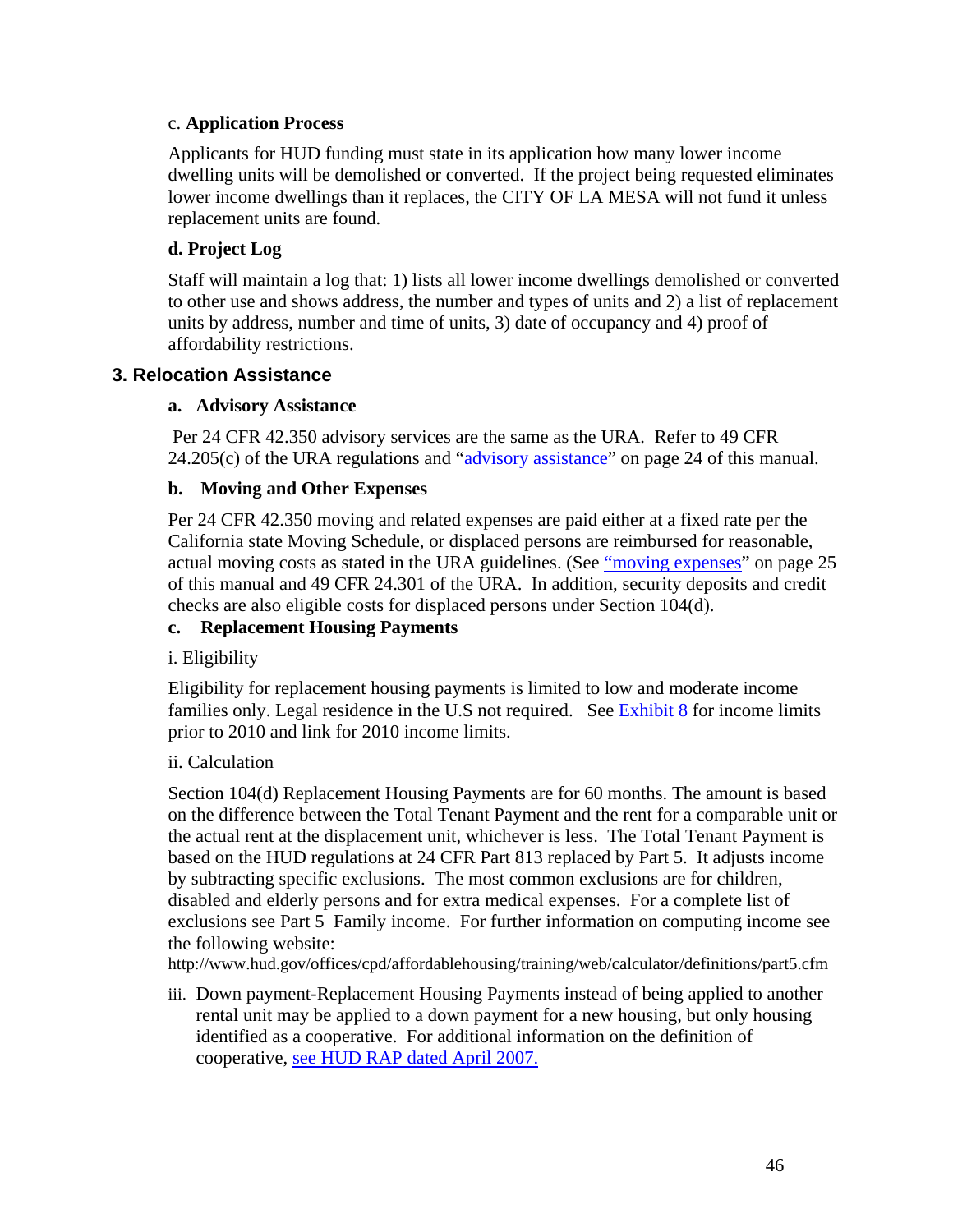#### c. **Application Process**

Applicants for HUD funding must state in its application how many lower income dwelling units will be demolished or converted. If the project being requested eliminates lower income dwellings than it replaces, the CITY OF LA MESA will not fund it unless replacement units are found.

#### **d. Project Log**

Staff will maintain a log that: 1) lists all lower income dwellings demolished or converted to other use and shows address, the number and types of units and 2) a list of replacement units by address, number and time of units, 3) date of occupancy and 4) proof of affordability restrictions.

#### **3. Relocation Assistance**

#### **a. Advisory Assistance**

 Per 24 CFR 42.350 advisory services are the same as the URA. Refer to 49 CFR  $24.205(c)$  of the URA regulations and " $\frac{\text{advisor}}{\text{w}}$  assistance" on page 24 of this manual.

#### **b. Moving and Other Expenses**

Per 24 CFR 42.350 moving and related expenses are paid either at a fixed rate per the California state Moving Schedule, or displaced persons are reimbursed for reasonable, actual moving costs as stated in the URA guidelines. (See "moving expenses" on page 25 of this manual and 49 CFR 24.301 of the URA. In addition, security deposits and credit checks are also eligible costs for displaced persons under Section 104(d).

#### **c. Replacement Housing Payments**

#### i. Eligibility

Eligibility for replacement housing payments is limited to low and moderate income families only. Legal residence in the U.S not required. See  $\frac{Exhibit 8}{ }$  for income limits prior to 2010 and link for 2010 income limits.

#### ii. Calculation

Section 104(d) Replacement Housing Payments are for 60 months. The amount is based on the difference between the Total Tenant Payment and the rent for a comparable unit or the actual rent at the displacement unit, whichever is less. The Total Tenant Payment is based on the HUD regulations at 24 CFR Part 813 replaced by Part 5. It adjusts income by subtracting specific exclusions. The most common exclusions are for children, disabled and elderly persons and for extra medical expenses. For a complete list of exclusions see Part 5 Family income. For further information on computing income see the following website:

http://www.hud.gov/offices/cpd/affordablehousing/training/web/calculator/definitions/part5.cfm

iii. Down payment-Replacement Housing Payments instead of being applied to another rental unit may be applied to a down payment for a new housing, but only housing identified as a cooperative. For additional information on the definition of cooperative, see HUD RAP dated April 2007.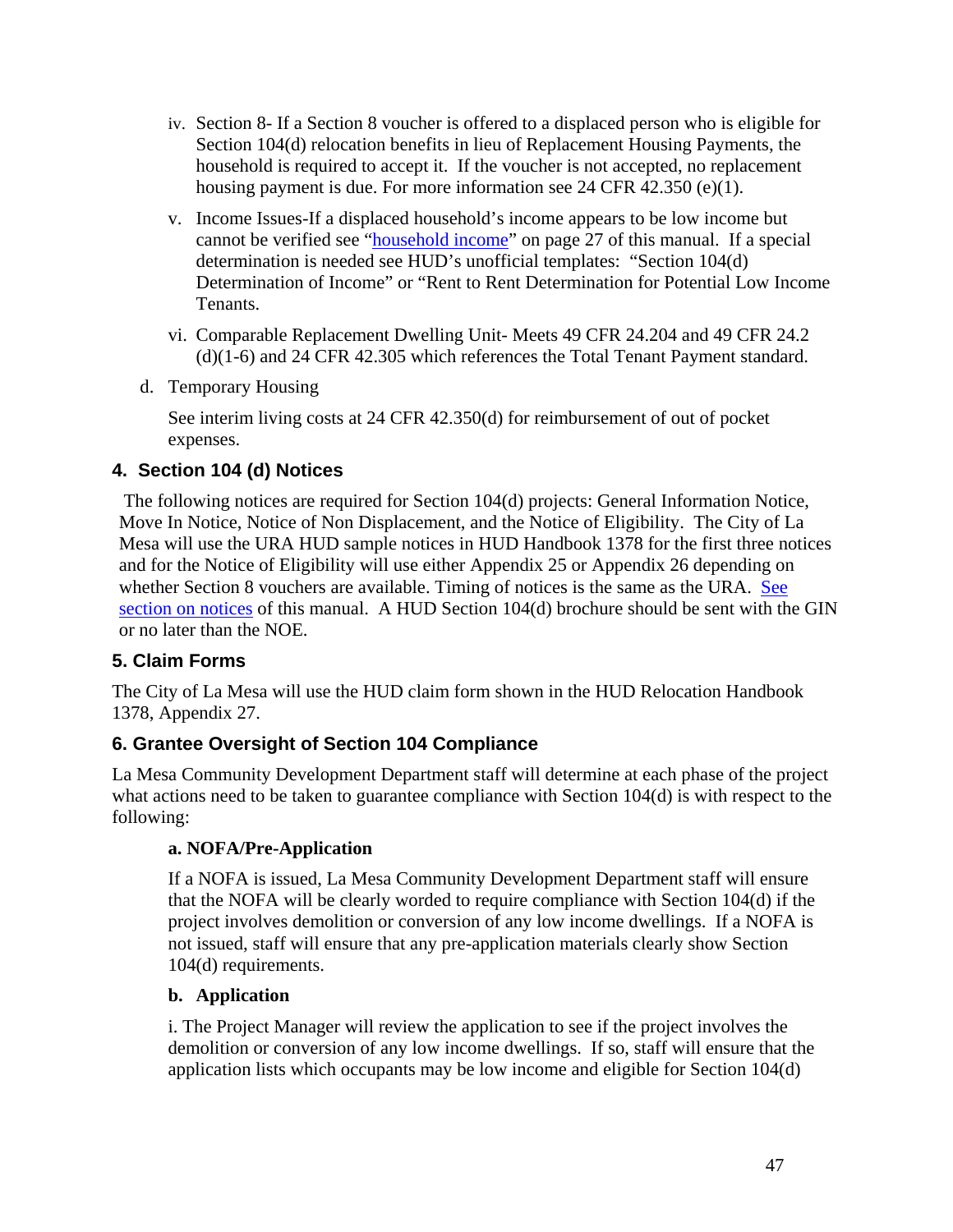- iv. Section 8- If a Section 8 voucher is offered to a displaced person who is eligible for Section 104(d) relocation benefits in lieu of Replacement Housing Payments, the household is required to accept it. If the voucher is not accepted, no replacement housing payment is due. For more information see 24 CFR 42.350 (e)(1).
- v. Income Issues-If a displaced household's income appears to be low income but cannot be verified see "household income" on page 27 of this manual. If a special determination is needed see HUD's unofficial templates: "Section 104(d) Determination of Income" or "Rent to Rent Determination for Potential Low Income Tenants.
- vi. Comparable Replacement Dwelling Unit- Meets 49 CFR 24.204 and 49 CFR 24.2 (d)(1-6) and 24 CFR 42.305 which references the Total Tenant Payment standard.
- d. Temporary Housing

See interim living costs at 24 CFR 42.350(d) for reimbursement of out of pocket expenses.

## **4. Section 104 (d) Notices**

 The following notices are required for Section 104(d) projects: General Information Notice, Move In Notice, Notice of Non Displacement, and the Notice of Eligibility. The City of La Mesa will use the URA HUD sample notices in HUD Handbook 1378 for the first three notices and for the Notice of Eligibility will use either Appendix 25 or Appendix 26 depending on whether Section 8 vouchers are available. Timing of notices is the same as the URA. See section on notices of this manual. A HUD Section 104(d) brochure should be sent with the GIN or no later than the NOE.

## **5. Claim Forms**

The City of La Mesa will use the HUD claim form shown in the HUD Relocation Handbook 1378, Appendix 27.

## **6. Grantee Oversight of Section 104 Compliance**

La Mesa Community Development Department staff will determine at each phase of the project what actions need to be taken to guarantee compliance with Section 104(d) is with respect to the following:

## **a. NOFA/Pre-Application**

If a NOFA is issued, La Mesa Community Development Department staff will ensure that the NOFA will be clearly worded to require compliance with Section 104(d) if the project involves demolition or conversion of any low income dwellings. If a NOFA is not issued, staff will ensure that any pre-application materials clearly show Section 104(d) requirements.

#### **b. Application**

i. The Project Manager will review the application to see if the project involves the demolition or conversion of any low income dwellings. If so, staff will ensure that the application lists which occupants may be low income and eligible for Section 104(d)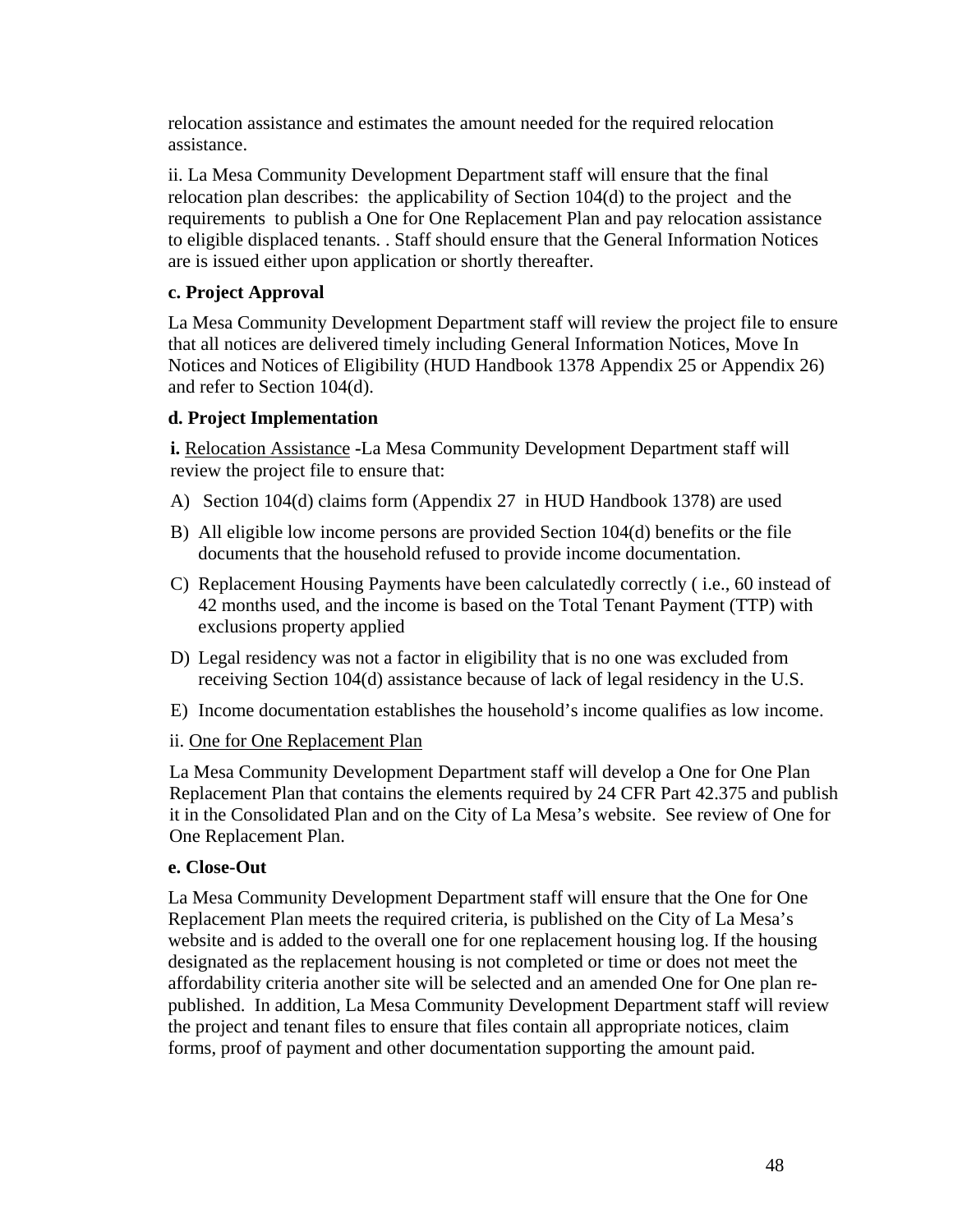relocation assistance and estimates the amount needed for the required relocation assistance.

ii. La Mesa Community Development Department staff will ensure that the final relocation plan describes: the applicability of Section 104(d) to the project and the requirements to publish a One for One Replacement Plan and pay relocation assistance to eligible displaced tenants. . Staff should ensure that the General Information Notices are is issued either upon application or shortly thereafter.

#### **c. Project Approval**

La Mesa Community Development Department staff will review the project file to ensure that all notices are delivered timely including General Information Notices, Move In Notices and Notices of Eligibility (HUD Handbook 1378 Appendix 25 or Appendix 26) and refer to Section 104(d).

#### **d. Project Implementation**

**i.** Relocation Assistance -La Mesa Community Development Department staff will review the project file to ensure that:

- A) Section 104(d) claims form (Appendix 27 in HUD Handbook 1378) are used
- B) All eligible low income persons are provided Section 104(d) benefits or the file documents that the household refused to provide income documentation.
- C) Replacement Housing Payments have been calculatedly correctly ( i.e., 60 instead of 42 months used, and the income is based on the Total Tenant Payment (TTP) with exclusions property applied
- D) Legal residency was not a factor in eligibility that is no one was excluded from receiving Section 104(d) assistance because of lack of legal residency in the U.S.
- E) Income documentation establishes the household's income qualifies as low income.

#### ii. One for One Replacement Plan

La Mesa Community Development Department staff will develop a One for One Plan Replacement Plan that contains the elements required by 24 CFR Part 42.375 and publish it in the Consolidated Plan and on the City of La Mesa's website. See review of One for One Replacement Plan.

#### **e. Close-Out**

La Mesa Community Development Department staff will ensure that the One for One Replacement Plan meets the required criteria, is published on the City of La Mesa's website and is added to the overall one for one replacement housing log. If the housing designated as the replacement housing is not completed or time or does not meet the affordability criteria another site will be selected and an amended One for One plan republished. In addition, La Mesa Community Development Department staff will review the project and tenant files to ensure that files contain all appropriate notices, claim forms, proof of payment and other documentation supporting the amount paid.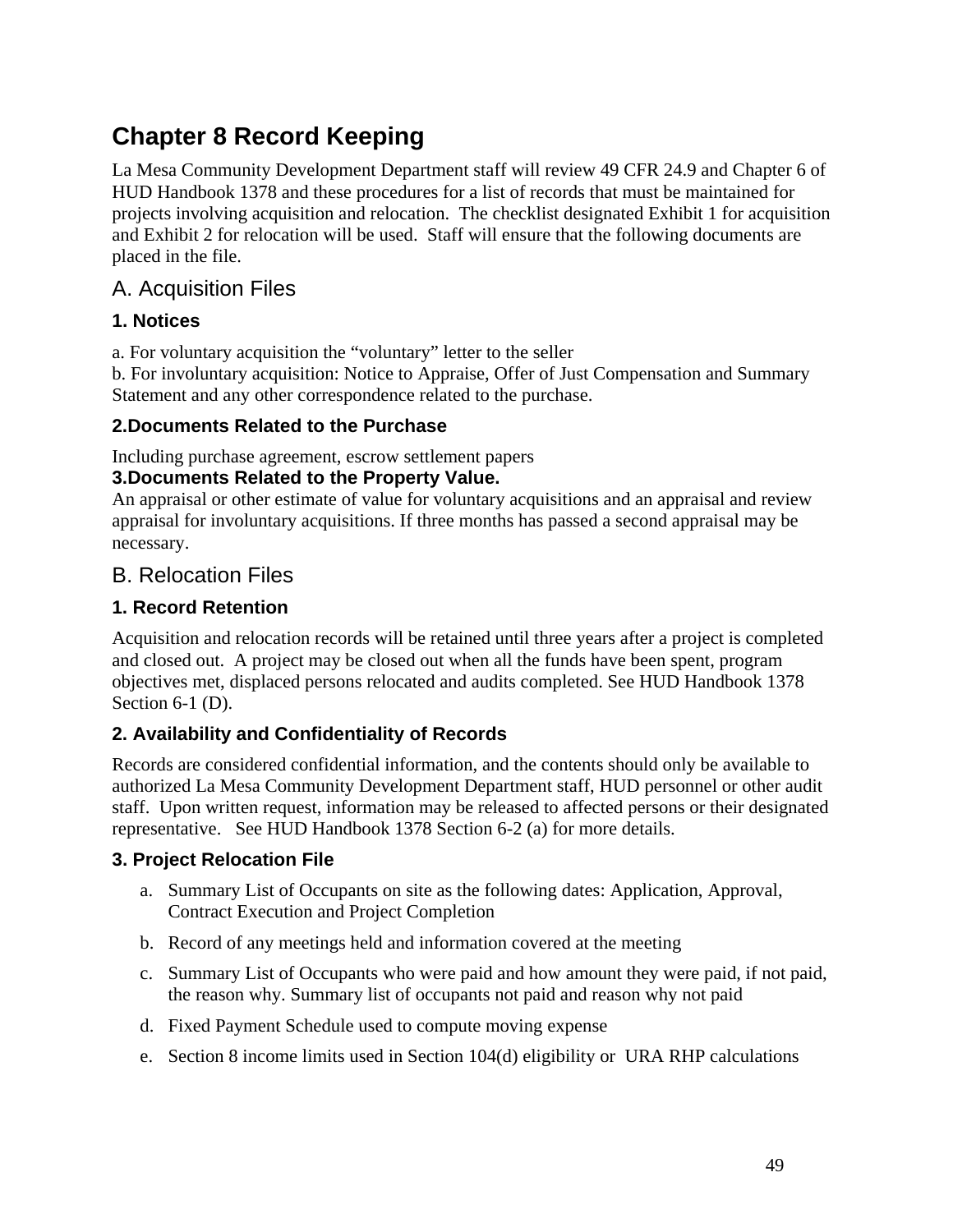# **Chapter 8 Record Keeping**

La Mesa Community Development Department staff will review 49 CFR 24.9 and Chapter 6 of HUD Handbook 1378 and these procedures for a list of records that must be maintained for projects involving acquisition and relocation. The checklist designated Exhibit 1 for acquisition and Exhibit 2 for relocation will be used. Staff will ensure that the following documents are placed in the file.

# A. Acquisition Files

## **1. Notices**

a. For voluntary acquisition the "voluntary" letter to the seller

b. For involuntary acquisition: Notice to Appraise, Offer of Just Compensation and Summary Statement and any other correspondence related to the purchase.

## **2.Documents Related to the Purchase**

Including purchase agreement, escrow settlement papers

## **3.Documents Related to the Property Value.**

An appraisal or other estimate of value for voluntary acquisitions and an appraisal and review appraisal for involuntary acquisitions. If three months has passed a second appraisal may be necessary.

# B. Relocation Files

## **1. Record Retention**

Acquisition and relocation records will be retained until three years after a project is completed and closed out. A project may be closed out when all the funds have been spent, program objectives met, displaced persons relocated and audits completed. See HUD Handbook 1378 Section 6-1 (D).

## **2. Availability and Confidentiality of Records**

Records are considered confidential information, and the contents should only be available to authorized La Mesa Community Development Department staff, HUD personnel or other audit staff. Upon written request, information may be released to affected persons or their designated representative. See HUD Handbook 1378 Section 6-2 (a) for more details.

## **3. Project Relocation File**

- a. Summary List of Occupants on site as the following dates: Application, Approval, Contract Execution and Project Completion
- b. Record of any meetings held and information covered at the meeting
- c. Summary List of Occupants who were paid and how amount they were paid, if not paid, the reason why. Summary list of occupants not paid and reason why not paid
- d. Fixed Payment Schedule used to compute moving expense
- e. Section 8 income limits used in Section 104(d) eligibility or URA RHP calculations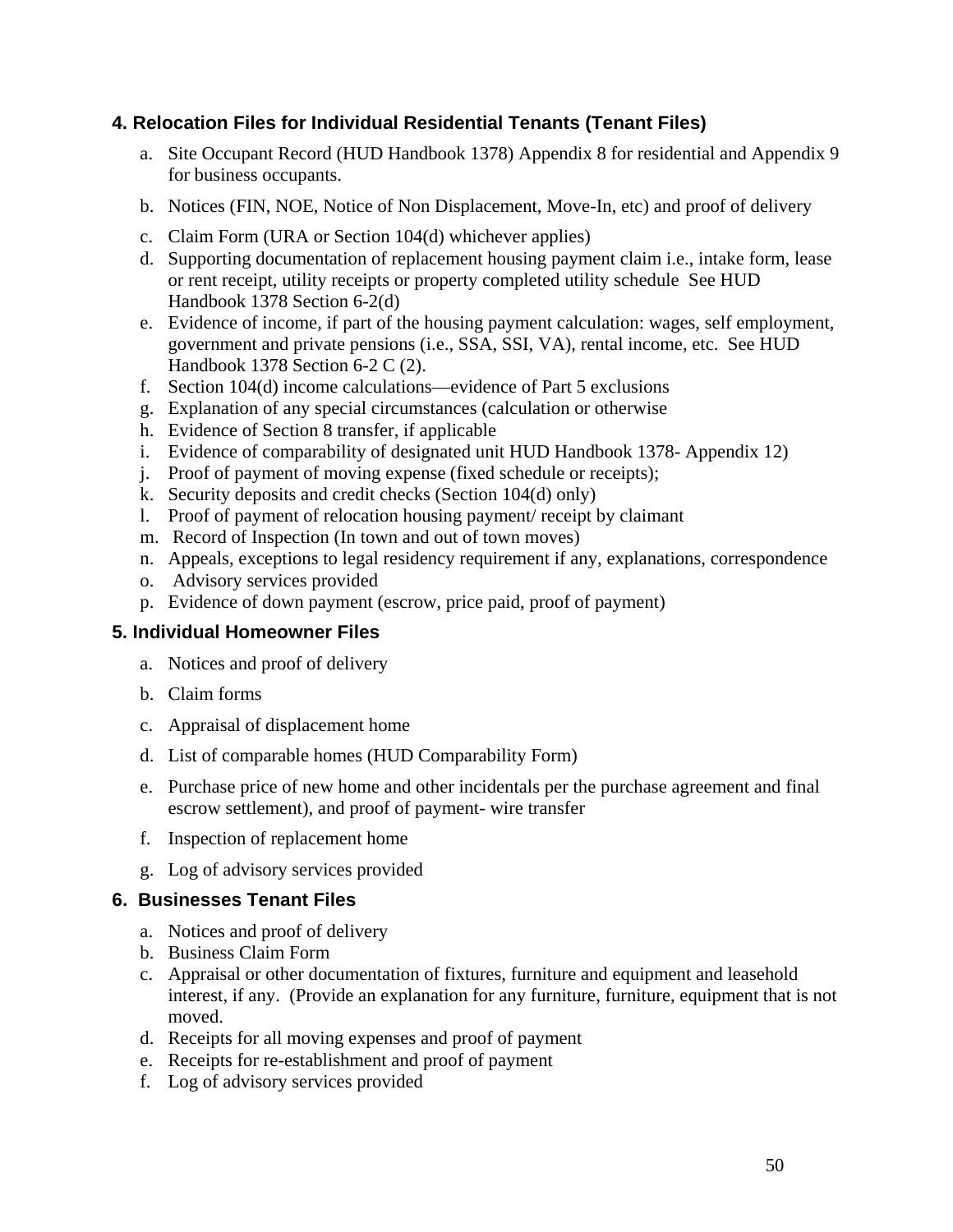## **4. Relocation Files for Individual Residential Tenants (Tenant Files)**

- a. Site Occupant Record (HUD Handbook 1378) Appendix 8 for residential and Appendix 9 for business occupants.
- b. Notices (FIN, NOE, Notice of Non Displacement, Move-In, etc) and proof of delivery
- c. Claim Form (URA or Section 104(d) whichever applies)
- d. Supporting documentation of replacement housing payment claim i.e., intake form, lease or rent receipt, utility receipts or property completed utility schedule See HUD Handbook 1378 Section 6-2(d)
- e. Evidence of income, if part of the housing payment calculation: wages, self employment, government and private pensions (i.e., SSA, SSI, VA), rental income, etc. See HUD Handbook 1378 Section 6-2 C (2).
- f. Section 104(d) income calculations—evidence of Part 5 exclusions
- g. Explanation of any special circumstances (calculation or otherwise
- h. Evidence of Section 8 transfer, if applicable
- i. Evidence of comparability of designated unit HUD Handbook 1378- Appendix 12)
- j. Proof of payment of moving expense (fixed schedule or receipts);
- k. Security deposits and credit checks (Section 104(d) only)
- l. Proof of payment of relocation housing payment/ receipt by claimant
- m. Record of Inspection (In town and out of town moves)
- n. Appeals, exceptions to legal residency requirement if any, explanations, correspondence
- o. Advisory services provided
- p. Evidence of down payment (escrow, price paid, proof of payment)

## **5. Individual Homeowner Files**

- a. Notices and proof of delivery
- b. Claim forms
- c. Appraisal of displacement home
- d. List of comparable homes (HUD Comparability Form)
- e. Purchase price of new home and other incidentals per the purchase agreement and final escrow settlement), and proof of payment- wire transfer
- f. Inspection of replacement home
- g. Log of advisory services provided

## **6. Businesses Tenant Files**

- a. Notices and proof of delivery
- b. Business Claim Form
- c. Appraisal or other documentation of fixtures, furniture and equipment and leasehold interest, if any. (Provide an explanation for any furniture, furniture, equipment that is not moved.
- d. Receipts for all moving expenses and proof of payment
- e. Receipts for re-establishment and proof of payment
- f. Log of advisory services provided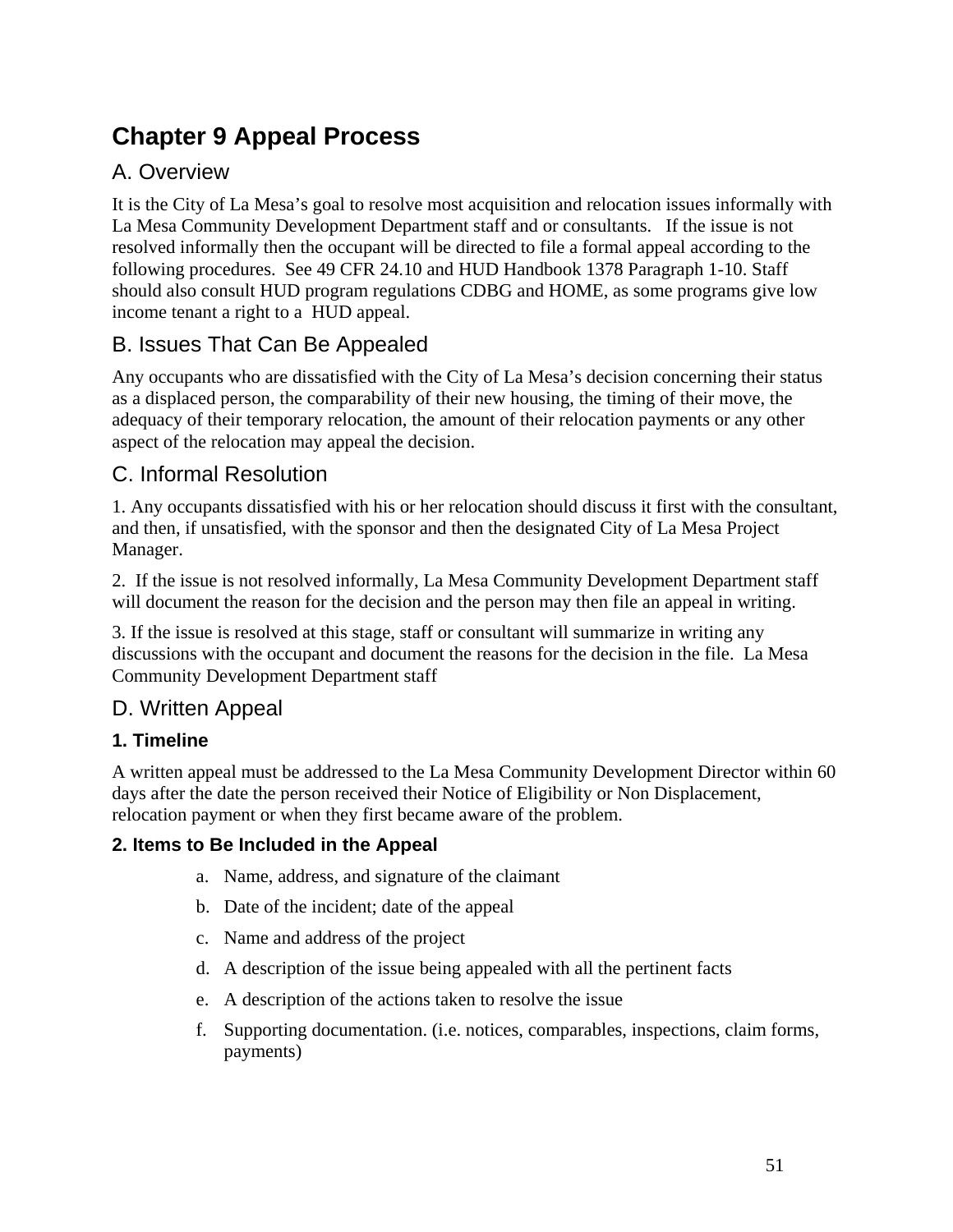# **Chapter 9 Appeal Process**

# A. Overview

It is the City of La Mesa's goal to resolve most acquisition and relocation issues informally with La Mesa Community Development Department staff and or consultants. If the issue is not resolved informally then the occupant will be directed to file a formal appeal according to the following procedures. See 49 CFR 24.10 and HUD Handbook 1378 Paragraph 1-10. Staff should also consult HUD program regulations CDBG and HOME, as some programs give low income tenant a right to a HUD appeal.

# B. Issues That Can Be Appealed

Any occupants who are dissatisfied with the City of La Mesa's decision concerning their status as a displaced person, the comparability of their new housing, the timing of their move, the adequacy of their temporary relocation, the amount of their relocation payments or any other aspect of the relocation may appeal the decision.

# C. Informal Resolution

1. Any occupants dissatisfied with his or her relocation should discuss it first with the consultant, and then, if unsatisfied, with the sponsor and then the designated City of La Mesa Project Manager.

2. If the issue is not resolved informally, La Mesa Community Development Department staff will document the reason for the decision and the person may then file an appeal in writing.

3. If the issue is resolved at this stage, staff or consultant will summarize in writing any discussions with the occupant and document the reasons for the decision in the file. La Mesa Community Development Department staff

# D. Written Appeal

## **1. Timeline**

A written appeal must be addressed to the La Mesa Community Development Director within 60 days after the date the person received their Notice of Eligibility or Non Displacement, relocation payment or when they first became aware of the problem.

## **2. Items to Be Included in the Appeal**

- a. Name, address, and signature of the claimant
- b. Date of the incident; date of the appeal
- c. Name and address of the project
- d. A description of the issue being appealed with all the pertinent facts
- e. A description of the actions taken to resolve the issue
- f. Supporting documentation. (i.e. notices, comparables, inspections, claim forms, payments)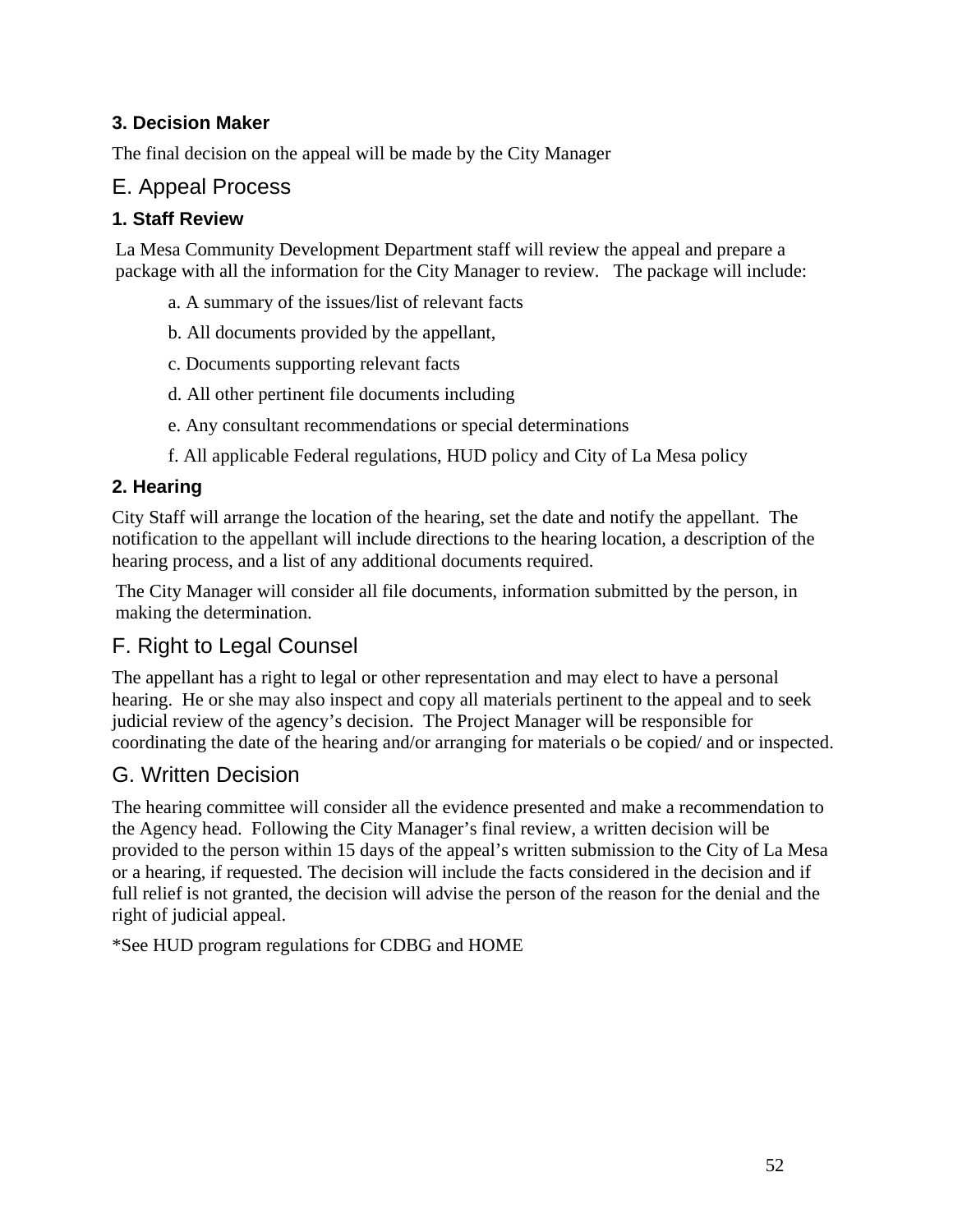## **3. Decision Maker**

The final decision on the appeal will be made by the City Manager

# E. Appeal Process

## **1. Staff Review**

La Mesa Community Development Department staff will review the appeal and prepare a package with all the information for the City Manager to review. The package will include:

- a. A summary of the issues/list of relevant facts
- b. All documents provided by the appellant,
- c. Documents supporting relevant facts
- d. All other pertinent file documents including
- e. Any consultant recommendations or special determinations
- f. All applicable Federal regulations, HUD policy and City of La Mesa policy

## **2. Hearing**

City Staff will arrange the location of the hearing, set the date and notify the appellant. The notification to the appellant will include directions to the hearing location, a description of the hearing process, and a list of any additional documents required.

The City Manager will consider all file documents, information submitted by the person, in making the determination.

# F. Right to Legal Counsel

The appellant has a right to legal or other representation and may elect to have a personal hearing. He or she may also inspect and copy all materials pertinent to the appeal and to seek judicial review of the agency's decision. The Project Manager will be responsible for coordinating the date of the hearing and/or arranging for materials o be copied/ and or inspected.

## G. Written Decision

The hearing committee will consider all the evidence presented and make a recommendation to the Agency head. Following the City Manager's final review, a written decision will be provided to the person within 15 days of the appeal's written submission to the City of La Mesa or a hearing, if requested. The decision will include the facts considered in the decision and if full relief is not granted, the decision will advise the person of the reason for the denial and the right of judicial appeal.

\*See HUD program regulations for CDBG and HOME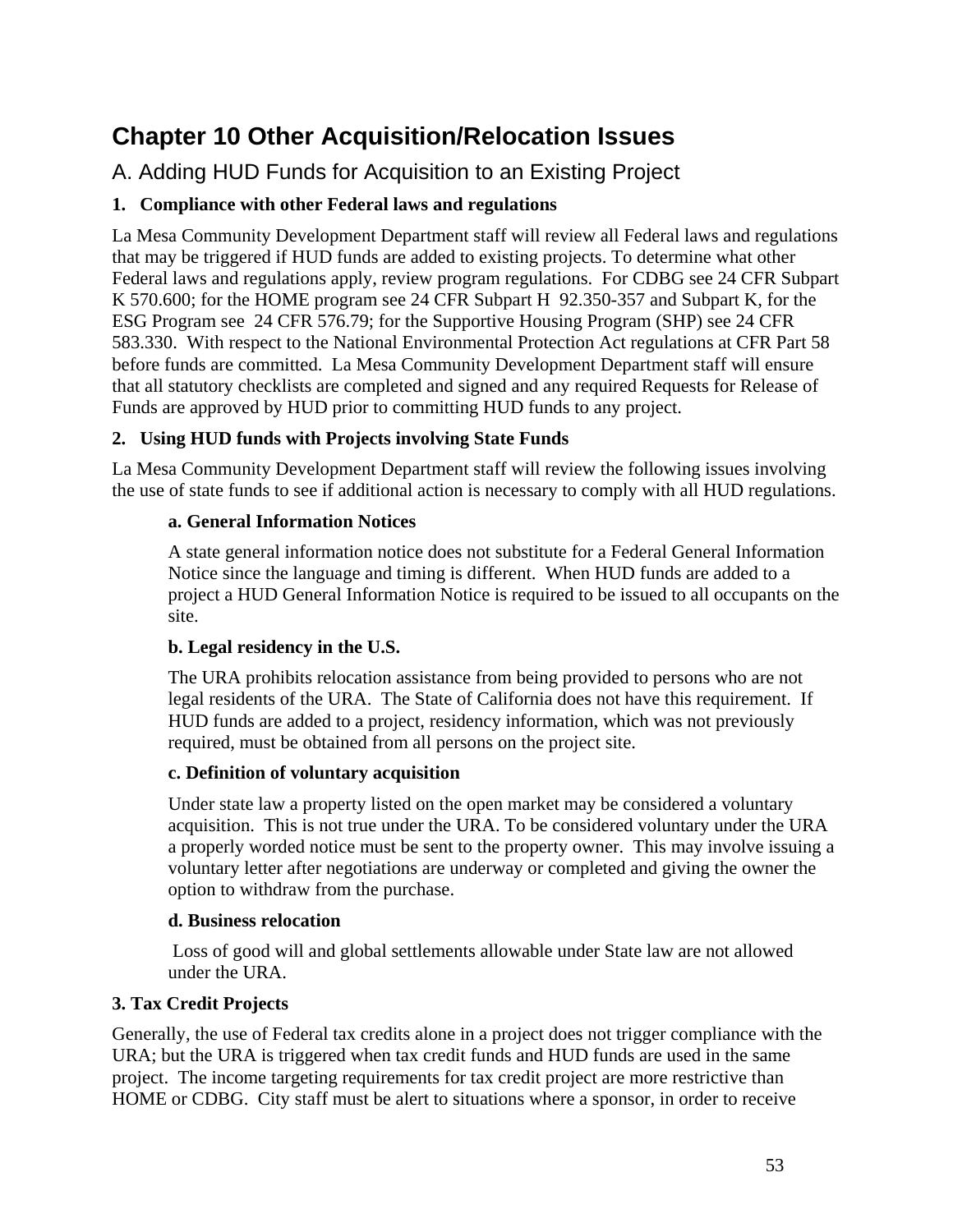# **Chapter 10 Other Acquisition/Relocation Issues**

A. Adding HUD Funds for Acquisition to an Existing Project

## **1. Compliance with other Federal laws and regulations**

La Mesa Community Development Department staff will review all Federal laws and regulations that may be triggered if HUD funds are added to existing projects. To determine what other Federal laws and regulations apply, review program regulations. For CDBG see 24 CFR Subpart K 570.600; for the HOME program see 24 CFR Subpart H 92.350-357 and Subpart K, for the ESG Program see 24 CFR 576.79; for the Supportive Housing Program (SHP) see 24 CFR 583.330. With respect to the National Environmental Protection Act regulations at CFR Part 58 before funds are committed. La Mesa Community Development Department staff will ensure that all statutory checklists are completed and signed and any required Requests for Release of Funds are approved by HUD prior to committing HUD funds to any project.

#### **2. Using HUD funds with Projects involving State Funds**

La Mesa Community Development Department staff will review the following issues involving the use of state funds to see if additional action is necessary to comply with all HUD regulations.

#### **a. General Information Notices**

A state general information notice does not substitute for a Federal General Information Notice since the language and timing is different. When HUD funds are added to a project a HUD General Information Notice is required to be issued to all occupants on the site.

#### **b. Legal residency in the U.S.**

The URA prohibits relocation assistance from being provided to persons who are not legal residents of the URA. The State of California does not have this requirement. If HUD funds are added to a project, residency information, which was not previously required, must be obtained from all persons on the project site.

#### **c. Definition of voluntary acquisition**

Under state law a property listed on the open market may be considered a voluntary acquisition. This is not true under the URA. To be considered voluntary under the URA a properly worded notice must be sent to the property owner. This may involve issuing a voluntary letter after negotiations are underway or completed and giving the owner the option to withdraw from the purchase.

#### **d. Business relocation**

Loss of good will and global settlements allowable under State law are not allowed under the URA.

#### **3. Tax Credit Projects**

Generally, the use of Federal tax credits alone in a project does not trigger compliance with the URA; but the URA is triggered when tax credit funds and HUD funds are used in the same project. The income targeting requirements for tax credit project are more restrictive than HOME or CDBG. City staff must be alert to situations where a sponsor, in order to receive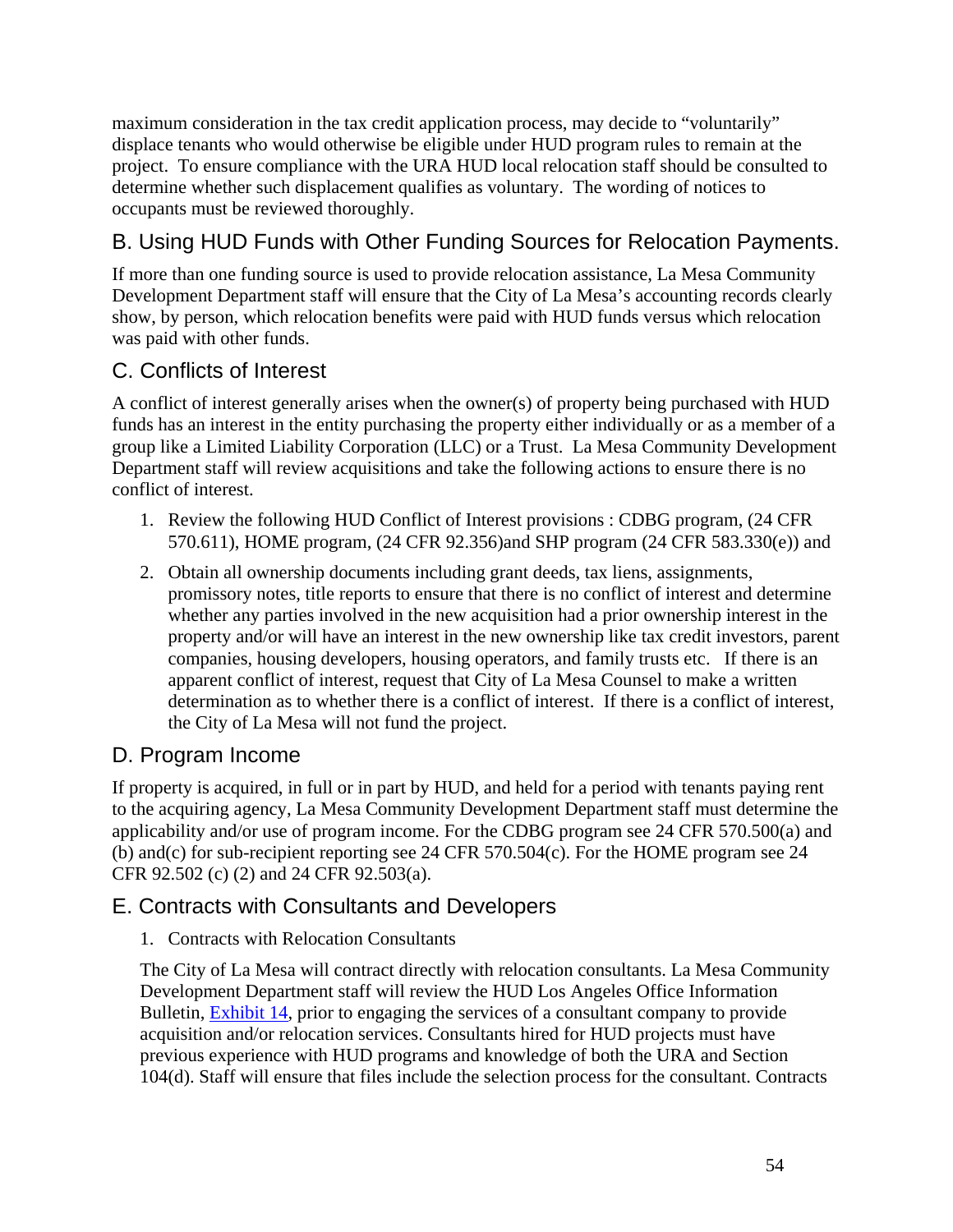maximum consideration in the tax credit application process, may decide to "voluntarily" displace tenants who would otherwise be eligible under HUD program rules to remain at the project. To ensure compliance with the URA HUD local relocation staff should be consulted to determine whether such displacement qualifies as voluntary. The wording of notices to occupants must be reviewed thoroughly.

# B. Using HUD Funds with Other Funding Sources for Relocation Payments.

If more than one funding source is used to provide relocation assistance, La Mesa Community Development Department staff will ensure that the City of La Mesa's accounting records clearly show, by person, which relocation benefits were paid with HUD funds versus which relocation was paid with other funds.

# C. Conflicts of Interest

A conflict of interest generally arises when the owner(s) of property being purchased with HUD funds has an interest in the entity purchasing the property either individually or as a member of a group like a Limited Liability Corporation (LLC) or a Trust. La Mesa Community Development Department staff will review acquisitions and take the following actions to ensure there is no conflict of interest.

- 1. Review the following HUD Conflict of Interest provisions : CDBG program, (24 CFR 570.611), HOME program, (24 CFR 92.356)and SHP program (24 CFR 583.330(e)) and
- 2. Obtain all ownership documents including grant deeds, tax liens, assignments, promissory notes, title reports to ensure that there is no conflict of interest and determine whether any parties involved in the new acquisition had a prior ownership interest in the property and/or will have an interest in the new ownership like tax credit investors, parent companies, housing developers, housing operators, and family trusts etc. If there is an apparent conflict of interest, request that City of La Mesa Counsel to make a written determination as to whether there is a conflict of interest. If there is a conflict of interest, the City of La Mesa will not fund the project.

# D. Program Income

If property is acquired, in full or in part by HUD, and held for a period with tenants paying rent to the acquiring agency, La Mesa Community Development Department staff must determine the applicability and/or use of program income. For the CDBG program see 24 CFR 570.500(a) and (b) and(c) for sub-recipient reporting see 24 CFR 570.504(c). For the HOME program see 24 CFR 92.502 (c) (2) and 24 CFR 92.503(a).

# E. Contracts with Consultants and Developers

## 1. Contracts with Relocation Consultants

The City of La Mesa will contract directly with relocation consultants. La Mesa Community Development Department staff will review the HUD Los Angeles Office Information Bulletin, Exhibit 14, prior to engaging the services of a consultant company to provide acquisition and/or relocation services. Consultants hired for HUD projects must have previous experience with HUD programs and knowledge of both the URA and Section 104(d). Staff will ensure that files include the selection process for the consultant. Contracts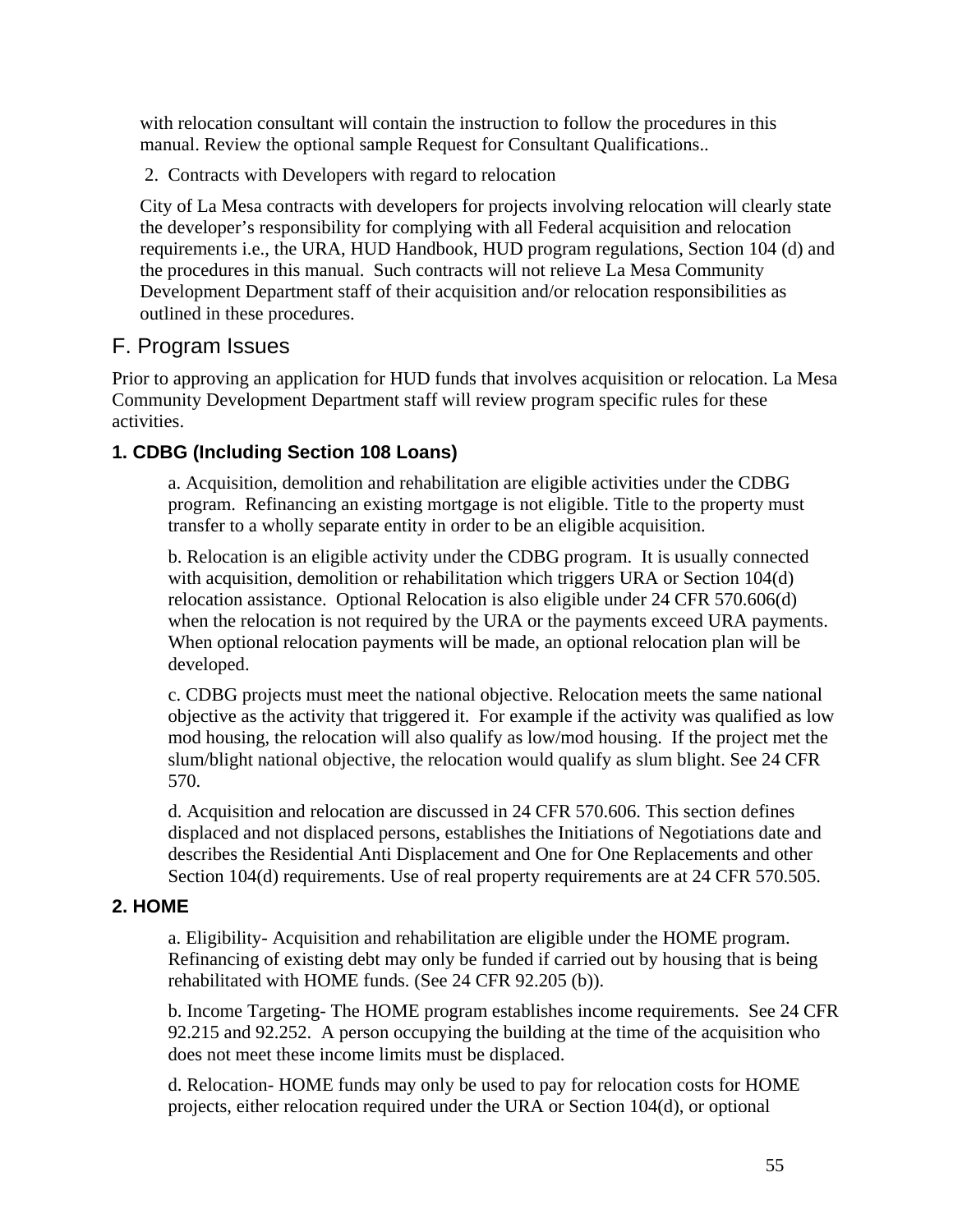with relocation consultant will contain the instruction to follow the procedures in this manual. Review the optional sample Request for Consultant Qualifications..

2. Contracts with Developers with regard to relocation

City of La Mesa contracts with developers for projects involving relocation will clearly state the developer's responsibility for complying with all Federal acquisition and relocation requirements i.e., the URA, HUD Handbook, HUD program regulations, Section 104 (d) and the procedures in this manual. Such contracts will not relieve La Mesa Community Development Department staff of their acquisition and/or relocation responsibilities as outlined in these procedures.

# F. Program Issues

Prior to approving an application for HUD funds that involves acquisition or relocation. La Mesa Community Development Department staff will review program specific rules for these activities.

## **1. CDBG (Including Section 108 Loans)**

a. Acquisition, demolition and rehabilitation are eligible activities under the CDBG program. Refinancing an existing mortgage is not eligible. Title to the property must transfer to a wholly separate entity in order to be an eligible acquisition.

b. Relocation is an eligible activity under the CDBG program. It is usually connected with acquisition, demolition or rehabilitation which triggers URA or Section 104(d) relocation assistance. Optional Relocation is also eligible under 24 CFR 570.606(d) when the relocation is not required by the URA or the payments exceed URA payments. When optional relocation payments will be made, an optional relocation plan will be developed.

c. CDBG projects must meet the national objective. Relocation meets the same national objective as the activity that triggered it. For example if the activity was qualified as low mod housing, the relocation will also qualify as low/mod housing. If the project met the slum/blight national objective, the relocation would qualify as slum blight. See 24 CFR 570.

d. Acquisition and relocation are discussed in 24 CFR 570.606. This section defines displaced and not displaced persons, establishes the Initiations of Negotiations date and describes the Residential Anti Displacement and One for One Replacements and other Section 104(d) requirements. Use of real property requirements are at 24 CFR 570.505.

## **2. HOME**

a. Eligibility- Acquisition and rehabilitation are eligible under the HOME program. Refinancing of existing debt may only be funded if carried out by housing that is being rehabilitated with HOME funds. (See 24 CFR 92.205 (b)).

b. Income Targeting- The HOME program establishes income requirements. See 24 CFR 92.215 and 92.252. A person occupying the building at the time of the acquisition who does not meet these income limits must be displaced.

d. Relocation- HOME funds may only be used to pay for relocation costs for HOME projects, either relocation required under the URA or Section 104(d), or optional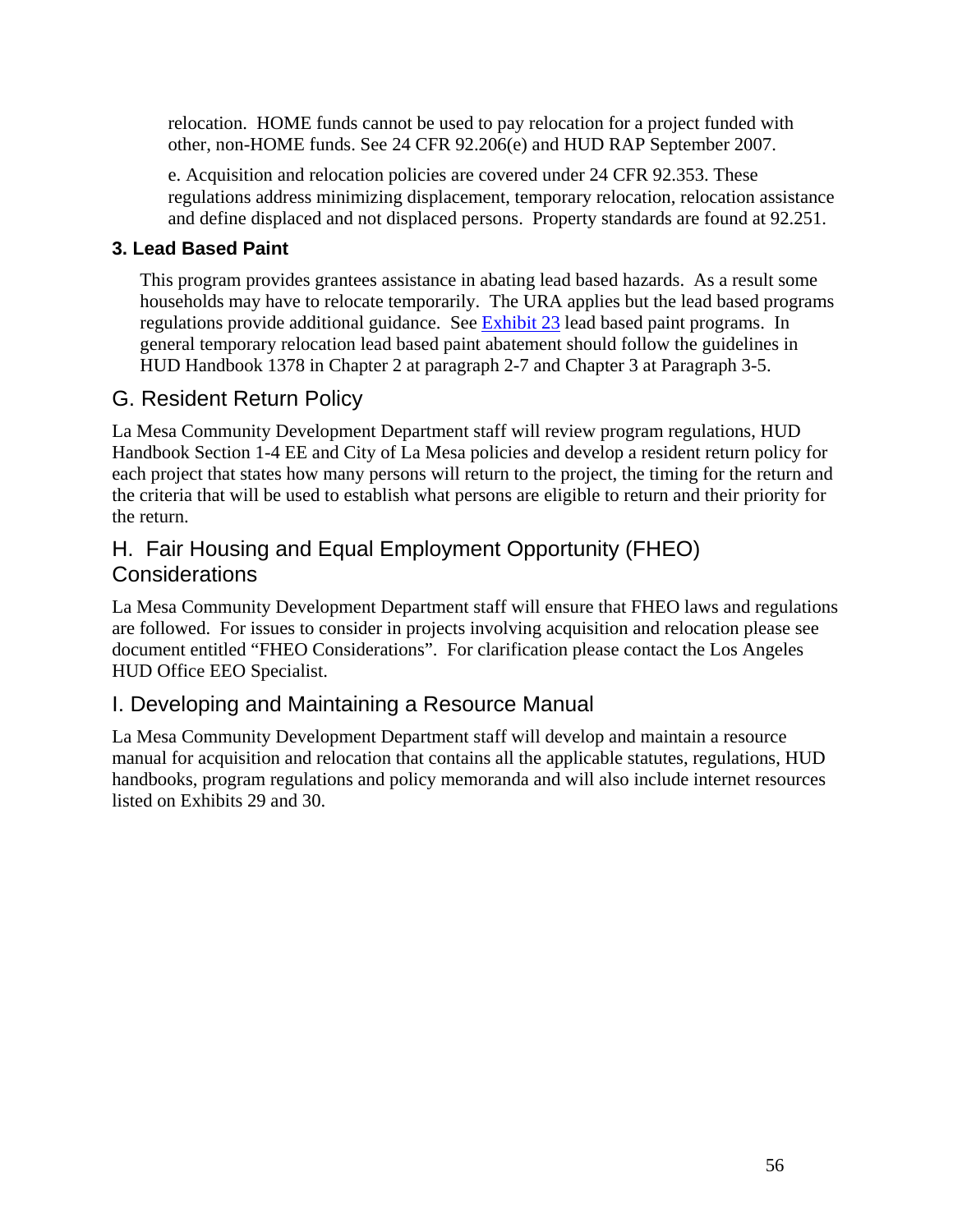relocation. HOME funds cannot be used to pay relocation for a project funded with other, non-HOME funds. See 24 CFR 92.206(e) and HUD RAP September 2007.

e. Acquisition and relocation policies are covered under 24 CFR 92.353. These regulations address minimizing displacement, temporary relocation, relocation assistance and define displaced and not displaced persons. Property standards are found at 92.251.

## **3. Lead Based Paint**

This program provides grantees assistance in abating lead based hazards. As a result some households may have to relocate temporarily. The URA applies but the lead based programs regulations provide additional guidance. See Exhibit 23 lead based paint programs. In general temporary relocation lead based paint abatement should follow the guidelines in HUD Handbook 1378 in Chapter 2 at paragraph 2-7 and Chapter 3 at Paragraph 3-5.

# G. Resident Return Policy

La Mesa Community Development Department staff will review program regulations, HUD Handbook Section 1-4 EE and City of La Mesa policies and develop a resident return policy for each project that states how many persons will return to the project, the timing for the return and the criteria that will be used to establish what persons are eligible to return and their priority for the return.

# H. Fair Housing and Equal Employment Opportunity (FHEO) **Considerations**

La Mesa Community Development Department staff will ensure that FHEO laws and regulations are followed. For issues to consider in projects involving acquisition and relocation please see document entitled "FHEO Considerations". For clarification please contact the Los Angeles HUD Office EEO Specialist.

# I. Developing and Maintaining a Resource Manual

La Mesa Community Development Department staff will develop and maintain a resource manual for acquisition and relocation that contains all the applicable statutes, regulations, HUD handbooks, program regulations and policy memoranda and will also include internet resources listed on Exhibits 29 and 30.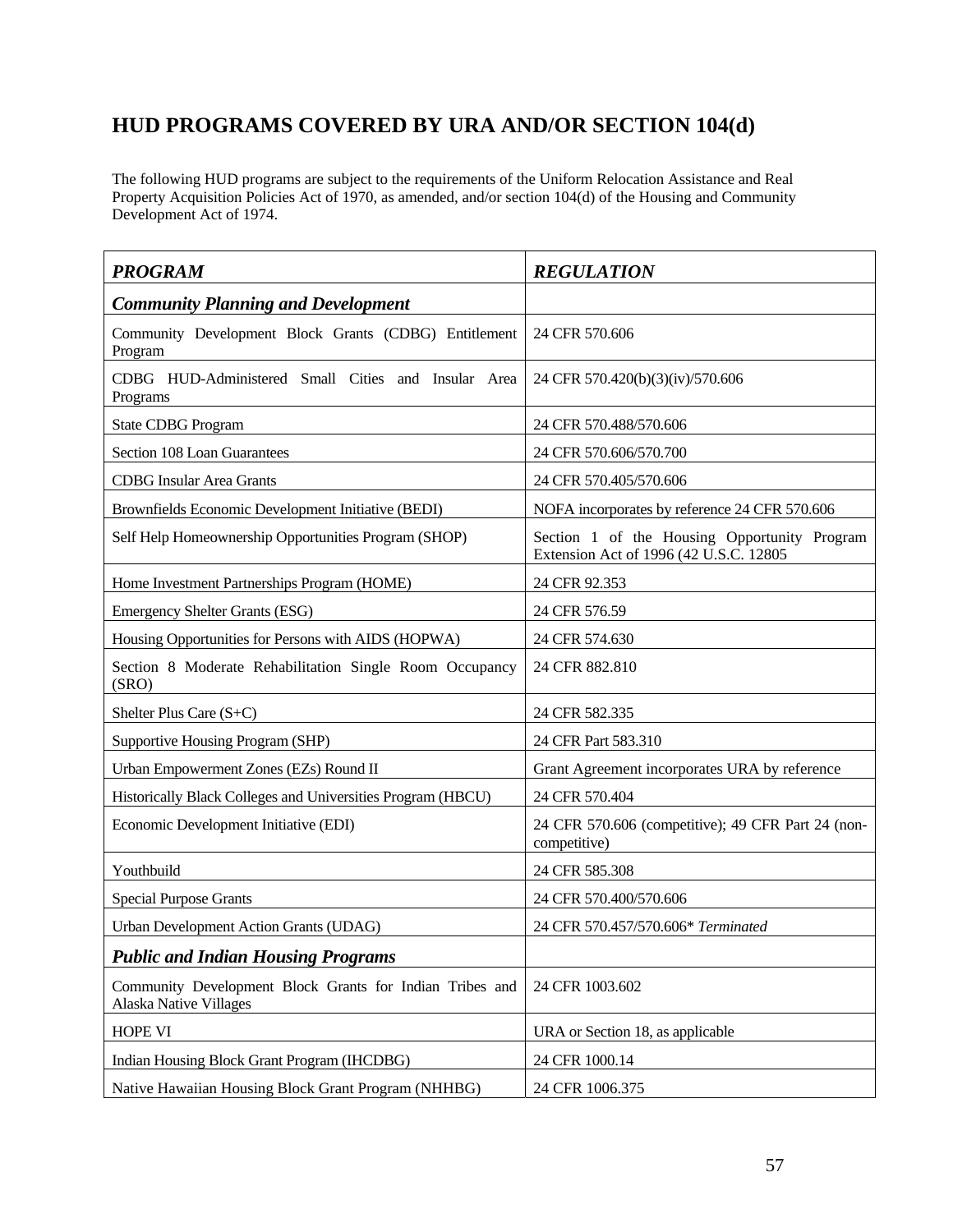# **HUD PROGRAMS COVERED BY URA AND/OR SECTION 104(d)**

The following HUD programs are subject to the requirements of the Uniform Relocation Assistance and Real Property Acquisition Policies Act of 1970, as amended, and/or section 104(d) of the Housing and Community Development Act of 1974.

| <b>PROGRAM</b>                                                                            | <b>REGULATION</b>                                                                      |  |
|-------------------------------------------------------------------------------------------|----------------------------------------------------------------------------------------|--|
| <b>Community Planning and Development</b>                                                 |                                                                                        |  |
| Community Development Block Grants (CDBG) Entitlement<br>Program                          | 24 CFR 570.606                                                                         |  |
| CDBG HUD-Administered Small Cities and Insular Area<br>Programs                           | 24 CFR 570.420(b)(3)(iv)/570.606                                                       |  |
| State CDBG Program                                                                        | 24 CFR 570.488/570.606                                                                 |  |
| Section 108 Loan Guarantees                                                               | 24 CFR 570.606/570.700                                                                 |  |
| <b>CDBG</b> Insular Area Grants                                                           | 24 CFR 570.405/570.606                                                                 |  |
| Brownfields Economic Development Initiative (BEDI)                                        | NOFA incorporates by reference 24 CFR 570.606                                          |  |
| Self Help Homeownership Opportunities Program (SHOP)                                      | Section 1 of the Housing Opportunity Program<br>Extension Act of 1996 (42 U.S.C. 12805 |  |
| Home Investment Partnerships Program (HOME)                                               | 24 CFR 92.353                                                                          |  |
| <b>Emergency Shelter Grants (ESG)</b>                                                     | 24 CFR 576.59                                                                          |  |
| Housing Opportunities for Persons with AIDS (HOPWA)                                       | 24 CFR 574.630                                                                         |  |
| Section 8 Moderate Rehabilitation Single Room Occupancy<br>(SRO)                          | 24 CFR 882.810                                                                         |  |
| Shelter Plus Care (S+C)                                                                   | 24 CFR 582.335                                                                         |  |
| <b>Supportive Housing Program (SHP)</b>                                                   | 24 CFR Part 583.310                                                                    |  |
| Urban Empowerment Zones (EZs) Round II                                                    | Grant Agreement incorporates URA by reference                                          |  |
| Historically Black Colleges and Universities Program (HBCU)                               | 24 CFR 570.404                                                                         |  |
| Economic Development Initiative (EDI)                                                     | 24 CFR 570.606 (competitive); 49 CFR Part 24 (non-<br>competitive)                     |  |
| Youthbuild                                                                                | 24 CFR 585.308                                                                         |  |
| <b>Special Purpose Grants</b>                                                             | 24 CFR 570.400/570.606                                                                 |  |
| Urban Development Action Grants (UDAG)                                                    | 24 CFR 570.457/570.606* Terminated                                                     |  |
| <b>Public and Indian Housing Programs</b>                                                 |                                                                                        |  |
| Community Development Block Grants for Indian Tribes and<br><b>Alaska Native Villages</b> | 24 CFR 1003.602                                                                        |  |
| HOPE VI                                                                                   | URA or Section 18, as applicable                                                       |  |
| Indian Housing Block Grant Program (IHCDBG)                                               | 24 CFR 1000.14                                                                         |  |
| Native Hawaiian Housing Block Grant Program (NHHBG)                                       | 24 CFR 1006.375                                                                        |  |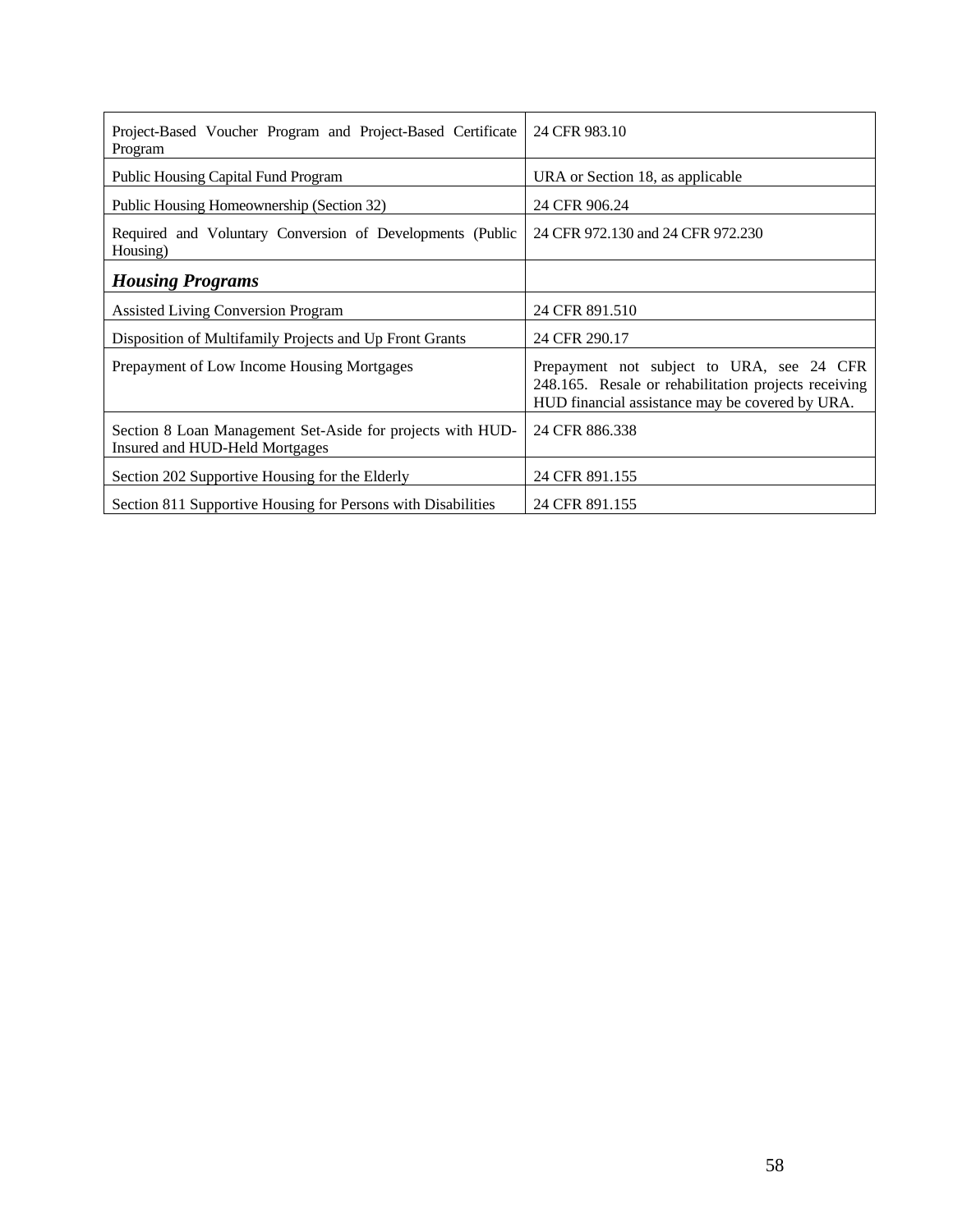| Project-Based Voucher Program and Project-Based Certificate<br>Program                       | 24 CFR 983.10                                                                                                                                        |  |
|----------------------------------------------------------------------------------------------|------------------------------------------------------------------------------------------------------------------------------------------------------|--|
| <b>Public Housing Capital Fund Program</b>                                                   | URA or Section 18, as applicable                                                                                                                     |  |
| Public Housing Homeownership (Section 32)                                                    | 24 CFR 906.24                                                                                                                                        |  |
| Required and Voluntary Conversion of Developments (Public<br>Housing)                        | 24 CFR 972.130 and 24 CFR 972.230                                                                                                                    |  |
| <b>Housing Programs</b>                                                                      |                                                                                                                                                      |  |
| Assisted Living Conversion Program                                                           | 24 CFR 891.510                                                                                                                                       |  |
| Disposition of Multifamily Projects and Up Front Grants                                      | 24 CFR 290.17                                                                                                                                        |  |
| Prepayment of Low Income Housing Mortgages                                                   | Prepayment not subject to URA, see 24 CFR<br>248.165. Resale or rehabilitation projects receiving<br>HUD financial assistance may be covered by URA. |  |
| Section 8 Loan Management Set-Aside for projects with HUD-<br>Insured and HUD-Held Mortgages | 24 CFR 886.338                                                                                                                                       |  |
| Section 202 Supportive Housing for the Elderly                                               | 24 CFR 891.155                                                                                                                                       |  |
| Section 811 Supportive Housing for Persons with Disabilities                                 | 24 CFR 891.155                                                                                                                                       |  |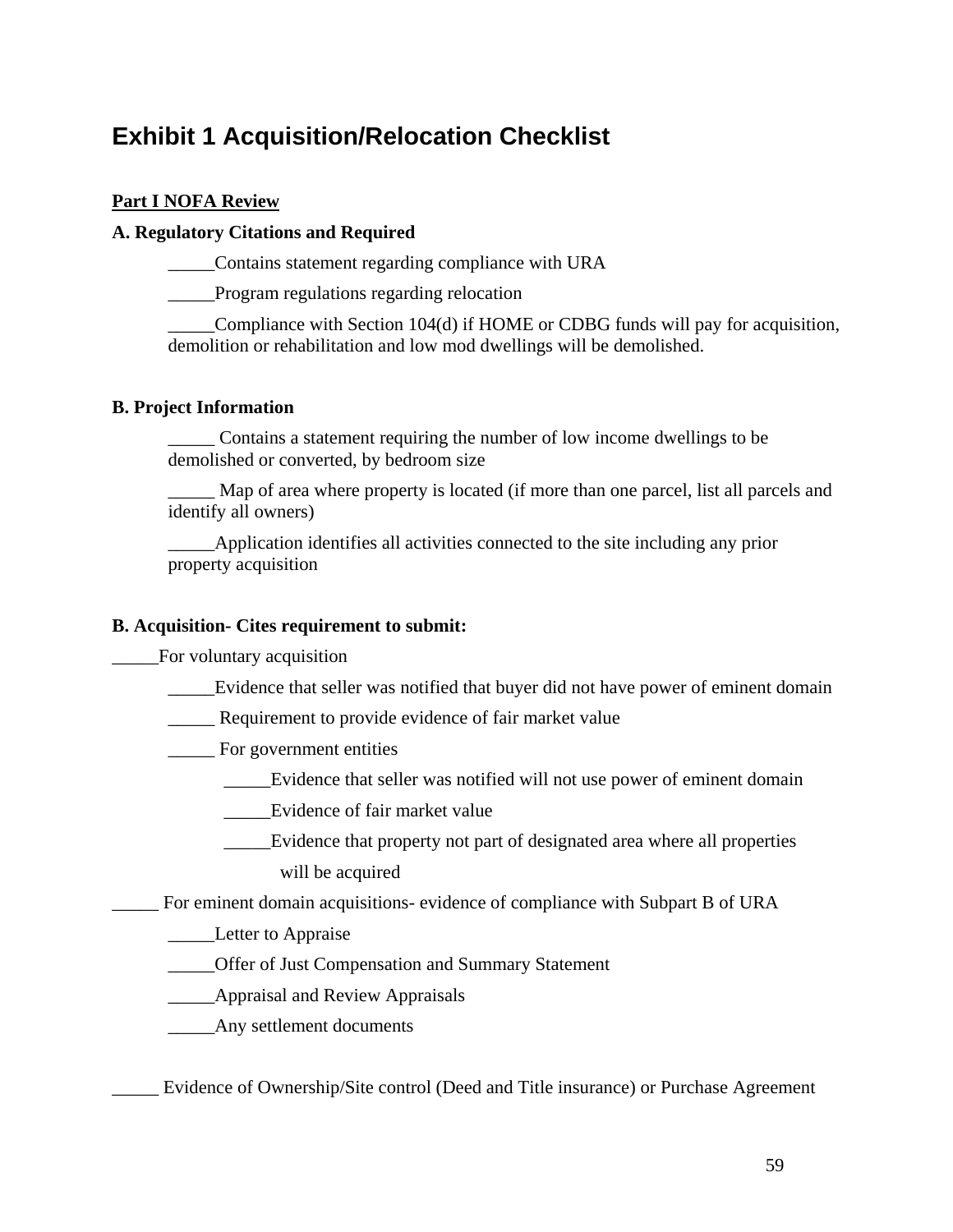# **Exhibit 1 Acquisition/Relocation Checklist**

#### **Part I NOFA Review**

#### **A. Regulatory Citations and Required**

\_\_\_\_\_Contains statement regarding compliance with URA

\_\_\_\_\_Program regulations regarding relocation

\_\_\_\_\_Compliance with Section 104(d) if HOME or CDBG funds will pay for acquisition, demolition or rehabilitation and low mod dwellings will be demolished.

#### **B. Project Information**

\_\_\_\_\_ Contains a statement requiring the number of low income dwellings to be demolished or converted, by bedroom size

Map of area where property is located (if more than one parcel, list all parcels and identify all owners)

\_\_\_\_\_Application identifies all activities connected to the site including any prior property acquisition

#### **B. Acquisition- Cites requirement to submit:**

\_\_\_\_\_For voluntary acquisition

Evidence that seller was notified that buyer did not have power of eminent domain

- \_\_\_\_\_ Requirement to provide evidence of fair market value
- \_\_\_\_\_ For government entities
	- \_\_\_\_\_Evidence that seller was notified will not use power of eminent domain
	- \_\_\_\_\_Evidence of fair market value
	- \_\_\_\_\_Evidence that property not part of designated area where all properties will be acquired

For eminent domain acquisitions- evidence of compliance with Subpart B of URA

**Letter to Appraise** 

- \_\_\_\_\_Offer of Just Compensation and Summary Statement
- **Example 3** Appraisal and Review Appraisals

\_\_\_\_\_Any settlement documents

Evidence of Ownership/Site control (Deed and Title insurance) or Purchase Agreement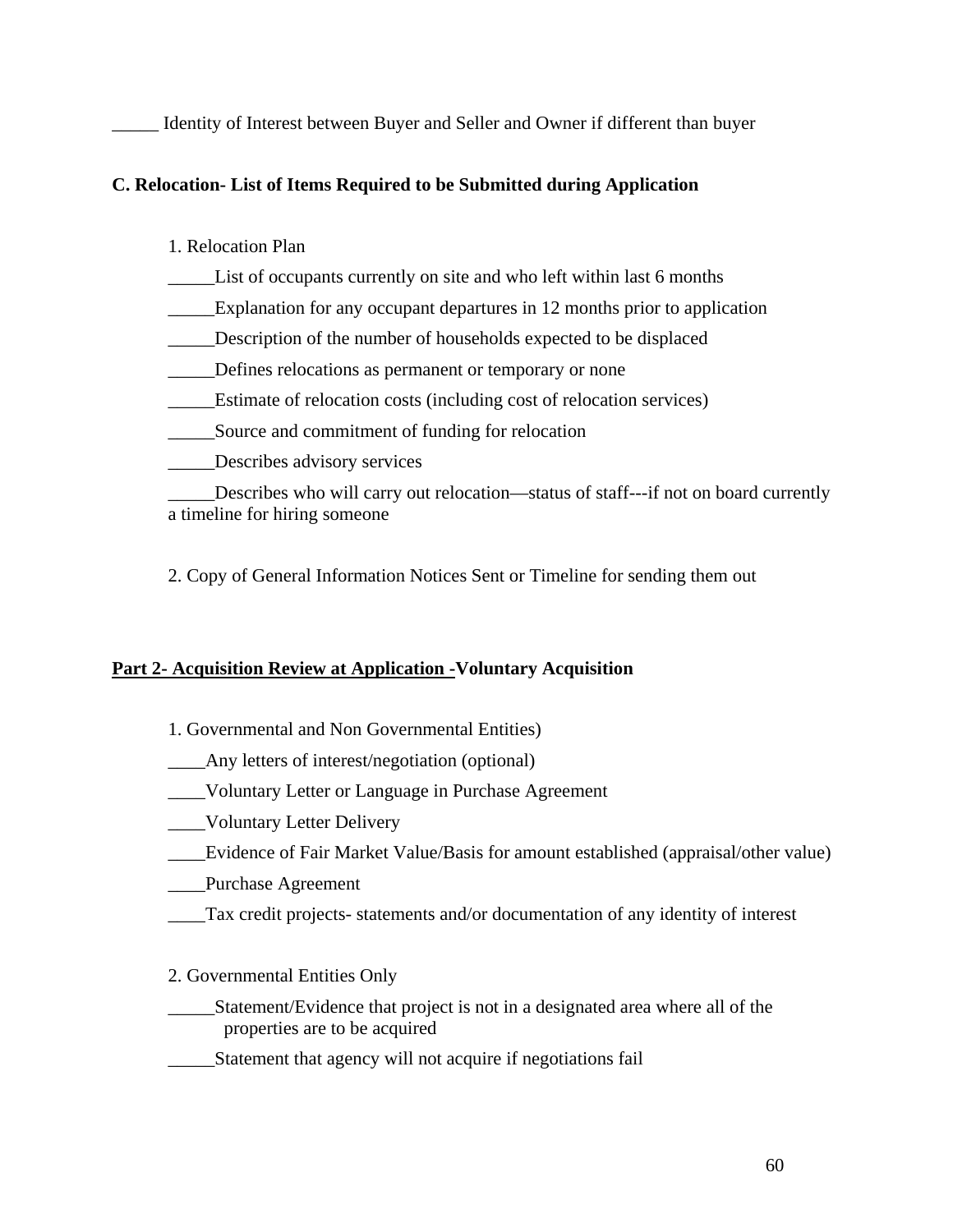Identity of Interest between Buyer and Seller and Owner if different than buyer

### **C. Relocation- List of Items Required to be Submitted during Application**

#### 1. Relocation Plan

- \_\_\_\_\_List of occupants currently on site and who left within last 6 months
- \_\_\_\_\_Explanation for any occupant departures in 12 months prior to application
- \_\_\_\_\_Description of the number of households expected to be displaced
- Defines relocations as permanent or temporary or none
- \_\_\_\_\_Estimate of relocation costs (including cost of relocation services)
- \_\_\_\_\_Source and commitment of funding for relocation
- \_\_\_\_\_Describes advisory services

\_\_\_\_\_Describes who will carry out relocation—status of staff---if not on board currently a timeline for hiring someone

2. Copy of General Information Notices Sent or Timeline for sending them out

#### **Part 2- Acquisition Review at Application -Voluntary Acquisition**

- 1. Governmental and Non Governmental Entities)
- \_\_\_\_Any letters of interest/negotiation (optional)
- \_\_\_\_Voluntary Letter or Language in Purchase Agreement
- \_\_\_\_Voluntary Letter Delivery
- \_\_\_\_Evidence of Fair Market Value/Basis for amount established (appraisal/other value)
- \_\_\_\_Purchase Agreement
- \_\_\_\_Tax credit projects- statements and/or documentation of any identity of interest

#### 2. Governmental Entities Only

- \_\_\_\_\_Statement/Evidence that project is not in a designated area where all of the properties are to be acquired
- \_\_\_\_\_Statement that agency will not acquire if negotiations fail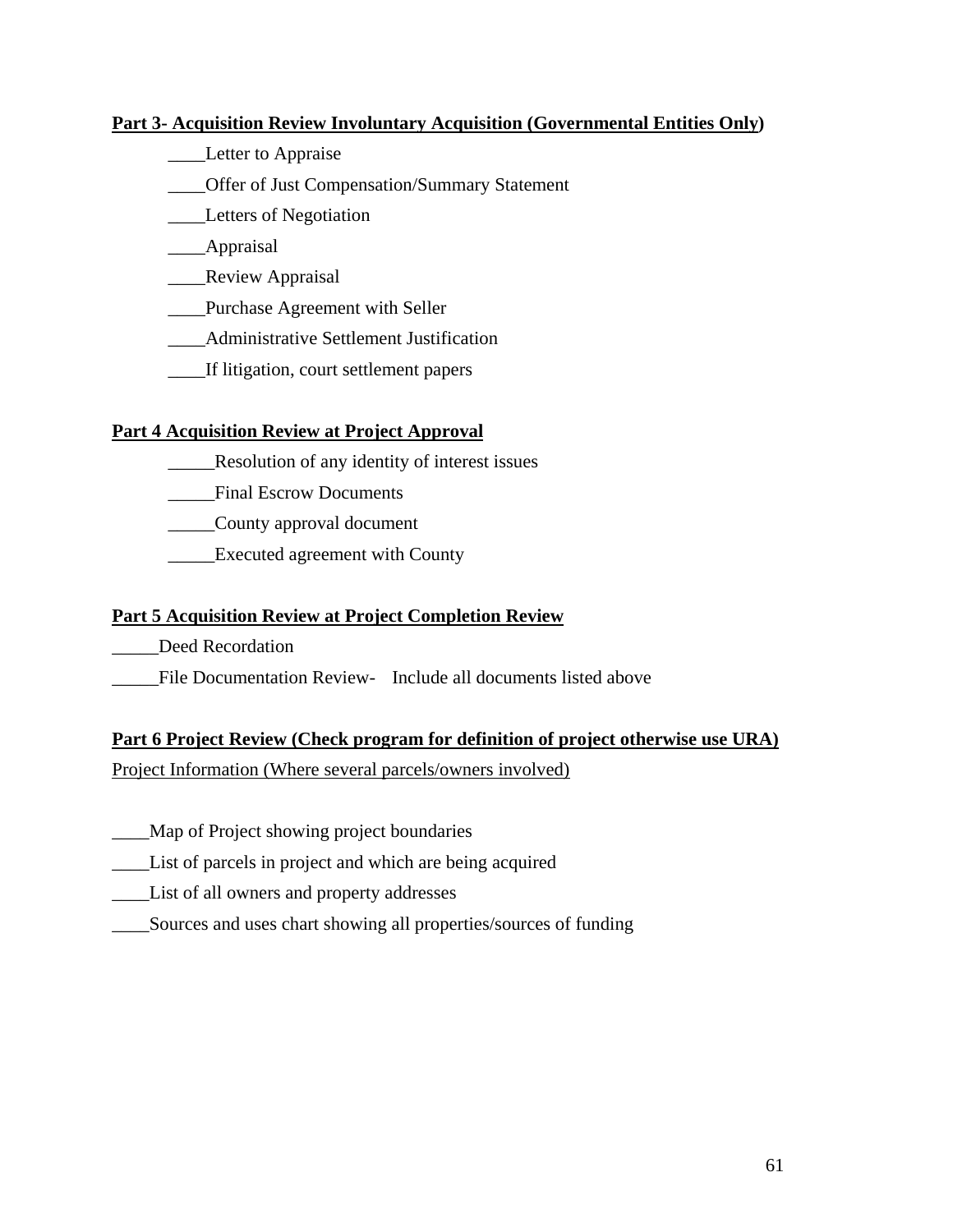#### **Part 3- Acquisition Review Involuntary Acquisition (Governmental Entities Only)**

- \_\_\_\_Letter to Appraise
- \_\_\_\_Offer of Just Compensation/Summary Statement
- \_\_\_\_Letters of Negotiation
- \_\_\_\_Appraisal
- \_\_\_\_\_Review Appraisal
- \_\_\_\_Purchase Agreement with Seller
- \_\_\_\_Administrative Settlement Justification
- \_\_\_\_If litigation, court settlement papers

#### **Part 4 Acquisition Review at Project Approval**

- \_\_\_\_\_Resolution of any identity of interest issues
- \_\_\_\_\_Final Escrow Documents
- \_\_\_\_\_County approval document
- **Executed agreement with County**

#### **Part 5 Acquisition Review at Project Completion Review**

- Deed Recordation
- File Documentation Review- Include all documents listed above

#### **Part 6 Project Review (Check program for definition of project otherwise use URA)**

Project Information (Where several parcels/owners involved)

- \_\_\_\_Map of Project showing project boundaries
- \_\_\_\_List of parcels in project and which are being acquired
- \_\_\_\_List of all owners and property addresses
- \_\_\_\_Sources and uses chart showing all properties/sources of funding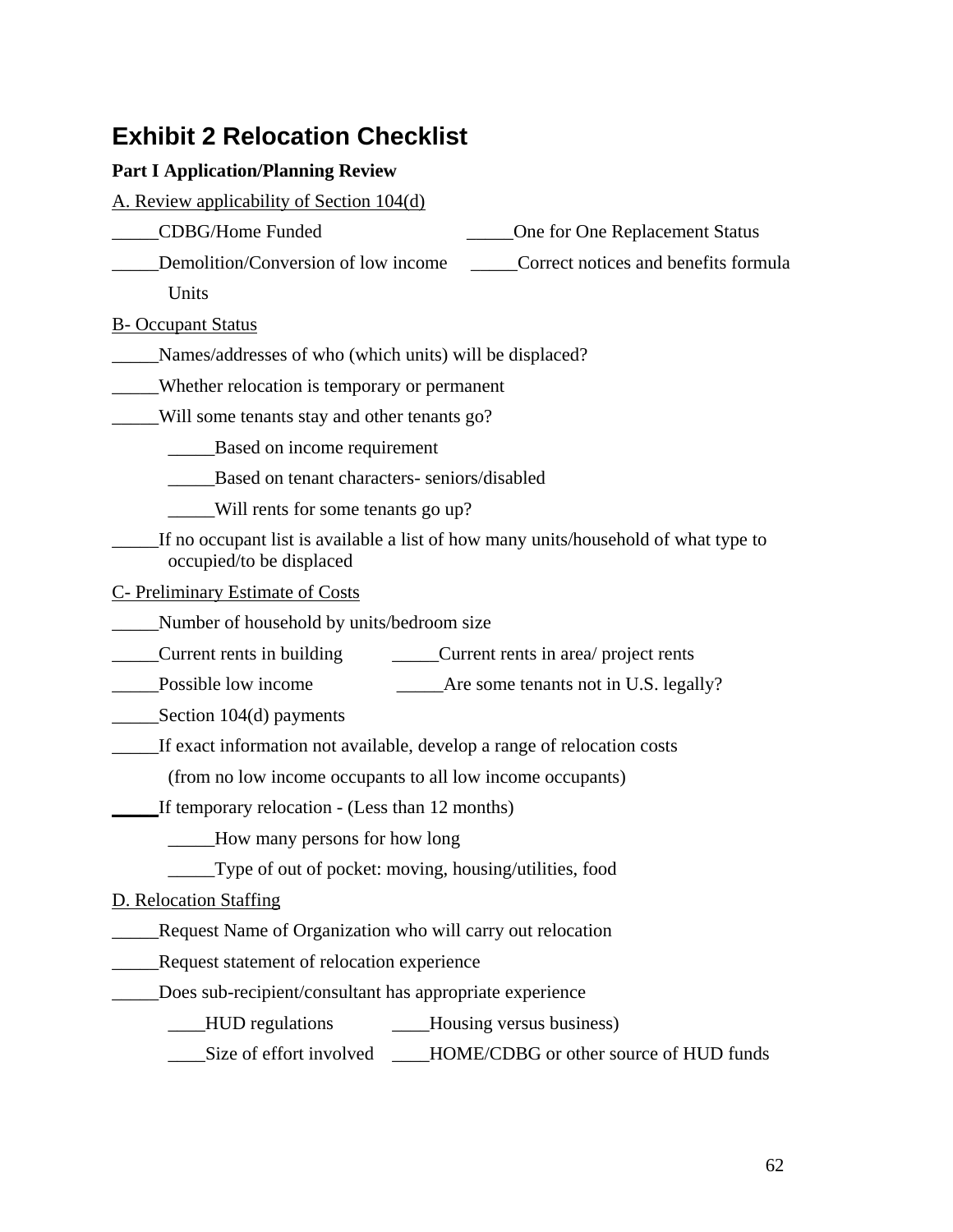# **Exhibit 2 Relocation Checklist**

#### **Part I Application/Planning Review**

A. Review applicability of Section 104(d)

- \_\_\_\_\_CDBG/Home Funded \_\_\_\_\_One for One Replacement Status
- Demolition/Conversion of low income Correct notices and benefits formula

**Units** 

B- Occupant Status

\_\_\_\_\_Names/addresses of who (which units) will be displaced?

\_\_\_\_\_Whether relocation is temporary or permanent

\_\_\_\_\_Will some tenants stay and other tenants go?

\_\_\_\_\_Based on income requirement

\_\_\_\_\_Based on tenant characters- seniors/disabled

\_\_\_\_\_Will rents for some tenants go up?

If no occupant list is available a list of how many units/household of what type to occupied/to be displaced

C- Preliminary Estimate of Costs

\_\_\_\_\_Number of household by units/bedroom size

\_\_\_\_\_Current rents in building \_\_\_\_\_Current rents in area/ project rents

\_\_\_\_\_Possible low income \_\_\_\_\_Are some tenants not in U.S. legally?

Section 104(d) payments

If exact information not available, develop a range of relocation costs

(from no low income occupants to all low income occupants)

\_\_\_\_\_If temporary relocation - (Less than 12 months)

\_\_\_\_\_How many persons for how long

\_\_\_\_\_Type of out of pocket: moving, housing/utilities, food

D. Relocation Staffing

\_\_\_\_\_Request Name of Organization who will carry out relocation

\_\_\_\_\_Request statement of relocation experience

\_\_\_\_\_Does sub-recipient/consultant has appropriate experience

\_\_\_\_HUD regulations \_\_\_\_Housing versus business)

Size of effort involved HOME/CDBG or other source of HUD funds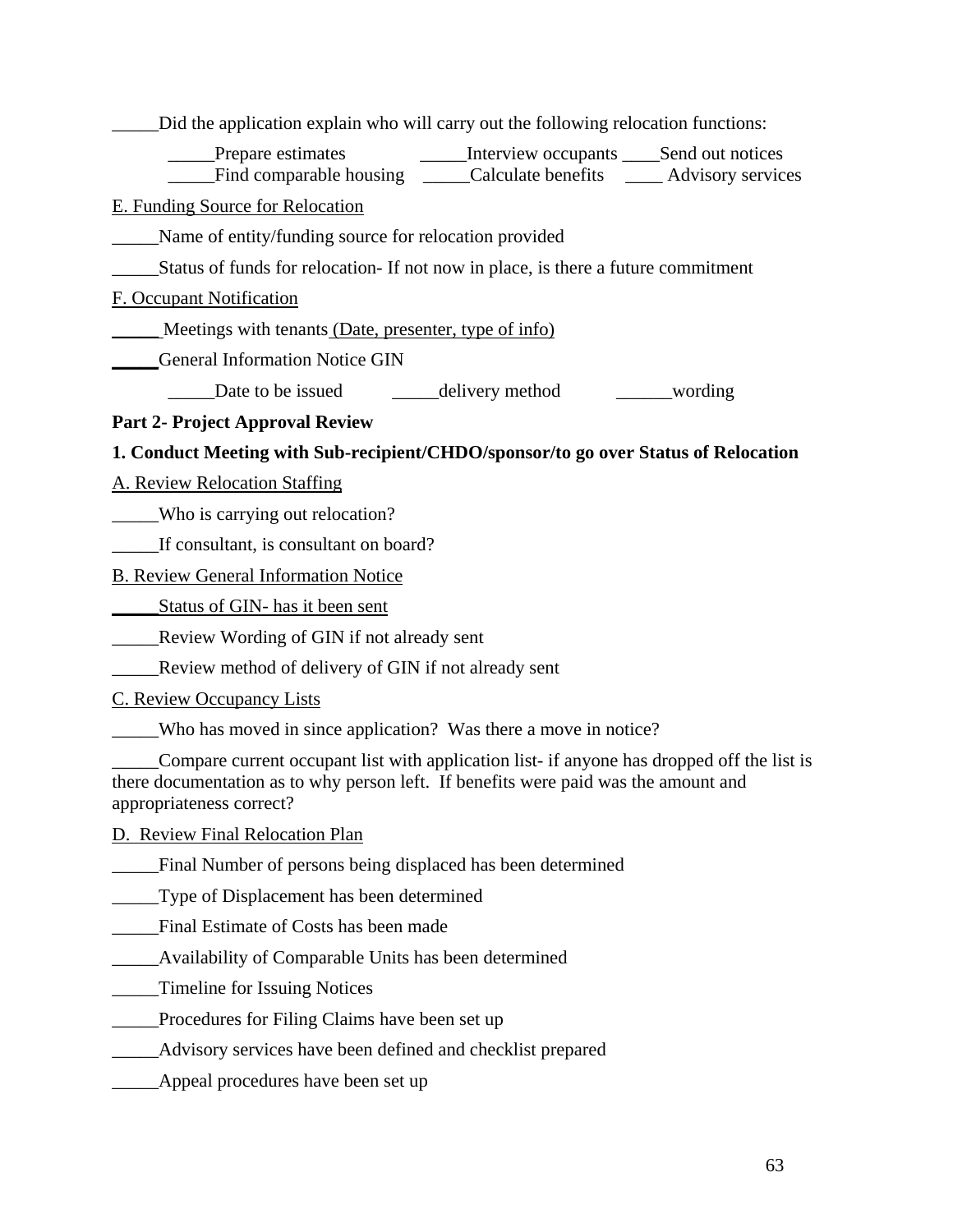| Did the application explain who will carry out the following relocation functions:                                                                                                                            |
|---------------------------------------------------------------------------------------------------------------------------------------------------------------------------------------------------------------|
| Prepare estimates<br>_______Interview occupants ______Send out notices<br>Find comparable housing _____Calculate benefits ______Advisory services                                                             |
| E. Funding Source for Relocation                                                                                                                                                                              |
| Name of entity/funding source for relocation provided                                                                                                                                                         |
| Status of funds for relocation- If not now in place, is there a future commitment                                                                                                                             |
| F. Occupant Notification                                                                                                                                                                                      |
| Meetings with tenants (Date, presenter, type of info)                                                                                                                                                         |
| <b>General Information Notice GIN</b>                                                                                                                                                                         |
|                                                                                                                                                                                                               |
| <b>Part 2- Project Approval Review</b>                                                                                                                                                                        |
| 1. Conduct Meeting with Sub-recipient/CHDO/sponsor/to go over Status of Relocation                                                                                                                            |
| <b>A. Review Relocation Staffing</b>                                                                                                                                                                          |
| _____Who is carrying out relocation?                                                                                                                                                                          |
| If consultant, is consultant on board?                                                                                                                                                                        |
| <b>B. Review General Information Notice</b>                                                                                                                                                                   |
| Status of GIN-has it been sent                                                                                                                                                                                |
| Review Wording of GIN if not already sent<br>$\overline{\phantom{a}}$                                                                                                                                         |
| Review method of delivery of GIN if not already sent                                                                                                                                                          |
| <b>C. Review Occupancy Lists</b>                                                                                                                                                                              |
| Who has moved in since application? Was there a move in notice?                                                                                                                                               |
| Compare current occupant list with application list- if anyone has dropped off the list is<br>there documentation as to why person left. If benefits were paid was the amount and<br>appropriateness correct? |
| D. Review Final Relocation Plan                                                                                                                                                                               |
| Final Number of persons being displaced has been determined                                                                                                                                                   |
| Type of Displacement has been determined                                                                                                                                                                      |
| Final Estimate of Costs has been made                                                                                                                                                                         |
| Availability of Comparable Units has been determined                                                                                                                                                          |
| Timeline for Issuing Notices                                                                                                                                                                                  |
| Procedures for Filing Claims have been set up                                                                                                                                                                 |
| Advisory services have been defined and checklist prepared                                                                                                                                                    |
| Appeal procedures have been set up                                                                                                                                                                            |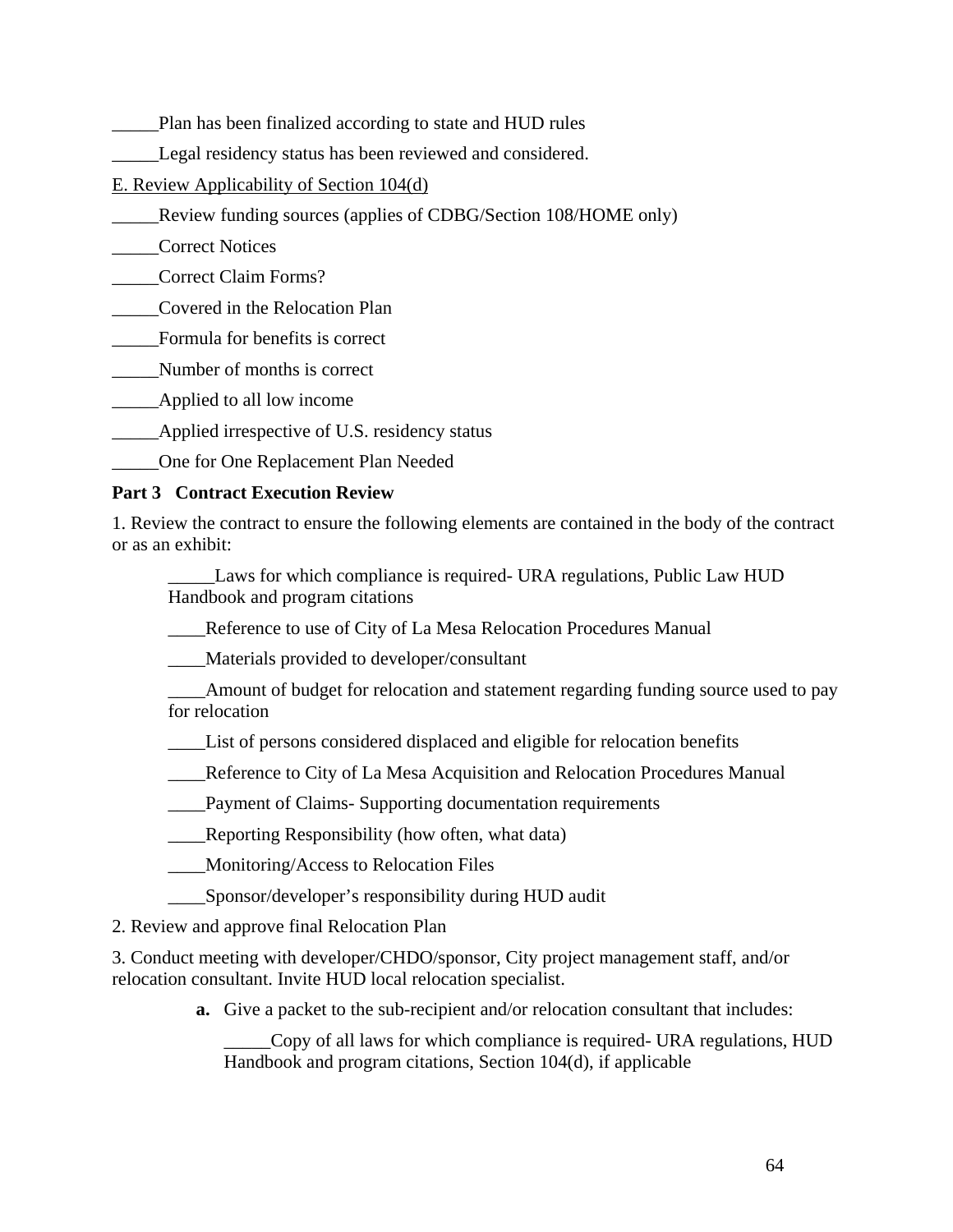- \_\_\_\_\_Plan has been finalized according to state and HUD rules
- Legal residency status has been reviewed and considered.
- E. Review Applicability of Section 104(d)
- \_\_\_\_\_Review funding sources (applies of CDBG/Section 108/HOME only)
- \_\_\_\_\_Correct Notices
- \_\_\_\_\_Correct Claim Forms?
- \_\_\_\_\_Covered in the Relocation Plan
- \_\_\_\_\_Formula for benefits is correct
- \_\_\_\_\_Number of months is correct
- \_\_\_\_\_Applied to all low income
- \_\_\_\_\_Applied irrespective of U.S. residency status
- \_\_\_\_\_One for One Replacement Plan Needed

#### **Part 3 Contract Execution Review**

1. Review the contract to ensure the following elements are contained in the body of the contract or as an exhibit:

Laws for which compliance is required- URA regulations, Public Law HUD Handbook and program citations

- \_\_\_\_Reference to use of City of La Mesa Relocation Procedures Manual
- \_\_\_\_Materials provided to developer/consultant
- \_\_\_\_Amount of budget for relocation and statement regarding funding source used to pay for relocation
- \_\_\_\_List of persons considered displaced and eligible for relocation benefits
- \_\_\_\_Reference to City of La Mesa Acquisition and Relocation Procedures Manual
- \_\_\_\_Payment of Claims- Supporting documentation requirements
- \_\_\_\_Reporting Responsibility (how often, what data)
- \_\_\_\_Monitoring/Access to Relocation Files
- \_\_\_\_Sponsor/developer's responsibility during HUD audit

2. Review and approve final Relocation Plan

3. Conduct meeting with developer/CHDO/sponsor, City project management staff, and/or relocation consultant. Invite HUD local relocation specialist.

**a.** Give a packet to the sub-recipient and/or relocation consultant that includes:

\_\_\_\_\_Copy of all laws for which compliance is required- URA regulations, HUD Handbook and program citations, Section 104(d), if applicable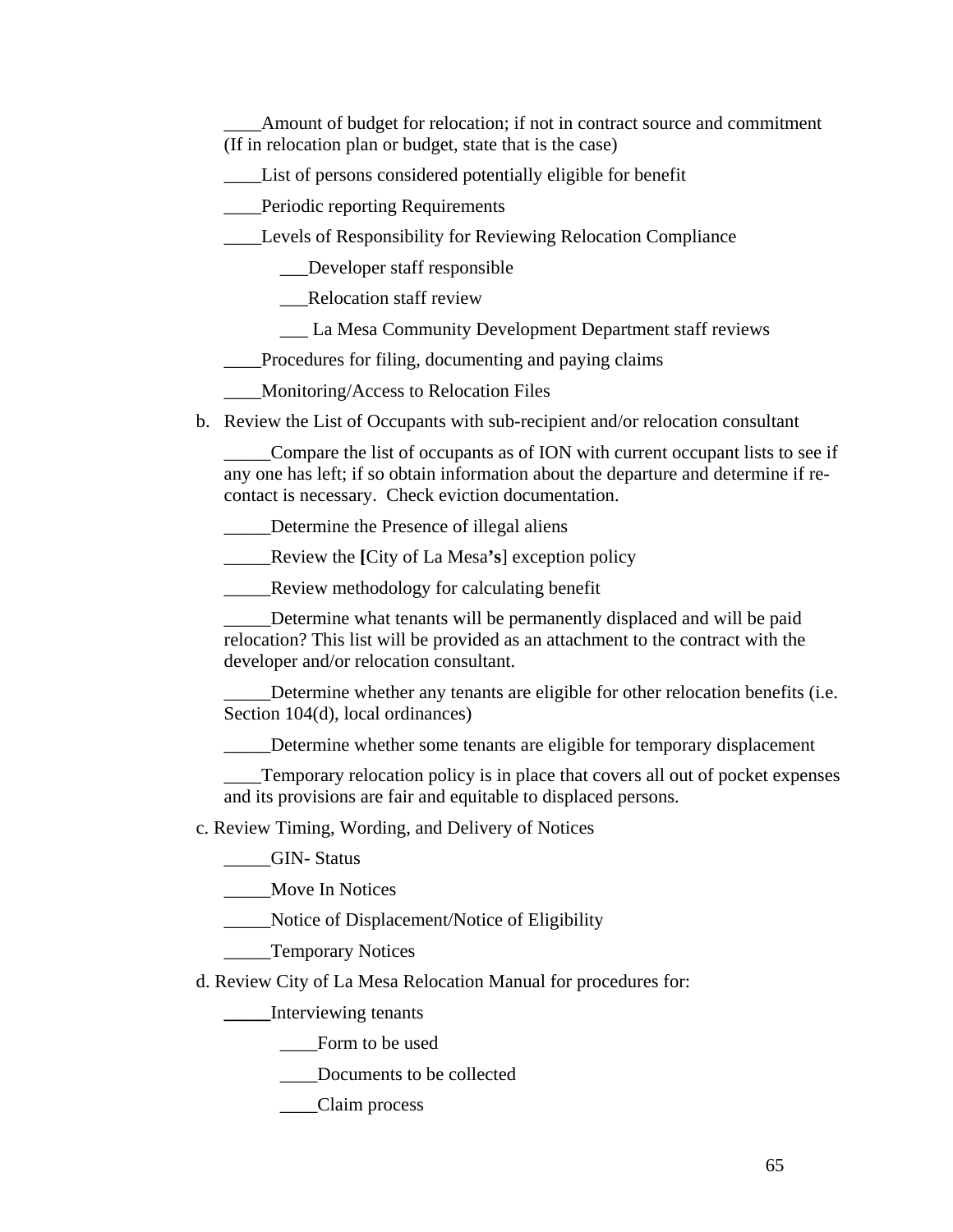\_\_\_\_Amount of budget for relocation; if not in contract source and commitment (If in relocation plan or budget, state that is the case)

\_\_\_\_List of persons considered potentially eligible for benefit

Periodic reporting Requirements

\_\_\_\_Levels of Responsibility for Reviewing Relocation Compliance

\_\_\_Developer staff responsible

\_\_\_Relocation staff review

\_\_\_ La Mesa Community Development Department staff reviews

\_\_\_\_Procedures for filing, documenting and paying claims

\_\_\_\_Monitoring/Access to Relocation Files

b. Review the List of Occupants with sub-recipient and/or relocation consultant

\_\_\_\_\_Compare the list of occupants as of ION with current occupant lists to see if any one has left; if so obtain information about the departure and determine if recontact is necessary. Check eviction documentation.

Determine the Presence of illegal aliens

\_\_\_\_\_Review the **[**City of La Mesa**'s**] exception policy

\_\_\_\_\_Review methodology for calculating benefit

Determine what tenants will be permanently displaced and will be paid relocation? This list will be provided as an attachment to the contract with the developer and/or relocation consultant.

Determine whether any tenants are eligible for other relocation benefits (i.e. Section 104(d), local ordinances)

\_\_\_\_\_Determine whether some tenants are eligible for temporary displacement

\_\_\_\_Temporary relocation policy is in place that covers all out of pocket expenses and its provisions are fair and equitable to displaced persons.

c. Review Timing, Wording, and Delivery of Notices

\_\_\_\_\_GIN- Status

\_\_\_\_\_Move In Notices

\_\_\_\_\_Notice of Displacement/Notice of Eligibility

\_\_\_\_\_Temporary Notices

d. Review City of La Mesa Relocation Manual for procedures for:

**\_\_\_\_\_**Interviewing tenants

Form to be used

Documents to be collected

\_\_\_\_Claim process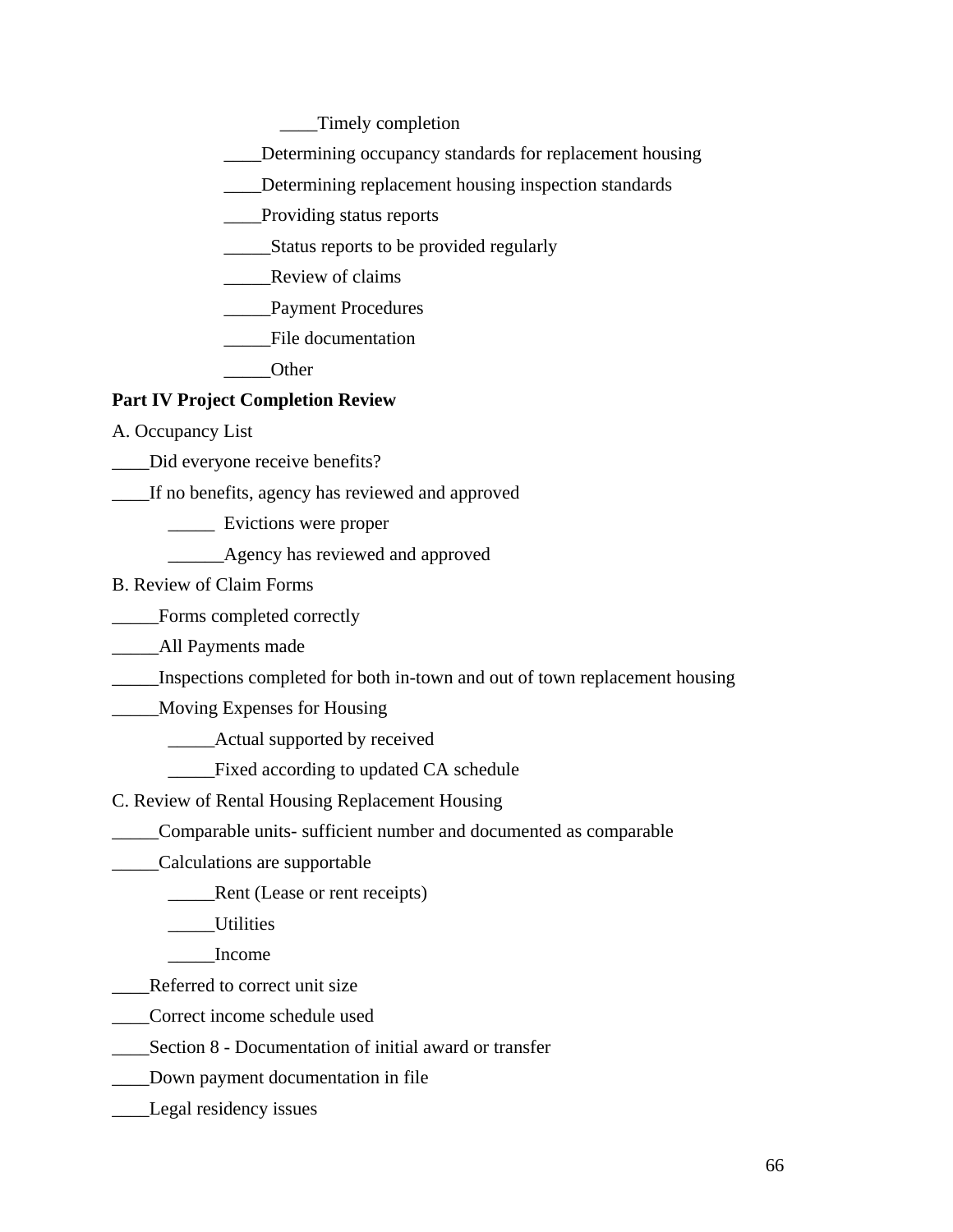\_\_\_\_Timely completion

\_\_\_\_Determining occupancy standards for replacement housing

\_\_\_\_Determining replacement housing inspection standards

\_\_\_\_Providing status reports

- \_\_\_\_\_Status reports to be provided regularly
- \_\_\_\_\_Review of claims

\_\_\_\_\_Payment Procedures

\_\_\_\_\_File documentation

\_\_\_\_\_Other

#### **Part IV Project Completion Review**

A. Occupancy List

\_\_\_\_Did everyone receive benefits?

\_\_\_\_If no benefits, agency has reviewed and approved

\_\_\_\_\_ Evictions were proper

\_\_\_\_\_\_Agency has reviewed and approved

B. Review of Claim Forms

\_\_\_\_\_Forms completed correctly

\_\_\_\_\_All Payments made

\_\_\_\_\_Inspections completed for both in-town and out of town replacement housing

\_\_\_\_\_Moving Expenses for Housing

\_\_\_\_\_Actual supported by received

\_\_\_\_\_Fixed according to updated CA schedule

C. Review of Rental Housing Replacement Housing

\_\_\_\_\_Comparable units- sufficient number and documented as comparable

\_\_\_\_\_Calculations are supportable

**EXECUTE:** Rent (Lease or rent receipts)

\_\_\_\_\_Utilities

\_\_\_\_\_Income

- Referred to correct unit size
- \_\_\_\_Correct income schedule used
- \_\_\_\_Section 8 Documentation of initial award or transfer
- \_\_\_\_Down payment documentation in file
- **Legal residency issues**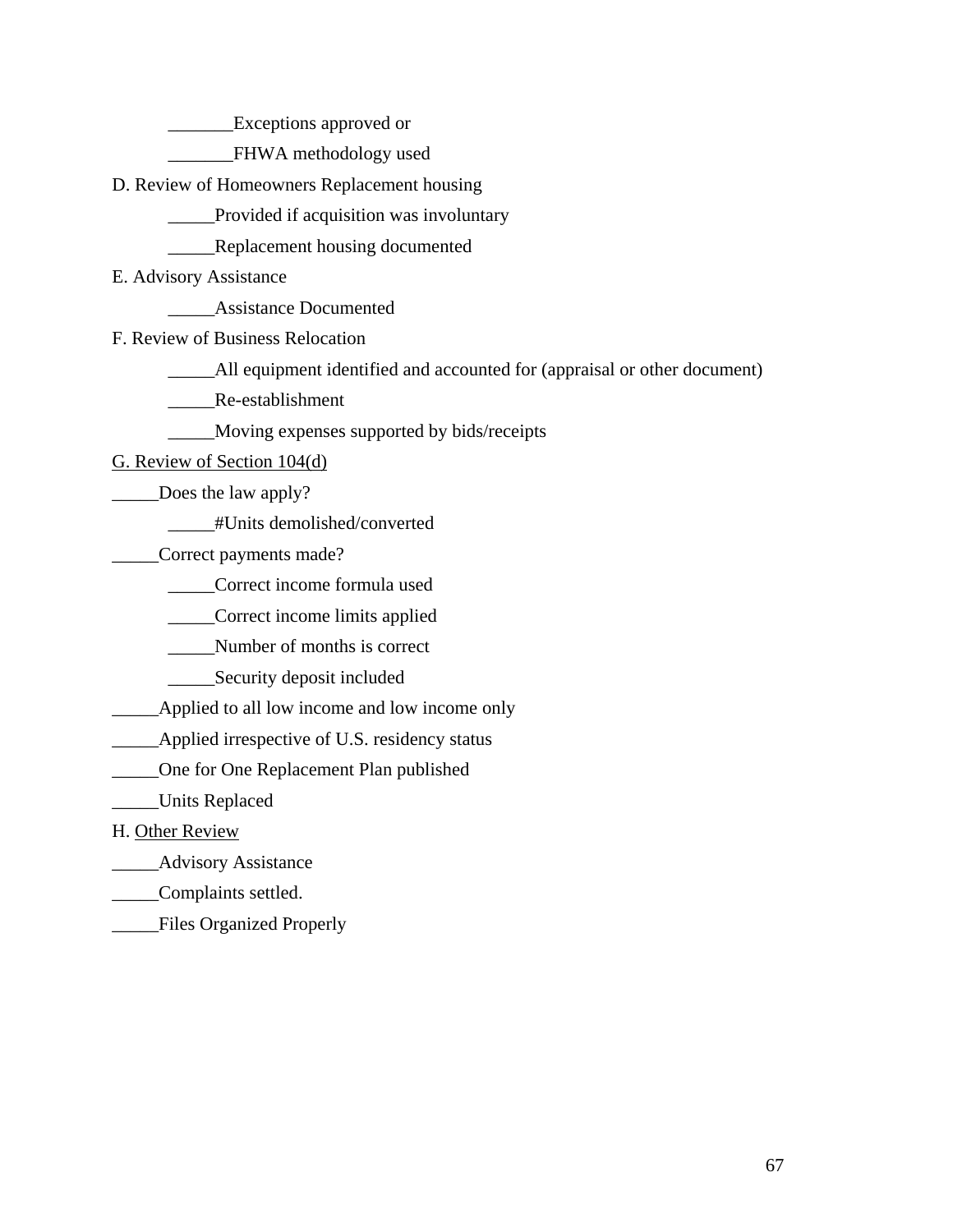**Exceptions approved or** 

\_\_\_\_\_\_\_FHWA methodology used

D. Review of Homeowners Replacement housing

Provided if acquisition was involuntary

**EXECUTE:** Replacement housing documented

E. Advisory Assistance

\_\_\_\_\_Assistance Documented

F. Review of Business Relocation

\_\_\_\_\_All equipment identified and accounted for (appraisal or other document)

\_\_\_\_\_Re-establishment

\_\_\_\_\_Moving expenses supported by bids/receipts

G. Review of Section 104(d)

\_\_\_\_\_Does the law apply?

\_\_\_\_\_#Units demolished/converted

\_\_\_\_\_Correct payments made?

\_\_\_\_\_Correct income formula used

\_\_\_\_\_Correct income limits applied

\_\_\_\_\_Number of months is correct

\_\_\_\_\_Security deposit included

**EXECUTE:** Applied to all low income and low income only

\_\_\_\_\_Applied irrespective of U.S. residency status

\_\_\_\_\_One for One Replacement Plan published

\_\_\_\_\_Units Replaced

H. Other Review

\_\_\_\_\_Advisory Assistance

\_\_\_\_\_Complaints settled.

\_\_\_\_\_Files Organized Properly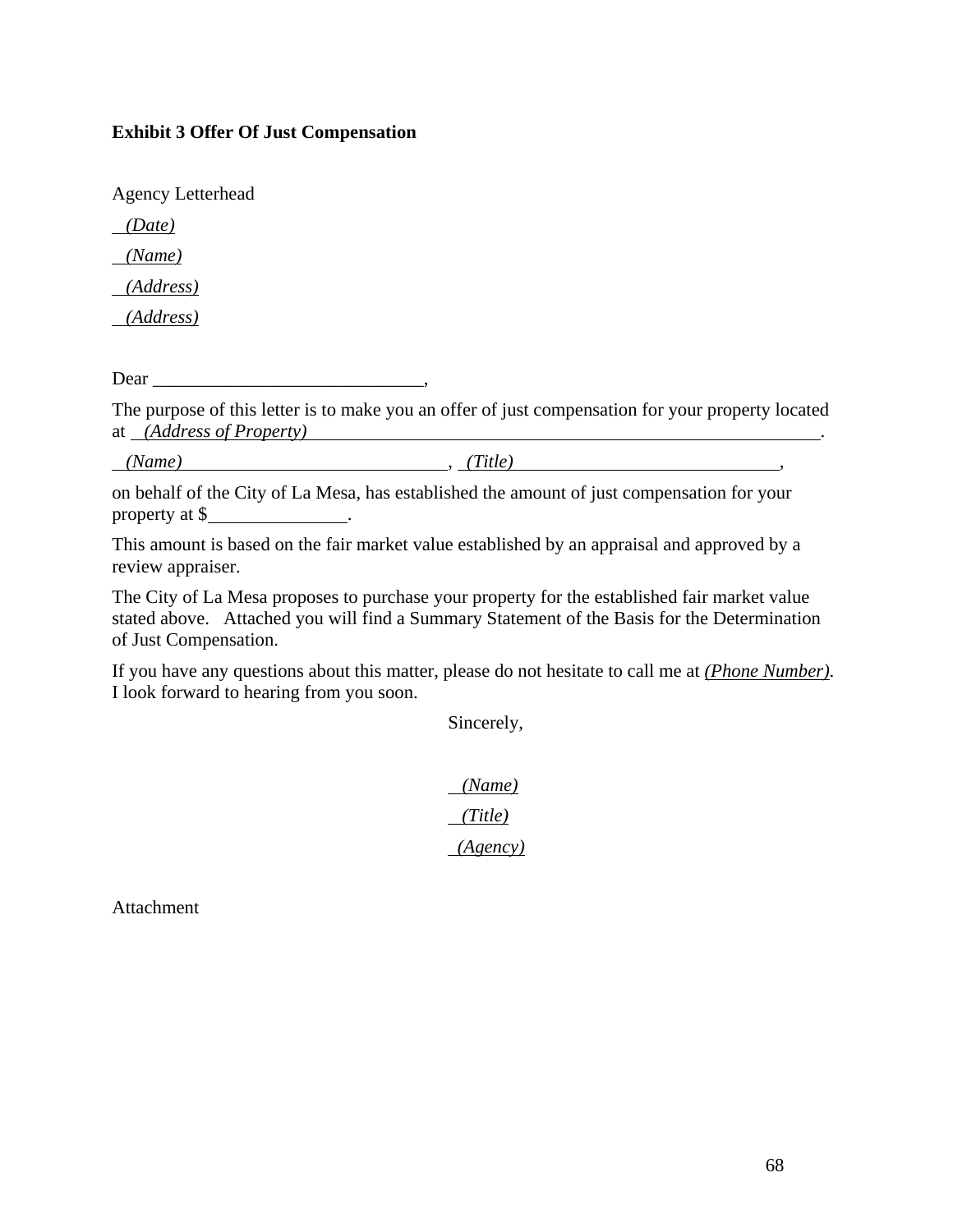#### **Exhibit 3 Offer Of Just Compensation**

Agency Letterhead

 *(Date)* 

 *(Name)* 

 *(Address)* 

 *(Address)* 

Dear the contract of the contract of the contract of the contract of the contract of the contract of the contract of the contract of the contract of the contract of the contract of the contract of the contract of the contr

The purpose of this letter is to make you an offer of just compensation for your property located at *(Address of Property)* .

 *(Name)* , *(Title)* ,

on behalf of the City of La Mesa, has established the amount of just compensation for your property at \$ .

This amount is based on the fair market value established by an appraisal and approved by a review appraiser.

The City of La Mesa proposes to purchase your property for the established fair market value stated above. Attached you will find a Summary Statement of the Basis for the Determination of Just Compensation.

If you have any questions about this matter, please do not hesitate to call me at *(Phone Number)*. I look forward to hearing from you soon.

Sincerely,

 *(Name) (Title) (Agency)* 

Attachment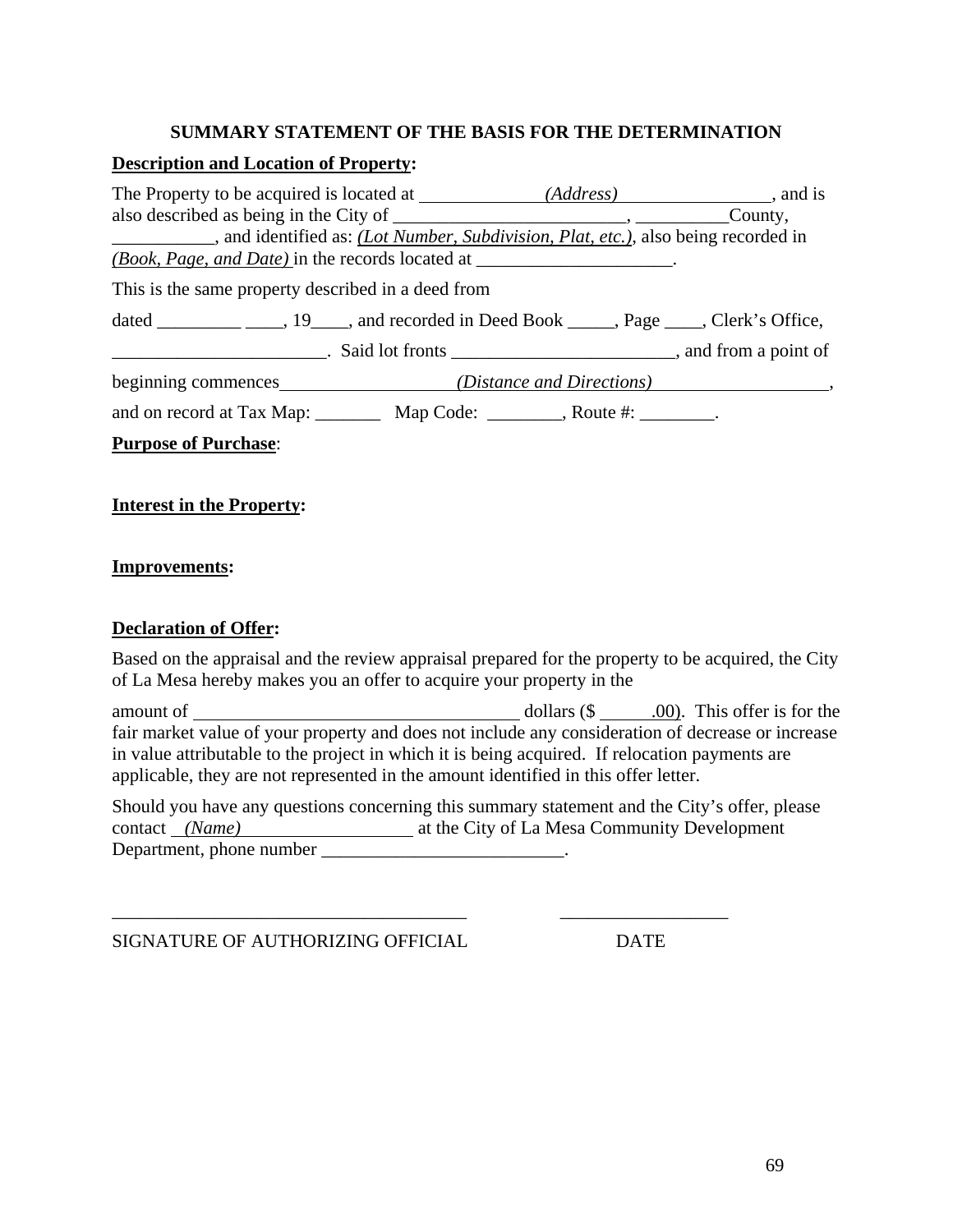#### **SUMMARY STATEMENT OF THE BASIS FOR THE DETERMINATION**

#### **Description and Location of Property:**

| and identified as: <i>(Lot Number, Subdivision, Plat, etc.)</i> , also being recorded in |  |
|------------------------------------------------------------------------------------------|--|
| <i>(Book, Page, and Date)</i> in the records located at _______________________.         |  |
| This is the same property described in a deed from                                       |  |
|                                                                                          |  |
|                                                                                          |  |
|                                                                                          |  |
| and on record at Tax Map: __________ Map Code: _________, Route #: ________.             |  |
| <b>Purpose of Purchase:</b>                                                              |  |

### **Interest in the Property:**

#### **Improvements:**

#### **Declaration of Offer:**

Based on the appraisal and the review appraisal prepared for the property to be acquired, the City of La Mesa hereby makes you an offer to acquire your property in the

amount of dollars (\$ .00). This offer is for the fair market value of your property and does not include any consideration of decrease or increase in value attributable to the project in which it is being acquired. If relocation payments are applicable, they are not represented in the amount identified in this offer letter.

Should you have any questions concerning this summary statement and the City's offer, please contact *(Name)* at the City of La Mesa Community Development Department, phone number \_\_\_\_\_\_\_\_\_\_\_\_\_\_\_\_\_\_\_\_\_\_\_\_\_\_.

\_\_\_\_\_\_\_\_\_\_\_\_\_\_\_\_\_\_\_\_\_\_\_\_\_\_\_\_\_\_\_\_\_\_\_\_\_\_ \_\_\_\_\_\_\_\_\_\_\_\_\_\_\_\_\_\_

SIGNATURE OF AUTHORIZING OFFICIAL DATE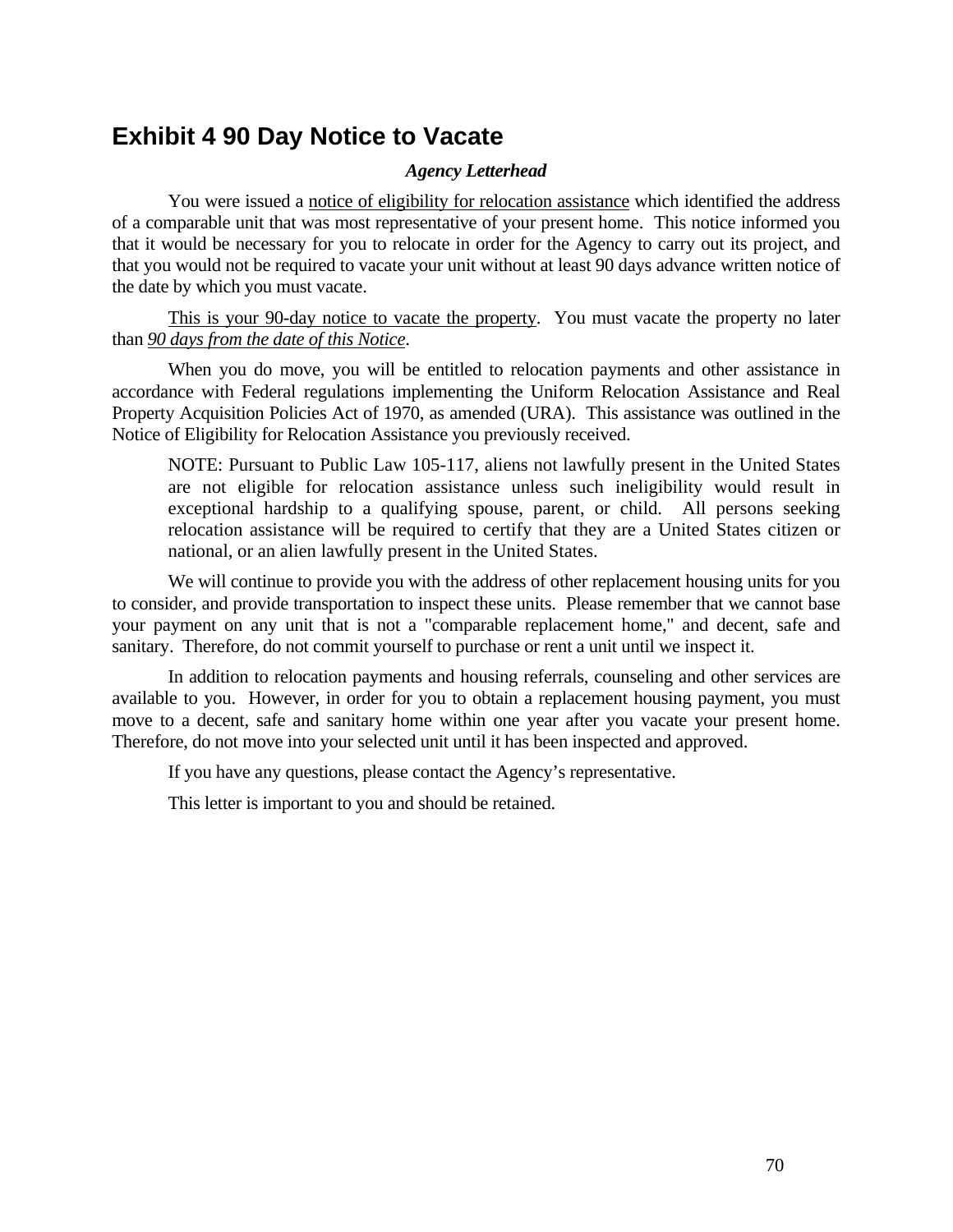## **Exhibit 4 90 Day Notice to Vacate**

#### *Agency Letterhead*

 You were issued a notice of eligibility for relocation assistance which identified the address of a comparable unit that was most representative of your present home. This notice informed you that it would be necessary for you to relocate in order for the Agency to carry out its project, and that you would not be required to vacate your unit without at least 90 days advance written notice of the date by which you must vacate.

 This is your 90-day notice to vacate the property. You must vacate the property no later than *90 days from the date of this Notice*.

 When you do move, you will be entitled to relocation payments and other assistance in accordance with Federal regulations implementing the Uniform Relocation Assistance and Real Property Acquisition Policies Act of 1970, as amended (URA). This assistance was outlined in the Notice of Eligibility for Relocation Assistance you previously received.

NOTE: Pursuant to Public Law 105-117, aliens not lawfully present in the United States are not eligible for relocation assistance unless such ineligibility would result in exceptional hardship to a qualifying spouse, parent, or child. All persons seeking relocation assistance will be required to certify that they are a United States citizen or national, or an alien lawfully present in the United States.

 We will continue to provide you with the address of other replacement housing units for you to consider, and provide transportation to inspect these units. Please remember that we cannot base your payment on any unit that is not a "comparable replacement home," and decent, safe and sanitary. Therefore, do not commit yourself to purchase or rent a unit until we inspect it.

 In addition to relocation payments and housing referrals, counseling and other services are available to you. However, in order for you to obtain a replacement housing payment, you must move to a decent, safe and sanitary home within one year after you vacate your present home. Therefore, do not move into your selected unit until it has been inspected and approved.

If you have any questions, please contact the Agency's representative.

This letter is important to you and should be retained.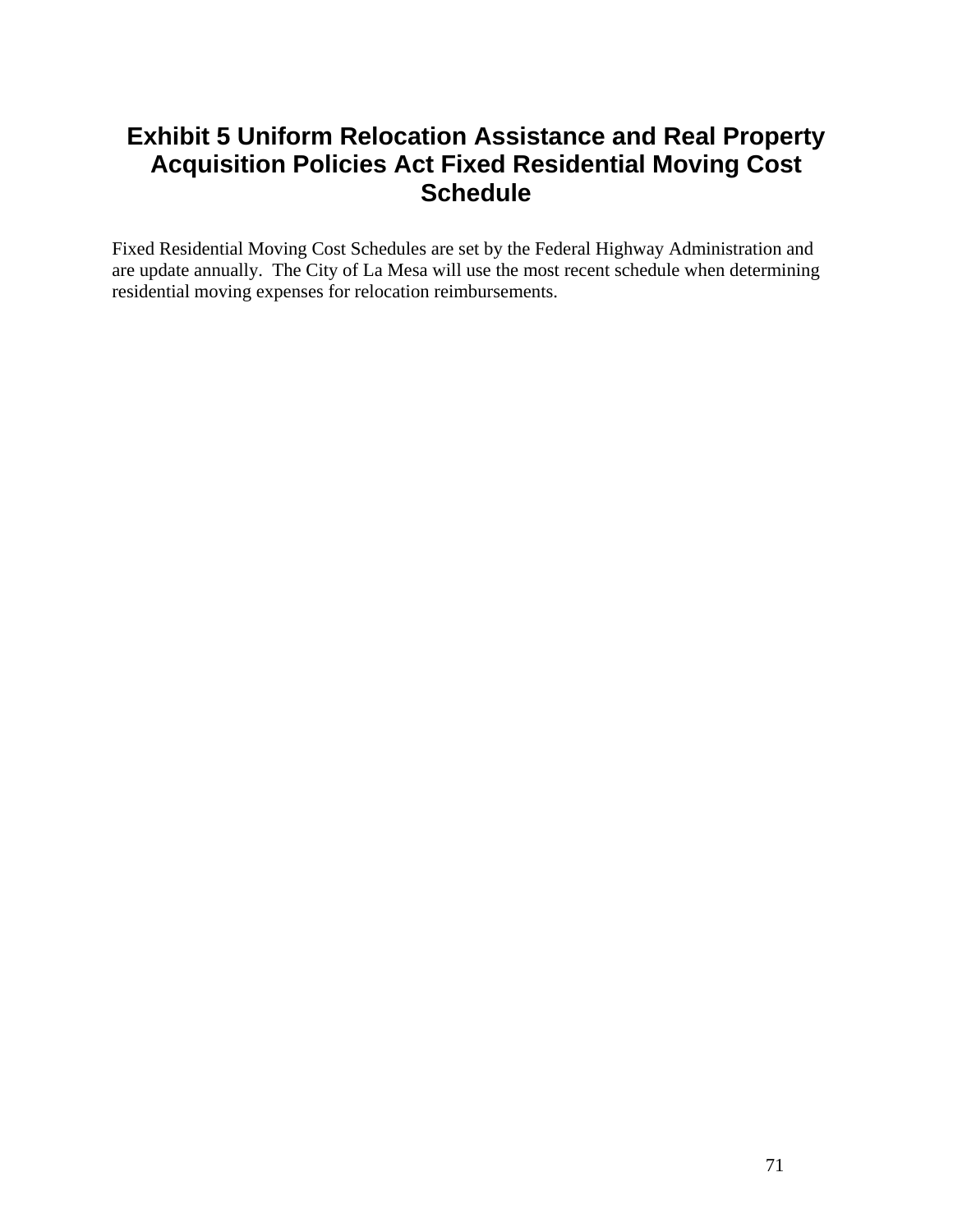# **Exhibit 5 Uniform Relocation Assistance and Real Property Acquisition Policies Act Fixed Residential Moving Cost Schedule**

Fixed Residential Moving Cost Schedules are set by the Federal Highway Administration and are update annually. The City of La Mesa will use the most recent schedule when determining residential moving expenses for relocation reimbursements.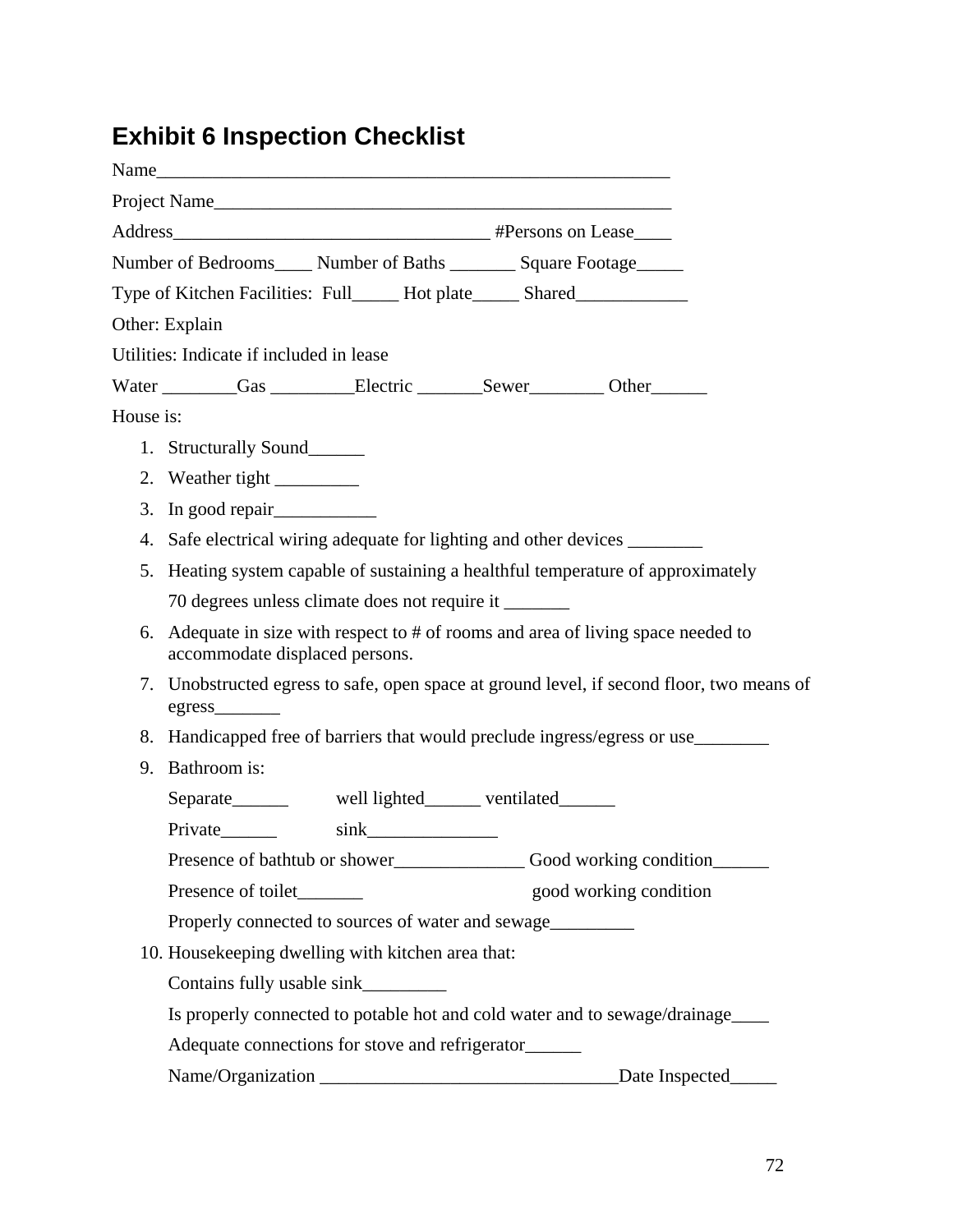# **Exhibit 6 Inspection Checklist**

| Name                                                                                                                   |
|------------------------------------------------------------------------------------------------------------------------|
| Project Name                                                                                                           |
|                                                                                                                        |
| Number of Bedrooms_____ Number of Baths ________ Square Footage______                                                  |
| Type of Kitchen Facilities: Full_____ Hot plate_____ Shared______________________                                      |
| Other: Explain                                                                                                         |
| Utilities: Indicate if included in lease                                                                               |
| Water Gas Electric Sewer Other                                                                                         |
| House is:                                                                                                              |
| 1. Structurally Sound                                                                                                  |
|                                                                                                                        |
| 3.                                                                                                                     |
| Safe electrical wiring adequate for lighting and other devices<br>4.                                                   |
| Heating system capable of sustaining a healthful temperature of approximately<br>5.                                    |
| 70 degrees unless climate does not require it _________                                                                |
| Adequate in size with respect to # of rooms and area of living space needed to<br>6.<br>accommodate displaced persons. |
| Unobstructed egress to safe, open space at ground level, if second floor, two means of<br>7.                           |
| Handicapped free of barriers that would preclude ingress/egress or use_________<br>8.                                  |
| Bathroom is:<br>9.                                                                                                     |
| Separate________ well lighted________ ventilated                                                                       |
| Private <sub>_______</sub><br>$\sin k$                                                                                 |
|                                                                                                                        |
| good working condition<br>Presence of toilet_________                                                                  |
| Properly connected to sources of water and sewage                                                                      |
| 10. Housekeeping dwelling with kitchen area that:                                                                      |
| Contains fully usable sink__________                                                                                   |
| Is properly connected to potable hot and cold water and to sewage/drainage_____                                        |
| Adequate connections for stove and refrigerator______                                                                  |
| Date Inspected                                                                                                         |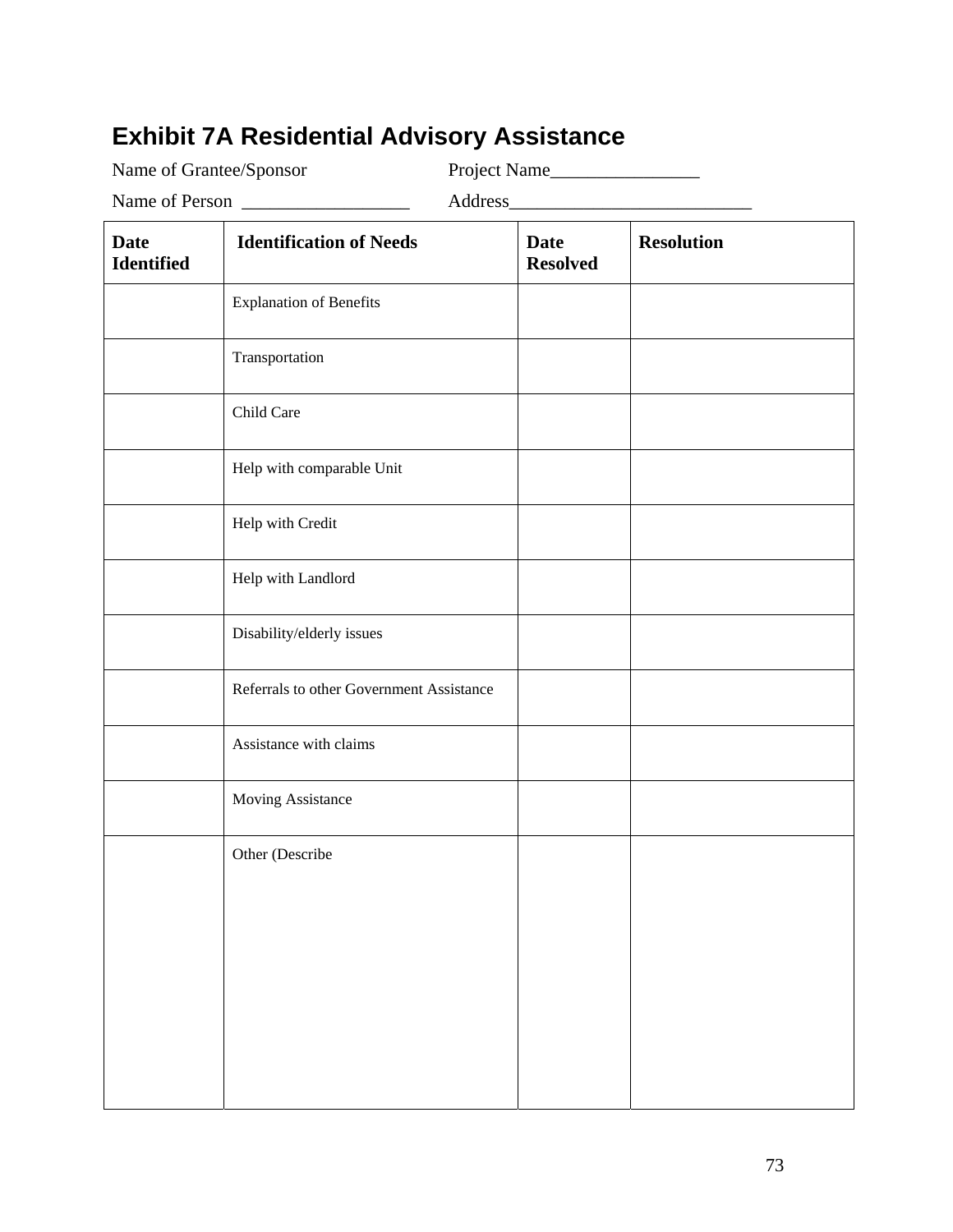# **Exhibit 7A Residential Advisory Assistance**

Name of Grantee/Sponsor Project Name\_\_\_\_\_\_\_\_\_\_\_\_\_\_\_\_

Name of Person \_\_\_\_\_\_\_\_\_\_\_\_\_\_\_\_\_\_ Address\_\_\_\_\_\_\_\_\_\_\_\_\_\_\_\_\_\_\_\_\_\_\_\_\_\_

| <b>Date</b><br>Identified | <b>Identification of Needs</b>           | <b>Date</b><br><b>Resolved</b> | <b>Resolution</b> |
|---------------------------|------------------------------------------|--------------------------------|-------------------|
|                           | <b>Explanation of Benefits</b>           |                                |                   |
|                           | Transportation                           |                                |                   |
|                           | Child Care                               |                                |                   |
|                           | Help with comparable Unit                |                                |                   |
|                           | Help with Credit                         |                                |                   |
|                           | Help with Landlord                       |                                |                   |
|                           | Disability/elderly issues                |                                |                   |
|                           | Referrals to other Government Assistance |                                |                   |
|                           | Assistance with claims                   |                                |                   |
|                           | Moving Assistance                        |                                |                   |
|                           | Other (Describe                          |                                |                   |
|                           |                                          |                                |                   |
|                           |                                          |                                |                   |
|                           |                                          |                                |                   |
|                           |                                          |                                |                   |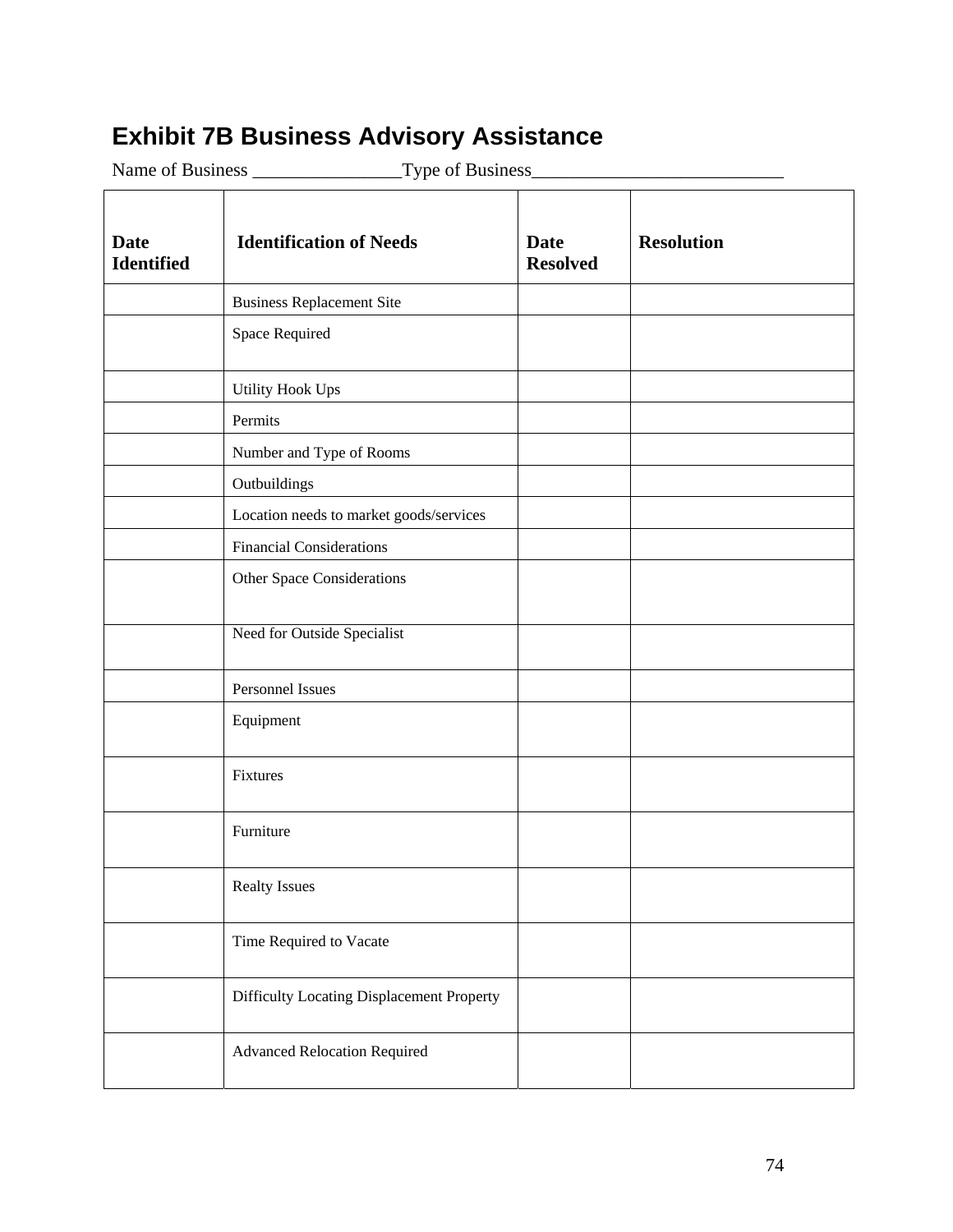# **Exhibit 7B Business Advisory Assistance**

Name of Business \_\_\_\_\_\_\_\_\_\_\_\_\_\_\_\_Type of Business\_\_\_\_\_\_\_\_\_\_\_\_\_\_\_\_\_\_\_\_\_\_\_\_\_\_\_

| <b>Date</b><br><b>Identified</b> | <b>Identification of Needs</b>            | <b>Date</b><br><b>Resolved</b> | <b>Resolution</b> |
|----------------------------------|-------------------------------------------|--------------------------------|-------------------|
|                                  | <b>Business Replacement Site</b>          |                                |                   |
|                                  | Space Required                            |                                |                   |
|                                  | <b>Utility Hook Ups</b>                   |                                |                   |
|                                  | Permits                                   |                                |                   |
|                                  | Number and Type of Rooms                  |                                |                   |
|                                  | Outbuildings                              |                                |                   |
|                                  | Location needs to market goods/services   |                                |                   |
|                                  | <b>Financial Considerations</b>           |                                |                   |
|                                  | <b>Other Space Considerations</b>         |                                |                   |
|                                  | Need for Outside Specialist               |                                |                   |
|                                  | Personnel Issues                          |                                |                   |
|                                  | Equipment                                 |                                |                   |
|                                  | Fixtures                                  |                                |                   |
|                                  | Furniture                                 |                                |                   |
|                                  | <b>Realty Issues</b>                      |                                |                   |
|                                  | Time Required to Vacate                   |                                |                   |
|                                  | Difficulty Locating Displacement Property |                                |                   |
|                                  | <b>Advanced Relocation Required</b>       |                                |                   |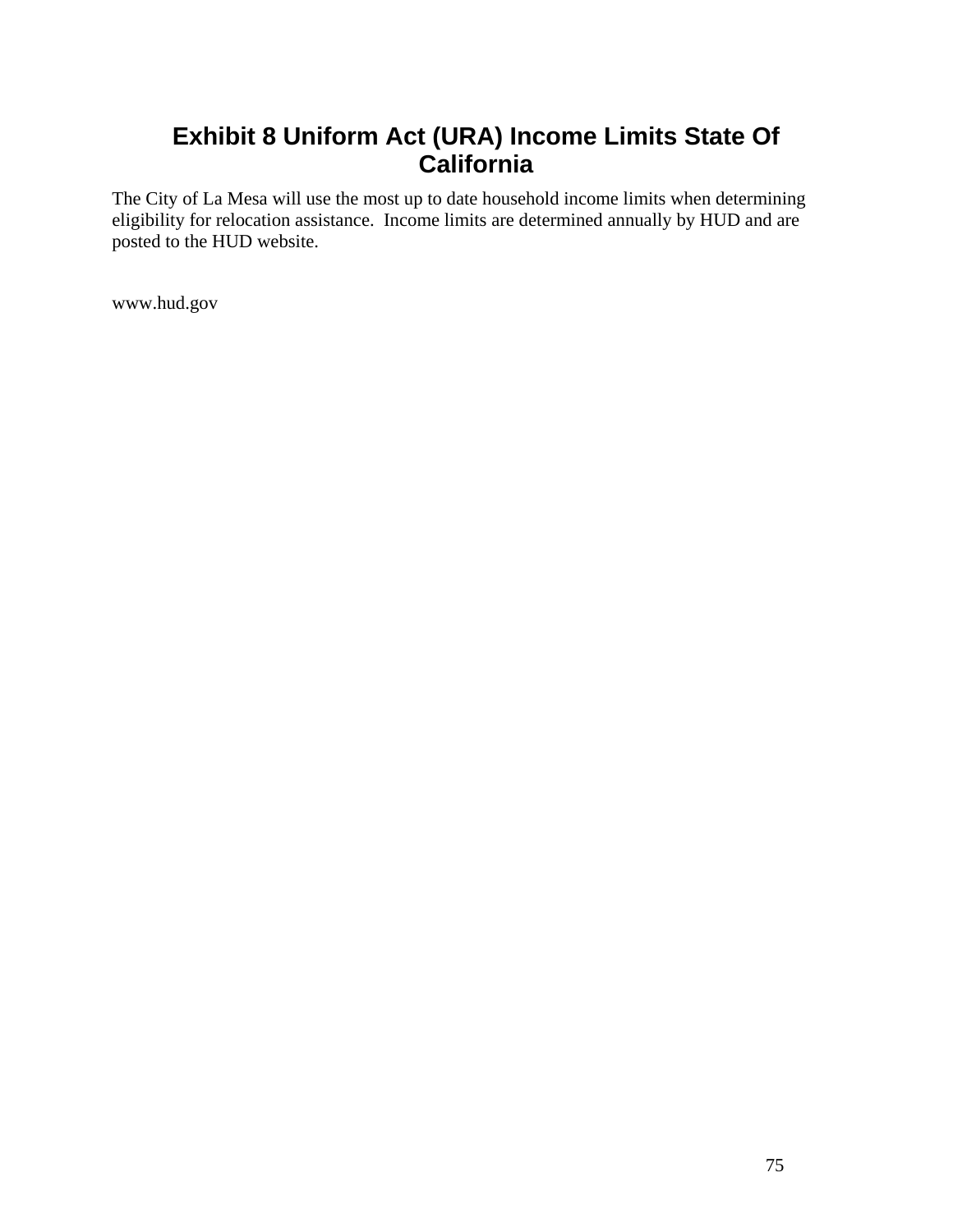# **Exhibit 8 Uniform Act (URA) Income Limits State Of California**

The City of La Mesa will use the most up to date household income limits when determining eligibility for relocation assistance. Income limits are determined annually by HUD and are posted to the HUD website.

www.hud.gov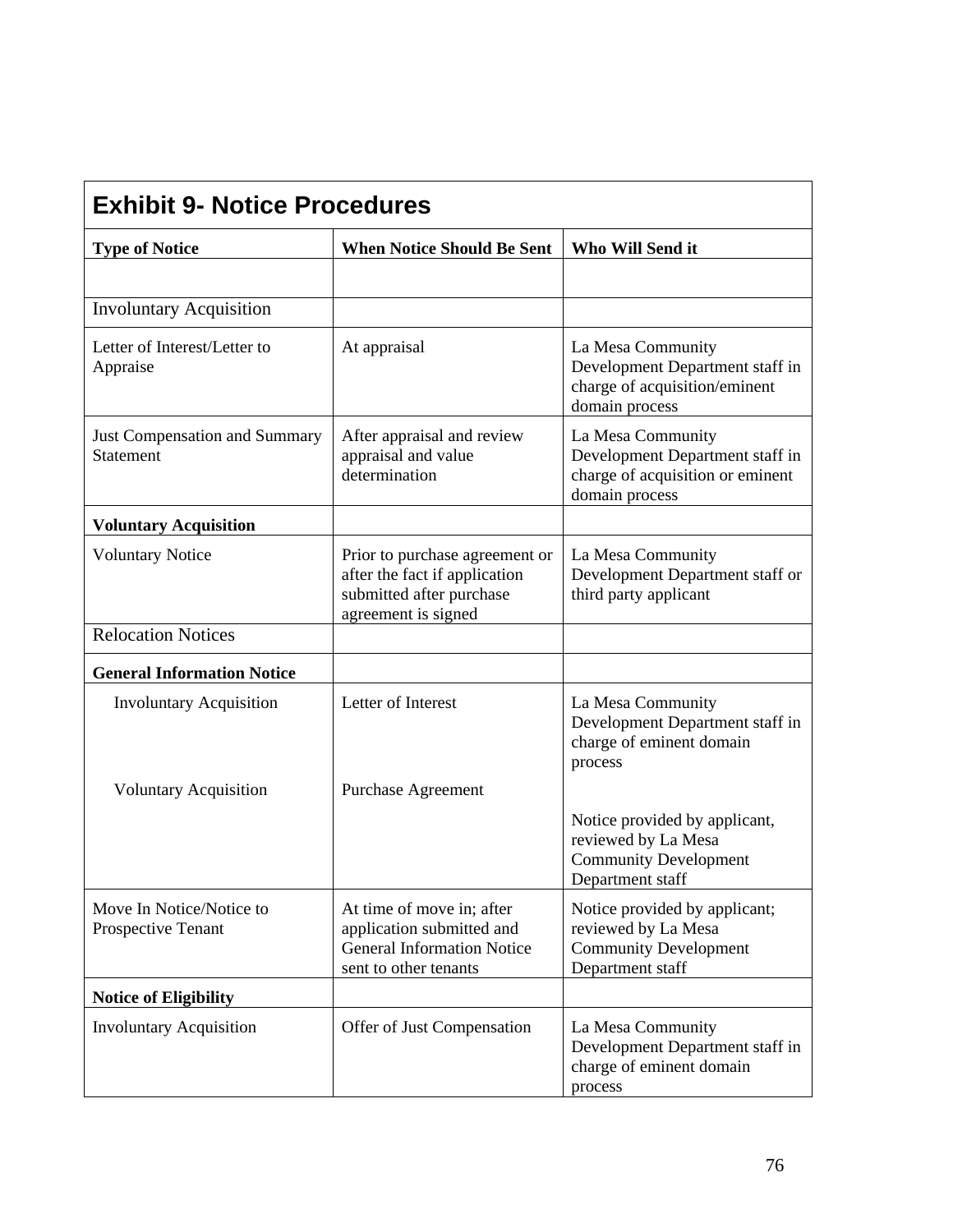| <b>Exhibit 9- Notice Procedures</b>            |                                                                                                                      |                                                                                                            |  |  |
|------------------------------------------------|----------------------------------------------------------------------------------------------------------------------|------------------------------------------------------------------------------------------------------------|--|--|
| <b>Type of Notice</b>                          | <b>When Notice Should Be Sent</b>                                                                                    | Who Will Send it                                                                                           |  |  |
|                                                |                                                                                                                      |                                                                                                            |  |  |
| <b>Involuntary Acquisition</b>                 |                                                                                                                      |                                                                                                            |  |  |
| Letter of Interest/Letter to<br>Appraise       | At appraisal                                                                                                         | La Mesa Community<br>Development Department staff in<br>charge of acquisition/eminent<br>domain process    |  |  |
| Just Compensation and Summary<br>Statement     | After appraisal and review<br>appraisal and value<br>determination                                                   | La Mesa Community<br>Development Department staff in<br>charge of acquisition or eminent<br>domain process |  |  |
| <b>Voluntary Acquisition</b>                   |                                                                                                                      |                                                                                                            |  |  |
| <b>Voluntary Notice</b>                        | Prior to purchase agreement or<br>after the fact if application<br>submitted after purchase<br>agreement is signed   | La Mesa Community<br>Development Department staff or<br>third party applicant                              |  |  |
| <b>Relocation Notices</b>                      |                                                                                                                      |                                                                                                            |  |  |
| <b>General Information Notice</b>              |                                                                                                                      |                                                                                                            |  |  |
| <b>Involuntary Acquisition</b>                 | Letter of Interest                                                                                                   | La Mesa Community<br>Development Department staff in<br>charge of eminent domain<br>process                |  |  |
| <b>Voluntary Acquisition</b>                   | Purchase Agreement                                                                                                   |                                                                                                            |  |  |
|                                                |                                                                                                                      | Notice provided by applicant,<br>reviewed by La Mesa<br><b>Community Development</b><br>Department staff   |  |  |
| Move In Notice/Notice to<br>Prospective Tenant | At time of move in; after<br>application submitted and<br><b>General Information Notice</b><br>sent to other tenants | Notice provided by applicant;<br>reviewed by La Mesa<br><b>Community Development</b><br>Department staff   |  |  |
| <b>Notice of Eligibility</b>                   |                                                                                                                      |                                                                                                            |  |  |
| <b>Involuntary Acquisition</b>                 | Offer of Just Compensation                                                                                           | La Mesa Community<br>Development Department staff in<br>charge of eminent domain<br>process                |  |  |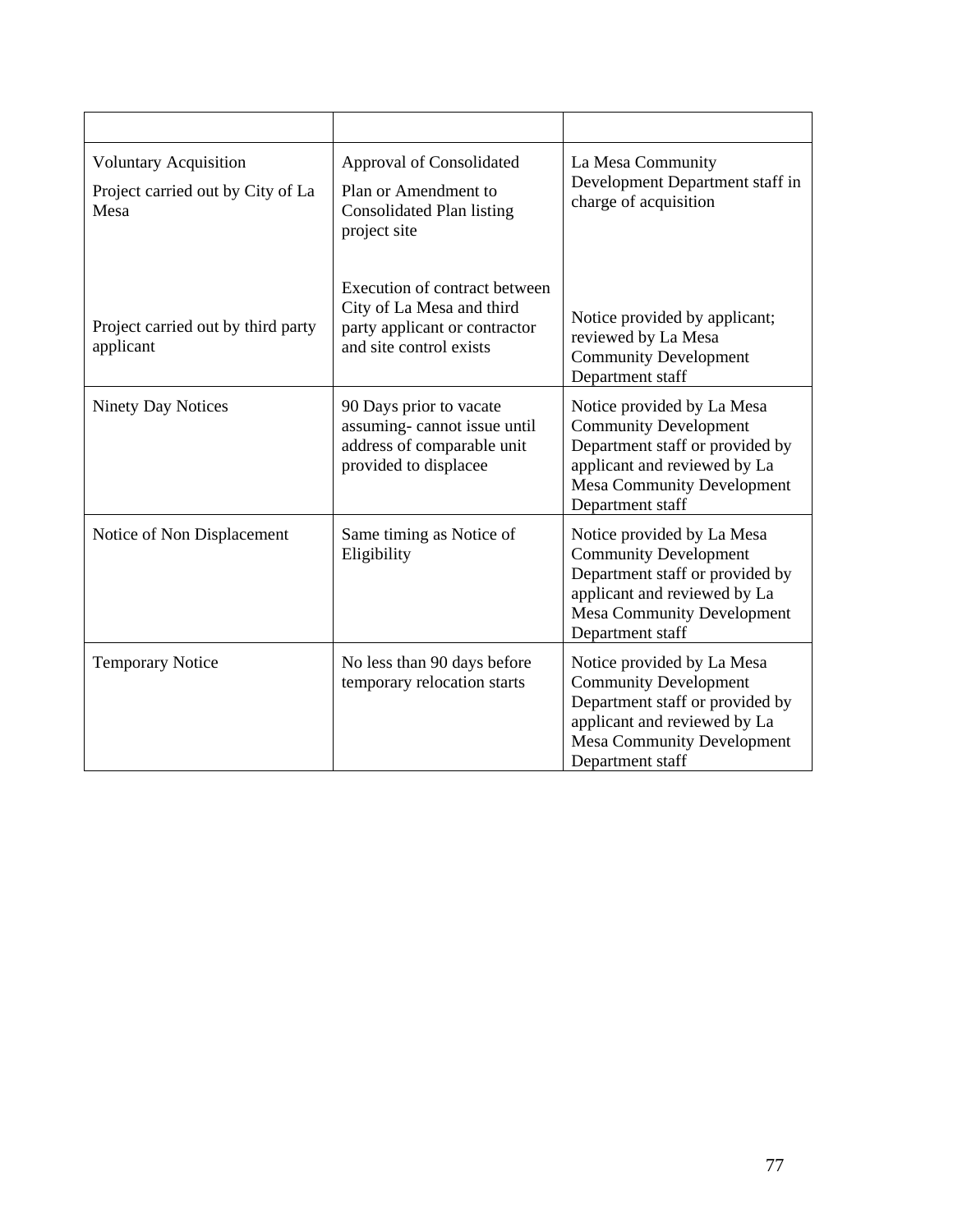| <b>Voluntary Acquisition</b><br>Project carried out by City of La<br>Mesa | Approval of Consolidated<br>Plan or Amendment to<br>Consolidated Plan listing<br>project site                          | La Mesa Community<br>Development Department staff in<br>charge of acquisition                                                                                                          |
|---------------------------------------------------------------------------|------------------------------------------------------------------------------------------------------------------------|----------------------------------------------------------------------------------------------------------------------------------------------------------------------------------------|
| Project carried out by third party<br>applicant                           | Execution of contract between<br>City of La Mesa and third<br>party applicant or contractor<br>and site control exists | Notice provided by applicant;<br>reviewed by La Mesa<br><b>Community Development</b><br>Department staff                                                                               |
| <b>Ninety Day Notices</b>                                                 | 90 Days prior to vacate<br>assuming-cannot issue until<br>address of comparable unit<br>provided to displacee          | Notice provided by La Mesa<br><b>Community Development</b><br>Department staff or provided by<br>applicant and reviewed by La<br>Mesa Community Development<br>Department staff        |
| Notice of Non Displacement                                                | Same timing as Notice of<br>Eligibility                                                                                | Notice provided by La Mesa<br><b>Community Development</b><br>Department staff or provided by<br>applicant and reviewed by La<br><b>Mesa Community Development</b><br>Department staff |
| <b>Temporary Notice</b>                                                   | No less than 90 days before<br>temporary relocation starts                                                             | Notice provided by La Mesa<br><b>Community Development</b><br>Department staff or provided by<br>applicant and reviewed by La<br><b>Mesa Community Development</b><br>Department staff |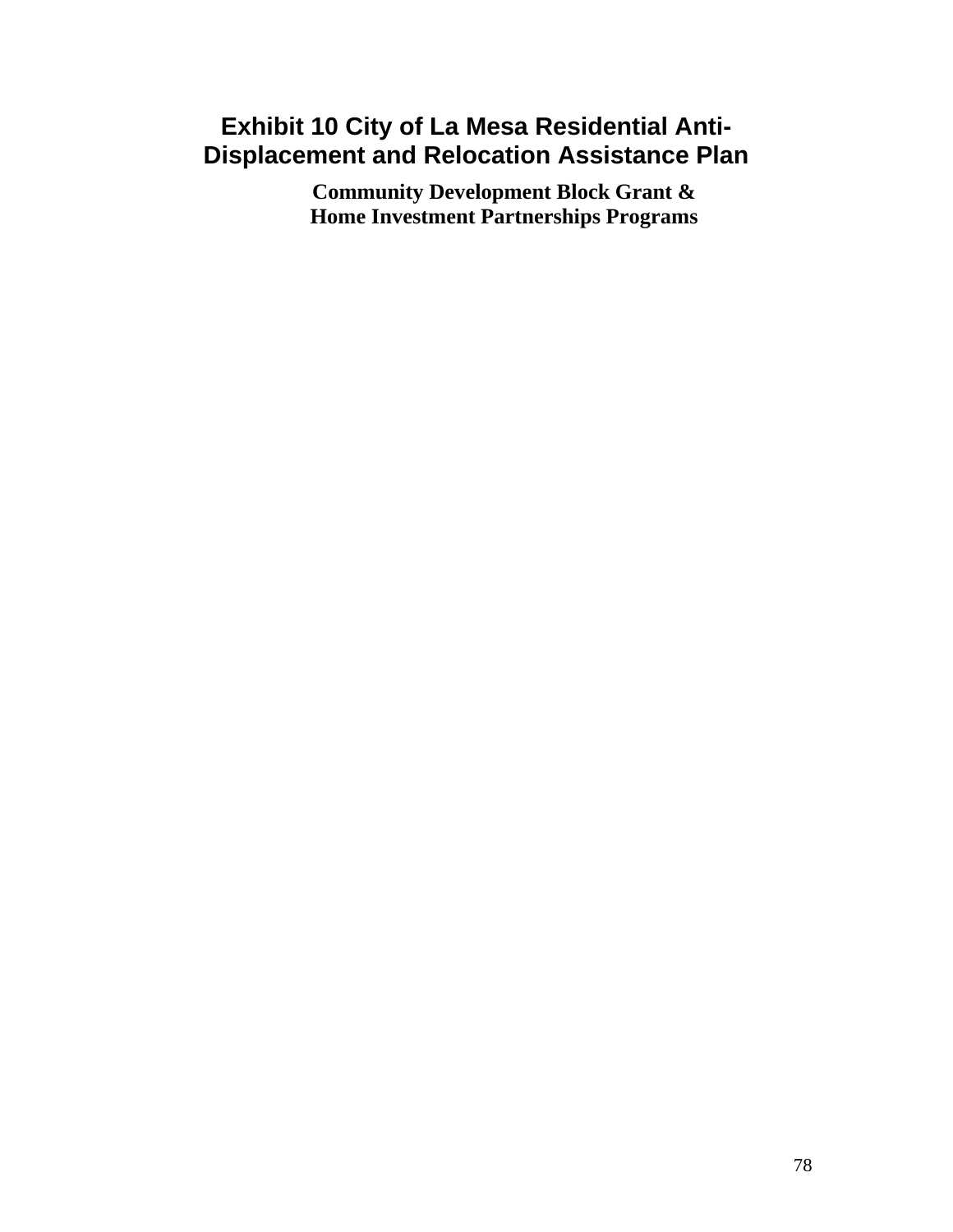# **Exhibit 10 City of La Mesa Residential Anti-Displacement and Relocation Assistance Plan**

**Community Development Block Grant & Home Investment Partnerships Programs**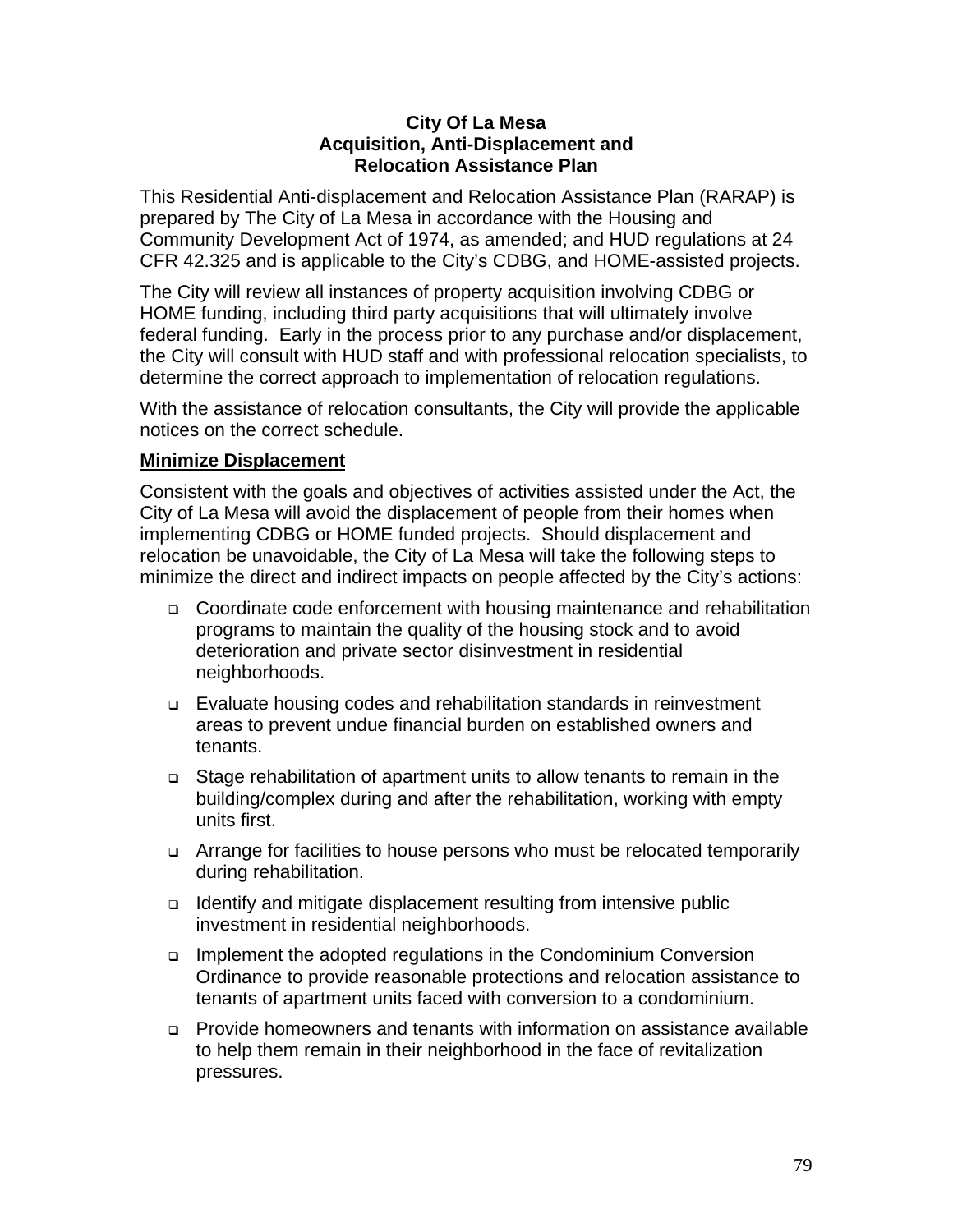#### **City Of La Mesa Acquisition, Anti-Displacement and Relocation Assistance Plan**

This Residential Anti-displacement and Relocation Assistance Plan (RARAP) is prepared by The City of La Mesa in accordance with the Housing and Community Development Act of 1974, as amended; and HUD regulations at 24 CFR 42.325 and is applicable to the City's CDBG, and HOME-assisted projects.

The City will review all instances of property acquisition involving CDBG or HOME funding, including third party acquisitions that will ultimately involve federal funding. Early in the process prior to any purchase and/or displacement, the City will consult with HUD staff and with professional relocation specialists, to determine the correct approach to implementation of relocation regulations.

With the assistance of relocation consultants, the City will provide the applicable notices on the correct schedule.

## **Minimize Displacement**

Consistent with the goals and objectives of activities assisted under the Act, the City of La Mesa will avoid the displacement of people from their homes when implementing CDBG or HOME funded projects. Should displacement and relocation be unavoidable, the City of La Mesa will take the following steps to minimize the direct and indirect impacts on people affected by the City's actions:

- □ Coordinate code enforcement with housing maintenance and rehabilitation programs to maintain the quality of the housing stock and to avoid deterioration and private sector disinvestment in residential neighborhoods.
- Evaluate housing codes and rehabilitation standards in reinvestment areas to prevent undue financial burden on established owners and tenants.
- Stage rehabilitation of apartment units to allow tenants to remain in the building/complex during and after the rehabilitation, working with empty units first.
- □ Arrange for facilities to house persons who must be relocated temporarily during rehabilitation.
- □ Identify and mitigate displacement resulting from intensive public investment in residential neighborhoods.
- □ Implement the adopted regulations in the Condominium Conversion Ordinance to provide reasonable protections and relocation assistance to tenants of apartment units faced with conversion to a condominium.
- Provide homeowners and tenants with information on assistance available to help them remain in their neighborhood in the face of revitalization pressures.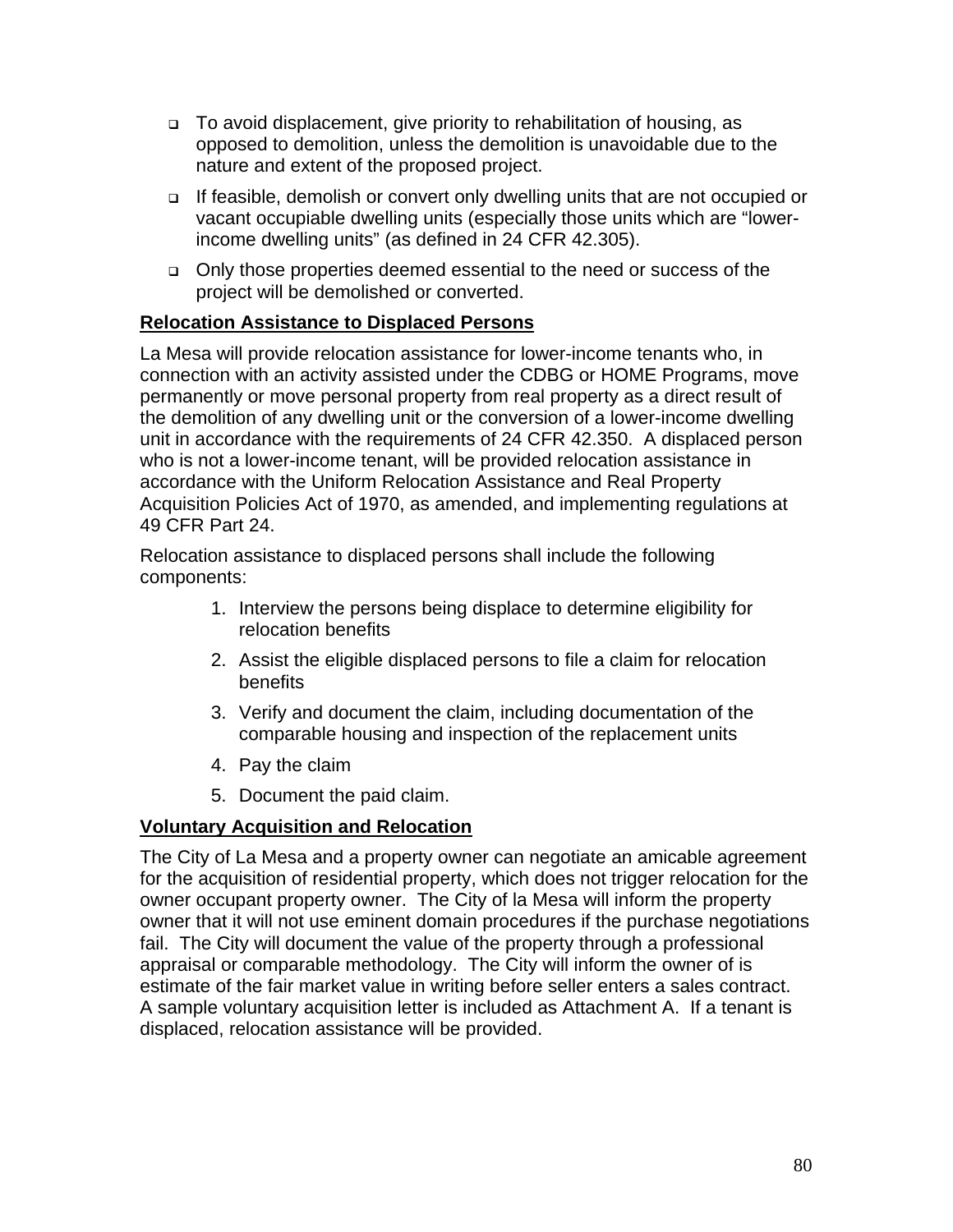- □ To avoid displacement, give priority to rehabilitation of housing, as opposed to demolition, unless the demolition is unavoidable due to the nature and extent of the proposed project.
- If feasible, demolish or convert only dwelling units that are not occupied or vacant occupiable dwelling units (especially those units which are "lowerincome dwelling units" (as defined in 24 CFR 42.305).
- Only those properties deemed essential to the need or success of the project will be demolished or converted.

## **Relocation Assistance to Displaced Persons**

La Mesa will provide relocation assistance for lower-income tenants who, in connection with an activity assisted under the CDBG or HOME Programs, move permanently or move personal property from real property as a direct result of the demolition of any dwelling unit or the conversion of a lower-income dwelling unit in accordance with the requirements of 24 CFR 42.350. A displaced person who is not a lower-income tenant, will be provided relocation assistance in accordance with the Uniform Relocation Assistance and Real Property Acquisition Policies Act of 1970, as amended, and implementing regulations at 49 CFR Part 24.

Relocation assistance to displaced persons shall include the following components:

- 1. Interview the persons being displace to determine eligibility for relocation benefits
- 2. Assist the eligible displaced persons to file a claim for relocation benefits
- 3. Verify and document the claim, including documentation of the comparable housing and inspection of the replacement units
- 4. Pay the claim
- 5. Document the paid claim.

## **Voluntary Acquisition and Relocation**

The City of La Mesa and a property owner can negotiate an amicable agreement for the acquisition of residential property, which does not trigger relocation for the owner occupant property owner. The City of la Mesa will inform the property owner that it will not use eminent domain procedures if the purchase negotiations fail. The City will document the value of the property through a professional appraisal or comparable methodology. The City will inform the owner of is estimate of the fair market value in writing before seller enters a sales contract. A sample voluntary acquisition letter is included as Attachment A. If a tenant is displaced, relocation assistance will be provided.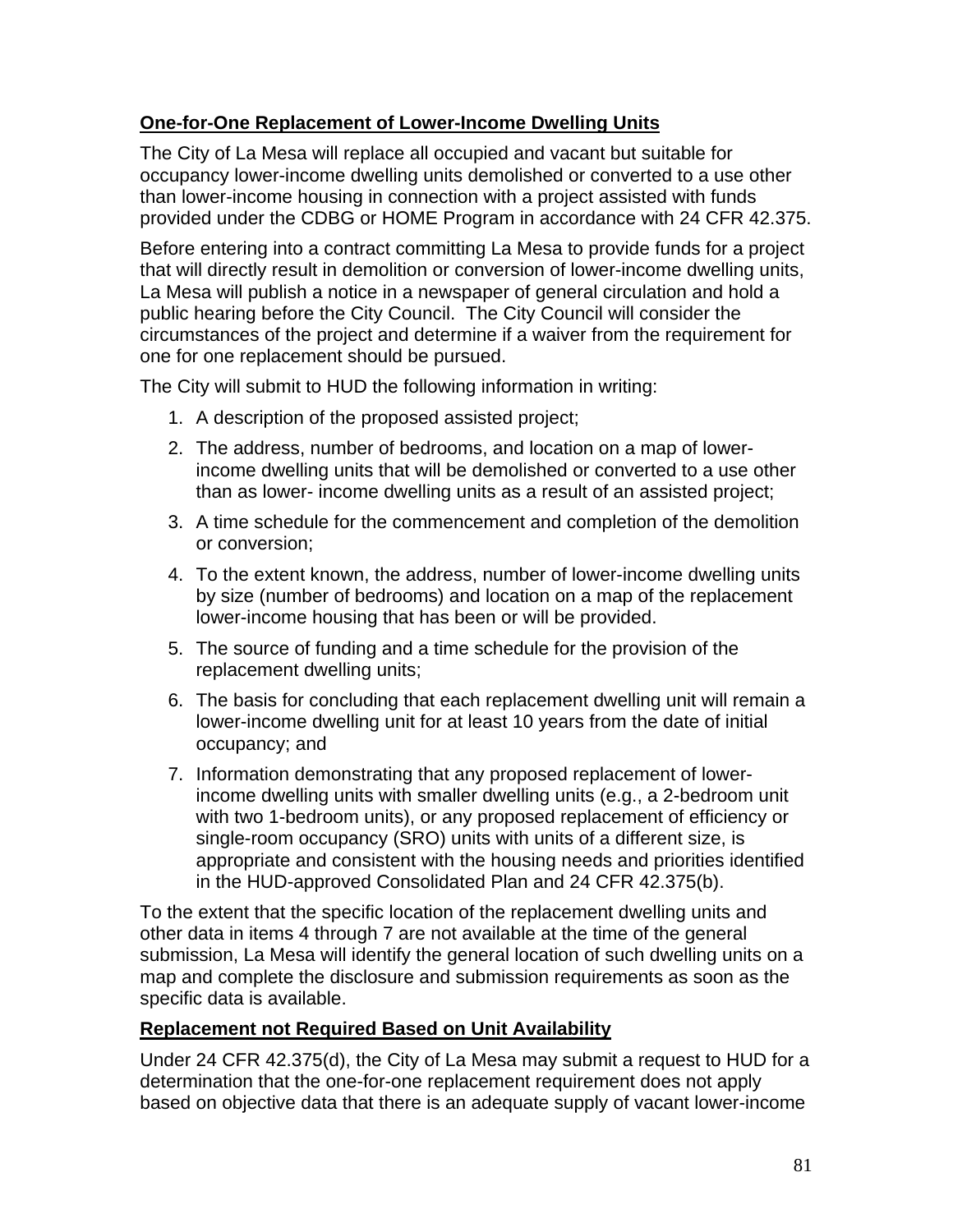## **One-for-One Replacement of Lower-Income Dwelling Units**

The City of La Mesa will replace all occupied and vacant but suitable for occupancy lower-income dwelling units demolished or converted to a use other than lower-income housing in connection with a project assisted with funds provided under the CDBG or HOME Program in accordance with 24 CFR 42.375.

Before entering into a contract committing La Mesa to provide funds for a project that will directly result in demolition or conversion of lower-income dwelling units, La Mesa will publish a notice in a newspaper of general circulation and hold a public hearing before the City Council. The City Council will consider the circumstances of the project and determine if a waiver from the requirement for one for one replacement should be pursued.

The City will submit to HUD the following information in writing:

- 1. A description of the proposed assisted project;
- 2. The address, number of bedrooms, and location on a map of lowerincome dwelling units that will be demolished or converted to a use other than as lower- income dwelling units as a result of an assisted project;
- 3. A time schedule for the commencement and completion of the demolition or conversion;
- 4. To the extent known, the address, number of lower-income dwelling units by size (number of bedrooms) and location on a map of the replacement lower-income housing that has been or will be provided.
- 5. The source of funding and a time schedule for the provision of the replacement dwelling units;
- 6. The basis for concluding that each replacement dwelling unit will remain a lower-income dwelling unit for at least 10 years from the date of initial occupancy; and
- 7. Information demonstrating that any proposed replacement of lowerincome dwelling units with smaller dwelling units (e.g., a 2-bedroom unit with two 1-bedroom units), or any proposed replacement of efficiency or single-room occupancy (SRO) units with units of a different size, is appropriate and consistent with the housing needs and priorities identified in the HUD-approved Consolidated Plan and 24 CFR 42.375(b).

To the extent that the specific location of the replacement dwelling units and other data in items 4 through 7 are not available at the time of the general submission, La Mesa will identify the general location of such dwelling units on a map and complete the disclosure and submission requirements as soon as the specific data is available.

## **Replacement not Required Based on Unit Availability**

Under 24 CFR 42.375(d), the City of La Mesa may submit a request to HUD for a determination that the one-for-one replacement requirement does not apply based on objective data that there is an adequate supply of vacant lower-income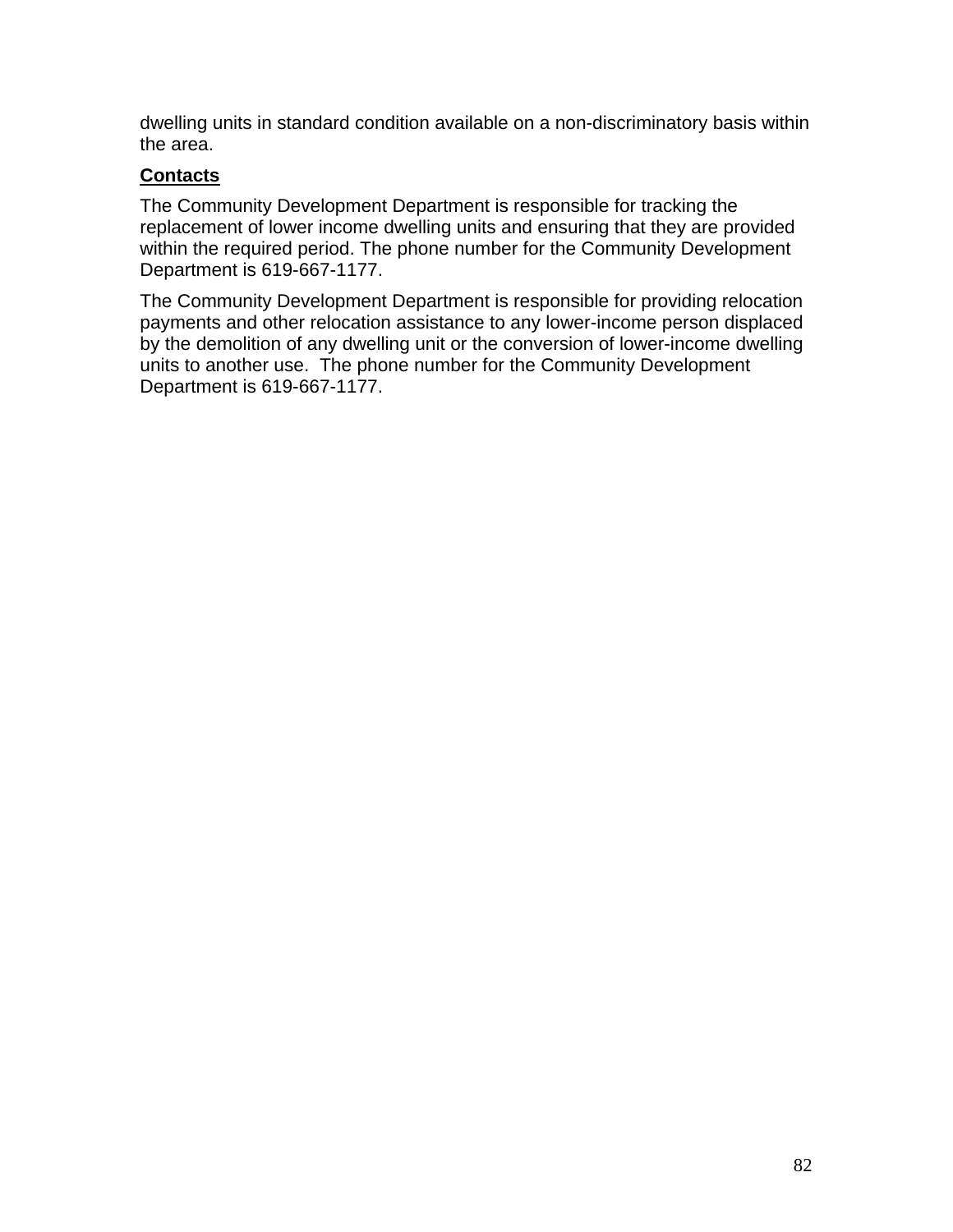dwelling units in standard condition available on a non-discriminatory basis within the area.

## **Contacts**

The Community Development Department is responsible for tracking the replacement of lower income dwelling units and ensuring that they are provided within the required period. The phone number for the Community Development Department is 619-667-1177.

The Community Development Department is responsible for providing relocation payments and other relocation assistance to any lower-income person displaced by the demolition of any dwelling unit or the conversion of lower-income dwelling units to another use. The phone number for the Community Development Department is 619-667-1177.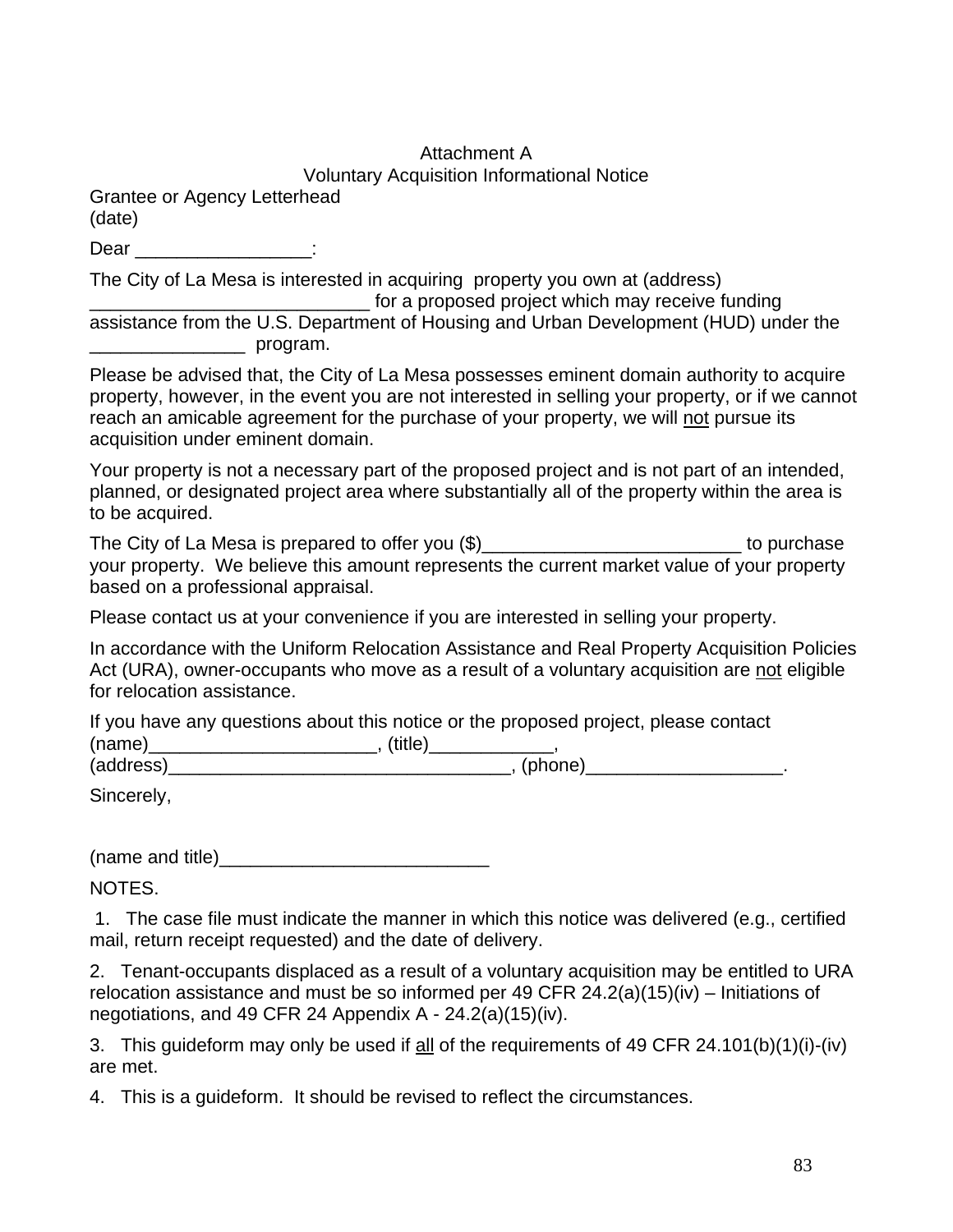## Attachment A

Voluntary Acquisition Informational Notice

Grantee or Agency Letterhead (date)

Dear the contract of the contract of the contract of the contract of the contract of the contract of the contract of the contract of the contract of the contract of the contract of the contract of the contract of the contr

The City of La Mesa is interested in acquiring property you own at (address)

\_\_\_\_\_\_\_\_\_\_\_\_\_\_\_\_\_\_\_\_\_\_\_\_\_\_\_ for a proposed project which may receive funding assistance from the U.S. Department of Housing and Urban Development (HUD) under the \_\_\_\_\_\_\_\_\_\_\_\_\_\_\_ program.

Please be advised that, the City of La Mesa possesses eminent domain authority to acquire property, however, in the event you are not interested in selling your property, or if we cannot reach an amicable agreement for the purchase of your property, we will not pursue its acquisition under eminent domain.

Your property is not a necessary part of the proposed project and is not part of an intended, planned, or designated project area where substantially all of the property within the area is to be acquired.

The City of La Mesa is prepared to offer you  $(\$)$  \_\_\_\_\_\_\_\_\_\_\_\_\_\_\_\_\_\_\_\_\_\_\_\_\_\_\_\_\_\_\_\_\_ to purchase your property. We believe this amount represents the current market value of your property based on a professional appraisal.

Please contact us at your convenience if you are interested in selling your property.

In accordance with the Uniform Relocation Assistance and Real Property Acquisition Policies Act (URA), owner-occupants who move as a result of a voluntary acquisition are not eligible for relocation assistance.

If you have any questions about this notice or the proposed project, please contact

(name)\_\_\_\_\_\_\_\_\_\_\_\_\_\_\_\_\_\_\_\_\_\_\_\_\_\_\_\_, (title)\_\_\_\_\_\_\_\_\_\_\_\_\_\_,

(address)\_\_\_\_\_\_\_\_\_\_\_\_\_\_\_\_\_\_\_\_\_\_\_\_\_\_\_\_\_\_\_\_\_, (phone)\_\_\_\_\_\_\_\_\_\_\_\_\_\_\_\_\_\_\_.

Sincerely,

(name and title)

NOTES.

 1. The case file must indicate the manner in which this notice was delivered (e.g., certified mail, return receipt requested) and the date of delivery.

2. Tenant-occupants displaced as a result of a voluntary acquisition may be entitled to URA relocation assistance and must be so informed per 49 CFR 24.2(a)(15)(iv) – Initiations of negotiations, and 49 CFR 24 Appendix A - 24.2(a)(15)(iv).

3. This guideform may only be used if all of the requirements of 49 CFR 24.101(b)(1)(i)-(iv) are met.

4. This is a guideform. It should be revised to reflect the circumstances.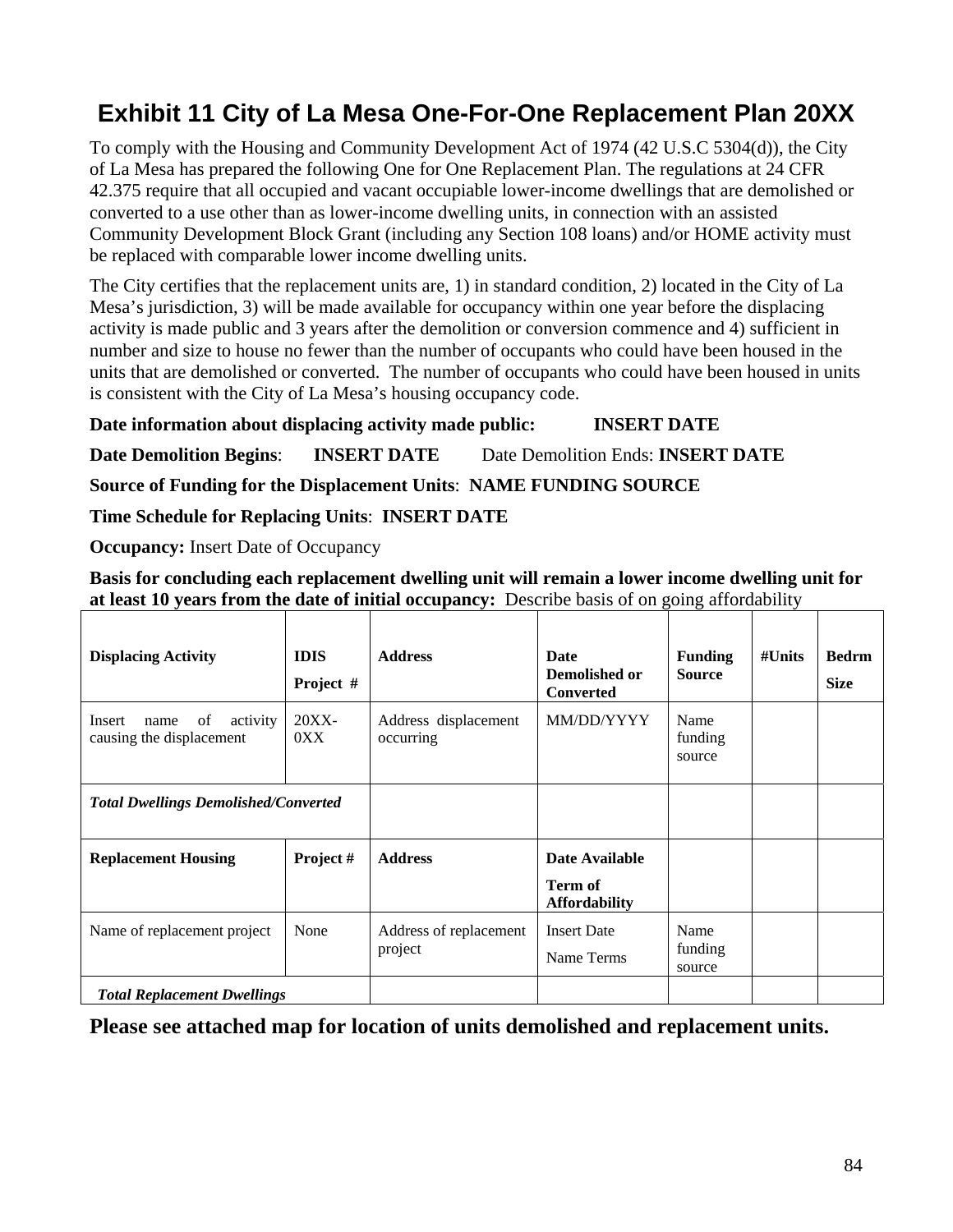# **Exhibit 11 City of La Mesa One-For-One Replacement Plan 20XX**

To comply with the Housing and Community Development Act of 1974 (42 U.S.C 5304(d)), the City of La Mesa has prepared the following One for One Replacement Plan. The regulations at 24 CFR 42.375 require that all occupied and vacant occupiable lower-income dwellings that are demolished or converted to a use other than as lower-income dwelling units, in connection with an assisted Community Development Block Grant (including any Section 108 loans) and/or HOME activity must be replaced with comparable lower income dwelling units.

The City certifies that the replacement units are, 1) in standard condition, 2) located in the City of La Mesa's jurisdiction, 3) will be made available for occupancy within one year before the displacing activity is made public and 3 years after the demolition or conversion commence and 4) sufficient in number and size to house no fewer than the number of occupants who could have been housed in the units that are demolished or converted. The number of occupants who could have been housed in units is consistent with the City of La Mesa's housing occupancy code.

**Date information about displacing activity made public: INSERT DATE**

**Date Demolition Begins**: **INSERT DATE** Date Demolition Ends: **INSERT DATE**

**Source of Funding for the Displacement Units**: **NAME FUNDING SOURCE**

**Time Schedule for Replacing Units**: **INSERT DATE**

**Occupancy:** Insert Date of Occupancy

**Basis for concluding each replacement dwelling unit will remain a lower income dwelling unit for at least 10 years from the date of initial occupancy:** Describe basis of on going affordability

| <b>Displacing Activity</b>                                   | <b>IDIS</b><br>Project # | <b>Address</b>                    | Date<br>Demolished or<br><b>Converted</b>         | <b>Funding</b><br><b>Source</b> | $\#$ Units | <b>Bedrm</b><br><b>Size</b> |
|--------------------------------------------------------------|--------------------------|-----------------------------------|---------------------------------------------------|---------------------------------|------------|-----------------------------|
| Insert<br>of<br>activity<br>name<br>causing the displacement | $20XX-$<br>0XX           | Address displacement<br>occurring | MM/DD/YYYY                                        | Name<br>funding<br>source       |            |                             |
| <b>Total Dwellings Demolished/Converted</b>                  |                          |                                   |                                                   |                                 |            |                             |
| <b>Replacement Housing</b>                                   | Project#                 | <b>Address</b>                    | Date Available<br>Term of<br><b>Affordability</b> |                                 |            |                             |
| Name of replacement project                                  | None                     | Address of replacement<br>project | <b>Insert Date</b><br>Name Terms                  | Name<br>funding<br>source       |            |                             |
| <b>Total Replacement Dwellings</b>                           |                          |                                   |                                                   |                                 |            |                             |

**Please see attached map for location of units demolished and replacement units.**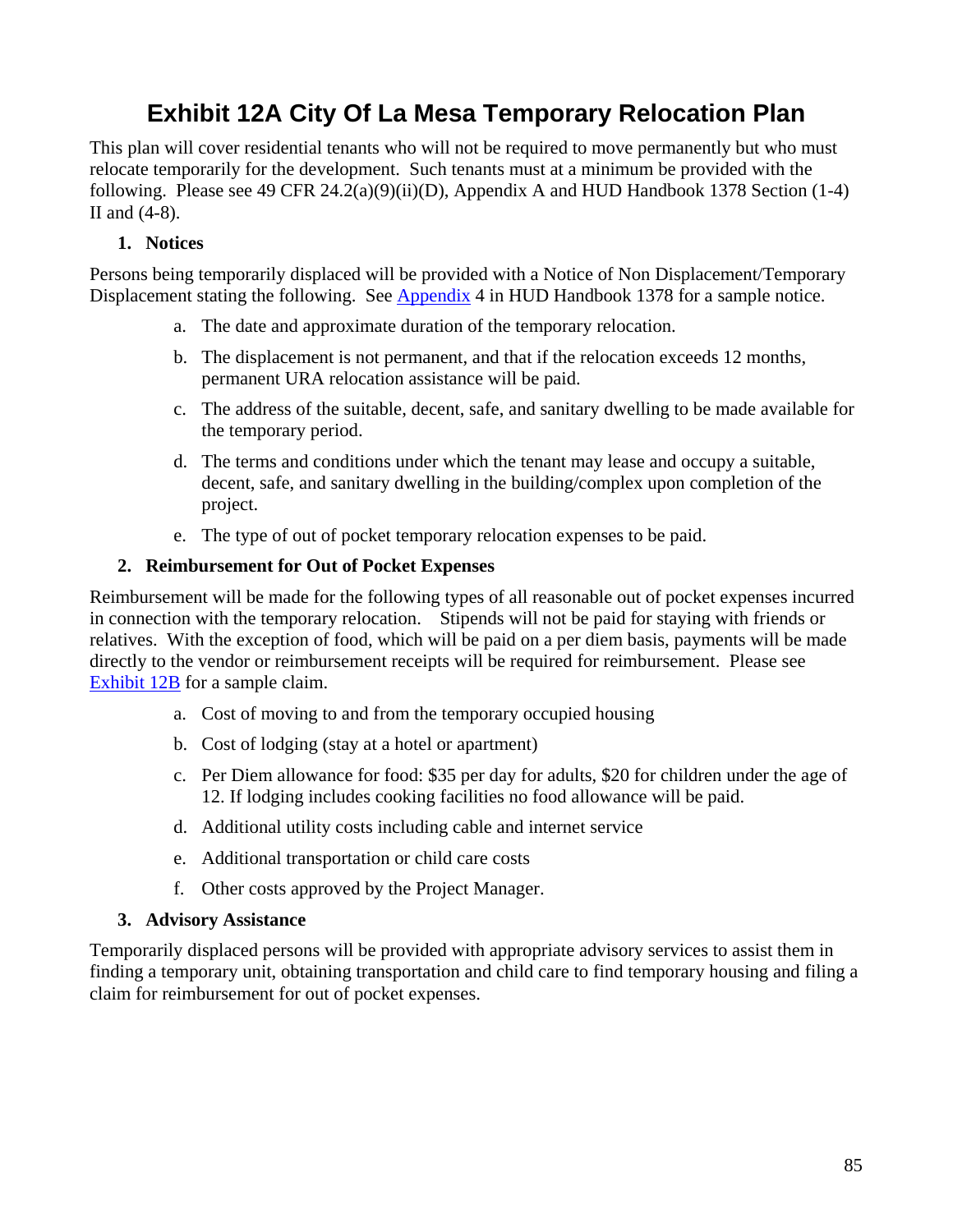# **Exhibit 12A City Of La Mesa Temporary Relocation Plan**

This plan will cover residential tenants who will not be required to move permanently but who must relocate temporarily for the development. Such tenants must at a minimum be provided with the following. Please see 49 CFR 24.2(a)(9)(ii)(D), Appendix A and HUD Handbook 1378 Section (1-4) II and (4-8).

## **1. Notices**

Persons being temporarily displaced will be provided with a Notice of Non Displacement/Temporary Displacement stating the following. See Appendix 4 in HUD Handbook 1378 for a sample notice.

- a. The date and approximate duration of the temporary relocation.
- b. The displacement is not permanent, and that if the relocation exceeds 12 months, permanent URA relocation assistance will be paid.
- c. The address of the suitable, decent, safe, and sanitary dwelling to be made available for the temporary period.
- d. The terms and conditions under which the tenant may lease and occupy a suitable, decent, safe, and sanitary dwelling in the building/complex upon completion of the project.
- e. The type of out of pocket temporary relocation expenses to be paid.

#### **2. Reimbursement for Out of Pocket Expenses**

Reimbursement will be made for the following types of all reasonable out of pocket expenses incurred in connection with the temporary relocation. Stipends will not be paid for staying with friends or relatives. With the exception of food, which will be paid on a per diem basis, payments will be made directly to the vendor or reimbursement receipts will be required for reimbursement. Please see Exhibit 12B for a sample claim.

- a. Cost of moving to and from the temporary occupied housing
- b. Cost of lodging (stay at a hotel or apartment)
- c. Per Diem allowance for food: \$35 per day for adults, \$20 for children under the age of 12. If lodging includes cooking facilities no food allowance will be paid.
- d. Additional utility costs including cable and internet service
- e. Additional transportation or child care costs
- f. Other costs approved by the Project Manager.

#### **3. Advisory Assistance**

Temporarily displaced persons will be provided with appropriate advisory services to assist them in finding a temporary unit, obtaining transportation and child care to find temporary housing and filing a claim for reimbursement for out of pocket expenses.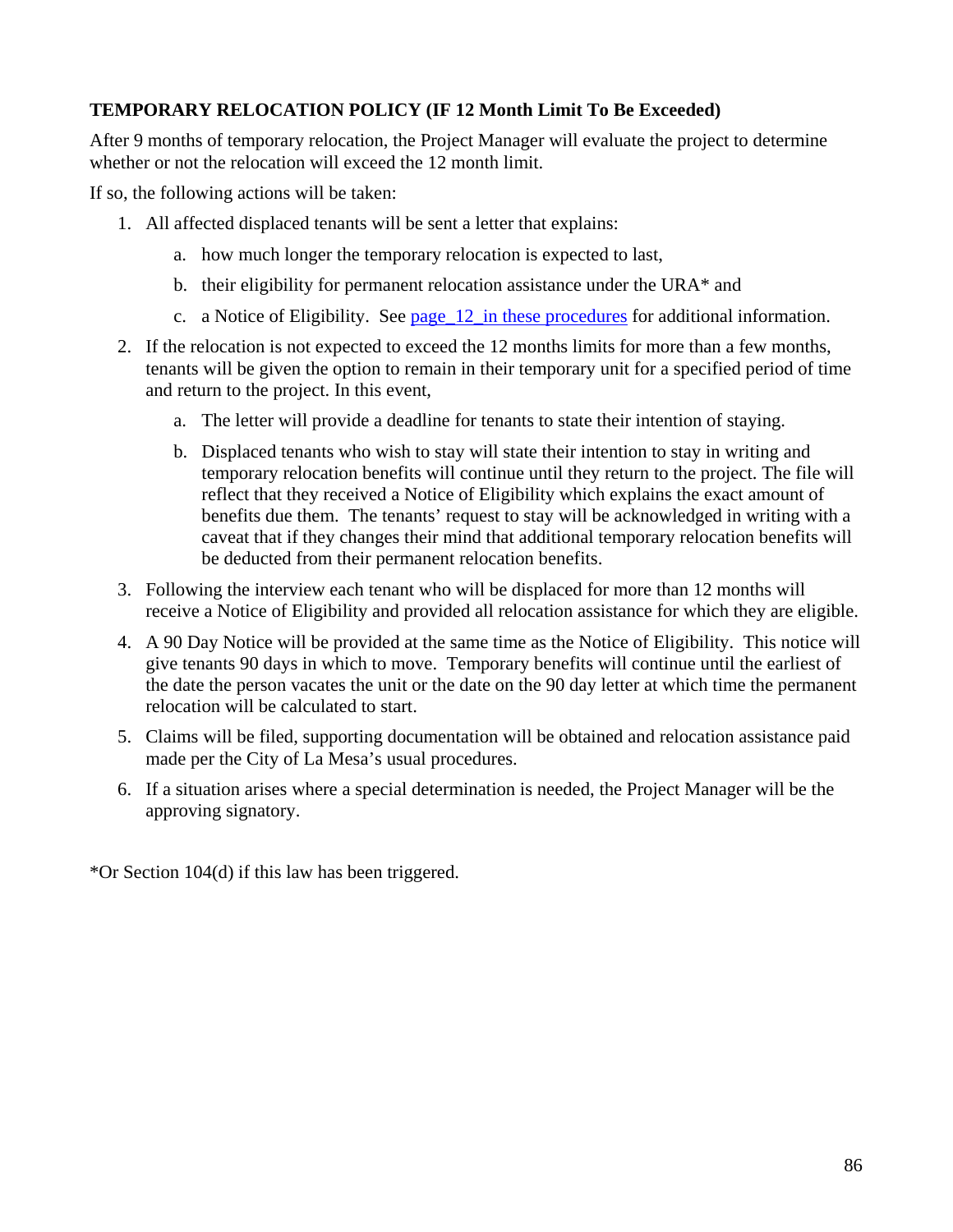## **TEMPORARY RELOCATION POLICY (IF 12 Month Limit To Be Exceeded)**

After 9 months of temporary relocation, the Project Manager will evaluate the project to determine whether or not the relocation will exceed the 12 month limit.

If so, the following actions will be taken:

- 1. All affected displaced tenants will be sent a letter that explains:
	- a. how much longer the temporary relocation is expected to last,
	- b. their eligibility for permanent relocation assistance under the URA\* and
	- c. a Notice of Eligibility. See page\_12\_in these procedures for additional information.
- 2. If the relocation is not expected to exceed the 12 months limits for more than a few months, tenants will be given the option to remain in their temporary unit for a specified period of time and return to the project. In this event,
	- a. The letter will provide a deadline for tenants to state their intention of staying.
	- b. Displaced tenants who wish to stay will state their intention to stay in writing and temporary relocation benefits will continue until they return to the project. The file will reflect that they received a Notice of Eligibility which explains the exact amount of benefits due them. The tenants' request to stay will be acknowledged in writing with a caveat that if they changes their mind that additional temporary relocation benefits will be deducted from their permanent relocation benefits.
- 3. Following the interview each tenant who will be displaced for more than 12 months will receive a Notice of Eligibility and provided all relocation assistance for which they are eligible.
- 4. A 90 Day Notice will be provided at the same time as the Notice of Eligibility. This notice will give tenants 90 days in which to move. Temporary benefits will continue until the earliest of the date the person vacates the unit or the date on the 90 day letter at which time the permanent relocation will be calculated to start.
- 5. Claims will be filed, supporting documentation will be obtained and relocation assistance paid made per the City of La Mesa's usual procedures.
- 6. If a situation arises where a special determination is needed, the Project Manager will be the approving signatory.

\*Or Section 104(d) if this law has been triggered.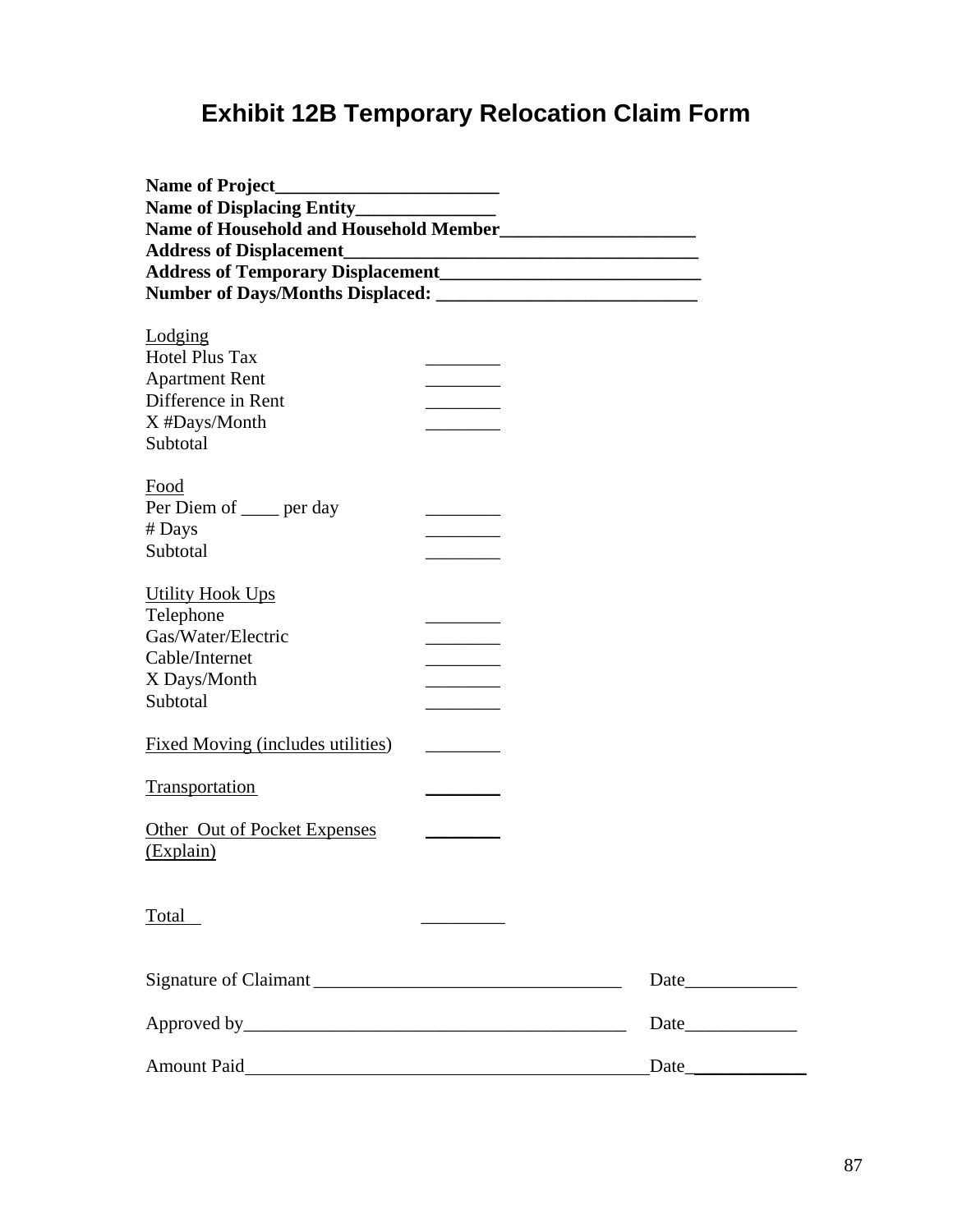# **Exhibit 12B Temporary Relocation Claim Form**

| <b>Name of Project</b>                   |                          |      |  |
|------------------------------------------|--------------------------|------|--|
|                                          |                          |      |  |
|                                          |                          |      |  |
|                                          |                          |      |  |
|                                          |                          |      |  |
|                                          |                          |      |  |
|                                          |                          |      |  |
| Lodging                                  |                          |      |  |
| <b>Hotel Plus Tax</b>                    |                          |      |  |
| <b>Apartment Rent</b>                    |                          |      |  |
| Difference in Rent                       |                          |      |  |
| X #Days/Month                            |                          |      |  |
| Subtotal                                 |                          |      |  |
|                                          |                          |      |  |
| Food                                     |                          |      |  |
| Per Diem of <u>equal</u> per day         |                          |      |  |
| # Days                                   |                          |      |  |
| Subtotal                                 |                          |      |  |
|                                          |                          |      |  |
| <b>Utility Hook Ups</b>                  |                          |      |  |
| Telephone                                |                          |      |  |
| Gas/Water/Electric                       |                          |      |  |
| Cable/Internet                           | $\overline{\phantom{a}}$ |      |  |
| X Days/Month                             |                          |      |  |
| Subtotal                                 |                          |      |  |
|                                          |                          |      |  |
| <b>Fixed Moving (includes utilities)</b> |                          |      |  |
|                                          |                          |      |  |
| <b>Transportation</b>                    |                          |      |  |
|                                          |                          |      |  |
| Other Out of Pocket Expenses             |                          |      |  |
| (Explain)                                |                          |      |  |
|                                          |                          |      |  |
|                                          |                          |      |  |
| Total                                    |                          |      |  |
|                                          |                          |      |  |
|                                          |                          |      |  |
|                                          |                          |      |  |
|                                          |                          |      |  |
|                                          |                          | Date |  |
|                                          |                          |      |  |
|                                          |                          |      |  |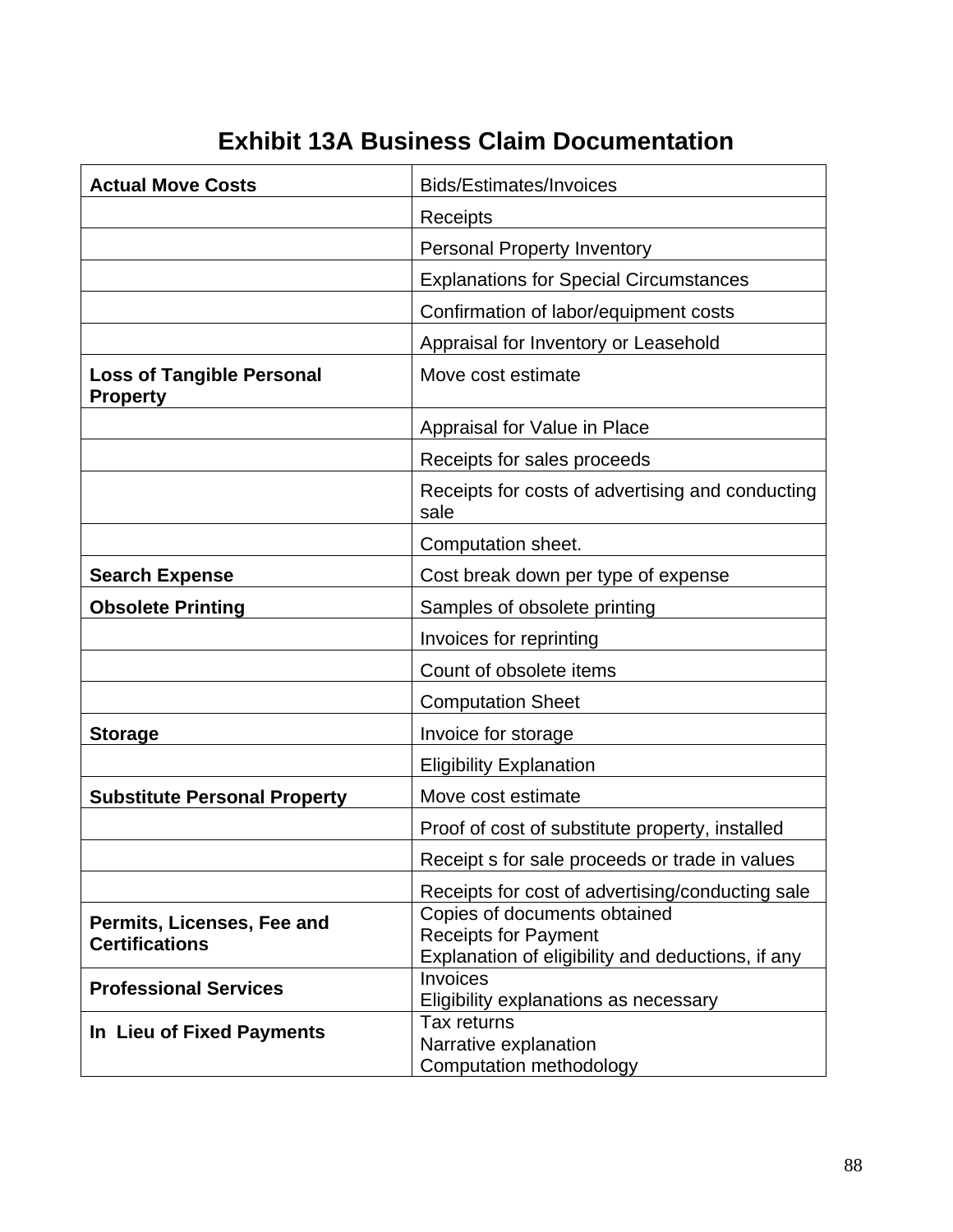# **Exhibit 13A Business Claim Documentation**

| <b>Actual Move Costs</b>                            | Bids/Estimates/Invoices                                                                                   |
|-----------------------------------------------------|-----------------------------------------------------------------------------------------------------------|
|                                                     | Receipts                                                                                                  |
|                                                     | <b>Personal Property Inventory</b>                                                                        |
|                                                     | <b>Explanations for Special Circumstances</b>                                                             |
|                                                     | Confirmation of labor/equipment costs                                                                     |
|                                                     | Appraisal for Inventory or Leasehold                                                                      |
| <b>Loss of Tangible Personal</b><br><b>Property</b> | Move cost estimate                                                                                        |
|                                                     | Appraisal for Value in Place                                                                              |
|                                                     | Receipts for sales proceeds                                                                               |
|                                                     | Receipts for costs of advertising and conducting<br>sale                                                  |
|                                                     | Computation sheet.                                                                                        |
| <b>Search Expense</b>                               | Cost break down per type of expense                                                                       |
| <b>Obsolete Printing</b>                            | Samples of obsolete printing                                                                              |
|                                                     | Invoices for reprinting                                                                                   |
|                                                     | Count of obsolete items                                                                                   |
|                                                     | <b>Computation Sheet</b>                                                                                  |
| <b>Storage</b>                                      | Invoice for storage                                                                                       |
|                                                     | Eligibility Explanation                                                                                   |
| <b>Substitute Personal Property</b>                 | Move cost estimate                                                                                        |
|                                                     | Proof of cost of substitute property, installed                                                           |
|                                                     | Receipt s for sale proceeds or trade in values                                                            |
|                                                     | Receipts for cost of advertising/conducting sale                                                          |
| Permits, Licenses, Fee and<br><b>Certifications</b> | Copies of documents obtained<br>Receipts for Payment<br>Explanation of eligibility and deductions, if any |
| <b>Professional Services</b>                        | Invoices<br>Eligibility explanations as necessary                                                         |
| In Lieu of Fixed Payments                           | Tax returns<br>Narrative explanation<br>Computation methodology                                           |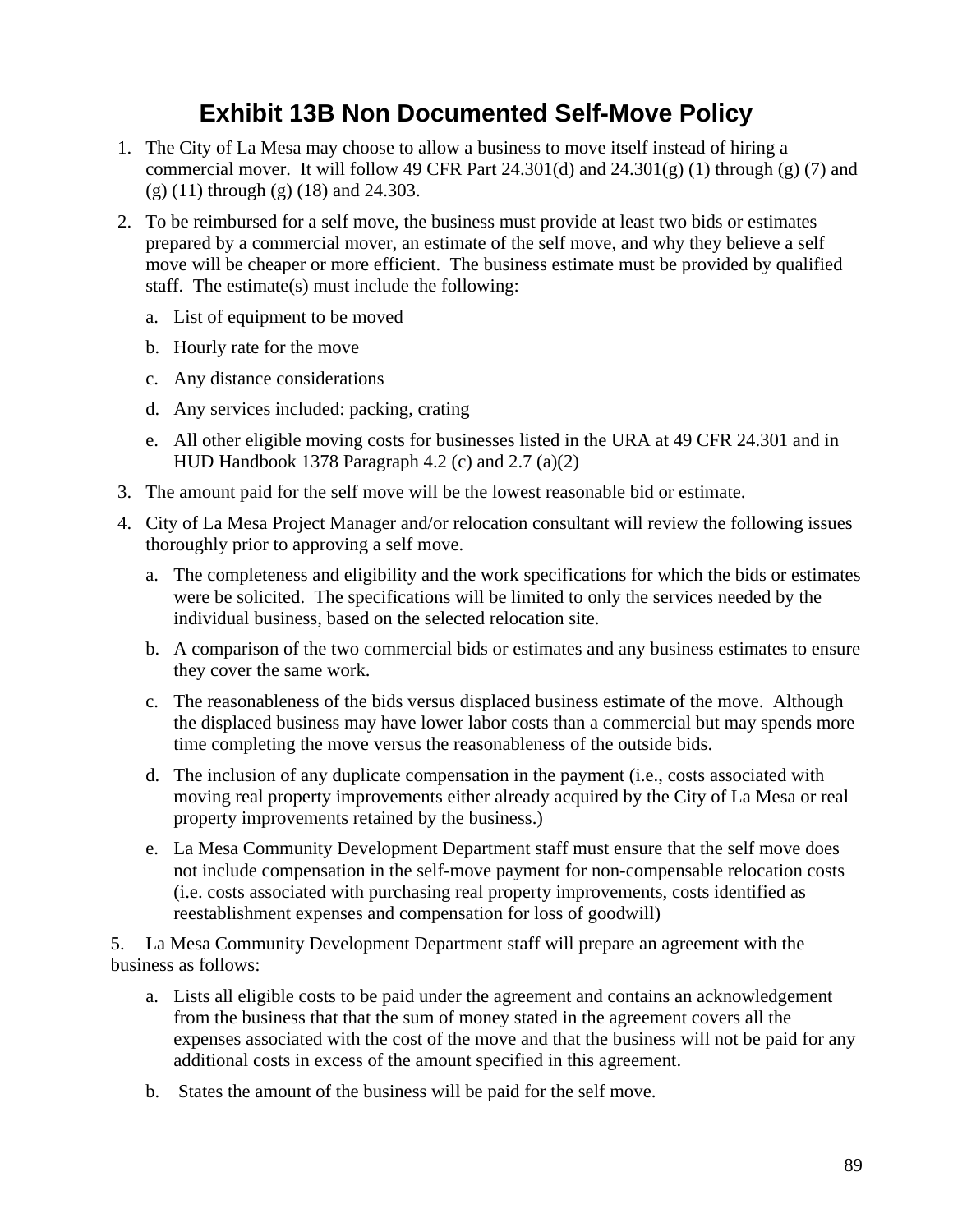# **Exhibit 13B Non Documented Self-Move Policy**

- 1. The City of La Mesa may choose to allow a business to move itself instead of hiring a commercial mover. It will follow 49 CFR Part  $24.301(d)$  and  $24.301(g)$  (1) through (g) (7) and (g) (11) through (g) (18) and 24.303.
- 2. To be reimbursed for a self move, the business must provide at least two bids or estimates prepared by a commercial mover, an estimate of the self move, and why they believe a self move will be cheaper or more efficient. The business estimate must be provided by qualified staff. The estimate(s) must include the following:
	- a. List of equipment to be moved
	- b. Hourly rate for the move
	- c. Any distance considerations
	- d. Any services included: packing, crating
	- e. All other eligible moving costs for businesses listed in the URA at 49 CFR 24.301 and in HUD Handbook 1378 Paragraph 4.2 (c) and 2.7 (a)(2)
- 3. The amount paid for the self move will be the lowest reasonable bid or estimate.
- 4. City of La Mesa Project Manager and/or relocation consultant will review the following issues thoroughly prior to approving a self move.
	- a. The completeness and eligibility and the work specifications for which the bids or estimates were be solicited. The specifications will be limited to only the services needed by the individual business, based on the selected relocation site.
	- b. A comparison of the two commercial bids or estimates and any business estimates to ensure they cover the same work.
	- c. The reasonableness of the bids versus displaced business estimate of the move. Although the displaced business may have lower labor costs than a commercial but may spends more time completing the move versus the reasonableness of the outside bids.
	- d. The inclusion of any duplicate compensation in the payment (i.e., costs associated with moving real property improvements either already acquired by the City of La Mesa or real property improvements retained by the business.)
	- e. La Mesa Community Development Department staff must ensure that the self move does not include compensation in the self-move payment for non-compensable relocation costs (i.e. costs associated with purchasing real property improvements, costs identified as reestablishment expenses and compensation for loss of goodwill)

5. La Mesa Community Development Department staff will prepare an agreement with the business as follows:

- a. Lists all eligible costs to be paid under the agreement and contains an acknowledgement from the business that that the sum of money stated in the agreement covers all the expenses associated with the cost of the move and that the business will not be paid for any additional costs in excess of the amount specified in this agreement.
- b. States the amount of the business will be paid for the self move.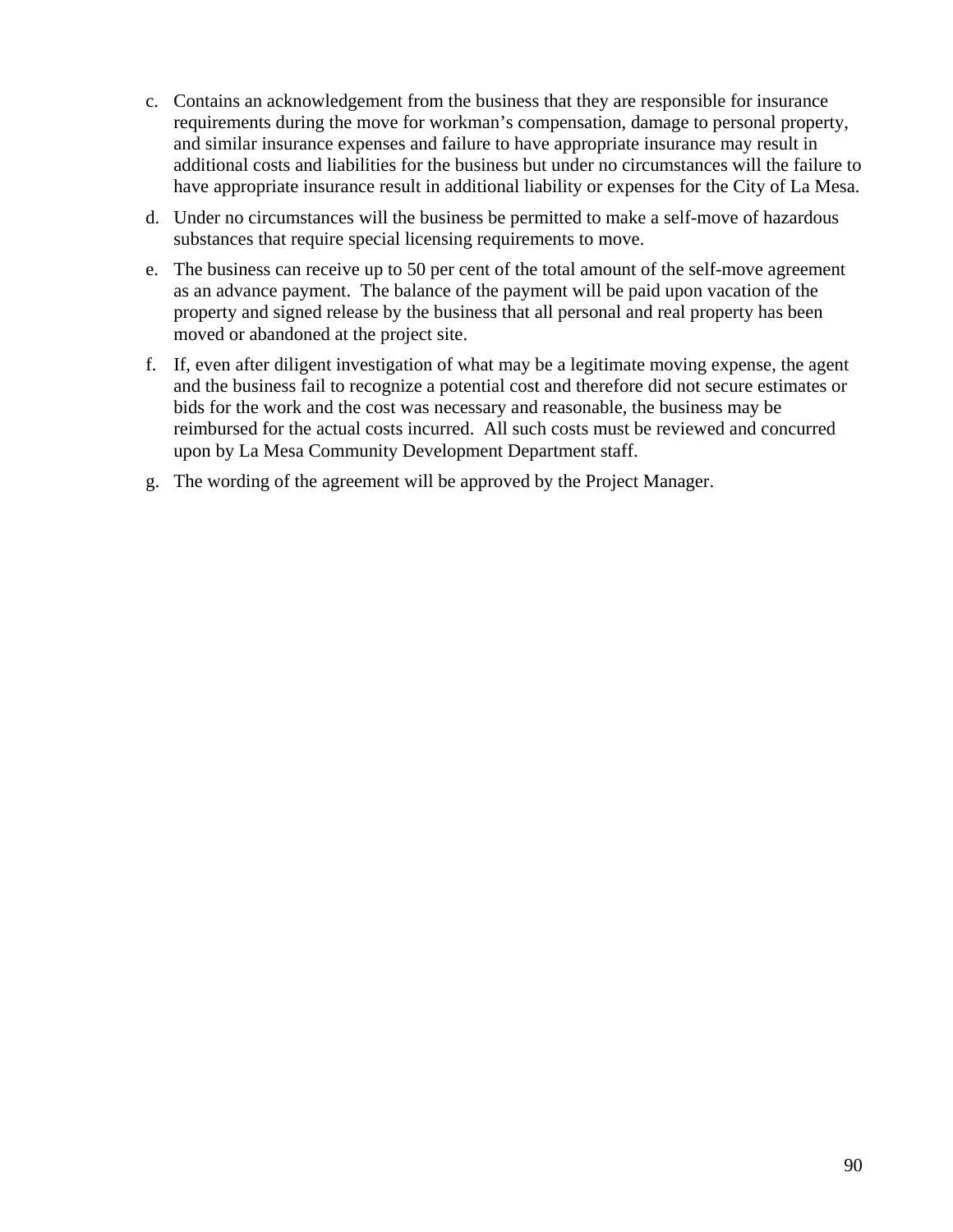- c. Contains an acknowledgement from the business that they are responsible for insurance requirements during the move for workman's compensation, damage to personal property, and similar insurance expenses and failure to have appropriate insurance may result in additional costs and liabilities for the business but under no circumstances will the failure to have appropriate insurance result in additional liability or expenses for the City of La Mesa.
- d. Under no circumstances will the business be permitted to make a self-move of hazardous substances that require special licensing requirements to move.
- e. The business can receive up to 50 per cent of the total amount of the self-move agreement as an advance payment. The balance of the payment will be paid upon vacation of the property and signed release by the business that all personal and real property has been moved or abandoned at the project site.
- f. If, even after diligent investigation of what may be a legitimate moving expense, the agent and the business fail to recognize a potential cost and therefore did not secure estimates or bids for the work and the cost was necessary and reasonable, the business may be reimbursed for the actual costs incurred. All such costs must be reviewed and concurred upon by La Mesa Community Development Department staff.
- g. The wording of the agreement will be approved by the Project Manager.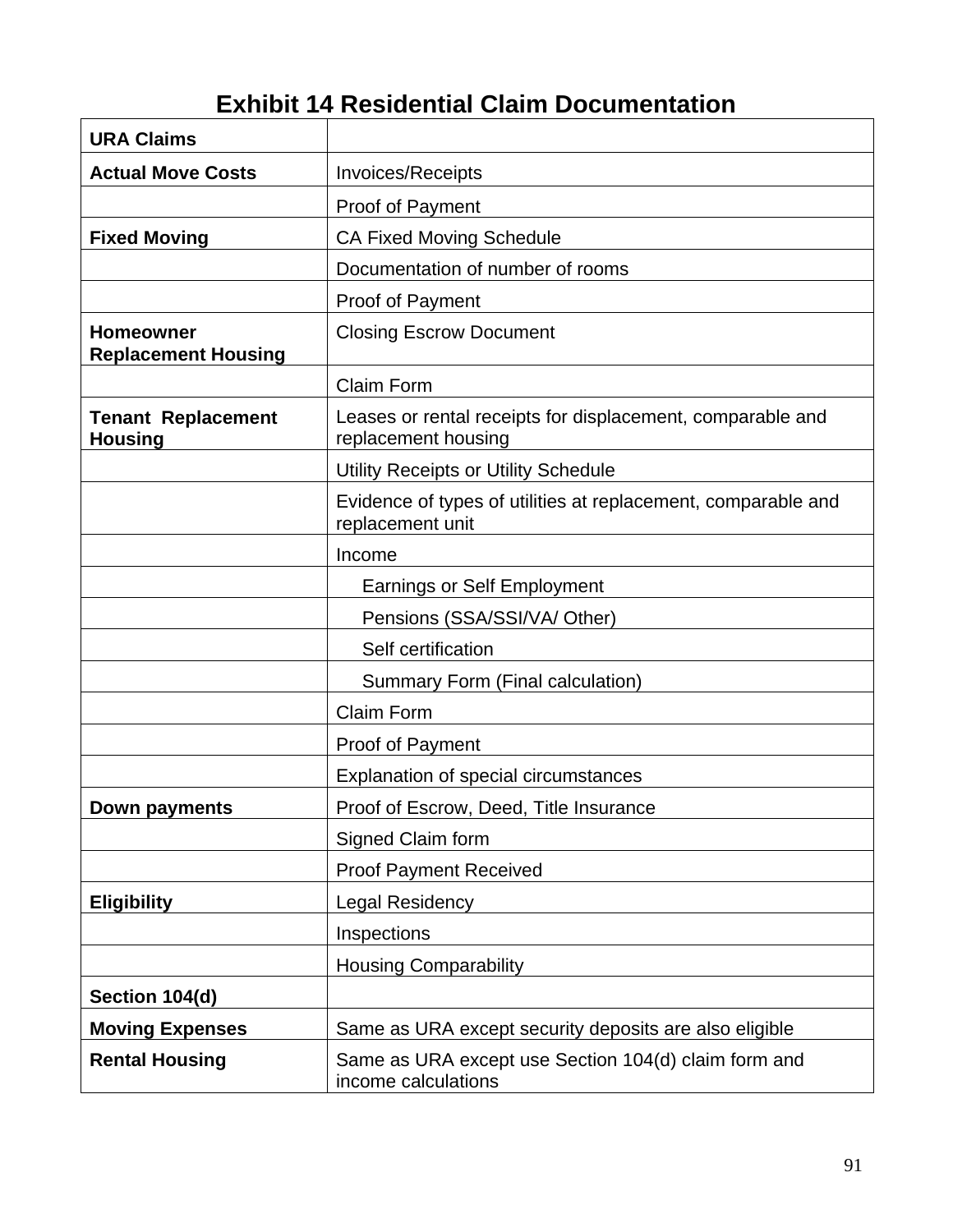# **Exhibit 14 Residential Claim Documentation**

| <b>URA Claims</b>                              |                                                                                   |
|------------------------------------------------|-----------------------------------------------------------------------------------|
| <b>Actual Move Costs</b>                       | Invoices/Receipts                                                                 |
|                                                | Proof of Payment                                                                  |
| <b>Fixed Moving</b>                            | <b>CA Fixed Moving Schedule</b>                                                   |
|                                                | Documentation of number of rooms                                                  |
|                                                | Proof of Payment                                                                  |
| <b>Homeowner</b><br><b>Replacement Housing</b> | <b>Closing Escrow Document</b>                                                    |
|                                                | <b>Claim Form</b>                                                                 |
| <b>Tenant Replacement</b><br><b>Housing</b>    | Leases or rental receipts for displacement, comparable and<br>replacement housing |
|                                                | Utility Receipts or Utility Schedule                                              |
|                                                | Evidence of types of utilities at replacement, comparable and<br>replacement unit |
|                                                | Income                                                                            |
|                                                | <b>Earnings or Self Employment</b>                                                |
|                                                | Pensions (SSA/SSI/VA/ Other)                                                      |
|                                                | Self certification                                                                |
|                                                | Summary Form (Final calculation)                                                  |
|                                                | <b>Claim Form</b>                                                                 |
|                                                | <b>Proof of Payment</b>                                                           |
|                                                | Explanation of special circumstances                                              |
| Down payments                                  | Proof of Escrow, Deed, Title Insurance                                            |
|                                                | Signed Claim form                                                                 |
|                                                | <b>Proof Payment Received</b>                                                     |
| <b>Eligibility</b>                             | <b>Legal Residency</b>                                                            |
|                                                | Inspections                                                                       |
|                                                | <b>Housing Comparability</b>                                                      |
| Section 104(d)                                 |                                                                                   |
| <b>Moving Expenses</b>                         | Same as URA except security deposits are also eligible                            |
| <b>Rental Housing</b>                          | Same as URA except use Section 104(d) claim form and<br>income calculations       |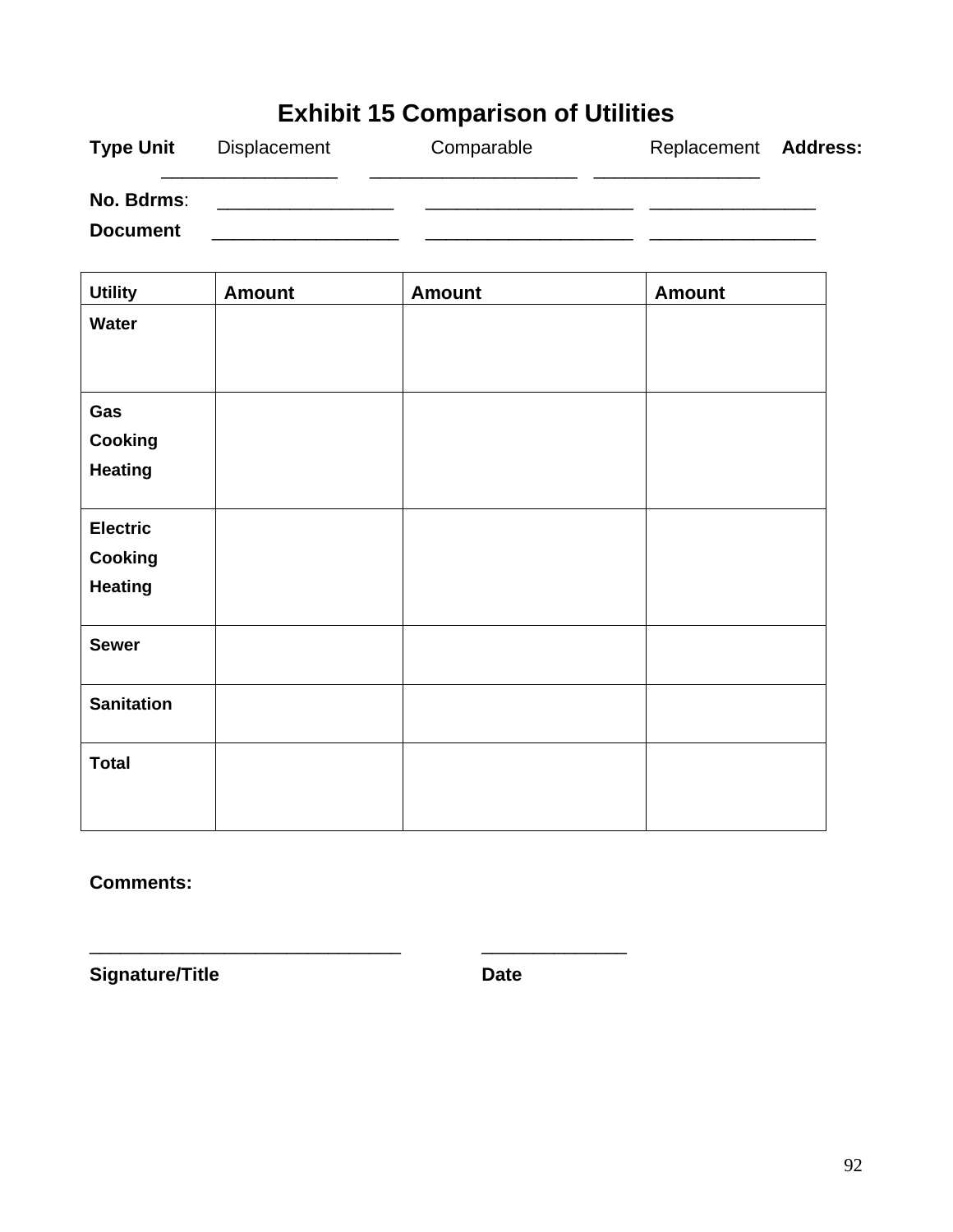| <b>Exhibit 15 Comparison of Utilities</b> |                     |            |                      |  |  |
|-------------------------------------------|---------------------|------------|----------------------|--|--|
| <b>Type Unit</b>                          | <b>Displacement</b> | Comparable | Replacement Address: |  |  |
| No. Bdrms:<br><b>Document</b>             |                     |            |                      |  |  |

| <b>Amount</b> | <b>Amount</b> | <b>Amount</b> |
|---------------|---------------|---------------|
|               |               |               |
|               |               |               |
|               |               |               |
|               |               |               |
|               |               |               |
|               |               |               |
|               |               |               |
|               |               |               |
|               |               |               |
|               |               |               |
|               |               |               |
|               |               |               |
|               |               |               |
|               |               |               |
|               |               |               |
|               |               |               |
|               |               |               |
|               |               |               |
|               |               |               |

**Comments:** 

Signature/Title **Date Date** 

\_\_\_\_\_\_\_\_\_\_\_\_\_\_\_\_\_\_\_\_\_\_\_\_\_\_\_\_\_\_ \_\_\_\_\_\_\_\_\_\_\_\_\_\_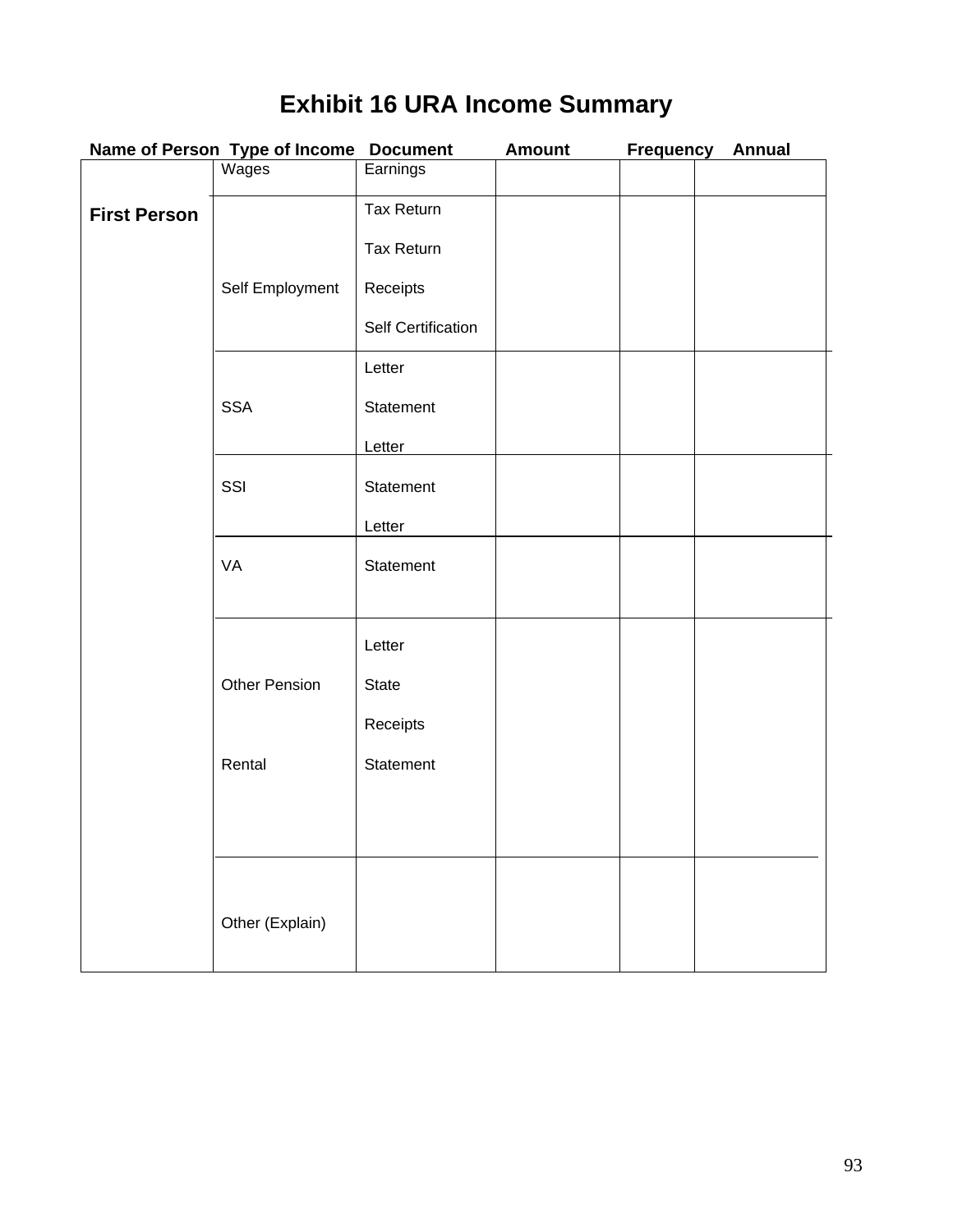# **Exhibit 16 URA Income Summary**

|                     | Name of Person Type of Income Document |                    | <b>Amount</b> | <b>Frequency</b> | <b>Annual</b> |
|---------------------|----------------------------------------|--------------------|---------------|------------------|---------------|
|                     | Wages                                  | Earnings           |               |                  |               |
| <b>First Person</b> |                                        | Tax Return         |               |                  |               |
|                     |                                        | Tax Return         |               |                  |               |
|                     | Self Employment                        | Receipts           |               |                  |               |
|                     |                                        |                    |               |                  |               |
|                     |                                        | Self Certification |               |                  |               |
|                     |                                        | Letter             |               |                  |               |
|                     | <b>SSA</b>                             | Statement          |               |                  |               |
|                     |                                        | Letter             |               |                  |               |
|                     | SSI                                    | Statement          |               |                  |               |
|                     |                                        | Letter             |               |                  |               |
|                     | VA                                     | Statement          |               |                  |               |
|                     |                                        |                    |               |                  |               |
|                     |                                        | Letter             |               |                  |               |
|                     | <b>Other Pension</b>                   | State              |               |                  |               |
|                     |                                        | Receipts           |               |                  |               |
|                     | Rental                                 | Statement          |               |                  |               |
|                     |                                        |                    |               |                  |               |
|                     |                                        |                    |               |                  |               |
|                     |                                        |                    |               |                  |               |
|                     | Other (Explain)                        |                    |               |                  |               |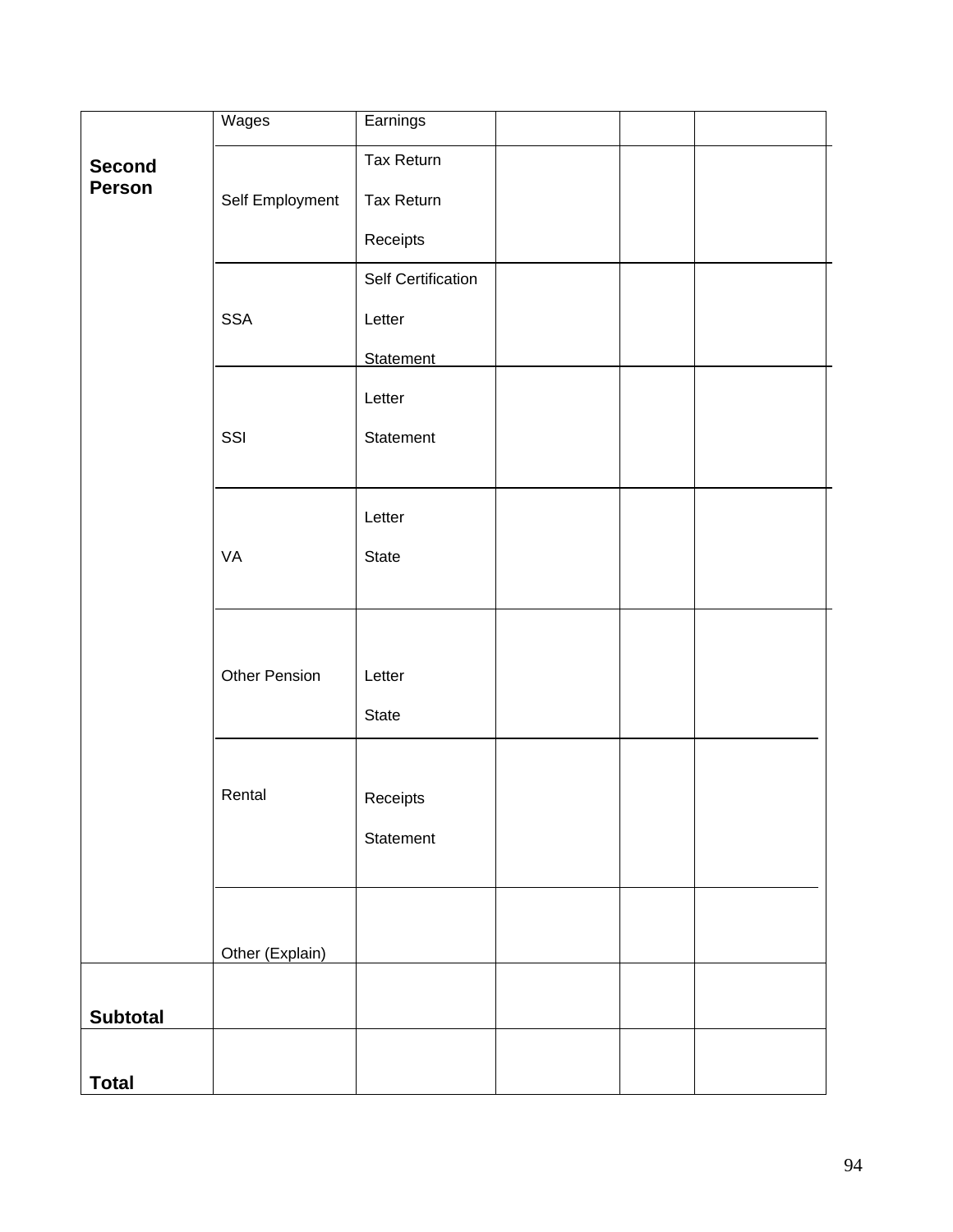|                         | Wages                | Earnings                        |  |
|-------------------------|----------------------|---------------------------------|--|
| <b>Second</b><br>Person | Self Employment      | Tax Return<br><b>Tax Return</b> |  |
|                         |                      | Receipts                        |  |
|                         |                      | Self Certification              |  |
|                         | <b>SSA</b>           | Letter                          |  |
|                         |                      | <b>Statement</b><br>Letter      |  |
|                         | SSI                  | Statement                       |  |
|                         |                      | Letter                          |  |
|                         | VA                   | State                           |  |
|                         |                      |                                 |  |
|                         | <b>Other Pension</b> | Letter                          |  |
|                         |                      | State                           |  |
|                         |                      |                                 |  |
|                         | Rental               | Receipts                        |  |
|                         |                      | Statement                       |  |
|                         |                      |                                 |  |
|                         | Other (Explain)      |                                 |  |
| <b>Subtotal</b>         |                      |                                 |  |
|                         |                      |                                 |  |
| <b>Total</b>            |                      |                                 |  |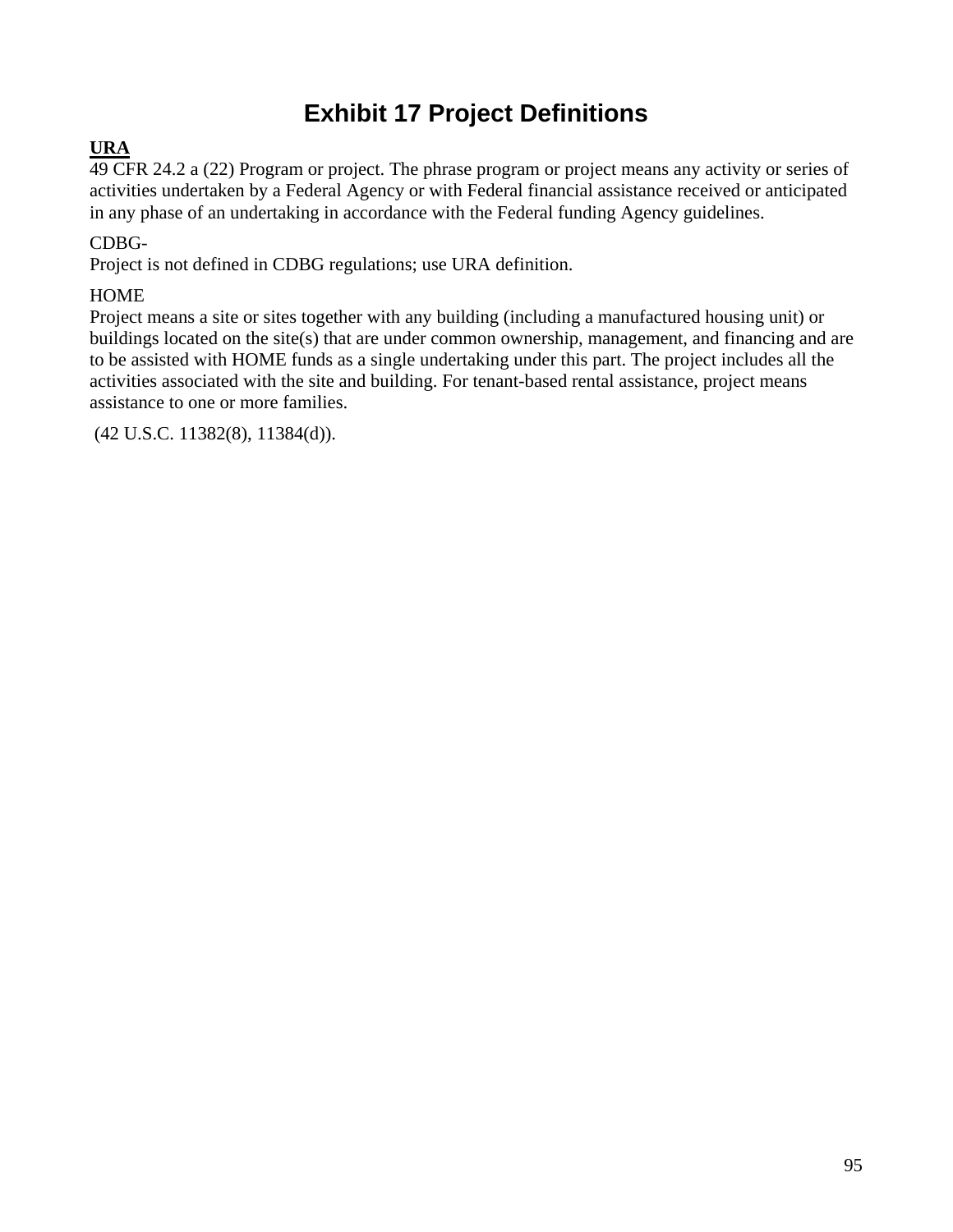# **Exhibit 17 Project Definitions**

## **URA**

49 CFR 24.2 a (22) Program or project. The phrase program or project means any activity or series of activities undertaken by a Federal Agency or with Federal financial assistance received or anticipated in any phase of an undertaking in accordance with the Federal funding Agency guidelines.

## CDBG-

Project is not defined in CDBG regulations; use URA definition.

## **HOME**

Project means a site or sites together with any building (including a manufactured housing unit) or buildings located on the site(s) that are under common ownership, management, and financing and are to be assisted with HOME funds as a single undertaking under this part. The project includes all the activities associated with the site and building. For tenant-based rental assistance, project means assistance to one or more families.

(42 U.S.C. 11382(8), 11384(d)).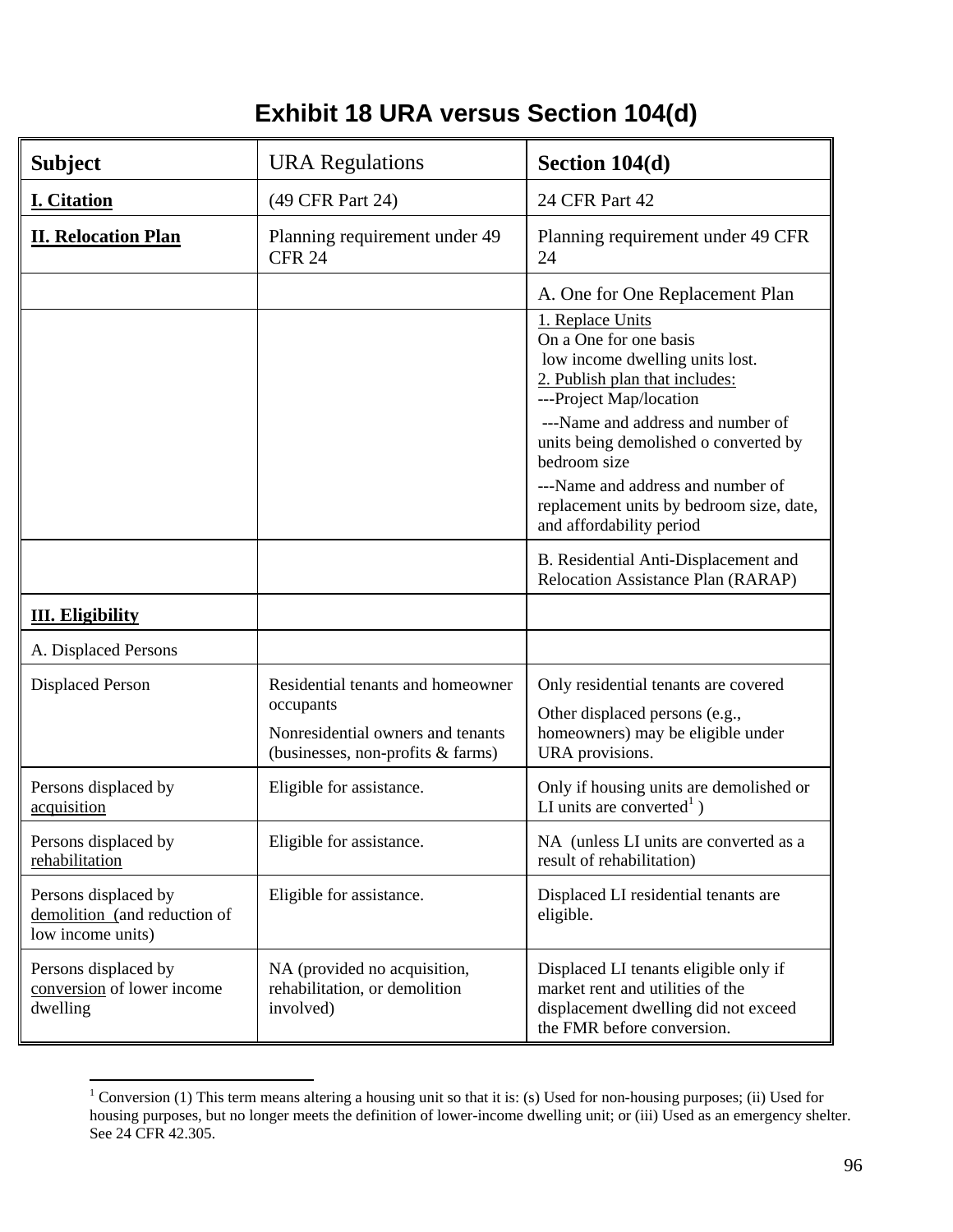# **Exhibit 18 URA versus Section 104(d)**

| <b>Subject</b>                                                            | <b>URA</b> Regulations                                                                                                   | Section 104(d)                                                                                                                                                                                                                           |
|---------------------------------------------------------------------------|--------------------------------------------------------------------------------------------------------------------------|------------------------------------------------------------------------------------------------------------------------------------------------------------------------------------------------------------------------------------------|
| <b>I. Citation</b>                                                        | (49 CFR Part 24)                                                                                                         | 24 CFR Part 42                                                                                                                                                                                                                           |
| <b>II. Relocation Plan</b>                                                | Planning requirement under 49<br><b>CFR 24</b>                                                                           | Planning requirement under 49 CFR<br>24                                                                                                                                                                                                  |
|                                                                           |                                                                                                                          | A. One for One Replacement Plan                                                                                                                                                                                                          |
|                                                                           |                                                                                                                          | 1. Replace Units<br>On a One for one basis<br>low income dwelling units lost.<br>2. Publish plan that includes:<br>---Project Map/location<br>---Name and address and number of<br>units being demolished o converted by<br>bedroom size |
|                                                                           |                                                                                                                          | ---Name and address and number of<br>replacement units by bedroom size, date,<br>and affordability period                                                                                                                                |
|                                                                           |                                                                                                                          | B. Residential Anti-Displacement and<br><b>Relocation Assistance Plan (RARAP)</b>                                                                                                                                                        |
| <b>III.</b> Eligibility                                                   |                                                                                                                          |                                                                                                                                                                                                                                          |
| A. Displaced Persons                                                      |                                                                                                                          |                                                                                                                                                                                                                                          |
| <b>Displaced Person</b>                                                   | Residential tenants and homeowner<br>occupants<br>Nonresidential owners and tenants<br>(businesses, non-profits & farms) | Only residential tenants are covered<br>Other displaced persons (e.g.,<br>homeowners) may be eligible under<br>URA provisions.                                                                                                           |
| Persons displaced by<br>acquisition                                       | Eligible for assistance.                                                                                                 | Only if housing units are demolished or<br>LI units are converted <sup>1</sup> )                                                                                                                                                         |
| Persons displaced by<br>rehabilitation                                    | Eligible for assistance.                                                                                                 | NA (unless LI units are converted as a<br>result of rehabilitation)                                                                                                                                                                      |
| Persons displaced by<br>demolition (and reduction of<br>low income units) | Eligible for assistance.                                                                                                 | Displaced LI residential tenants are<br>eligible.                                                                                                                                                                                        |
| Persons displaced by<br>conversion of lower income<br>dwelling            | NA (provided no acquisition,<br>rehabilitation, or demolition<br>involved)                                               | Displaced LI tenants eligible only if<br>market rent and utilities of the<br>displacement dwelling did not exceed<br>the FMR before conversion.                                                                                          |

<sup>&</sup>lt;sup>1</sup> Conversion (1) This term means altering a housing unit so that it is: (s) Used for non-housing purposes; (ii) Used for housing purposes, but no longer meets the definition of lower-income dwelling unit; or (iii) Used as an emergency shelter. See 24 CFR 42.305.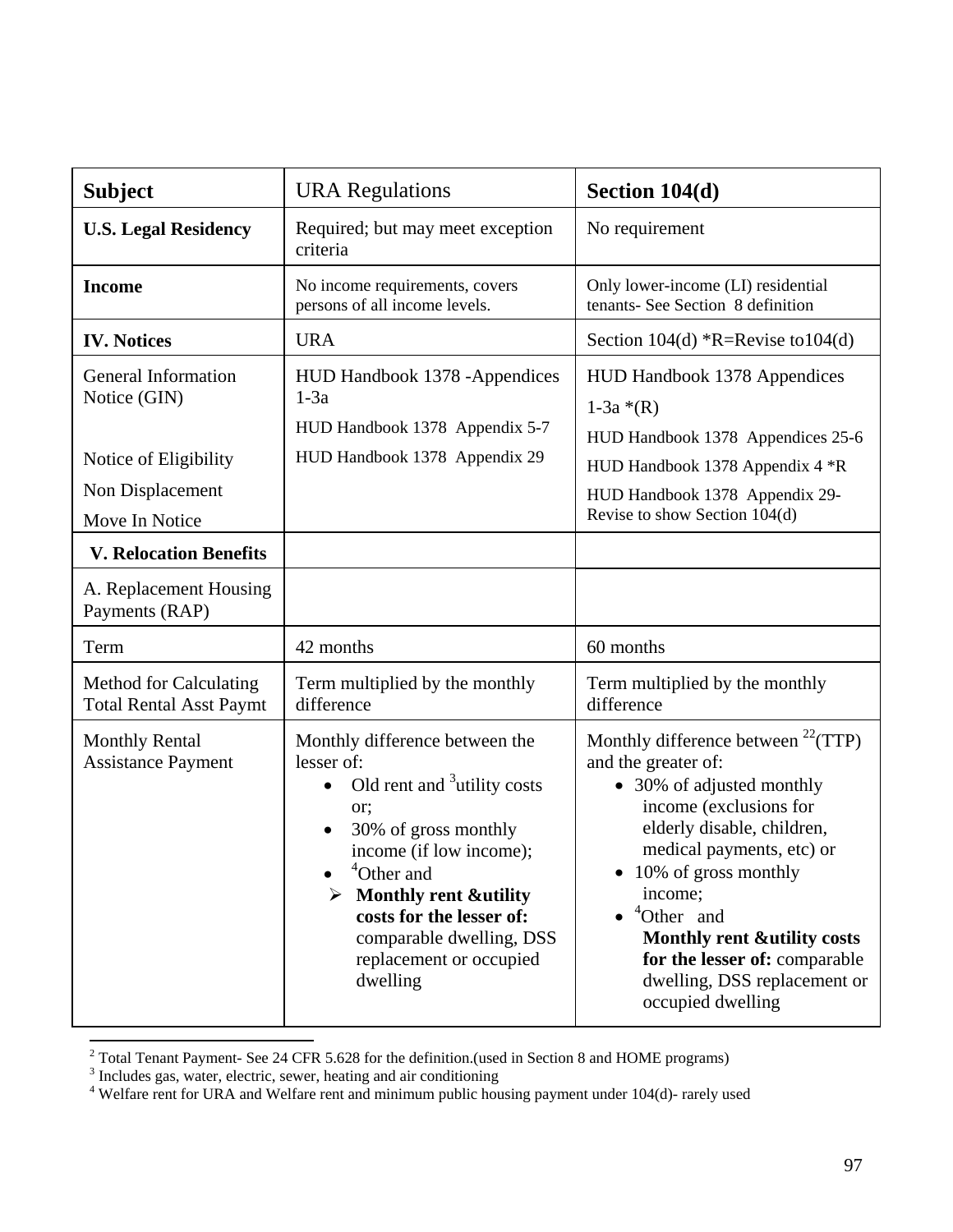| <b>Subject</b>                                                  | <b>URA Regulations</b>                                                                                                                                                                                                                                                                                                      | Section 104(d)                                                                                                                                                                                                                                                                                                                                                                              |
|-----------------------------------------------------------------|-----------------------------------------------------------------------------------------------------------------------------------------------------------------------------------------------------------------------------------------------------------------------------------------------------------------------------|---------------------------------------------------------------------------------------------------------------------------------------------------------------------------------------------------------------------------------------------------------------------------------------------------------------------------------------------------------------------------------------------|
| <b>U.S. Legal Residency</b>                                     | Required; but may meet exception<br>criteria                                                                                                                                                                                                                                                                                | No requirement                                                                                                                                                                                                                                                                                                                                                                              |
| <b>Income</b>                                                   | No income requirements, covers<br>persons of all income levels.                                                                                                                                                                                                                                                             | Only lower-income (LI) residential<br>tenants- See Section 8 definition                                                                                                                                                                                                                                                                                                                     |
| <b>IV. Notices</b>                                              | <b>URA</b>                                                                                                                                                                                                                                                                                                                  | Section $104(d)$ *R=Revise to $104(d)$                                                                                                                                                                                                                                                                                                                                                      |
| <b>General Information</b><br>Notice (GIN)                      | HUD Handbook 1378 - Appendices<br>$1-3a$<br>HUD Handbook 1378 Appendix 5-7<br>HUD Handbook 1378 Appendix 29                                                                                                                                                                                                                 | <b>HUD Handbook 1378 Appendices</b><br>$1-3a * (R)$<br>HUD Handbook 1378 Appendices 25-6                                                                                                                                                                                                                                                                                                    |
| Notice of Eligibility                                           |                                                                                                                                                                                                                                                                                                                             | HUD Handbook 1378 Appendix 4 *R                                                                                                                                                                                                                                                                                                                                                             |
| Non Displacement<br>Move In Notice                              |                                                                                                                                                                                                                                                                                                                             | HUD Handbook 1378 Appendix 29-<br>Revise to show Section 104(d)                                                                                                                                                                                                                                                                                                                             |
| <b>V. Relocation Benefits</b>                                   |                                                                                                                                                                                                                                                                                                                             |                                                                                                                                                                                                                                                                                                                                                                                             |
| A. Replacement Housing<br>Payments (RAP)                        |                                                                                                                                                                                                                                                                                                                             |                                                                                                                                                                                                                                                                                                                                                                                             |
| Term                                                            | 42 months                                                                                                                                                                                                                                                                                                                   | 60 months                                                                                                                                                                                                                                                                                                                                                                                   |
| <b>Method for Calculating</b><br><b>Total Rental Asst Paymt</b> | Term multiplied by the monthly<br>difference                                                                                                                                                                                                                                                                                | Term multiplied by the monthly<br>difference                                                                                                                                                                                                                                                                                                                                                |
| <b>Monthly Rental</b><br><b>Assistance Payment</b>              | Monthly difference between the<br>lesser of:<br>Old rent and <sup>3</sup> utility costs<br>$\bullet$<br>or:<br>30% of gross monthly<br>income (if low income);<br><sup>4</sup> Other and<br><b>Monthly rent &amp;utility</b><br>costs for the lesser of:<br>comparable dwelling, DSS<br>replacement or occupied<br>dwelling | Monthly difference between $^{22}$ (TTP)<br>and the greater of:<br>• 30% of adjusted monthly<br>income (exclusions for<br>elderly disable, children,<br>medical payments, etc) or<br>10% of gross monthly<br>income;<br><sup>4</sup> Other and<br>$\bullet$<br><b>Monthly rent &amp;utility costs</b><br>for the lesser of: comparable<br>dwelling, DSS replacement or<br>occupied dwelling |

<sup>&</sup>lt;sup>2</sup> Total Tenant Payment- See 24 CFR 5.628 for the definition.(used in Section 8 and HOME programs)

<sup>&</sup>lt;sup>3</sup> Includes gas, water, electric, sewer, heating and air conditioning<br><sup>4</sup> Welfare rent for URA and Welfare rent and minimum public housing payment under 104(d)- rarely used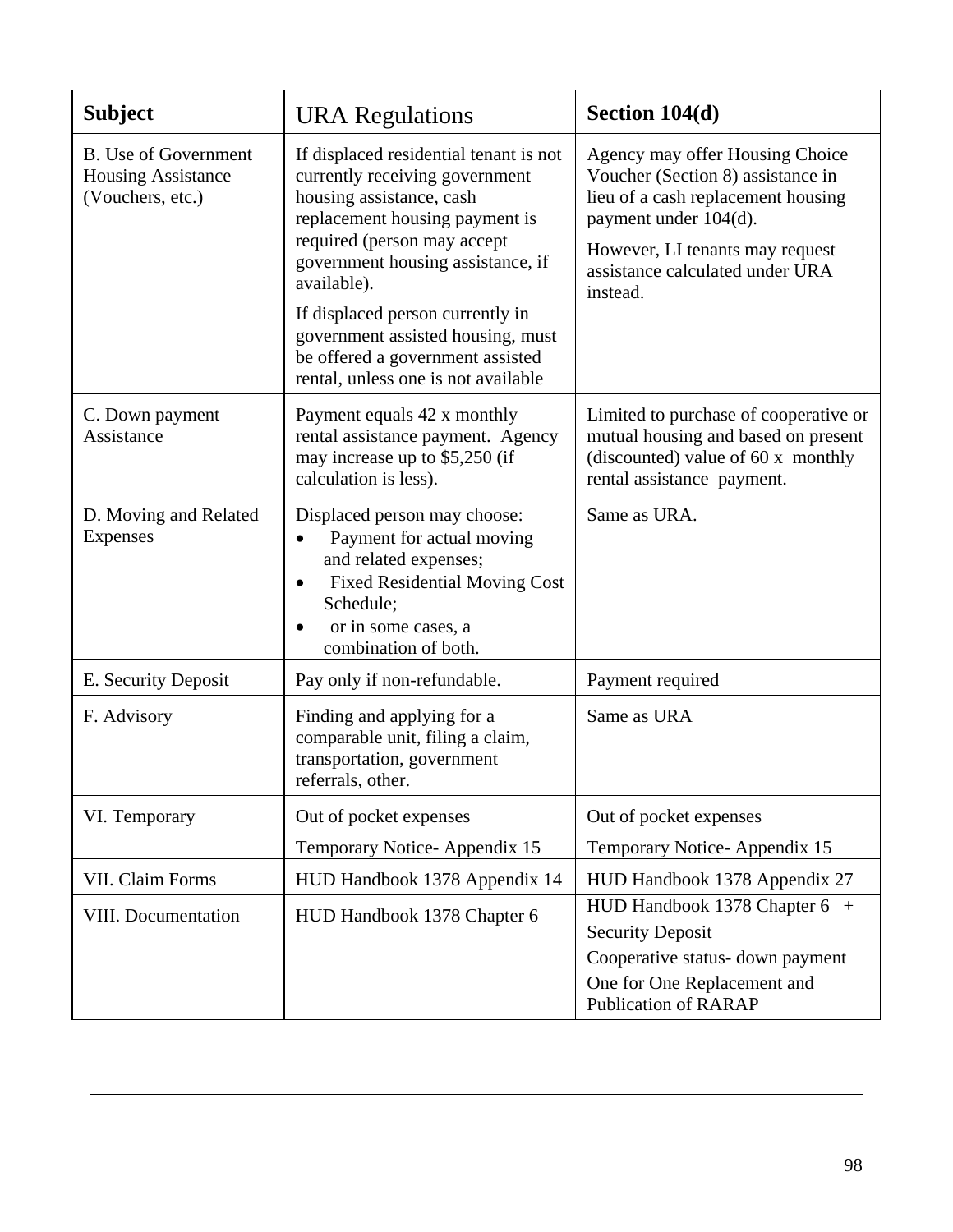| <b>Subject</b>                                                               | <b>URA</b> Regulations                                                                                                                                                                                                                                                                                                                                                        | Section 104(d)                                                                                                                                                                                                        |
|------------------------------------------------------------------------------|-------------------------------------------------------------------------------------------------------------------------------------------------------------------------------------------------------------------------------------------------------------------------------------------------------------------------------------------------------------------------------|-----------------------------------------------------------------------------------------------------------------------------------------------------------------------------------------------------------------------|
| <b>B.</b> Use of Government<br><b>Housing Assistance</b><br>(Vouchers, etc.) | If displaced residential tenant is not<br>currently receiving government<br>housing assistance, cash<br>replacement housing payment is<br>required (person may accept<br>government housing assistance, if<br>available).<br>If displaced person currently in<br>government assisted housing, must<br>be offered a government assisted<br>rental, unless one is not available | Agency may offer Housing Choice<br>Voucher (Section 8) assistance in<br>lieu of a cash replacement housing<br>payment under 104(d).<br>However, LI tenants may request<br>assistance calculated under URA<br>instead. |
| C. Down payment<br>Assistance                                                | Payment equals 42 x monthly<br>rental assistance payment. Agency<br>may increase up to \$5,250 (if<br>calculation is less).                                                                                                                                                                                                                                                   | Limited to purchase of cooperative or<br>mutual housing and based on present<br>(discounted) value of 60 x monthly<br>rental assistance payment.                                                                      |
| D. Moving and Related<br><b>Expenses</b>                                     | Displaced person may choose:<br>Payment for actual moving<br>and related expenses;<br><b>Fixed Residential Moving Cost</b><br>Schedule;<br>or in some cases, a<br>combination of both.                                                                                                                                                                                        | Same as URA.                                                                                                                                                                                                          |
| E. Security Deposit                                                          | Pay only if non-refundable.                                                                                                                                                                                                                                                                                                                                                   | Payment required                                                                                                                                                                                                      |
| F. Advisory                                                                  | Finding and applying for a<br>comparable unit, filing a claim,<br>transportation, government<br>referrals, other.                                                                                                                                                                                                                                                             | Same as URA                                                                                                                                                                                                           |
| VI. Temporary                                                                | Out of pocket expenses                                                                                                                                                                                                                                                                                                                                                        | Out of pocket expenses                                                                                                                                                                                                |
|                                                                              | Temporary Notice-Appendix 15                                                                                                                                                                                                                                                                                                                                                  | Temporary Notice-Appendix 15                                                                                                                                                                                          |
| VII. Claim Forms                                                             | HUD Handbook 1378 Appendix 14                                                                                                                                                                                                                                                                                                                                                 | HUD Handbook 1378 Appendix 27                                                                                                                                                                                         |
| VIII. Documentation                                                          | HUD Handbook 1378 Chapter 6                                                                                                                                                                                                                                                                                                                                                   | HUD Handbook 1378 Chapter 6 +<br><b>Security Deposit</b><br>Cooperative status- down payment<br>One for One Replacement and<br><b>Publication of RARAP</b>                                                            |

 $\overline{a}$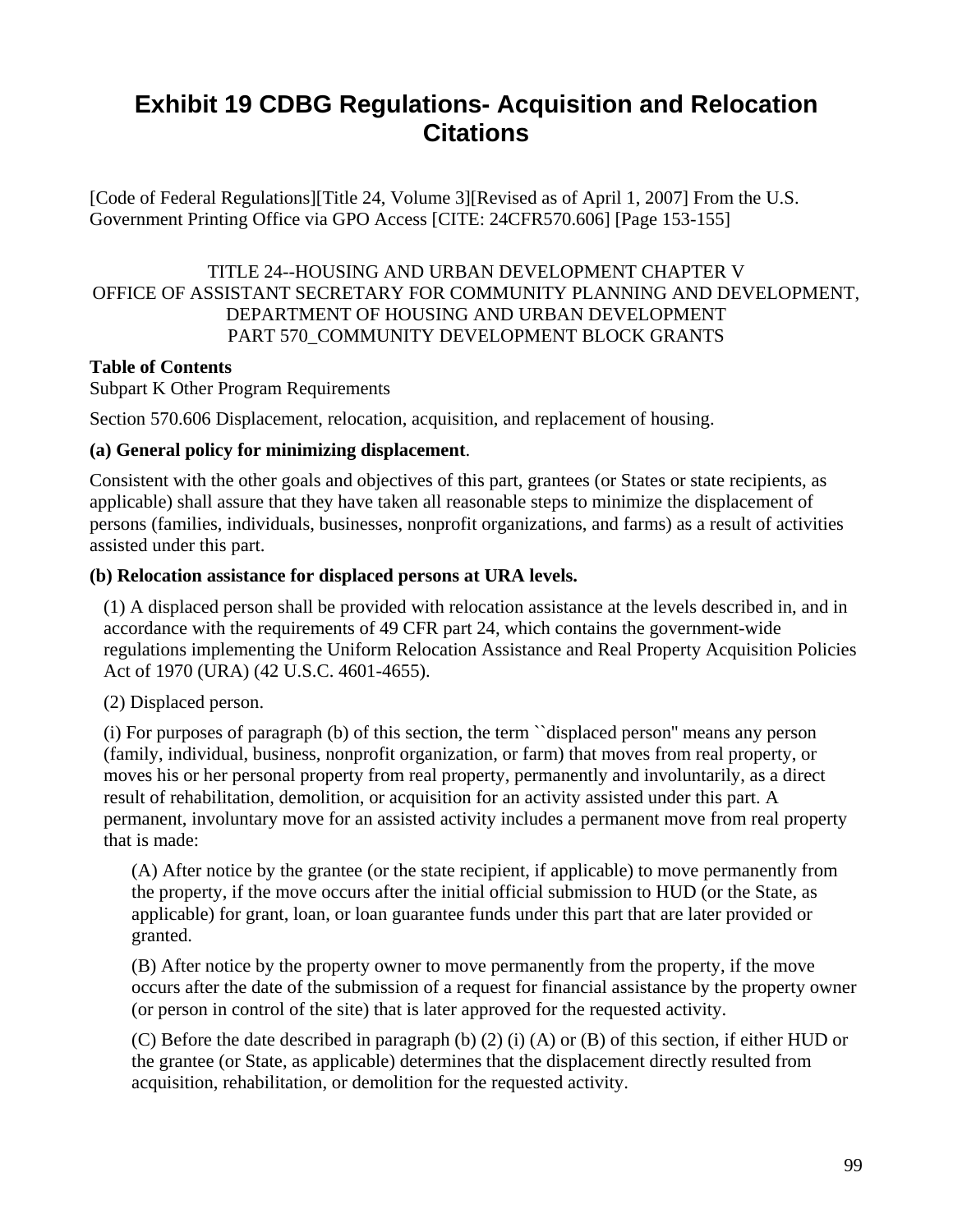# **Exhibit 19 CDBG Regulations- Acquisition and Relocation Citations**

[Code of Federal Regulations][Title 24, Volume 3][Revised as of April 1, 2007] From the U.S. Government Printing Office via GPO Access [CITE: 24CFR570.606] [Page 153-155]

### TITLE 24--HOUSING AND URBAN DEVELOPMENT CHAPTER V OFFICE OF ASSISTANT SECRETARY FOR COMMUNITY PLANNING AND DEVELOPMENT, DEPARTMENT OF HOUSING AND URBAN DEVELOPMENT PART 570\_COMMUNITY DEVELOPMENT BLOCK GRANTS

### **Table of Contents**

Subpart K Other Program Requirements

Section 570.606 Displacement, relocation, acquisition, and replacement of housing.

#### **(a) General policy for minimizing displacement**.

Consistent with the other goals and objectives of this part, grantees (or States or state recipients, as applicable) shall assure that they have taken all reasonable steps to minimize the displacement of persons (families, individuals, businesses, nonprofit organizations, and farms) as a result of activities assisted under this part.

#### **(b) Relocation assistance for displaced persons at URA levels.**

(1) A displaced person shall be provided with relocation assistance at the levels described in, and in accordance with the requirements of 49 CFR part 24, which contains the government-wide regulations implementing the Uniform Relocation Assistance and Real Property Acquisition Policies Act of 1970 (URA) (42 U.S.C. 4601-4655).

(2) Displaced person.

(i) For purposes of paragraph (b) of this section, the term ``displaced person'' means any person (family, individual, business, nonprofit organization, or farm) that moves from real property, or moves his or her personal property from real property, permanently and involuntarily, as a direct result of rehabilitation, demolition, or acquisition for an activity assisted under this part. A permanent, involuntary move for an assisted activity includes a permanent move from real property that is made:

(A) After notice by the grantee (or the state recipient, if applicable) to move permanently from the property, if the move occurs after the initial official submission to HUD (or the State, as applicable) for grant, loan, or loan guarantee funds under this part that are later provided or granted.

(B) After notice by the property owner to move permanently from the property, if the move occurs after the date of the submission of a request for financial assistance by the property owner (or person in control of the site) that is later approved for the requested activity.

(C) Before the date described in paragraph (b) (2) (i) (A) or (B) of this section, if either HUD or the grantee (or State, as applicable) determines that the displacement directly resulted from acquisition, rehabilitation, or demolition for the requested activity.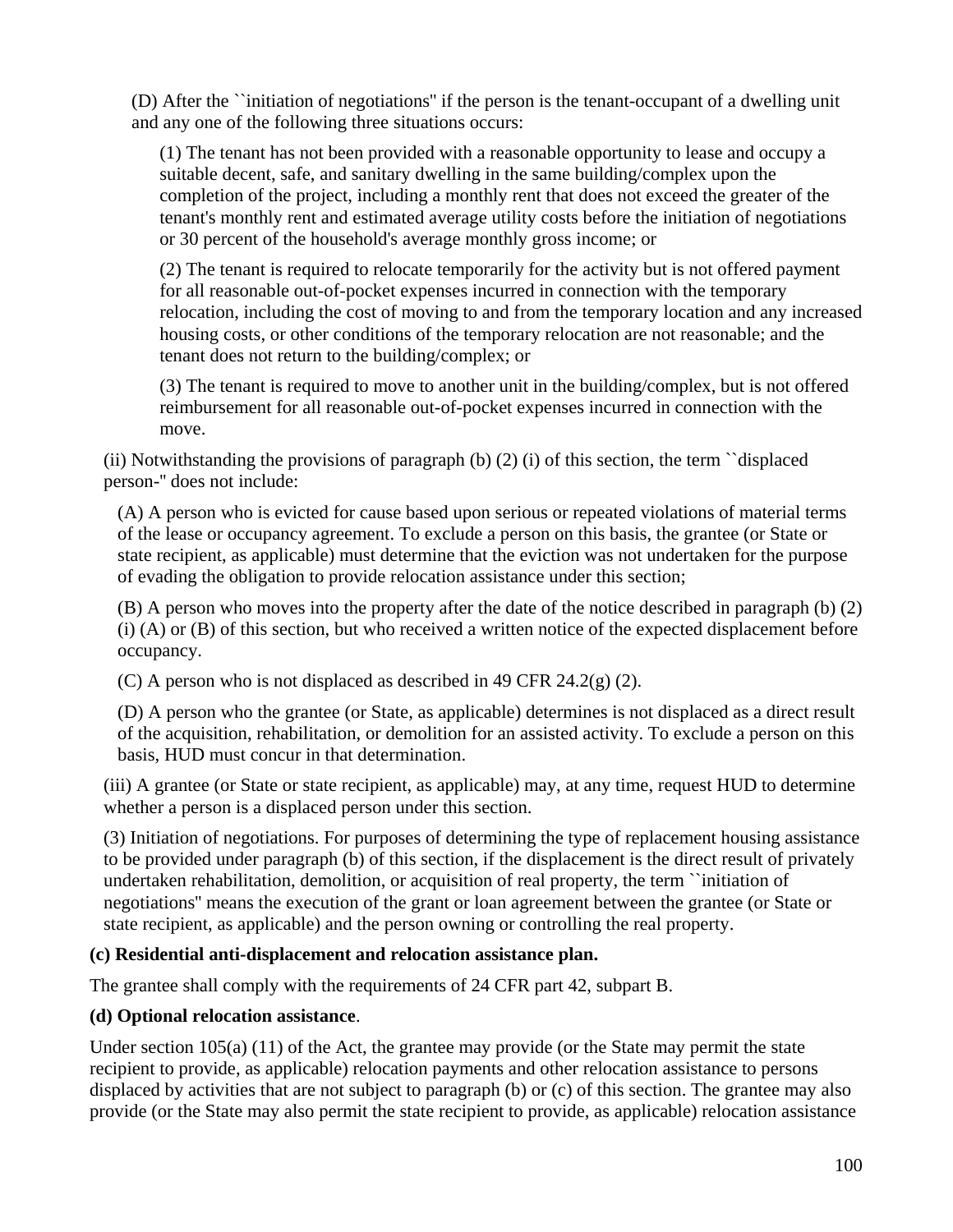(D) After the ``initiation of negotiations'' if the person is the tenant-occupant of a dwelling unit and any one of the following three situations occurs:

(1) The tenant has not been provided with a reasonable opportunity to lease and occupy a suitable decent, safe, and sanitary dwelling in the same building/complex upon the completion of the project, including a monthly rent that does not exceed the greater of the tenant's monthly rent and estimated average utility costs before the initiation of negotiations or 30 percent of the household's average monthly gross income; or

(2) The tenant is required to relocate temporarily for the activity but is not offered payment for all reasonable out-of-pocket expenses incurred in connection with the temporary relocation, including the cost of moving to and from the temporary location and any increased housing costs, or other conditions of the temporary relocation are not reasonable; and the tenant does not return to the building/complex; or

(3) The tenant is required to move to another unit in the building/complex, but is not offered reimbursement for all reasonable out-of-pocket expenses incurred in connection with the move.

(ii) Notwithstanding the provisions of paragraph (b) (2) (i) of this section, the term ``displaced person-'' does not include:

(A) A person who is evicted for cause based upon serious or repeated violations of material terms of the lease or occupancy agreement. To exclude a person on this basis, the grantee (or State or state recipient, as applicable) must determine that the eviction was not undertaken for the purpose of evading the obligation to provide relocation assistance under this section;

(B) A person who moves into the property after the date of the notice described in paragraph (b) (2) (i) (A) or (B) of this section, but who received a written notice of the expected displacement before occupancy.

(C) A person who is not displaced as described in 49 CFR  $24.2(g)$  (2).

(D) A person who the grantee (or State, as applicable) determines is not displaced as a direct result of the acquisition, rehabilitation, or demolition for an assisted activity. To exclude a person on this basis, HUD must concur in that determination.

(iii) A grantee (or State or state recipient, as applicable) may, at any time, request HUD to determine whether a person is a displaced person under this section.

(3) Initiation of negotiations. For purposes of determining the type of replacement housing assistance to be provided under paragraph (b) of this section, if the displacement is the direct result of privately undertaken rehabilitation, demolition, or acquisition of real property, the term ``initiation of negotiations'' means the execution of the grant or loan agreement between the grantee (or State or state recipient, as applicable) and the person owning or controlling the real property.

### **(c) Residential anti-displacement and relocation assistance plan.**

The grantee shall comply with the requirements of 24 CFR part 42, subpart B.

## **(d) Optional relocation assistance**.

Under section 105(a) (11) of the Act, the grantee may provide (or the State may permit the state recipient to provide, as applicable) relocation payments and other relocation assistance to persons displaced by activities that are not subject to paragraph (b) or (c) of this section. The grantee may also provide (or the State may also permit the state recipient to provide, as applicable) relocation assistance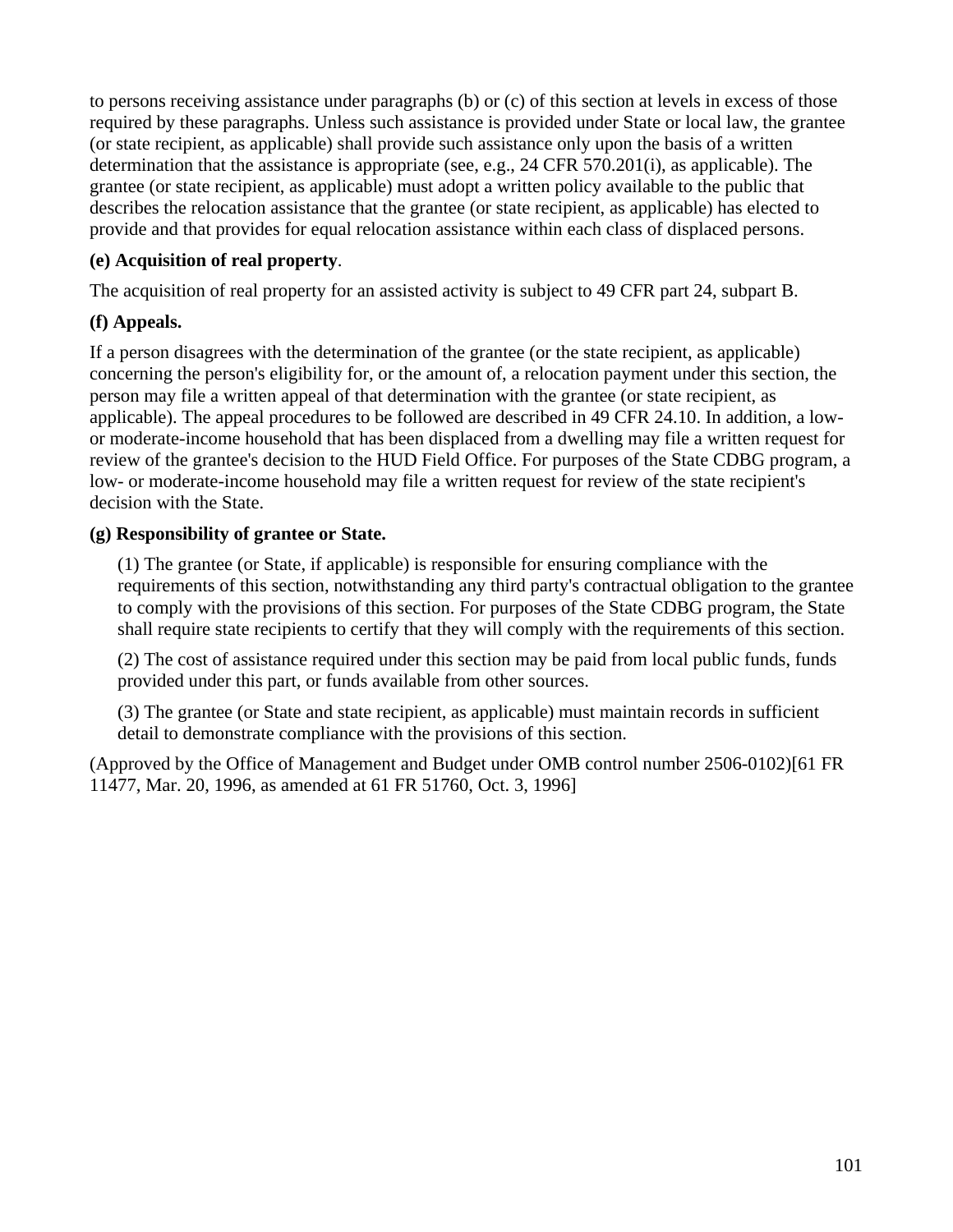to persons receiving assistance under paragraphs (b) or (c) of this section at levels in excess of those required by these paragraphs. Unless such assistance is provided under State or local law, the grantee (or state recipient, as applicable) shall provide such assistance only upon the basis of a written determination that the assistance is appropriate (see, e.g., 24 CFR 570.201(i), as applicable). The grantee (or state recipient, as applicable) must adopt a written policy available to the public that describes the relocation assistance that the grantee (or state recipient, as applicable) has elected to provide and that provides for equal relocation assistance within each class of displaced persons.

## **(e) Acquisition of real property**.

The acquisition of real property for an assisted activity is subject to 49 CFR part 24, subpart B.

## **(f) Appeals.**

If a person disagrees with the determination of the grantee (or the state recipient, as applicable) concerning the person's eligibility for, or the amount of, a relocation payment under this section, the person may file a written appeal of that determination with the grantee (or state recipient, as applicable). The appeal procedures to be followed are described in 49 CFR 24.10. In addition, a lowor moderate-income household that has been displaced from a dwelling may file a written request for review of the grantee's decision to the HUD Field Office. For purposes of the State CDBG program, a low- or moderate-income household may file a written request for review of the state recipient's decision with the State.

## **(g) Responsibility of grantee or State.**

(1) The grantee (or State, if applicable) is responsible for ensuring compliance with the requirements of this section, notwithstanding any third party's contractual obligation to the grantee to comply with the provisions of this section. For purposes of the State CDBG program, the State shall require state recipients to certify that they will comply with the requirements of this section.

(2) The cost of assistance required under this section may be paid from local public funds, funds provided under this part, or funds available from other sources.

(3) The grantee (or State and state recipient, as applicable) must maintain records in sufficient detail to demonstrate compliance with the provisions of this section.

(Approved by the Office of Management and Budget under OMB control number 2506-0102)[61 FR 11477, Mar. 20, 1996, as amended at 61 FR 51760, Oct. 3, 1996]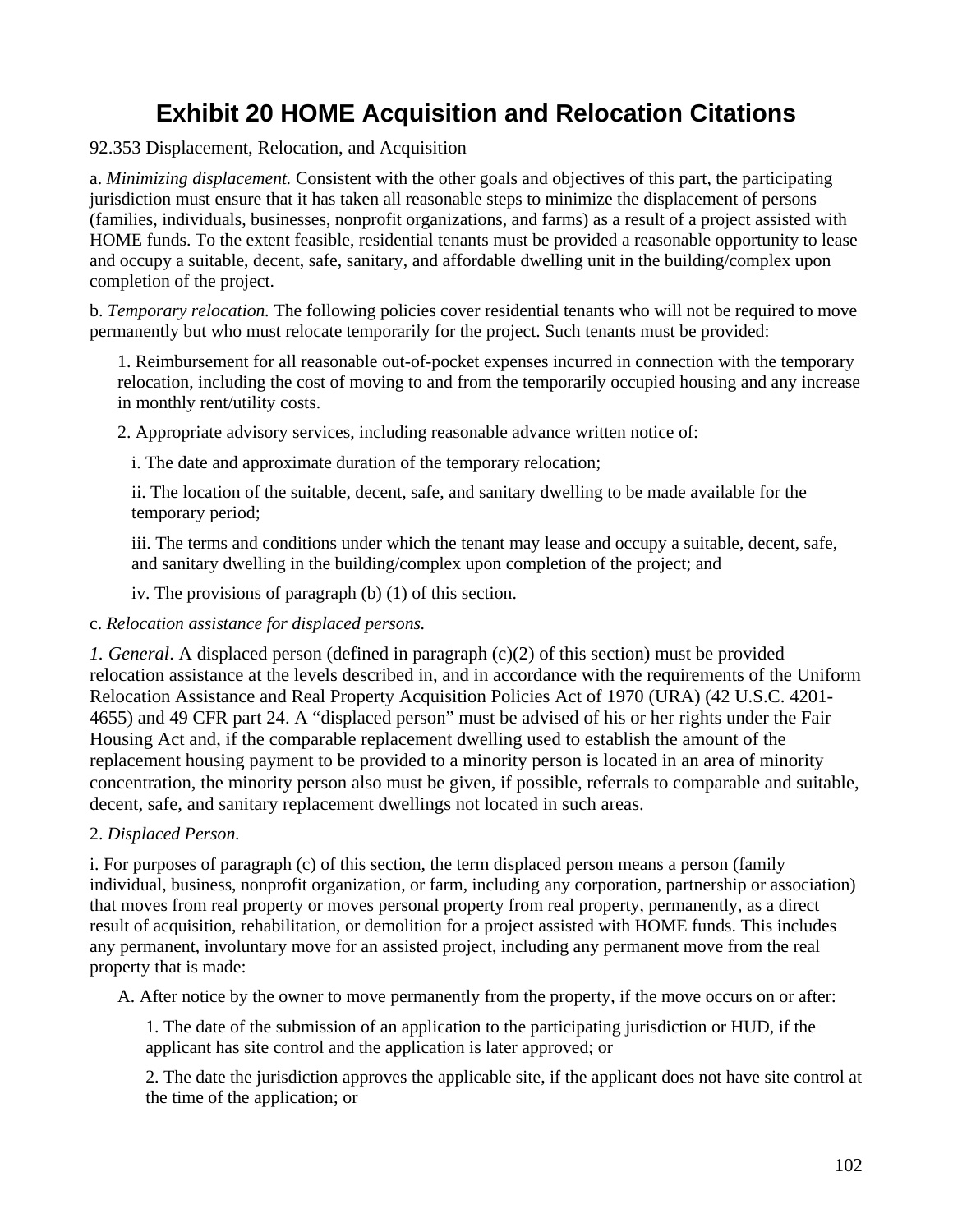# **Exhibit 20 HOME Acquisition and Relocation Citations**

#### 92.353 Displacement, Relocation, and Acquisition

a. *Minimizing displacement.* Consistent with the other goals and objectives of this part, the participating jurisdiction must ensure that it has taken all reasonable steps to minimize the displacement of persons (families, individuals, businesses, nonprofit organizations, and farms) as a result of a project assisted with HOME funds. To the extent feasible, residential tenants must be provided a reasonable opportunity to lease and occupy a suitable, decent, safe, sanitary, and affordable dwelling unit in the building/complex upon completion of the project.

b. *Temporary relocation.* The following policies cover residential tenants who will not be required to move permanently but who must relocate temporarily for the project. Such tenants must be provided:

1. Reimbursement for all reasonable out-of-pocket expenses incurred in connection with the temporary relocation, including the cost of moving to and from the temporarily occupied housing and any increase in monthly rent/utility costs.

2. Appropriate advisory services, including reasonable advance written notice of:

i. The date and approximate duration of the temporary relocation;

ii. The location of the suitable, decent, safe, and sanitary dwelling to be made available for the temporary period;

iii. The terms and conditions under which the tenant may lease and occupy a suitable, decent, safe, and sanitary dwelling in the building/complex upon completion of the project; and

iv. The provisions of paragraph (b) (1) of this section.

c. *Relocation assistance for displaced persons.* 

*1. General*. A displaced person (defined in paragraph (c)(2) of this section) must be provided relocation assistance at the levels described in, and in accordance with the requirements of the Uniform Relocation Assistance and Real Property Acquisition Policies Act of 1970 (URA) (42 U.S.C. 4201- 4655) and 49 CFR part 24. A "displaced person" must be advised of his or her rights under the Fair Housing Act and, if the comparable replacement dwelling used to establish the amount of the replacement housing payment to be provided to a minority person is located in an area of minority concentration, the minority person also must be given, if possible, referrals to comparable and suitable, decent, safe, and sanitary replacement dwellings not located in such areas.

#### 2. *Displaced Person.*

i. For purposes of paragraph (c) of this section, the term displaced person means a person (family individual, business, nonprofit organization, or farm, including any corporation, partnership or association) that moves from real property or moves personal property from real property, permanently, as a direct result of acquisition, rehabilitation, or demolition for a project assisted with HOME funds. This includes any permanent, involuntary move for an assisted project, including any permanent move from the real property that is made:

A. After notice by the owner to move permanently from the property, if the move occurs on or after:

1. The date of the submission of an application to the participating jurisdiction or HUD, if the applicant has site control and the application is later approved; or

2. The date the jurisdiction approves the applicable site, if the applicant does not have site control at the time of the application; or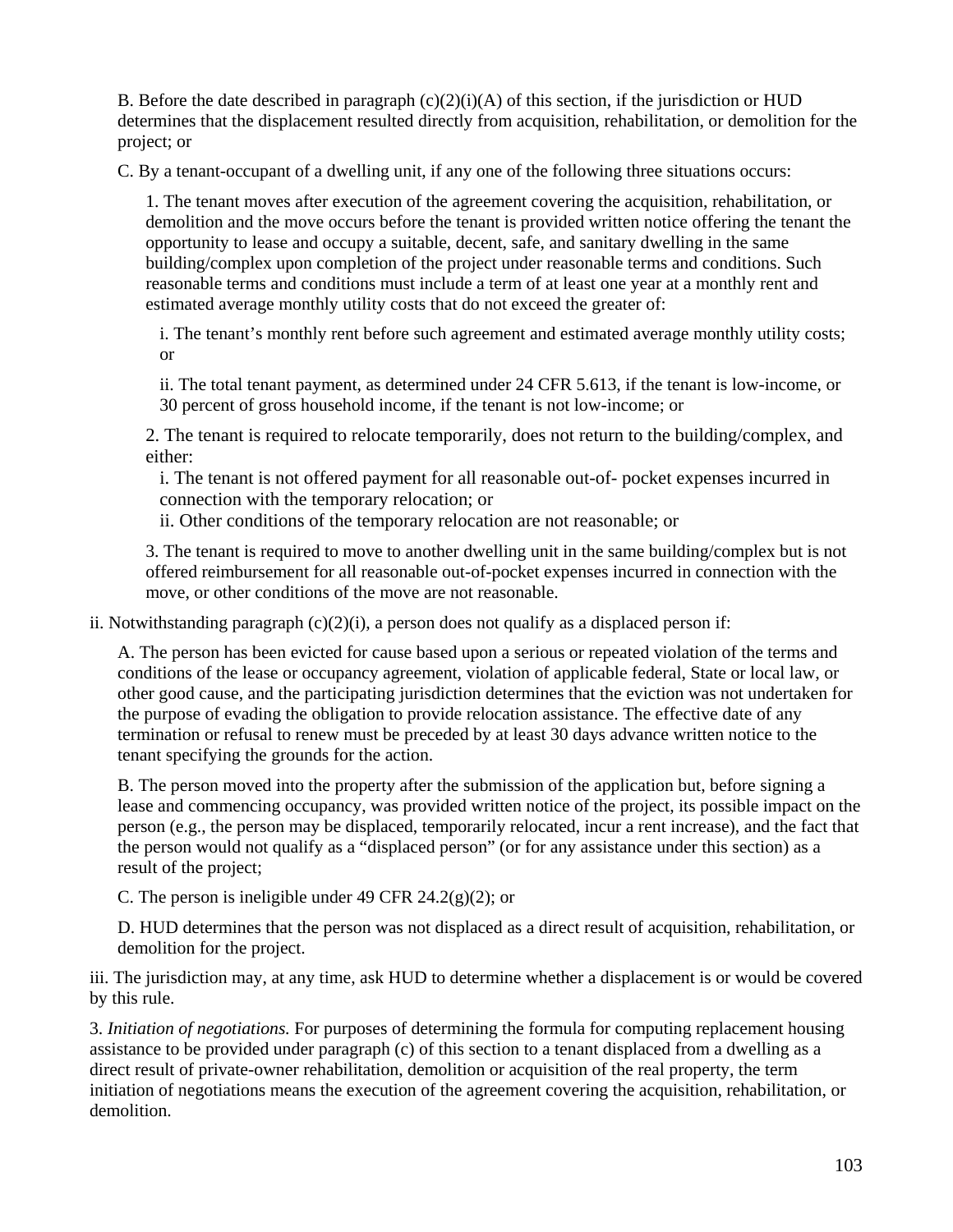B. Before the date described in paragraph (c)(2)(i)(A) of this section, if the jurisdiction or HUD determines that the displacement resulted directly from acquisition, rehabilitation, or demolition for the project; or

C. By a tenant-occupant of a dwelling unit, if any one of the following three situations occurs:

1. The tenant moves after execution of the agreement covering the acquisition, rehabilitation, or demolition and the move occurs before the tenant is provided written notice offering the tenant the opportunity to lease and occupy a suitable, decent, safe, and sanitary dwelling in the same building/complex upon completion of the project under reasonable terms and conditions. Such reasonable terms and conditions must include a term of at least one year at a monthly rent and estimated average monthly utility costs that do not exceed the greater of:

i. The tenant's monthly rent before such agreement and estimated average monthly utility costs; or

ii. The total tenant payment, as determined under 24 CFR 5.613, if the tenant is low-income, or 30 percent of gross household income, if the tenant is not low-income; or

2. The tenant is required to relocate temporarily, does not return to the building/complex, and either:

i. The tenant is not offered payment for all reasonable out-of- pocket expenses incurred in connection with the temporary relocation; or

ii. Other conditions of the temporary relocation are not reasonable; or

3. The tenant is required to move to another dwelling unit in the same building/complex but is not offered reimbursement for all reasonable out-of-pocket expenses incurred in connection with the move, or other conditions of the move are not reasonable.

ii. Notwithstanding paragraph  $(c)(2)(i)$ , a person does not qualify as a displaced person if:

A. The person has been evicted for cause based upon a serious or repeated violation of the terms and conditions of the lease or occupancy agreement, violation of applicable federal, State or local law, or other good cause, and the participating jurisdiction determines that the eviction was not undertaken for the purpose of evading the obligation to provide relocation assistance. The effective date of any termination or refusal to renew must be preceded by at least 30 days advance written notice to the tenant specifying the grounds for the action.

B. The person moved into the property after the submission of the application but, before signing a lease and commencing occupancy, was provided written notice of the project, its possible impact on the person (e.g., the person may be displaced, temporarily relocated, incur a rent increase), and the fact that the person would not qualify as a "displaced person" (or for any assistance under this section) as a result of the project;

C. The person is ineligible under 49 CFR  $24.2(g)(2)$ ; or

D. HUD determines that the person was not displaced as a direct result of acquisition, rehabilitation, or demolition for the project.

iii. The jurisdiction may, at any time, ask HUD to determine whether a displacement is or would be covered by this rule.

3. *Initiation of negotiations.* For purposes of determining the formula for computing replacement housing assistance to be provided under paragraph (c) of this section to a tenant displaced from a dwelling as a direct result of private-owner rehabilitation, demolition or acquisition of the real property, the term initiation of negotiations means the execution of the agreement covering the acquisition, rehabilitation, or demolition.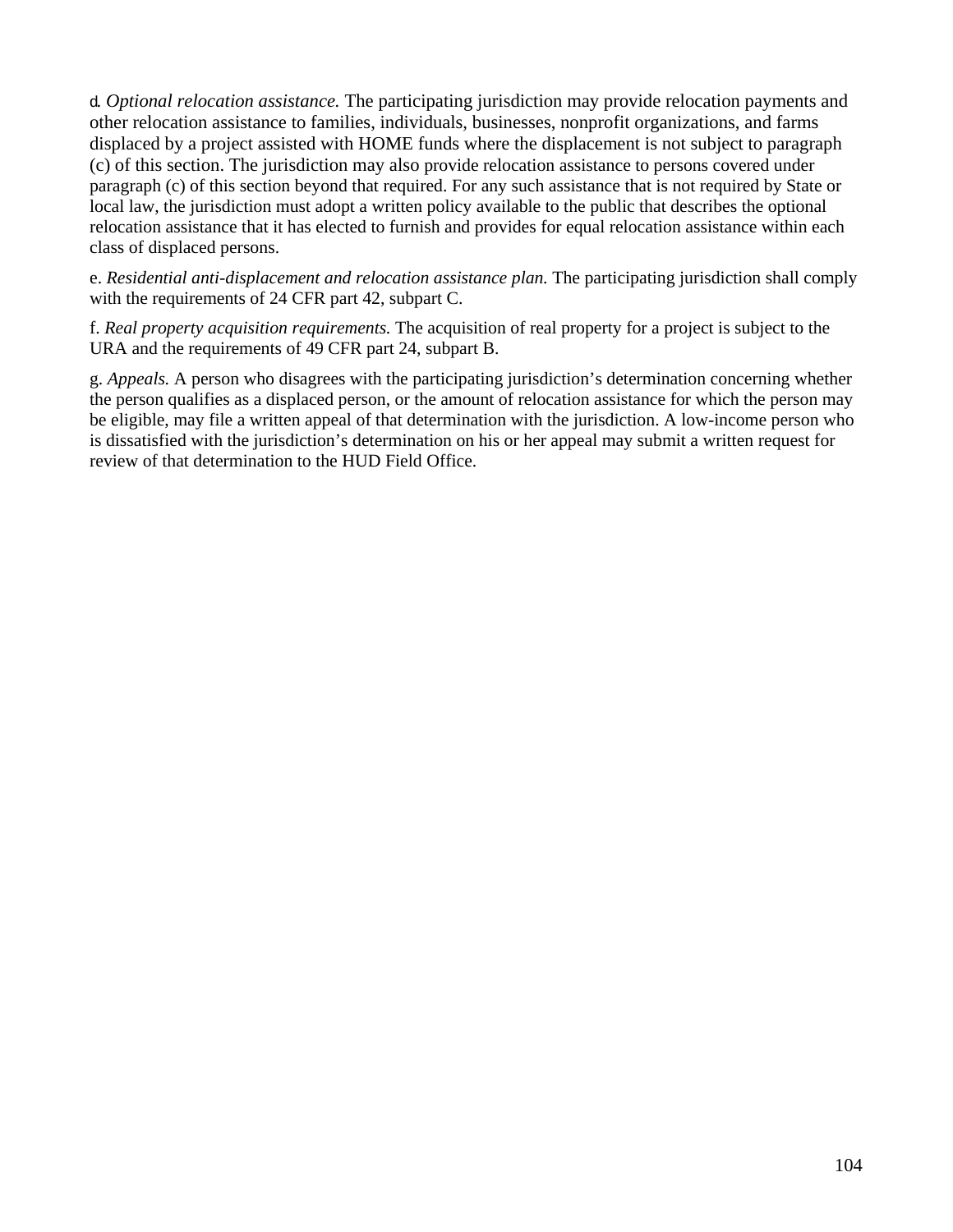d. *Optional relocation assistance.* The participating jurisdiction may provide relocation payments and other relocation assistance to families, individuals, businesses, nonprofit organizations, and farms displaced by a project assisted with HOME funds where the displacement is not subject to paragraph (c) of this section. The jurisdiction may also provide relocation assistance to persons covered under paragraph (c) of this section beyond that required. For any such assistance that is not required by State or local law, the jurisdiction must adopt a written policy available to the public that describes the optional relocation assistance that it has elected to furnish and provides for equal relocation assistance within each class of displaced persons.

e. *Residential anti-displacement and relocation assistance plan.* The participating jurisdiction shall comply with the requirements of 24 CFR part 42, subpart C.

f. *Real property acquisition requirements.* The acquisition of real property for a project is subject to the URA and the requirements of 49 CFR part 24, subpart B.

g. *Appeals.* A person who disagrees with the participating jurisdiction's determination concerning whether the person qualifies as a displaced person, or the amount of relocation assistance for which the person may be eligible, may file a written appeal of that determination with the jurisdiction. A low-income person who is dissatisfied with the jurisdiction's determination on his or her appeal may submit a written request for review of that determination to the HUD Field Office.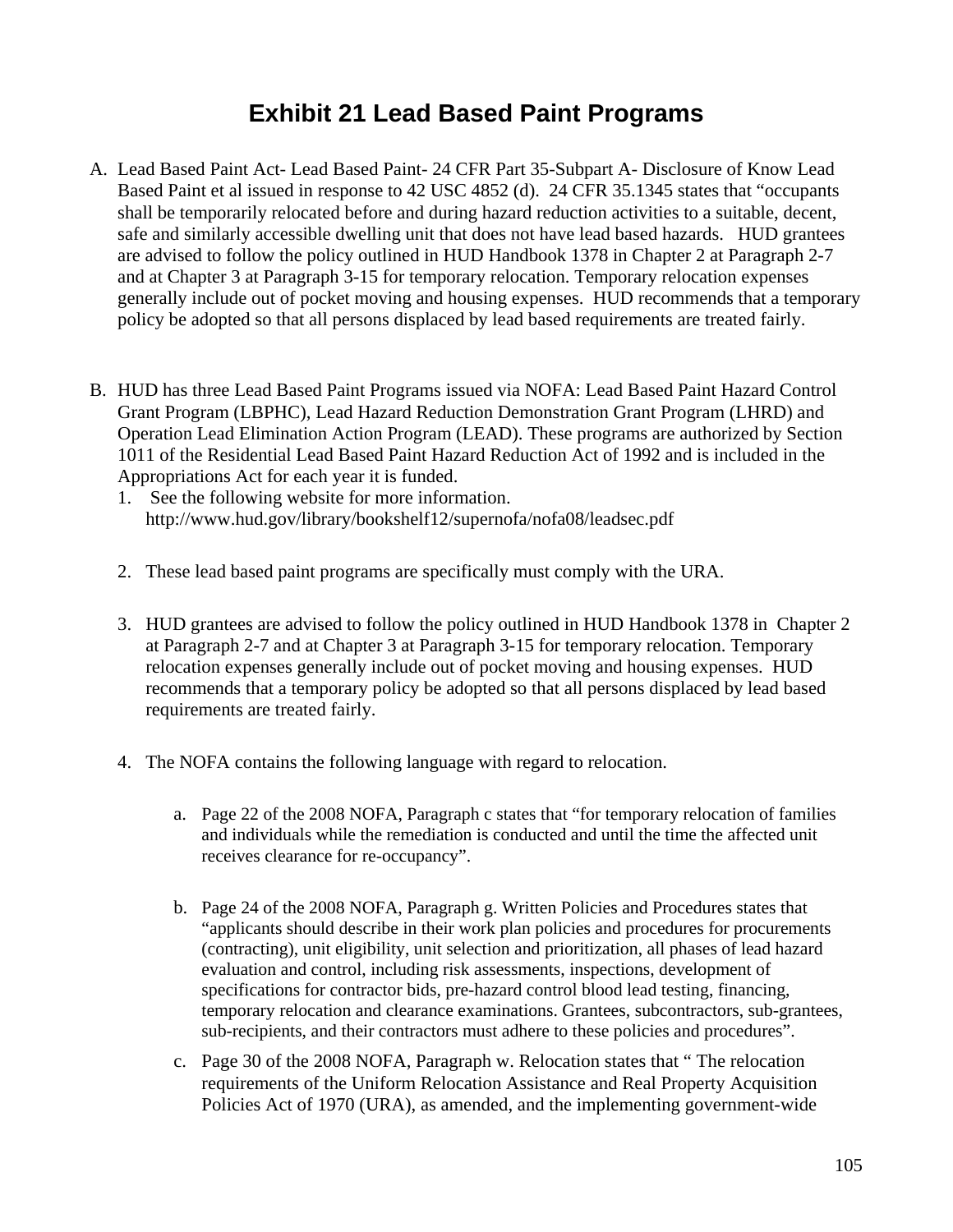## **Exhibit 21 Lead Based Paint Programs**

- A. Lead Based Paint Act- Lead Based Paint- 24 CFR Part 35-Subpart A- Disclosure of Know Lead Based Paint et al issued in response to 42 USC 4852 (d). 24 CFR 35.1345 states that "occupants shall be temporarily relocated before and during hazard reduction activities to a suitable, decent, safe and similarly accessible dwelling unit that does not have lead based hazards. HUD grantees are advised to follow the policy outlined in HUD Handbook 1378 in Chapter 2 at Paragraph 2-7 and at Chapter 3 at Paragraph 3-15 for temporary relocation. Temporary relocation expenses generally include out of pocket moving and housing expenses. HUD recommends that a temporary policy be adopted so that all persons displaced by lead based requirements are treated fairly.
- B. HUD has three Lead Based Paint Programs issued via NOFA: Lead Based Paint Hazard Control Grant Program (LBPHC), Lead Hazard Reduction Demonstration Grant Program (LHRD) and Operation Lead Elimination Action Program (LEAD). These programs are authorized by Section 1011 of the Residential Lead Based Paint Hazard Reduction Act of 1992 and is included in the Appropriations Act for each year it is funded.
	- 1. See the following website for more information. http://www.hud.gov/library/bookshelf12/supernofa/nofa08/leadsec.pdf
	- 2. These lead based paint programs are specifically must comply with the URA.
	- 3. HUD grantees are advised to follow the policy outlined in HUD Handbook 1378 in Chapter 2 at Paragraph 2-7 and at Chapter 3 at Paragraph 3-15 for temporary relocation. Temporary relocation expenses generally include out of pocket moving and housing expenses. HUD recommends that a temporary policy be adopted so that all persons displaced by lead based requirements are treated fairly.
	- 4. The NOFA contains the following language with regard to relocation.
		- a. Page 22 of the 2008 NOFA, Paragraph c states that "for temporary relocation of families and individuals while the remediation is conducted and until the time the affected unit receives clearance for re-occupancy".
		- b. Page 24 of the 2008 NOFA, Paragraph g. Written Policies and Procedures states that "applicants should describe in their work plan policies and procedures for procurements (contracting), unit eligibility, unit selection and prioritization, all phases of lead hazard evaluation and control, including risk assessments, inspections, development of specifications for contractor bids, pre-hazard control blood lead testing, financing, temporary relocation and clearance examinations. Grantees, subcontractors, sub-grantees, sub-recipients, and their contractors must adhere to these policies and procedures".
		- c. Page 30 of the 2008 NOFA, Paragraph w. Relocation states that " The relocation requirements of the Uniform Relocation Assistance and Real Property Acquisition Policies Act of 1970 (URA), as amended, and the implementing government-wide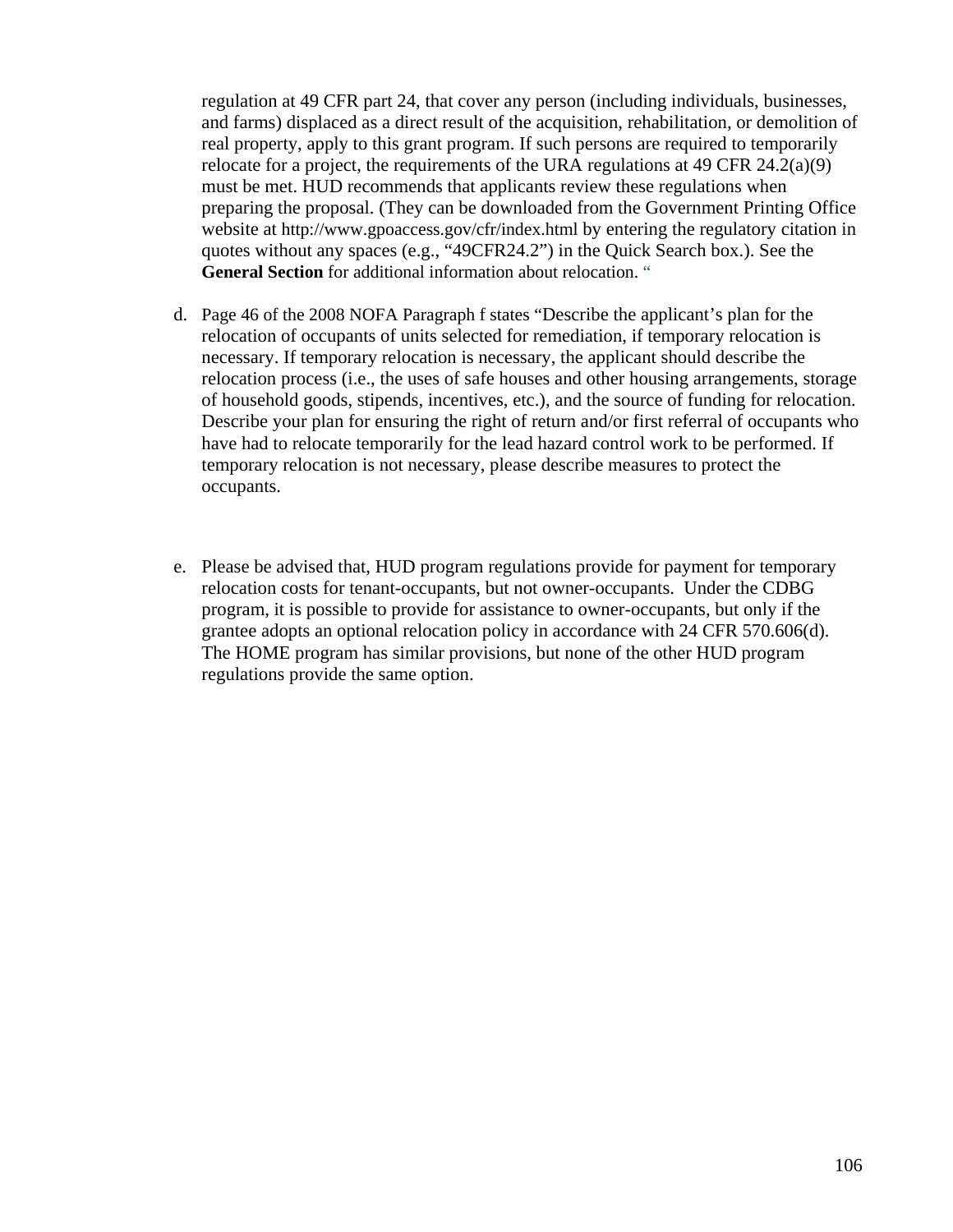regulation at 49 CFR part 24, that cover any person (including individuals, businesses, and farms) displaced as a direct result of the acquisition, rehabilitation, or demolition of real property, apply to this grant program. If such persons are required to temporarily relocate for a project, the requirements of the URA regulations at 49 CFR  $24.2(a)(9)$ must be met. HUD recommends that applicants review these regulations when preparing the proposal. (They can be downloaded from the Government Printing Office website at http://www.gpoaccess.gov/cfr/index.html by entering the regulatory citation in quotes without any spaces (e.g., "49CFR24.2") in the Quick Search box.). See the General Section for additional information about relocation. "

- d. Page 46 of the 2008 NOFA Paragraph f states "Describe the applicant's plan for the relocation of occupants of units selected for remediation, if temporary relocation is necessary. If temporary relocation is necessary, the applicant should describe the relocation process (i.e., the uses of safe houses and other housing arrangements, storage of household goods, stipends, incentives, etc.), and the source of funding for relocation. Describe your plan for ensuring the right of return and/or first referral of occupants who have had to relocate temporarily for the lead hazard control work to be performed. If temporary relocation is not necessary, please describe measures to protect the occupants.
- e. Please be advised that, HUD program regulations provide for payment for temporary relocation costs for tenant-occupants, but not owner-occupants. Under the CDBG program, it is possible to provide for assistance to owner-occupants, but only if the grantee adopts an optional relocation policy in accordance with 24 CFR 570.606(d). The HOME program has similar provisions, but none of the other HUD program regulations provide the same option.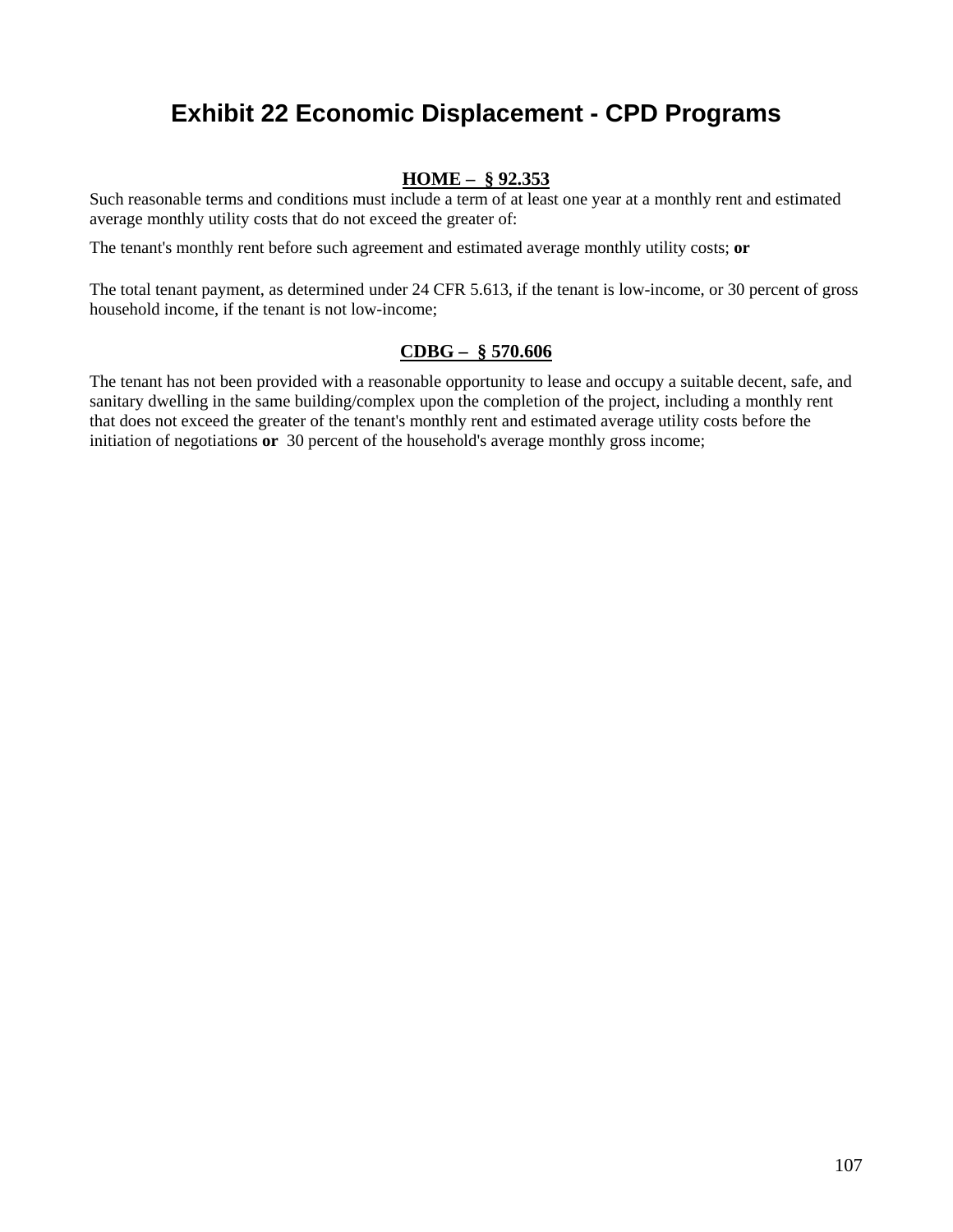## **Exhibit 22 Economic Displacement - CPD Programs**

#### **HOME – § 92.353**

Such reasonable terms and conditions must include a term of at least one year at a monthly rent and estimated average monthly utility costs that do not exceed the greater of:

The tenant's monthly rent before such agreement and estimated average monthly utility costs; **or**

The total tenant payment, as determined under 24 CFR 5.613, if the tenant is low-income, or 30 percent of gross household income, if the tenant is not low-income;

#### **CDBG – § 570.606**

The tenant has not been provided with a reasonable opportunity to lease and occupy a suitable decent, safe, and sanitary dwelling in the same building/complex upon the completion of the project, including a monthly rent that does not exceed the greater of the tenant's monthly rent and estimated average utility costs before the initiation of negotiations **or** 30 percent of the household's average monthly gross income;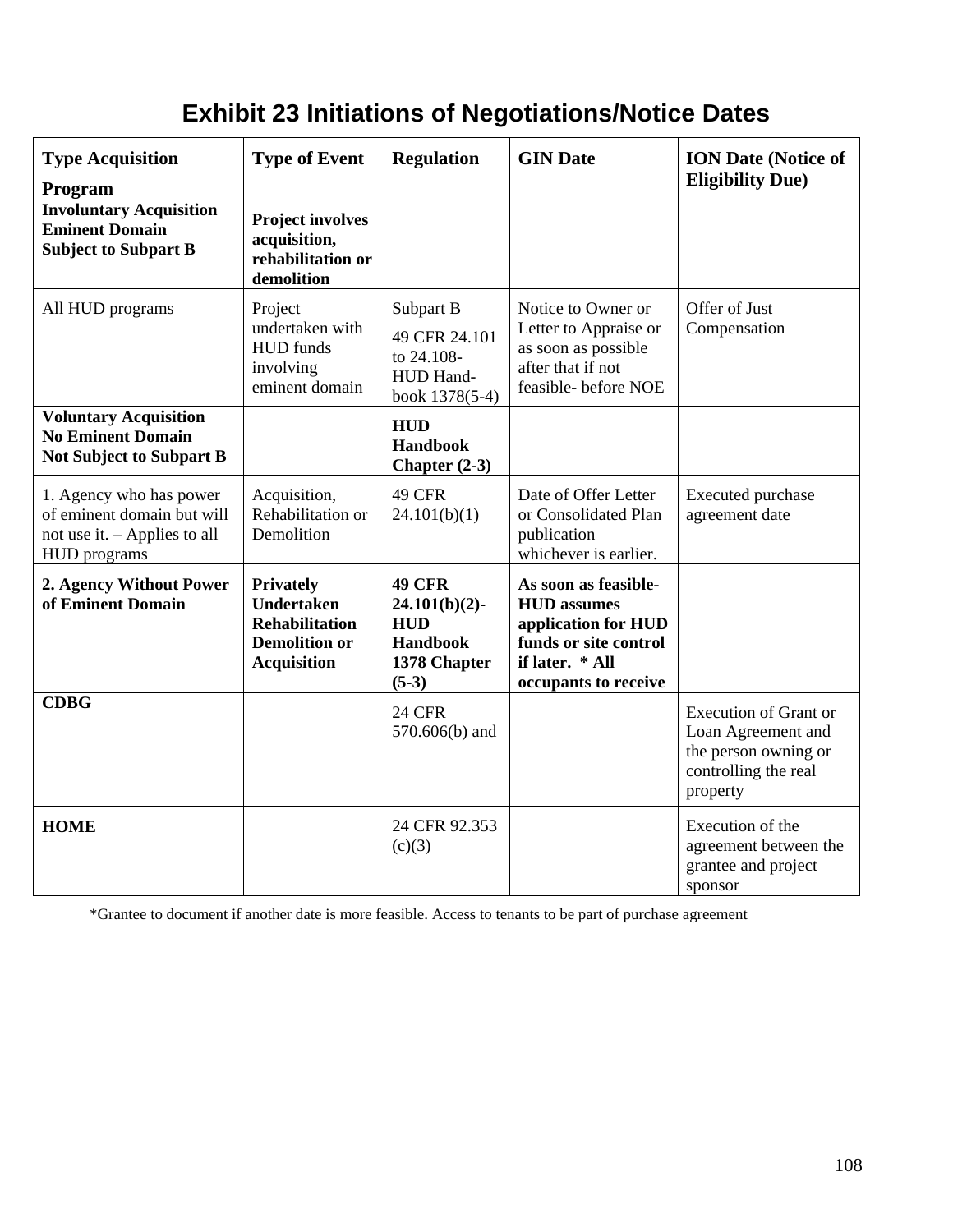# **Exhibit 23 Initiations of Negotiations/Notice Dates**

| <b>Type Acquisition</b><br>Program                                                                    | <b>Type of Event</b>                                                                                         | <b>Regulation</b>                                                                      | <b>GIN Date</b>                                                                                                                       | <b>ION Date (Notice of</b><br><b>Eligibility Due)</b>                                                          |
|-------------------------------------------------------------------------------------------------------|--------------------------------------------------------------------------------------------------------------|----------------------------------------------------------------------------------------|---------------------------------------------------------------------------------------------------------------------------------------|----------------------------------------------------------------------------------------------------------------|
| <b>Involuntary Acquisition</b><br><b>Eminent Domain</b><br><b>Subject to Subpart B</b>                | <b>Project involves</b><br>acquisition,<br>rehabilitation or<br>demolition                                   |                                                                                        |                                                                                                                                       |                                                                                                                |
| All HUD programs                                                                                      | Project<br>undertaken with<br><b>HUD</b> funds<br>involving<br>eminent domain                                | Subpart B<br>49 CFR 24.101<br>to 24.108-<br>HUD Hand-<br>book 1378(5-4)                | Notice to Owner or<br>Letter to Appraise or<br>as soon as possible<br>after that if not<br>feasible-before NOE                        | Offer of Just<br>Compensation                                                                                  |
| <b>Voluntary Acquisition</b><br><b>No Eminent Domain</b><br><b>Not Subject to Subpart B</b>           |                                                                                                              | <b>HUD</b><br><b>Handbook</b><br>Chapter $(2-3)$                                       |                                                                                                                                       |                                                                                                                |
| 1. Agency who has power<br>of eminent domain but will<br>not use it. - Applies to all<br>HUD programs | Acquisition,<br>Rehabilitation or<br>Demolition                                                              | 49 CFR<br>24.101(b)(1)                                                                 | Date of Offer Letter<br>or Consolidated Plan<br>publication<br>whichever is earlier.                                                  | Executed purchase<br>agreement date                                                                            |
| 2. Agency Without Power<br>of Eminent Domain                                                          | <b>Privately</b><br><b>Undertaken</b><br><b>Rehabilitation</b><br><b>Demolition or</b><br><b>Acquisition</b> | <b>49 CFR</b><br>$24.101(b)(2)$ -<br><b>HUD</b><br>Handbook<br>1378 Chapter<br>$(5-3)$ | As soon as feasible-<br><b>HUD</b> assumes<br>application for HUD<br>funds or site control<br>if later. * All<br>occupants to receive |                                                                                                                |
| <b>CDBG</b>                                                                                           |                                                                                                              | <b>24 CFR</b><br>570.606(b) and                                                        |                                                                                                                                       | <b>Execution of Grant or</b><br>Loan Agreement and<br>the person owning or<br>controlling the real<br>property |
| <b>HOME</b>                                                                                           |                                                                                                              | 24 CFR 92.353<br>(c)(3)                                                                |                                                                                                                                       | Execution of the<br>agreement between the<br>grantee and project<br>sponsor                                    |

\*Grantee to document if another date is more feasible. Access to tenants to be part of purchase agreement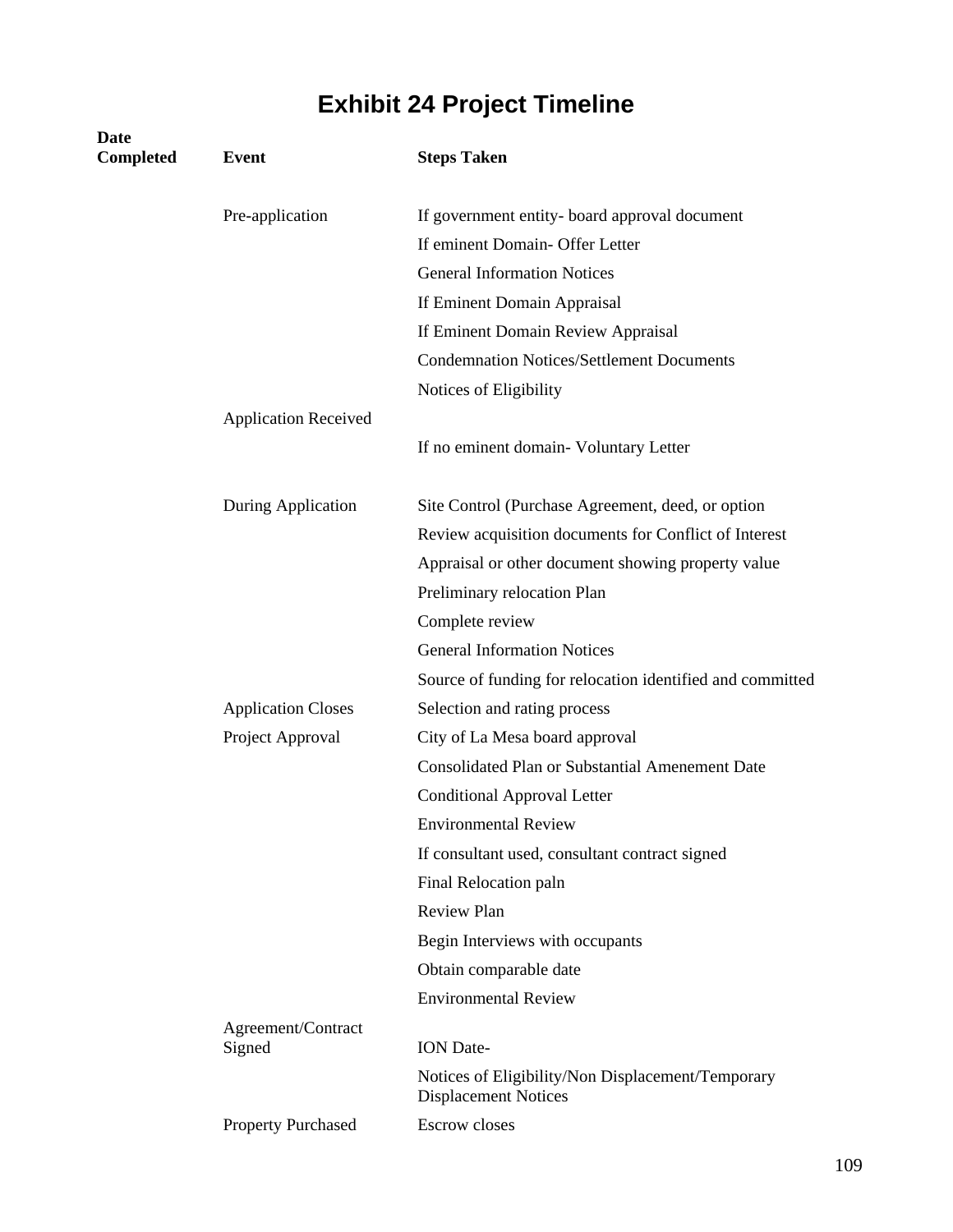# **Exhibit 24 Project Timeline**

| <b>Date</b><br><b>Completed</b> | <b>Event</b>                 | <b>Steps Taken</b>                                                               |
|---------------------------------|------------------------------|----------------------------------------------------------------------------------|
|                                 | Pre-application              | If government entity- board approval document                                    |
|                                 |                              | If eminent Domain- Offer Letter                                                  |
|                                 |                              | <b>General Information Notices</b>                                               |
|                                 |                              | If Eminent Domain Appraisal                                                      |
|                                 |                              | If Eminent Domain Review Appraisal                                               |
|                                 |                              | <b>Condemnation Notices/Settlement Documents</b>                                 |
|                                 |                              | Notices of Eligibility                                                           |
|                                 | <b>Application Received</b>  |                                                                                  |
|                                 |                              | If no eminent domain- Voluntary Letter                                           |
|                                 | During Application           | Site Control (Purchase Agreement, deed, or option                                |
|                                 |                              | Review acquisition documents for Conflict of Interest                            |
|                                 |                              | Appraisal or other document showing property value                               |
|                                 |                              | Preliminary relocation Plan                                                      |
|                                 |                              | Complete review                                                                  |
|                                 |                              | <b>General Information Notices</b>                                               |
|                                 |                              | Source of funding for relocation identified and committed                        |
|                                 | <b>Application Closes</b>    | Selection and rating process                                                     |
|                                 | Project Approval             | City of La Mesa board approval                                                   |
|                                 |                              | <b>Consolidated Plan or Substantial Amenement Date</b>                           |
|                                 |                              | <b>Conditional Approval Letter</b>                                               |
|                                 |                              | <b>Environmental Review</b>                                                      |
|                                 |                              | If consultant used, consultant contract signed                                   |
|                                 |                              | Final Relocation paln                                                            |
|                                 |                              | <b>Review Plan</b>                                                               |
|                                 |                              | Begin Interviews with occupants                                                  |
|                                 |                              | Obtain comparable date                                                           |
|                                 |                              | <b>Environmental Review</b>                                                      |
|                                 | Agreement/Contract<br>Signed | <b>ION</b> Date-                                                                 |
|                                 |                              | Notices of Eligibility/Non Displacement/Temporary<br><b>Displacement Notices</b> |
|                                 | <b>Property Purchased</b>    | <b>Escrow</b> closes                                                             |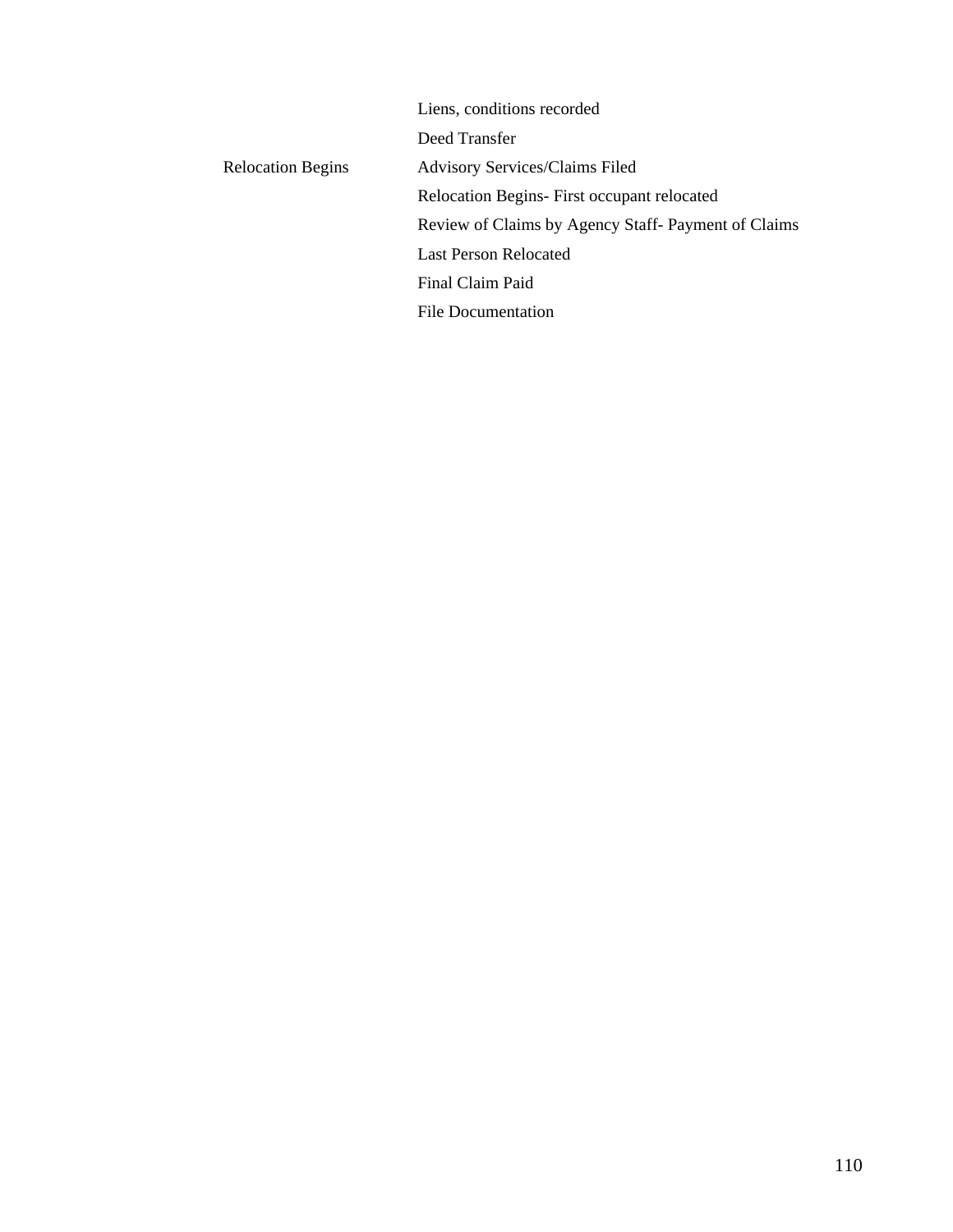|                          | Liens, conditions recorded                         |
|--------------------------|----------------------------------------------------|
|                          | Deed Transfer                                      |
| <b>Relocation Begins</b> | <b>Advisory Services/Claims Filed</b>              |
|                          | Relocation Begins- First occupant relocated        |
|                          | Review of Claims by Agency Staff-Payment of Claims |
|                          | <b>Last Person Relocated</b>                       |
|                          | Final Claim Paid                                   |
|                          | <b>File Documentation</b>                          |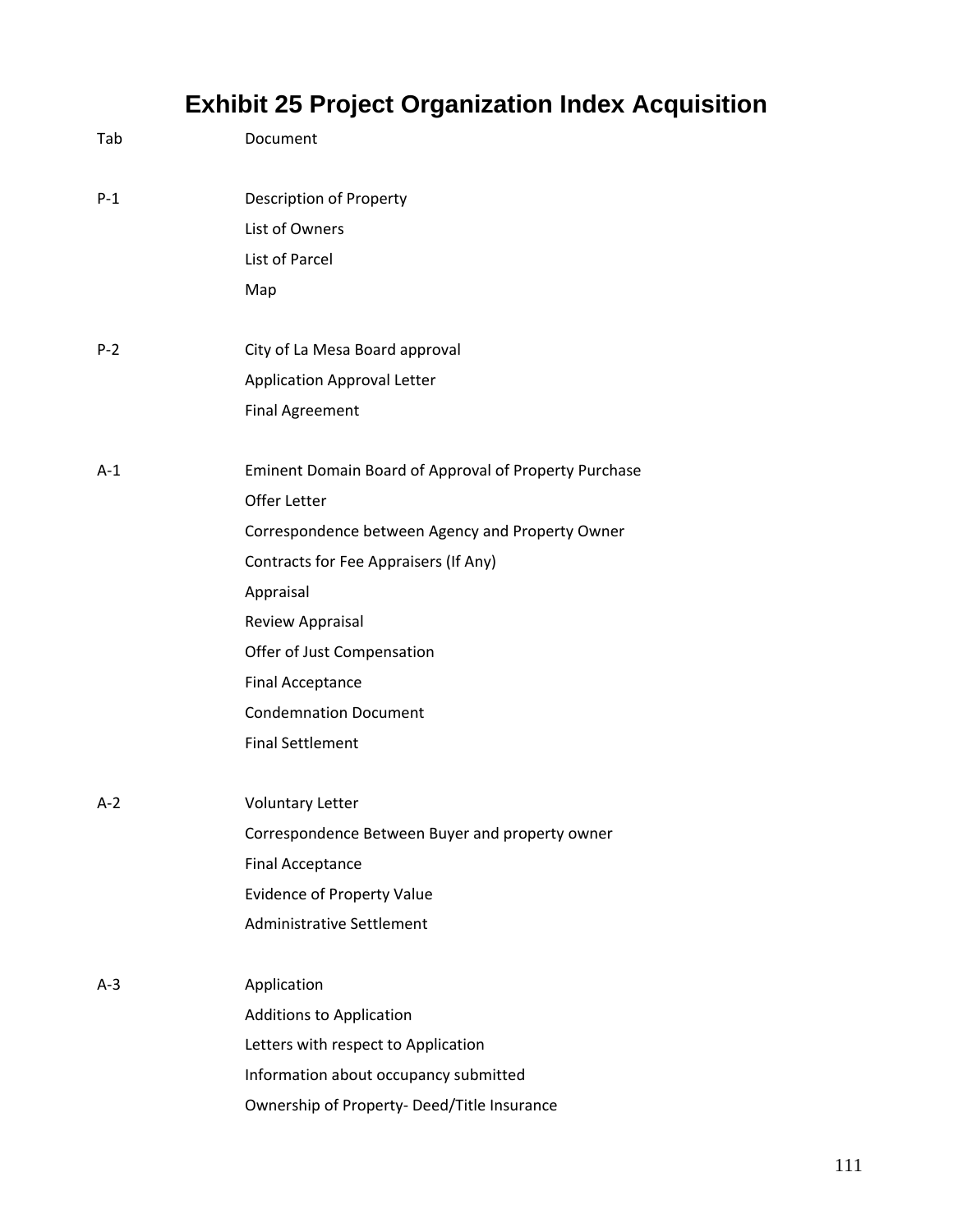# **Exhibit 25 Project Organization Index Acquisition**

| Tab     | Document                                              |
|---------|-------------------------------------------------------|
| $P-1$   | Description of Property                               |
|         | List of Owners                                        |
|         | List of Parcel                                        |
|         | Map                                                   |
| $P - 2$ | City of La Mesa Board approval                        |
|         | <b>Application Approval Letter</b>                    |
|         | <b>Final Agreement</b>                                |
| $A-1$   | Eminent Domain Board of Approval of Property Purchase |
|         | Offer Letter                                          |
|         | Correspondence between Agency and Property Owner      |
|         | Contracts for Fee Appraisers (If Any)                 |
|         | Appraisal                                             |
|         | <b>Review Appraisal</b>                               |
|         | Offer of Just Compensation                            |
|         | <b>Final Acceptance</b>                               |
|         | <b>Condemnation Document</b>                          |
|         | <b>Final Settlement</b>                               |
| $A-2$   | <b>Voluntary Letter</b>                               |
|         | Correspondence Between Buyer and property owner       |
|         | <b>Final Acceptance</b>                               |
|         | <b>Evidence of Property Value</b>                     |
|         | <b>Administrative Settlement</b>                      |
| $A-3$   | Application                                           |
|         | <b>Additions to Application</b>                       |
|         | Letters with respect to Application                   |
|         | Information about occupancy submitted                 |
|         | Ownership of Property- Deed/Title Insurance           |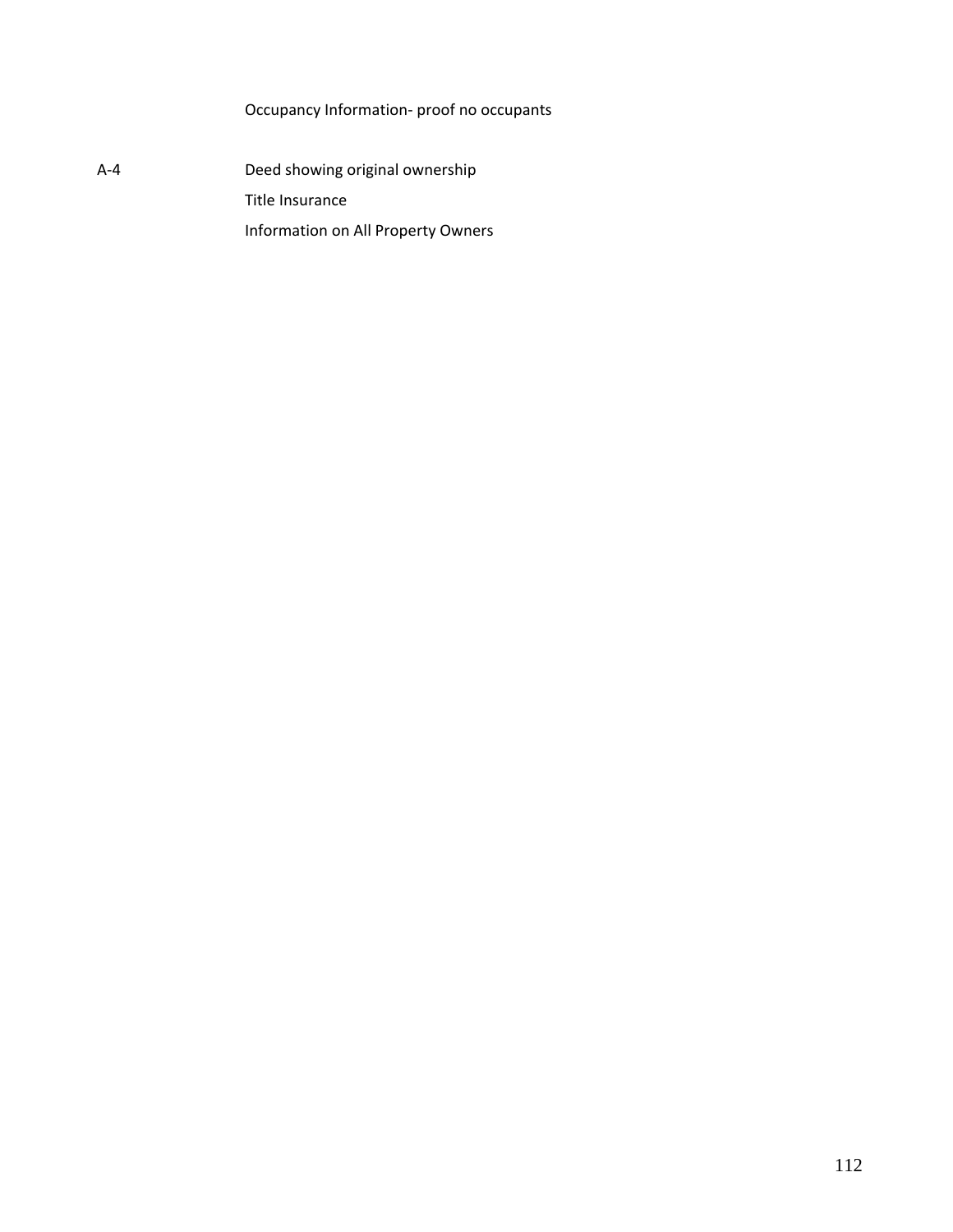Occupancy Information‐ proof no occupants

A-4 Deed showing original ownership Title Insurance Information on All Property Owners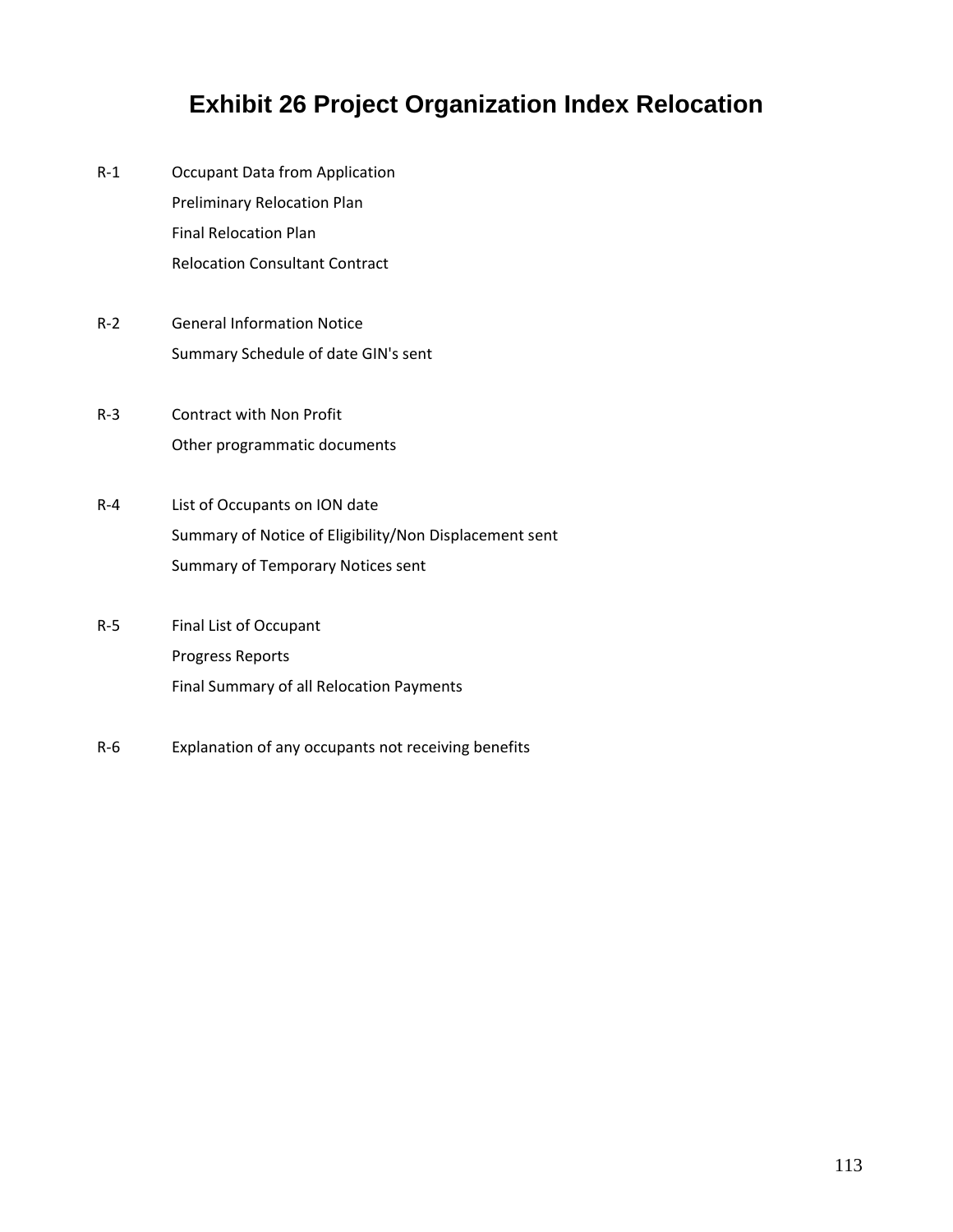## **Exhibit 26 Project Organization Index Relocation**

- R‐1 Occupant Data from Application Preliminary Relocation Plan Final Relocation Plan Relocation Consultant Contract
- R‐2 General Information Notice Summary Schedule of date GIN's sent
- R‐3 Contract with Non Profit Other programmatic documents
- R‐4 List of Occupants on ION date Summary of Notice of Eligibility/Non Displacement sent Summary of Temporary Notices sent
- R‐5 Final List of Occupant Progress Reports Final Summary of all Relocation Payments
- R‐6 Explanation of any occupants not receiving benefits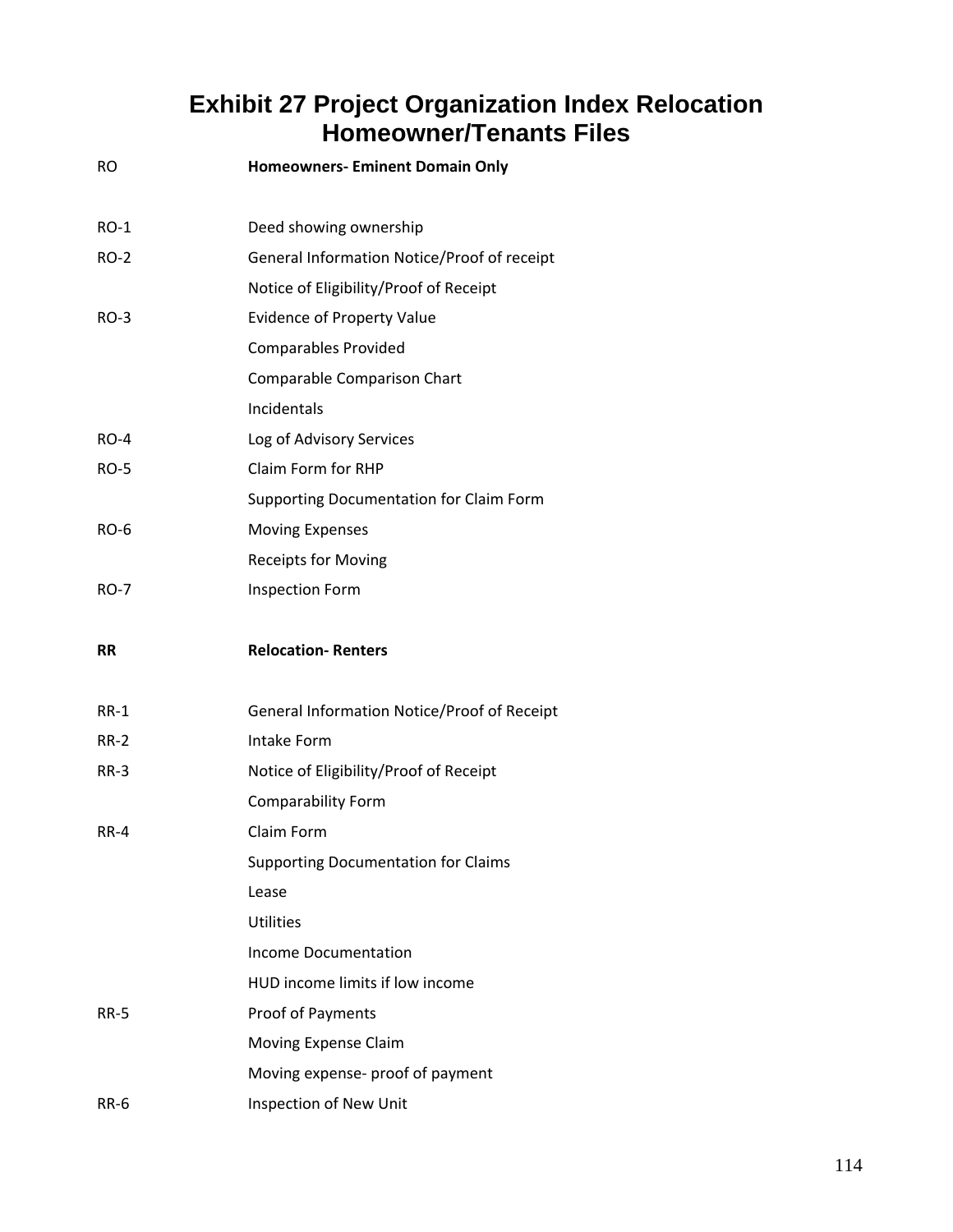## **Exhibit 27 Project Organization Index Relocation Homeowner/Tenants Files**

| <b>RO</b>   | <b>Homeowners- Eminent Domain Only</b>      |
|-------------|---------------------------------------------|
| <b>RO-1</b> | Deed showing ownership                      |
| <b>RO-2</b> | General Information Notice/Proof of receipt |
|             | Notice of Eligibility/Proof of Receipt      |
| <b>RO-3</b> | <b>Evidence of Property Value</b>           |
|             | <b>Comparables Provided</b>                 |
|             | <b>Comparable Comparison Chart</b>          |
|             | Incidentals                                 |
| <b>RO-4</b> | Log of Advisory Services                    |
| <b>RO-5</b> | Claim Form for RHP                          |
|             | Supporting Documentation for Claim Form     |
| RO-6        | <b>Moving Expenses</b>                      |
|             | <b>Receipts for Moving</b>                  |
| <b>RO-7</b> | <b>Inspection Form</b>                      |
| RR          | <b>Relocation-Renters</b>                   |
| RR-1        | General Information Notice/Proof of Receipt |
|             |                                             |
| RR-2        | Intake Form                                 |
| RR-3        | Notice of Eligibility/Proof of Receipt      |
|             | <b>Comparability Form</b>                   |
| <b>RR-4</b> | Claim Form                                  |
|             | <b>Supporting Documentation for Claims</b>  |
|             | Lease                                       |
|             | <b>Utilities</b>                            |
|             | <b>Income Documentation</b>                 |
|             | HUD income limits if low income             |
| <b>RR-5</b> | Proof of Payments                           |
|             | Moving Expense Claim                        |
|             | Moving expense- proof of payment            |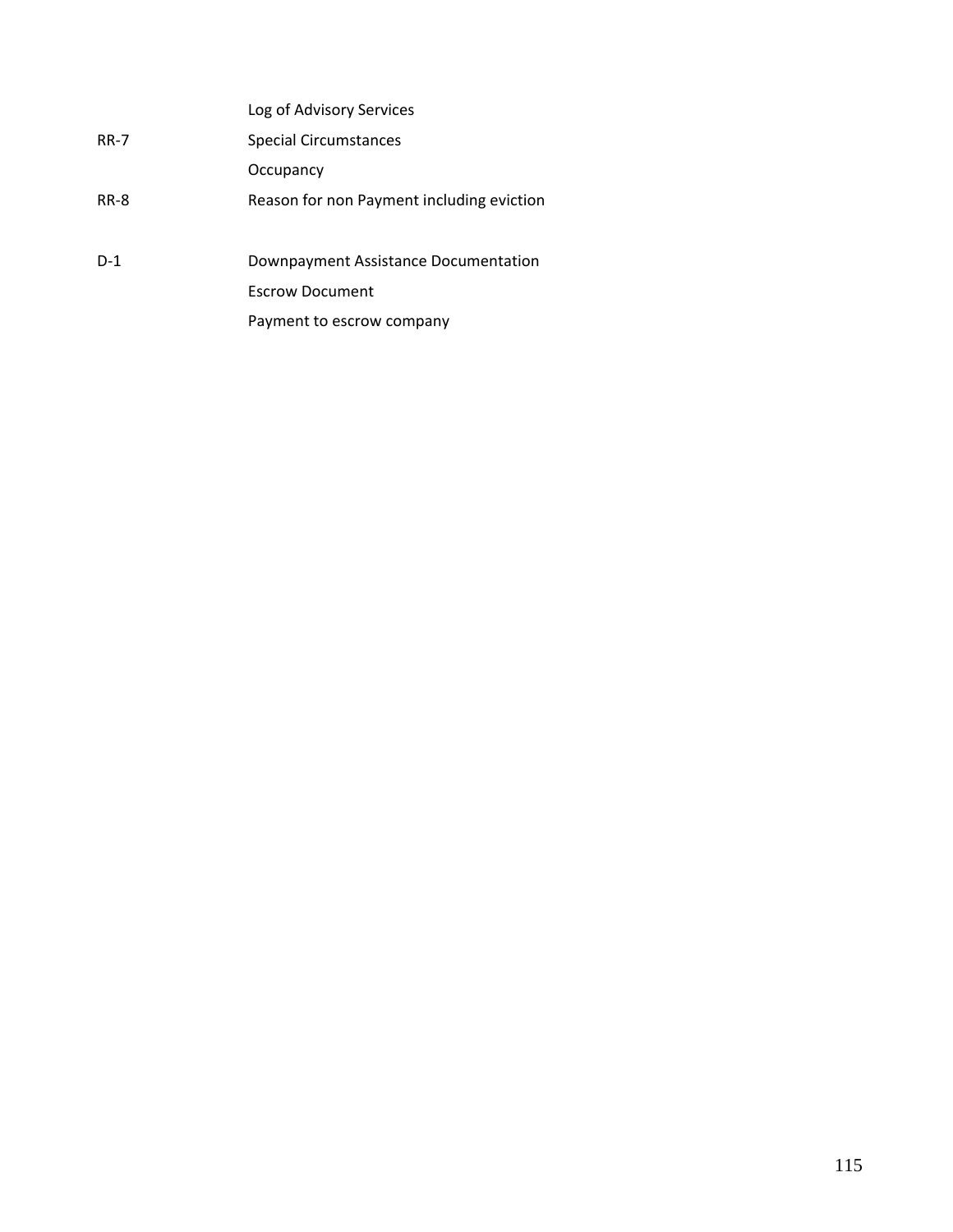|             | Log of Advisory Services                  |
|-------------|-------------------------------------------|
| <b>RR-7</b> | Special Circumstances                     |
|             | Occupancy                                 |
| <b>RR-8</b> | Reason for non Payment including eviction |
|             |                                           |
| $D-1$       | Downpayment Assistance Documentation      |
|             | <b>Escrow Document</b>                    |
|             | Payment to escrow company                 |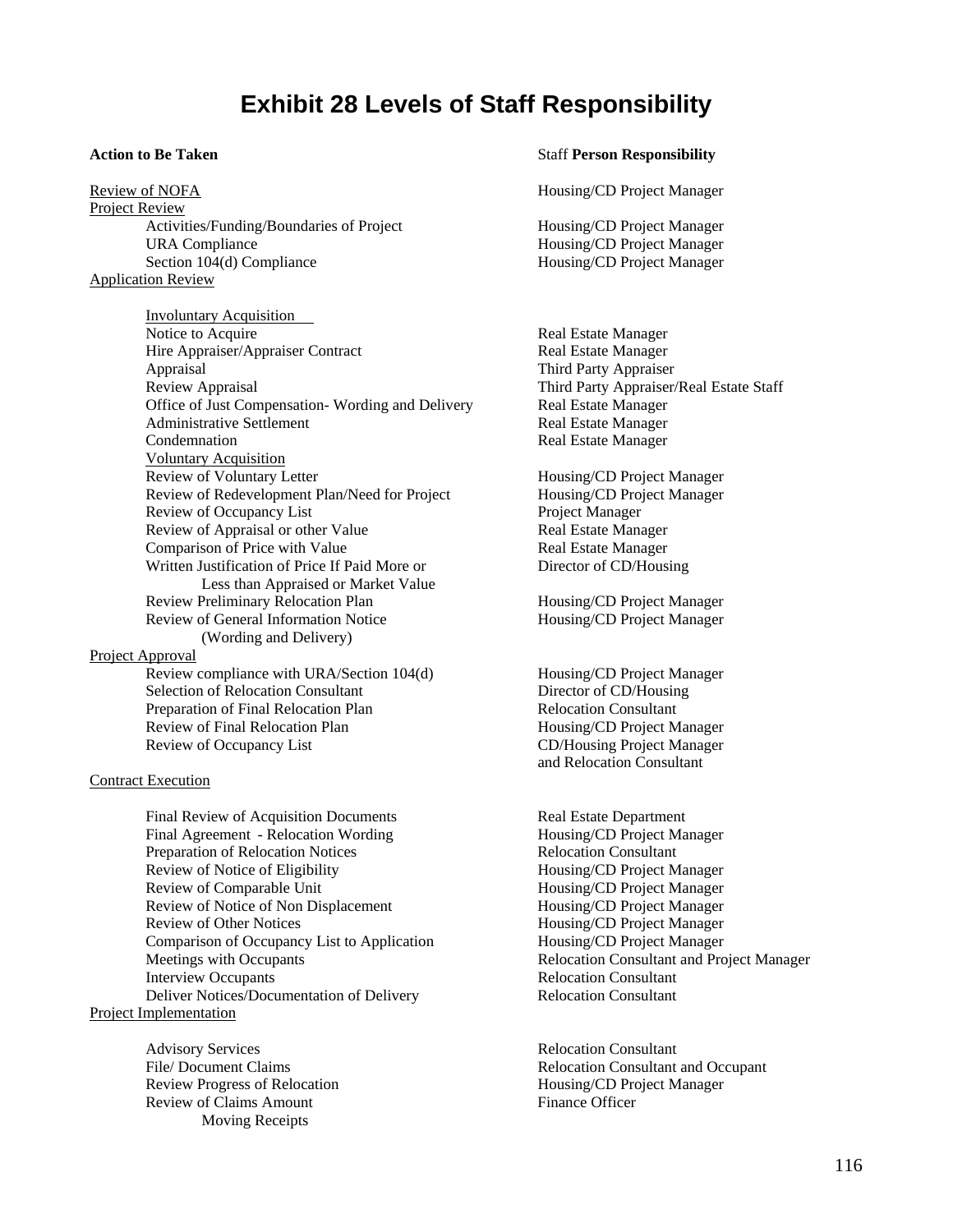#### **Exhibit 28 Levels of Staff Responsibility**

Review of NOFA **Housing/CD** Project Manager Project Review Activities/Funding/Boundaries of Project Housing/CD Project Manager URA Compliance Housing/CD Project Manager Section 104(d) Compliance **Housing/CD** Project Manager Application Review

 Involuntary Acquisition Notice to Acquire **Real Estate Manager** Real Estate Manager Hire Appraiser/Appraiser Contract Real Estate Manager Appraisal Third Party Appraiser Review Appraisal Third Party Appraiser/Real Estate Staff Office of Just Compensation-Wording and Delivery Real Estate Manager Administrative Settlement **Real Estate Manager** Real Estate Manager **Condemnation** Real Estate Manager Voluntary Acquisition Review of Voluntary Letter **Example 2018** Housing/CD Project Manager Review of Redevelopment Plan/Need for Project Housing/CD Project Manager Review of Occupancy List Project Manager Review of Appraisal or other Value Real Estate Manager Comparison of Price with Value Real Estate Manager Written Justification of Price If Paid More or Director of CD/Housing Less than Appraised or Market Value Review Preliminary Relocation Plan Housing/CD Project Manager Review of General Information Notice Housing/CD Project Manager (Wording and Delivery) Project Approval Review compliance with URA/Section 104(d) Housing/CD Project Manager Selection of Relocation Consultant Director of CD/Housing Preparation of Final Relocation Plan Relocation Consultant Review of Final Relocation Plan **Housing/CD** Project Manager

#### Contract Execution

Final Review of Acquisition Documents Real Estate Department Final Agreement - Relocation Wording Housing/CD Project Manager Preparation of Relocation Notices Relocation Consultant Review of Notice of Eligibility Housing/CD Project Manager Review of Comparable Unit **Housing/CD** Project Manager Review of Notice of Non Displacement Housing/CD Project Manager Review of Other Notices **Housing/CD** Project Manager Comparison of Occupancy List to Application Housing/CD Project Manager Meetings with Occupants **Relocation Consultant and Project Manager**  Interview Occupants Relocation Consultant Deliver Notices/Documentation of Delivery Relocation Consultant Project Implementation

Advisory Services **Relocation Consultant** Review Progress of Relocation Housing/CD Project Manager Review of Claims Amount Finance Officer Moving Receipts

#### **Action to Be Taken Staff Person Responsibility Staff Person Responsibility**

Review of Occupancy List CD/Housing Project Manager and Relocation Consultant

File/ Document Claims Relocation Consultant and Occupant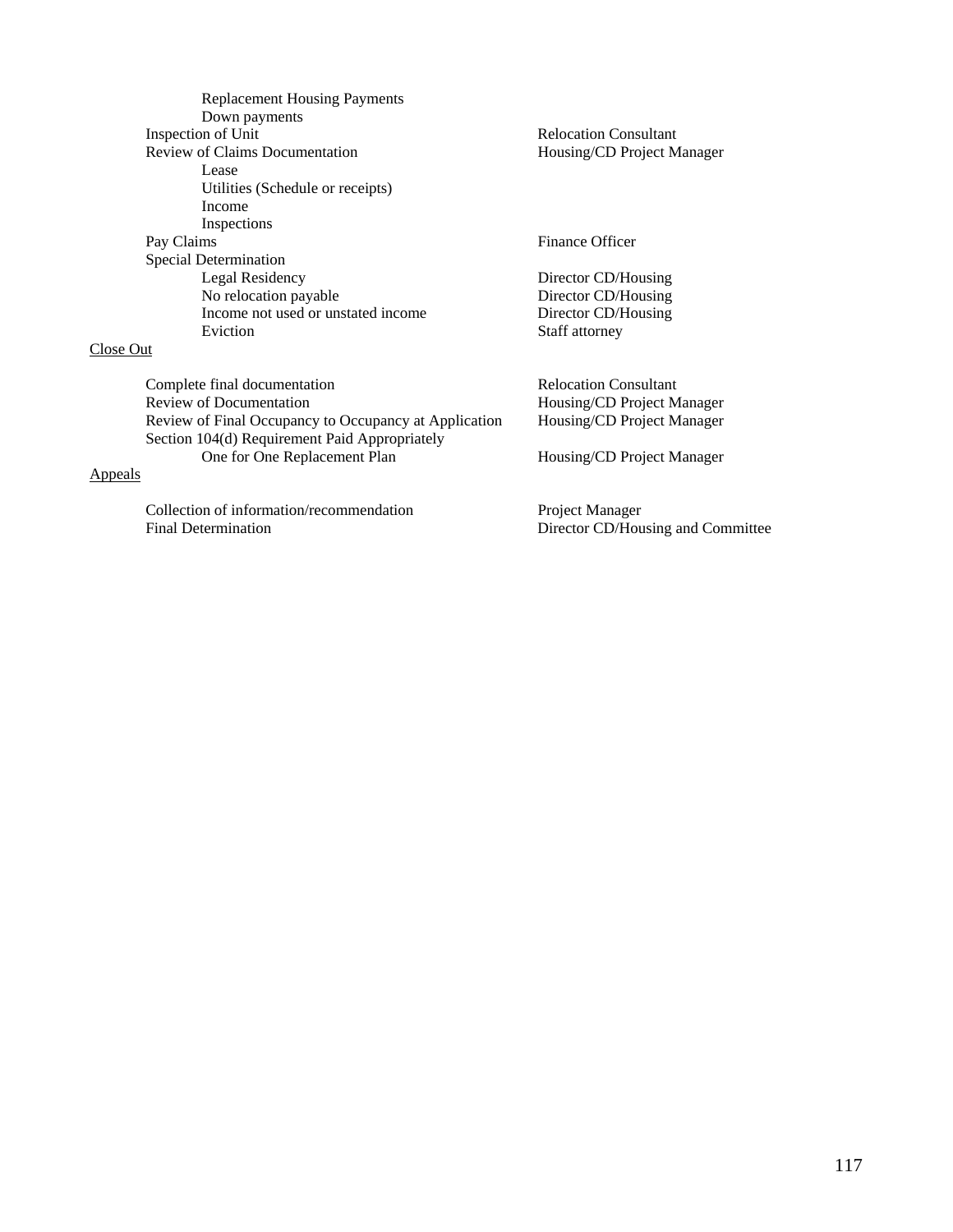| <b>Replacement Housing Payments</b><br>Down payments  |                              |
|-------------------------------------------------------|------------------------------|
| Inspection of Unit                                    | <b>Relocation Consultant</b> |
| Review of Claims Documentation                        | Housing/CD Project Manager   |
| Lease                                                 |                              |
| Utilities (Schedule or receipts)                      |                              |
| Income                                                |                              |
| Inspections                                           |                              |
| Pay Claims                                            | Finance Officer              |
| Special Determination                                 |                              |
| Legal Residency                                       | Director CD/Housing          |
| No relocation payable                                 | Director CD/Housing          |
| Income not used or unstated income                    | Director CD/Housing          |
| Eviction                                              | Staff attorney               |
| Close Out                                             |                              |
| Complete final documentation                          | <b>Relocation Consultant</b> |
| Review of Documentation                               | Housing/CD Project Manager   |
| Review of Final Occupancy to Occupancy at Application | Housing/CD Project Manager   |
| Section 104(d) Requirement Paid Appropriately         |                              |
| One for One Replacement Plan                          | Housing/CD Project Manager   |
| Appeals                                               |                              |

Collection of information/recommendation<br>Final Determination

Project Manager<br>Director CD/Housing and Committee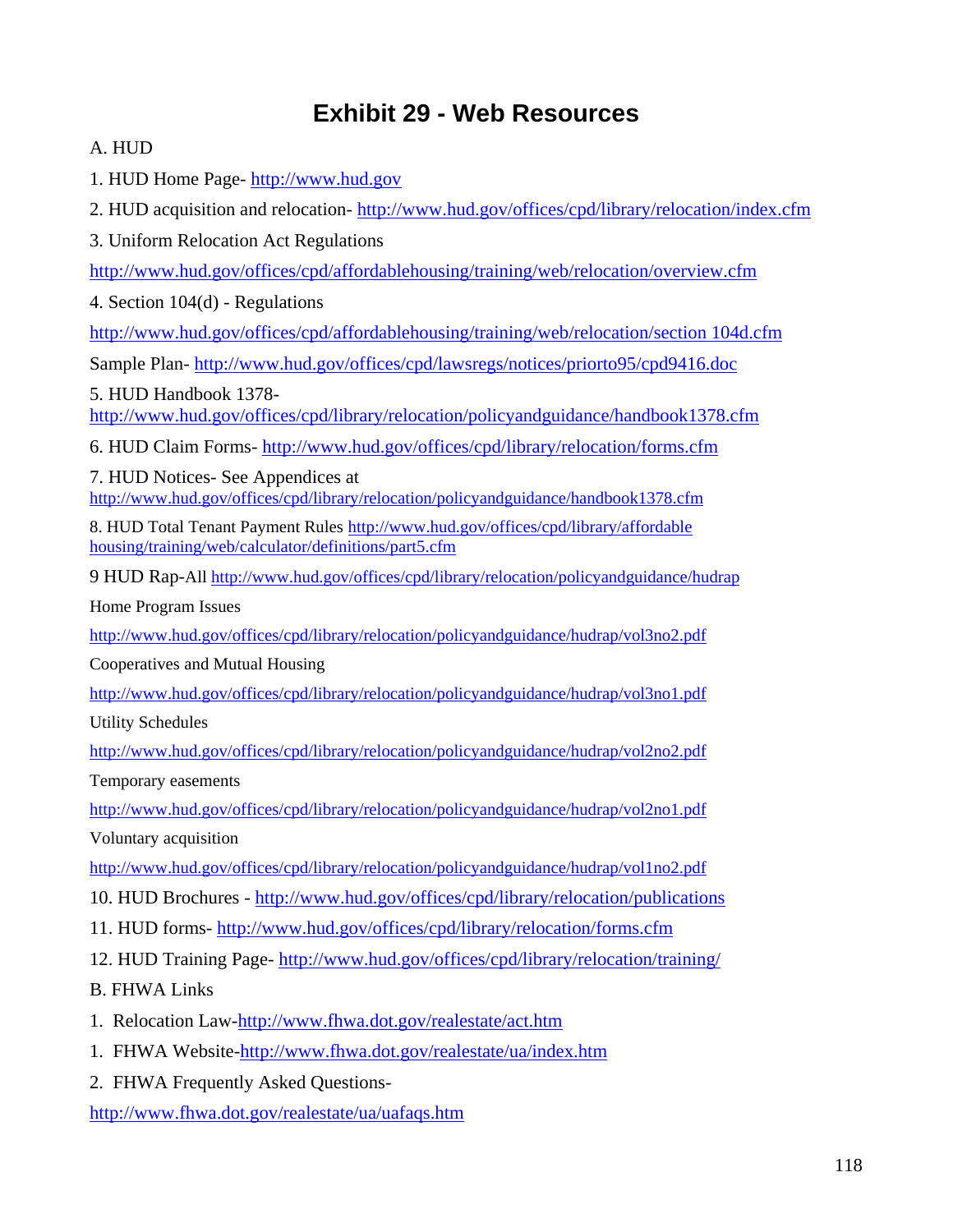## **Exhibit 29 - Web Resources**

A. HUD

1. HUD Home Page- http://www.hud.gov

2. HUD acquisition and relocation- http://www.hud.gov/offices/cpd/library/relocation/index.cfm

3. Uniform Relocation Act Regulations

http://www.hud.gov/offices/cpd/affordablehousing/training/web/relocation/overview.cfm

4. Section 104(d) - Regulations

http://www.hud.gov/offices/cpd/affordablehousing/training/web/relocation/section 104d.cfm

Sample Plan- http://www.hud.gov/offices/cpd/lawsregs/notices/priorto95/cpd9416.doc

5. HUD Handbook 1378-

http://www.hud.gov/offices/cpd/library/relocation/policyandguidance/handbook1378.cfm

6. HUD Claim Forms- http://www.hud.gov/offices/cpd/library/relocation/forms.cfm

7. HUD Notices- See Appendices at http://www.hud.gov/offices/cpd/library/relocation/policyandguidance/handbook1378.cfm

8. HUD Total Tenant Payment Rules http://www.hud.gov/offices/cpd/library/affordable housing/training/web/calculator/definitions/part5.cfm

9 HUD Rap-All http://www.hud.gov/offices/cpd/library/relocation/policyandguidance/hudrap

Home Program Issues

http://www.hud.gov/offices/cpd/library/relocation/policyandguidance/hudrap/vol3no2.pdf

Cooperatives and Mutual Housing

http://www.hud.gov/offices/cpd/library/relocation/policyandguidance/hudrap/vol3no1.pdf

Utility Schedules

http://www.hud.gov/offices/cpd/library/relocation/policyandguidance/hudrap/vol2no2.pdf

Temporary easements

http://www.hud.gov/offices/cpd/library/relocation/policyandguidance/hudrap/vol2no1.pdf Voluntary acquisition

http://www.hud.gov/offices/cpd/library/relocation/policyandguidance/hudrap/vol1no2.pdf

- 10. HUD Brochures http://www.hud.gov/offices/cpd/library/relocation/publications
- 11. HUD forms- http://www.hud.gov/offices/cpd/library/relocation/forms.cfm
- 12. HUD Training Page- http://www.hud.gov/offices/cpd/library/relocation/training/

B. FHWA Links

- 1. Relocation Law-http://www.fhwa.dot.gov/realestate/act.htm
- 1. FHWA Website-http://www.fhwa.dot.gov/realestate/ua/index.htm
- 2. FHWA Frequently Asked Questions-

http://www.fhwa.dot.gov/realestate/ua/uafaqs.htm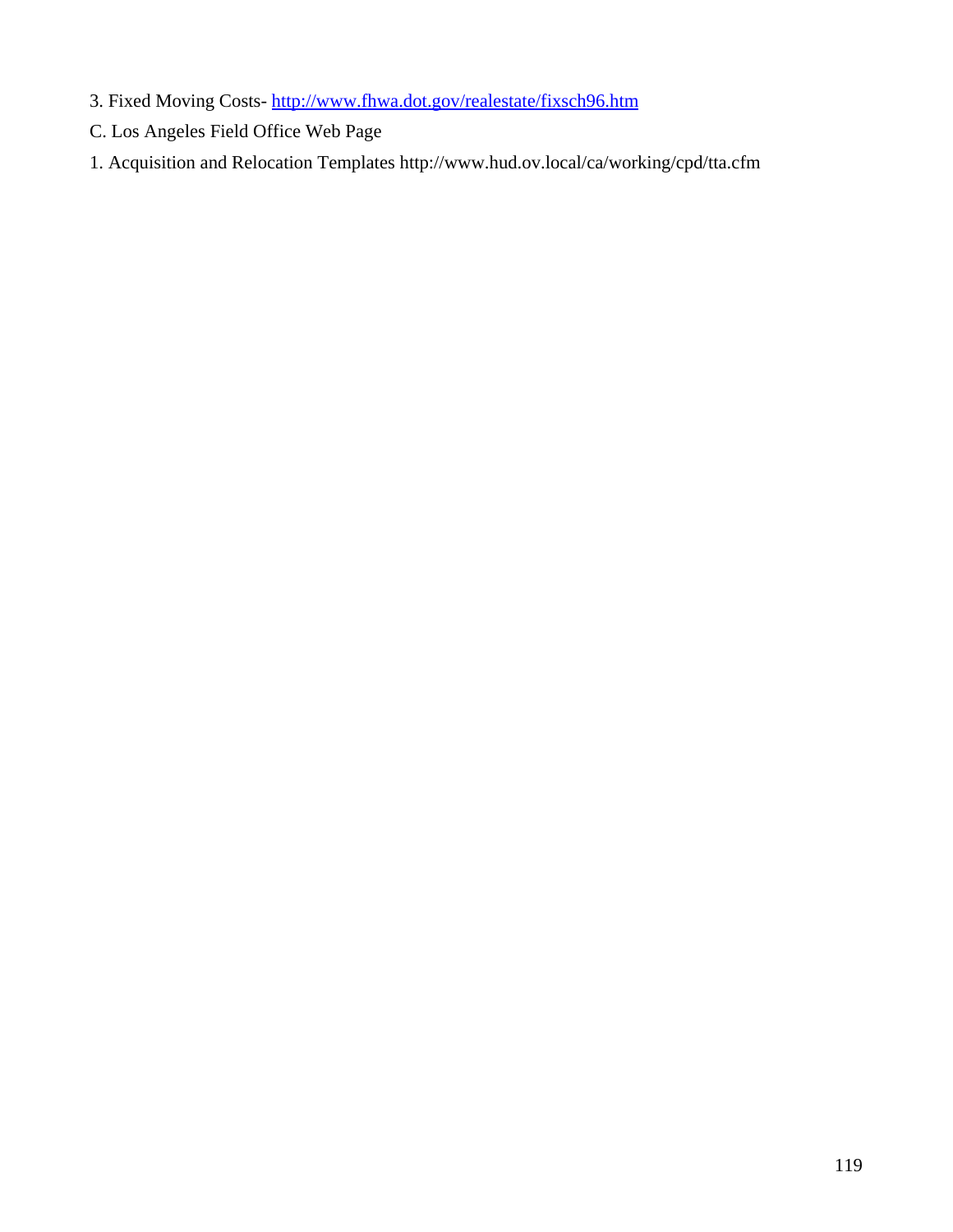- 3. Fixed Moving Costs- http://www.fhwa.dot.gov/realestate/fixsch96.htm
- C. Los Angeles Field Office Web Page
- 1. Acquisition and Relocation Templates http://www.hud.ov.local/ca/working/cpd/tta.cfm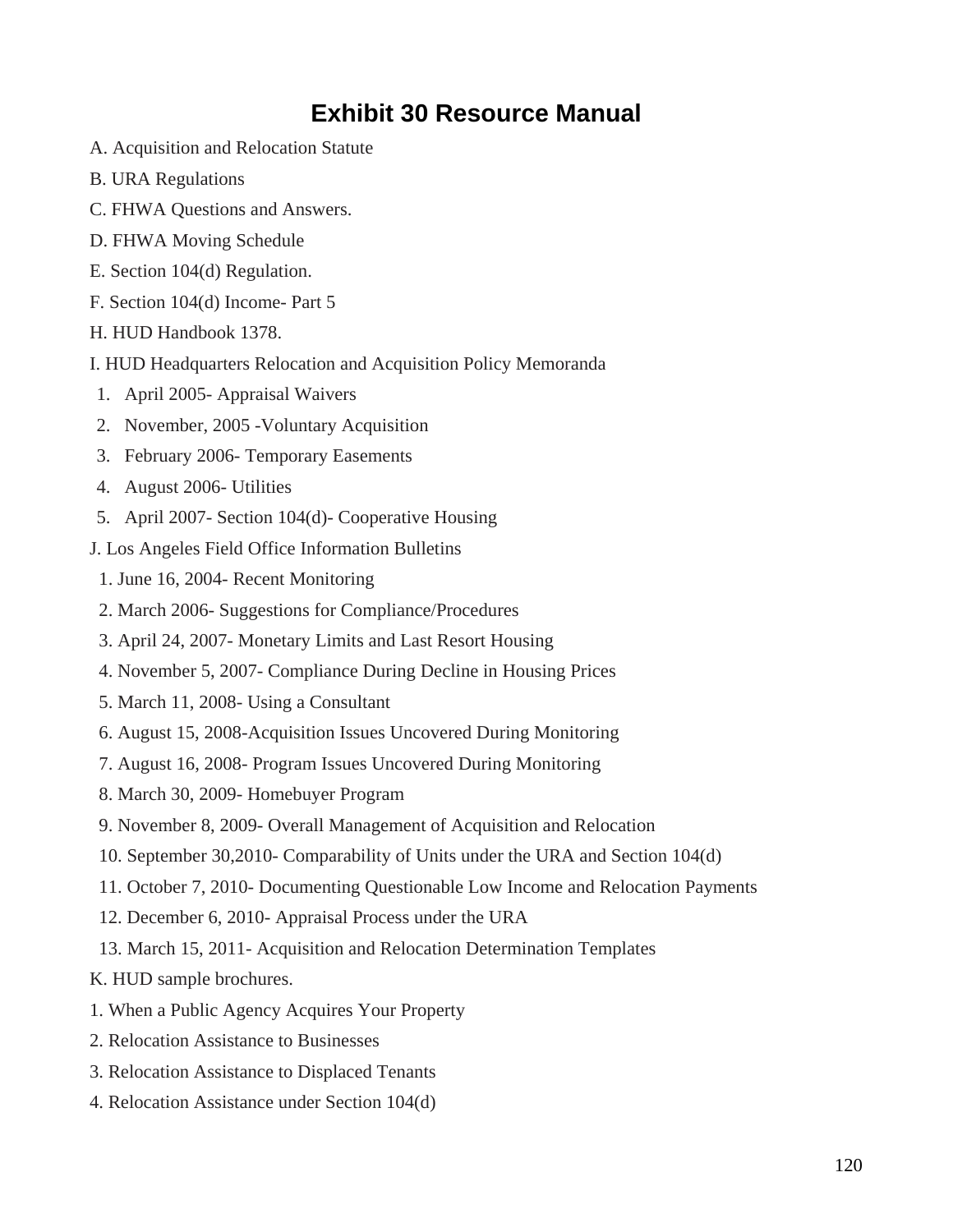## **Exhibit 30 Resource Manual**

- A. Acquisition and Relocation Statute
- B. URA Regulations
- C. FHWA Questions and Answers.
- D. FHWA Moving Schedule
- E. Section 104(d) Regulation.
- F. Section 104(d) Income- Part 5
- H. HUD Handbook 1378.
- I. HUD Headquarters Relocation and Acquisition Policy Memoranda
- 1. April 2005- Appraisal Waivers
- 2. November, 2005 -Voluntary Acquisition
- 3. February 2006- Temporary Easements
- 4. August 2006- Utilities
- 5. April 2007- Section 104(d)- Cooperative Housing
- J. Los Angeles Field Office Information Bulletins
	- 1. June 16, 2004- Recent Monitoring
- 2. March 2006- Suggestions for Compliance/Procedures
- 3. April 24, 2007- Monetary Limits and Last Resort Housing
- 4. November 5, 2007- Compliance During Decline in Housing Prices
- 5. March 11, 2008- Using a Consultant
- 6. August 15, 2008-Acquisition Issues Uncovered During Monitoring
- 7. August 16, 2008- Program Issues Uncovered During Monitoring
- 8. March 30, 2009- Homebuyer Program
- 9. November 8, 2009- Overall Management of Acquisition and Relocation
- 10. September 30,2010- Comparability of Units under the URA and Section 104(d)
- 11. October 7, 2010- Documenting Questionable Low Income and Relocation Payments
- 12. December 6, 2010- Appraisal Process under the URA
- 13. March 15, 2011- Acquisition and Relocation Determination Templates
- K. HUD sample brochures.
- 1. When a Public Agency Acquires Your Property
- 2. Relocation Assistance to Businesses
- 3. Relocation Assistance to Displaced Tenants
- 4. Relocation Assistance under Section 104(d)